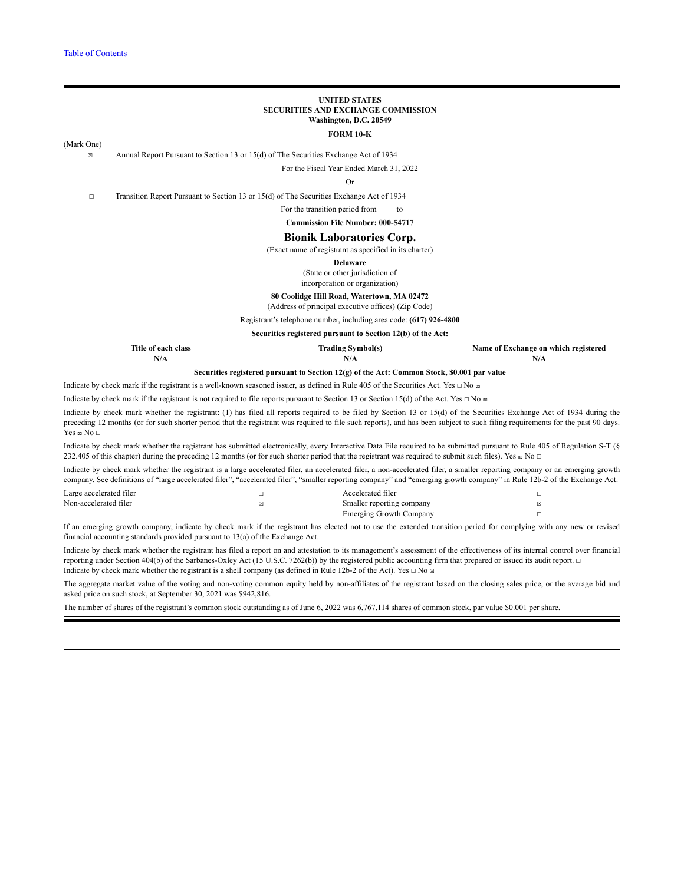# **UNITED STATES SECURITIES AND EXCHANGE COMMISSION Washington, D.C. 20549**

## **FORM 10-K**

# (Mark One)

☒ Annual Report Pursuant to Section 13 or 15(d) of The Securities Exchange Act of 1934

For the Fiscal Year Ended March 31, 2022

Or

☐ Transition Report Pursuant to Section 13 or 15(d) of The Securities Exchange Act of 1934

For the transition period from \_\_\_\_\_\_ to

**Commission File Number: 000-54717**

### **Bionik Laboratories Corp.**

(Exact name of registrant as specified in its charter)

**Delaware**

(State or other jurisdiction of

incorporation or organization)

## **80 Coolidge Hill Road, Watertown, MA 02472**

(Address of principal executive offices) (Zip Code)

Registrant's telephone number, including area code: **(617) 926-4800**

**Securities registered pursuant to Section 12(b) of the Act:**

| $\sim$ $\sim$<br>1tle | rading<br>∵mho…<br>the contract of the contract of the contract of<br>$\overline{\phantom{a}}$ | : or<br>registered<br>change<br>vhich<br>$^{\circ}$<br>хаш<br>$\bullet$ |
|-----------------------|------------------------------------------------------------------------------------------------|-------------------------------------------------------------------------|
| N/L                   | 11/21                                                                                          | 1 V / 7 V                                                               |

**Securities registered pursuant to Section 12(g) of the Act: Common Stock, \$0.001 par value**

Indicate by check mark if the registrant is a well-known seasoned issuer, as defined in Rule 405 of the Securities Act. Yes  $\Box$  No  $\Box$ 

Indicate by check mark if the registrant is not required to file reports pursuant to Section 13 or Section 15(d) of the Act. Yes  $\Box$  No  $\infty$ 

Indicate by check mark whether the registrant: (1) has filed all reports required to be filed by Section 13 or 15(d) of the Securities Exchange Act of 1934 during the preceding 12 months (or for such shorter period that the registrant was required to file such reports), and has been subject to such filing requirements for the past 90 days. Yes  $\boxtimes$  No  $\square$ 

Indicate by check mark whether the registrant has submitted electronically, every Interactive Data File required to be submitted pursuant to Rule 405 of Regulation S-T (§ 232.405 of this chapter) during the preceding 12 months (or for such shorter period that the registrant was required to submit such files). Yes  $\infty$  No  $\Box$ 

Indicate by check mark whether the registrant is a large accelerated filer, an accelerated filer, a non-accelerated filer, a smaller reporting company or an emerging growth company. See definitions of "large accelerated filer", "accelerated filer", "smaller reporting company" and "emerging growth company" in Rule 12b-2 of the Exchange Act.

| Large accelerated filer | Accelerated filer         |  |
|-------------------------|---------------------------|--|
| Non-accelerated filer   | Smaller reporting company |  |
|                         | Emerging Growth Company   |  |

If an emerging growth company, indicate by check mark if the registrant has elected not to use the extended transition period for complying with any new or revised financial accounting standards provided pursuant to 13(a) of the Exchange Act.

Indicate by check mark whether the registrant has filed a report on and attestation to its management's assessment of the effectiveness of its internal control over financial reporting under Section 404(b) of the Sarbanes-Oxley Act (15 U.S.C. 7262(b)) by the registered public accounting firm that prepared or issued its audit report.  $\Box$ Indicate by check mark whether the registrant is a shell company (as defined in Rule 12b-2 of the Act). Yes □ No ⊠

The aggregate market value of the voting and non-voting common equity held by non-affiliates of the registrant based on the closing sales price, or the average bid and asked price on such stock, at September 30, 2021 was \$942,816.

The number of shares of the registrant's common stock outstanding as of June 6, 2022 was 6,767,114 shares of common stock, par value \$0.001 per share.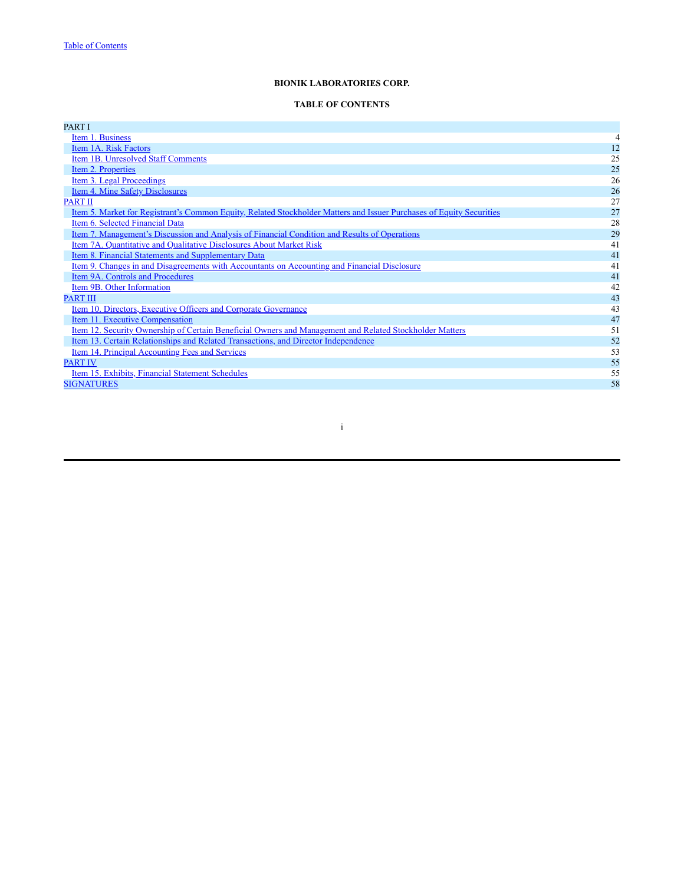# **BIONIK LABORATORIES CORP.**

# **TABLE OF CONTENTS**

<span id="page-1-0"></span>

| <b>PART I</b>                                                                                                        |    |
|----------------------------------------------------------------------------------------------------------------------|----|
| Item 1. Business                                                                                                     | 4  |
| Item 1A. Risk Factors                                                                                                | 12 |
| Item 1B. Unresolved Staff Comments                                                                                   | 25 |
| Item 2. Properties                                                                                                   | 25 |
| Item 3. Legal Proceedings                                                                                            | 26 |
| <b>Item 4. Mine Safety Disclosures</b>                                                                               | 26 |
| <b>PART II</b>                                                                                                       | 27 |
| Item 5. Market for Registrant's Common Equity, Related Stockholder Matters and Issuer Purchases of Equity Securities | 27 |
| Item 6. Selected Financial Data                                                                                      | 28 |
| <u>Item 7. Management's Discussion and Analysis of Financial Condition and Results of Operations</u>                 | 29 |
| Item 7A. Quantitative and Qualitative Disclosures About Market Risk                                                  | 41 |
| Item 8. Financial Statements and Supplementary Data                                                                  | 41 |
| <u>Item 9. Changes in and Disagreements with Accountants on Accounting and Financial Disclosure</u>                  | 41 |
| Item 9A. Controls and Procedures                                                                                     | 41 |
| Item 9B. Other Information                                                                                           | 42 |
| <b>PART III</b>                                                                                                      | 43 |
| Item 10. Directors, Executive Officers and Corporate Governance                                                      | 43 |
| <b>Item 11. Executive Compensation</b>                                                                               | 47 |
| <u>Item 12. Security Ownership of Certain Beneficial Owners and Management and Related Stockholder Matters</u>       | 51 |
| Item 13. Certain Relationships and Related Transactions, and Director Independence                                   | 52 |
| <u>Item 14. Principal Accounting Fees and Services</u>                                                               | 53 |
| <b>PART IV</b>                                                                                                       | 55 |
| Item 15. Exhibits, Financial Statement Schedules                                                                     | 55 |
| <b>SIGNATURES</b>                                                                                                    | 58 |

i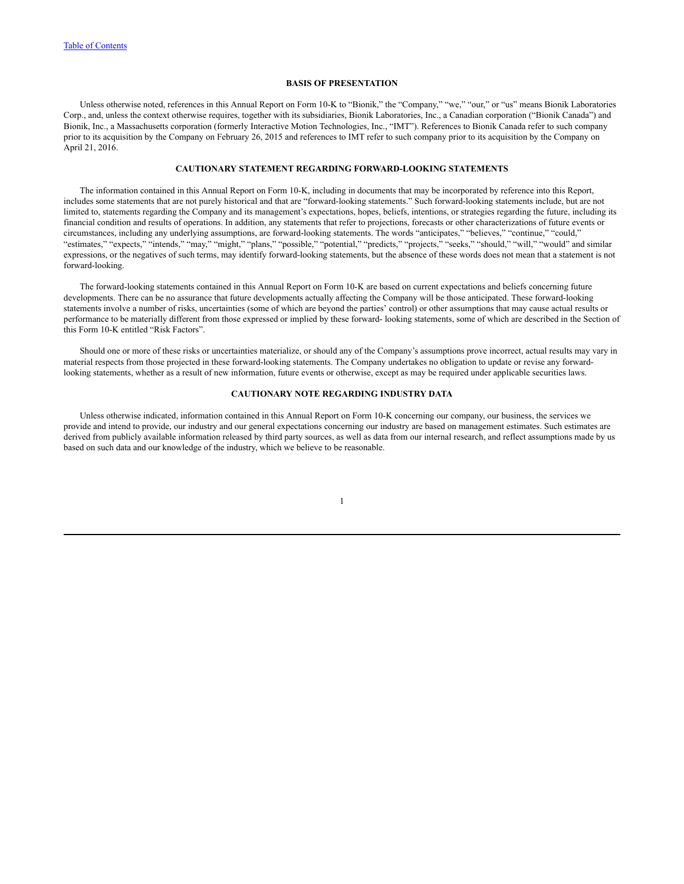### **BASIS OF PRESENTATION**

Unless otherwise noted, references in this Annual Report on Form 10-K to "Bionik," the "Company," "we," "our," or "us" means Bionik Laboratories Corp., and, unless the context otherwise requires, together with its subsidiaries, Bionik Laboratories, Inc., a Canadian corporation ("Bionik Canada") and Bionik, Inc., a Massachusetts corporation (formerly Interactive Motion Technologies, Inc., "IMT"). References to Bionik Canada refer to such company prior to its acquisition by the Company on February 26, 2015 and references to IMT refer to such company prior to its acquisition by the Company on April 21, 2016.

## **CAUTIONARY STATEMENT REGARDING FORWARD-LOOKING STATEMENTS**

The information contained in this Annual Report on Form 10-K, including in documents that may be incorporated by reference into this Report, includes some statements that are not purely historical and that are "forward-looking statements." Such forward-looking statements include, but are not limited to, statements regarding the Company and its management's expectations, hopes, beliefs, intentions, or strategies regarding the future, including its financial condition and results of operations. In addition, any statements that refer to projections, forecasts or other characterizations of future events or circumstances, including any underlying assumptions, are forward-looking statements. The words "anticipates," "believes," "continue," "could," "estimates," "expects," "intends," "may," "might," "plans," "possible," "potential," "predicts," "projects," "seeks," "should," "will," "would" and similar expressions, or the negatives of such terms, may identify forward-looking statements, but the absence of these words does not mean that a statement is not forward-looking.

The forward-looking statements contained in this Annual Report on Form 10-K are based on current expectations and beliefs concerning future developments. There can be no assurance that future developments actually affecting the Company will be those anticipated. These forward-looking statements involve a number of risks, uncertainties (some of which are beyond the parties' control) or other assumptions that may cause actual results or performance to be materially different from those expressed or implied by these forward- looking statements, some of which are described in the Section of this Form 10-K entitled "Risk Factors".

Should one or more of these risks or uncertainties materialize, or should any of the Company's assumptions prove incorrect, actual results may vary in material respects from those projected in these forward-looking statements. The Company undertakes no obligation to update or revise any forwardlooking statements, whether as a result of new information, future events or otherwise, except as may be required under applicable securities laws.

### **CAUTIONARY NOTE REGARDING INDUSTRY DATA**

Unless otherwise indicated, information contained in this Annual Report on Form 10-K concerning our company, our business, the services we provide and intend to provide, our industry and our general expectations concerning our industry are based on management estimates. Such estimates are derived from publicly available information released by third party sources, as well as data from our internal research, and reflect assumptions made by us based on such data and our knowledge of the industry, which we believe to be reasonable.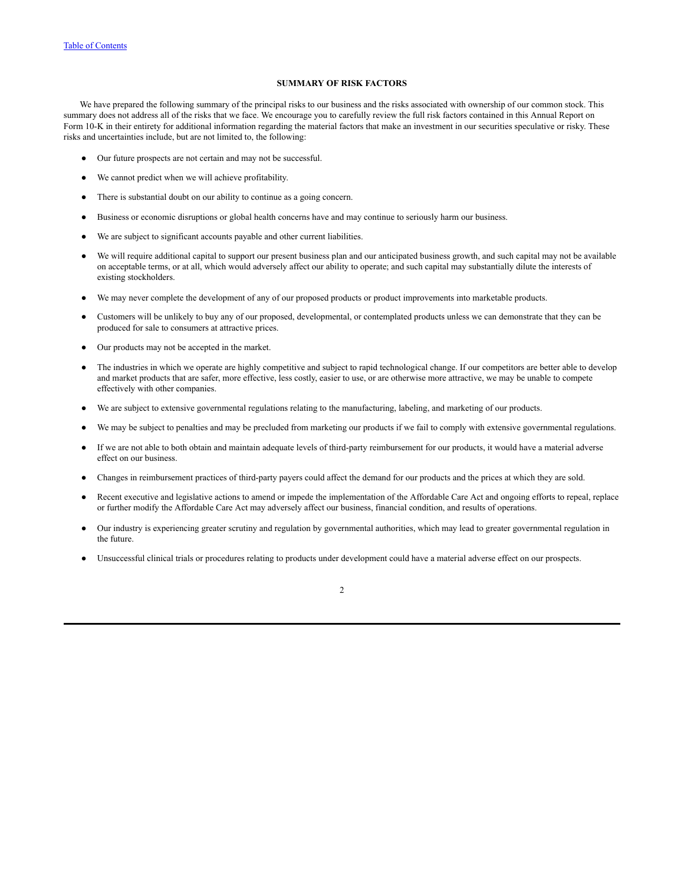### **SUMMARY OF RISK FACTORS**

We have prepared the following summary of the principal risks to our business and the risks associated with ownership of our common stock. This summary does not address all of the risks that we face. We encourage you to carefully review the full risk factors contained in this Annual Report on Form 10-K in their entirety for additional information regarding the material factors that make an investment in our securities speculative or risky. These risks and uncertainties include, but are not limited to, the following:

- Our future prospects are not certain and may not be successful.
- We cannot predict when we will achieve profitability.
- There is substantial doubt on our ability to continue as a going concern.
- Business or economic disruptions or global health concerns have and may continue to seriously harm our business.
- We are subject to significant accounts payable and other current liabilities.
- We will require additional capital to support our present business plan and our anticipated business growth, and such capital may not be available on acceptable terms, or at all, which would adversely affect our ability to operate; and such capital may substantially dilute the interests of existing stockholders.
- We may never complete the development of any of our proposed products or product improvements into marketable products.
- Customers will be unlikely to buy any of our proposed, developmental, or contemplated products unless we can demonstrate that they can be produced for sale to consumers at attractive prices.
- Our products may not be accepted in the market.
- The industries in which we operate are highly competitive and subject to rapid technological change. If our competitors are better able to develop and market products that are safer, more effective, less costly, easier to use, or are otherwise more attractive, we may be unable to compete effectively with other companies.
- We are subject to extensive governmental regulations relating to the manufacturing, labeling, and marketing of our products.
- We may be subject to penalties and may be precluded from marketing our products if we fail to comply with extensive governmental regulations.
- If we are not able to both obtain and maintain adequate levels of third-party reimbursement for our products, it would have a material adverse effect on our business.
- Changes in reimbursement practices of third-party payers could affect the demand for our products and the prices at which they are sold.
- Recent executive and legislative actions to amend or impede the implementation of the Affordable Care Act and ongoing efforts to repeal, replace or further modify the Affordable Care Act may adversely affect our business, financial condition, and results of operations.
- Our industry is experiencing greater scrutiny and regulation by governmental authorities, which may lead to greater governmental regulation in the future.
- Unsuccessful clinical trials or procedures relating to products under development could have a material adverse effect on our prospects.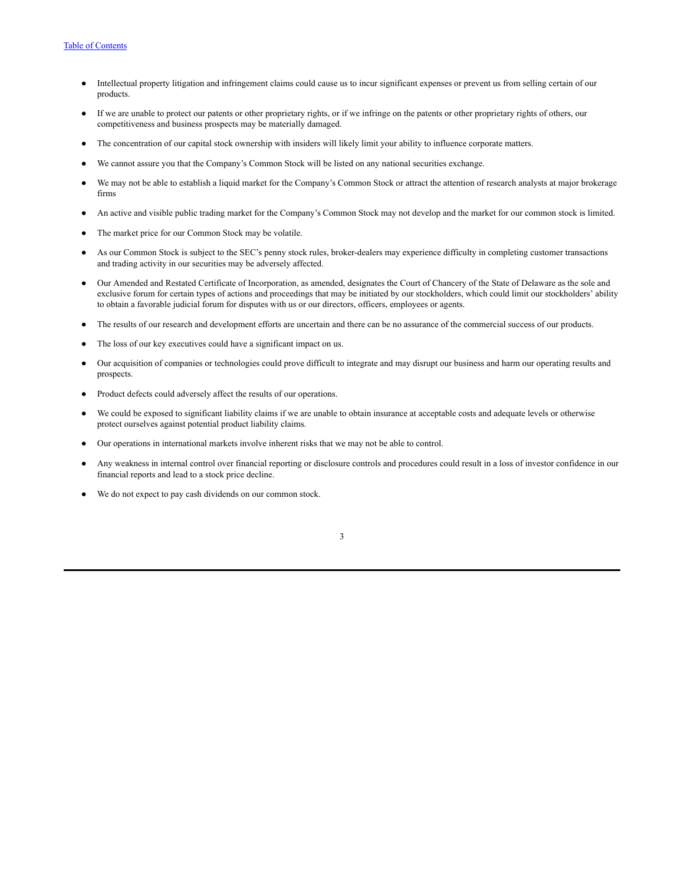- Intellectual property litigation and infringement claims could cause us to incur significant expenses or prevent us from selling certain of our products.
- If we are unable to protect our patents or other proprietary rights, or if we infringe on the patents or other proprietary rights of others, our competitiveness and business prospects may be materially damaged.
- The concentration of our capital stock ownership with insiders will likely limit your ability to influence corporate matters.
- We cannot assure you that the Company's Common Stock will be listed on any national securities exchange.
- We may not be able to establish a liquid market for the Company's Common Stock or attract the attention of research analysts at major brokerage firms
- An active and visible public trading market for the Company's Common Stock may not develop and the market for our common stock is limited.
- The market price for our Common Stock may be volatile.
- As our Common Stock is subject to the SEC's penny stock rules, broker-dealers may experience difficulty in completing customer transactions and trading activity in our securities may be adversely affected.
- Our Amended and Restated Certificate of Incorporation, as amended, designates the Court of Chancery of the State of Delaware as the sole and exclusive forum for certain types of actions and proceedings that may be initiated by our stockholders, which could limit our stockholders' ability to obtain a favorable judicial forum for disputes with us or our directors, officers, employees or agents.
- The results of our research and development efforts are uncertain and there can be no assurance of the commercial success of our products.
- The loss of our key executives could have a significant impact on us.
- Our acquisition of companies or technologies could prove difficult to integrate and may disrupt our business and harm our operating results and prospects.
- Product defects could adversely affect the results of our operations.
- We could be exposed to significant liability claims if we are unable to obtain insurance at acceptable costs and adequate levels or otherwise protect ourselves against potential product liability claims.
- Our operations in international markets involve inherent risks that we may not be able to control.
- Any weakness in internal control over financial reporting or disclosure controls and procedures could result in a loss of investor confidence in our financial reports and lead to a stock price decline.
- We do not expect to pay cash dividends on our common stock.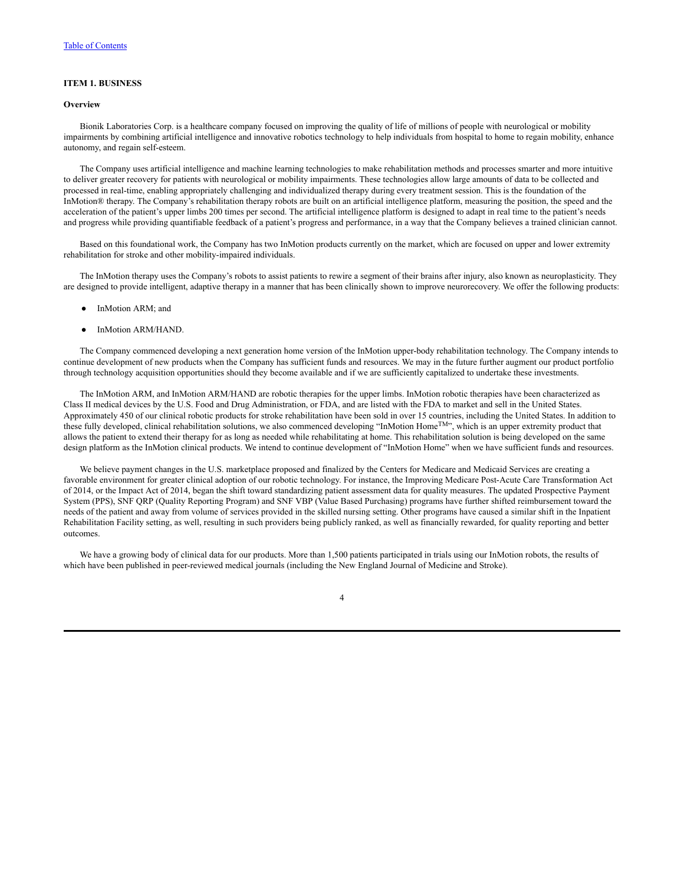#### <span id="page-5-0"></span>**ITEM 1. BUSINESS**

#### **Overview**

Bionik Laboratories Corp. is a healthcare company focused on improving the quality of life of millions of people with neurological or mobility impairments by combining artificial intelligence and innovative robotics technology to help individuals from hospital to home to regain mobility, enhance autonomy, and regain self-esteem.

The Company uses artificial intelligence and machine learning technologies to make rehabilitation methods and processes smarter and more intuitive to deliver greater recovery for patients with neurological or mobility impairments. These technologies allow large amounts of data to be collected and processed in real-time, enabling appropriately challenging and individualized therapy during every treatment session. This is the foundation of the InMotion® therapy. The Company's rehabilitation therapy robots are built on an artificial intelligence platform, measuring the position, the speed and the acceleration of the patient's upper limbs 200 times per second. The artificial intelligence platform is designed to adapt in real time to the patient's needs and progress while providing quantifiable feedback of a patient's progress and performance, in a way that the Company believes a trained clinician cannot.

Based on this foundational work, the Company has two InMotion products currently on the market, which are focused on upper and lower extremity rehabilitation for stroke and other mobility-impaired individuals.

The InMotion therapy uses the Company's robots to assist patients to rewire a segment of their brains after injury, also known as neuroplasticity. They are designed to provide intelligent, adaptive therapy in a manner that has been clinically shown to improve neurorecovery. We offer the following products:

- InMotion ARM; and
- InMotion ARM/HAND.

The Company commenced developing a next generation home version of the InMotion upper-body rehabilitation technology. The Company intends to continue development of new products when the Company has sufficient funds and resources. We may in the future further augment our product portfolio through technology acquisition opportunities should they become available and if we are sufficiently capitalized to undertake these investments.

The InMotion ARM, and InMotion ARM/HAND are robotic therapies for the upper limbs. InMotion robotic therapies have been characterized as Class II medical devices by the U.S. Food and Drug Administration, or FDA, and are listed with the FDA to market and sell in the United States. Approximately 450 of our clinical robotic products for stroke rehabilitation have been sold in over 15 countries, including the United States. In addition to these fully developed, clinical rehabilitation solutions, we also commenced developing "InMotion Home<sup>TM</sup>", which is an upper extremity product that allows the patient to extend their therapy for as long as needed while rehabilitating at home. This rehabilitation solution is being developed on the same design platform as the InMotion clinical products. We intend to continue development of "InMotion Home" when we have sufficient funds and resources.

We believe payment changes in the U.S. marketplace proposed and finalized by the Centers for Medicare and Medicaid Services are creating a favorable environment for greater clinical adoption of our robotic technology. For instance, the Improving Medicare Post-Acute Care Transformation Act of 2014, or the Impact Act of 2014, began the shift toward standardizing patient assessment data for quality measures. The updated Prospective Payment System (PPS), SNF QRP (Quality Reporting Program) and SNF VBP (Value Based Purchasing) programs have further shifted reimbursement toward the needs of the patient and away from volume of services provided in the skilled nursing setting. Other programs have caused a similar shift in the Inpatient Rehabilitation Facility setting, as well, resulting in such providers being publicly ranked, as well as financially rewarded, for quality reporting and better outcomes.

We have a growing body of clinical data for our products. More than 1,500 patients participated in trials using our InMotion robots, the results of which have been published in peer-reviewed medical journals (including the New England Journal of Medicine and Stroke).

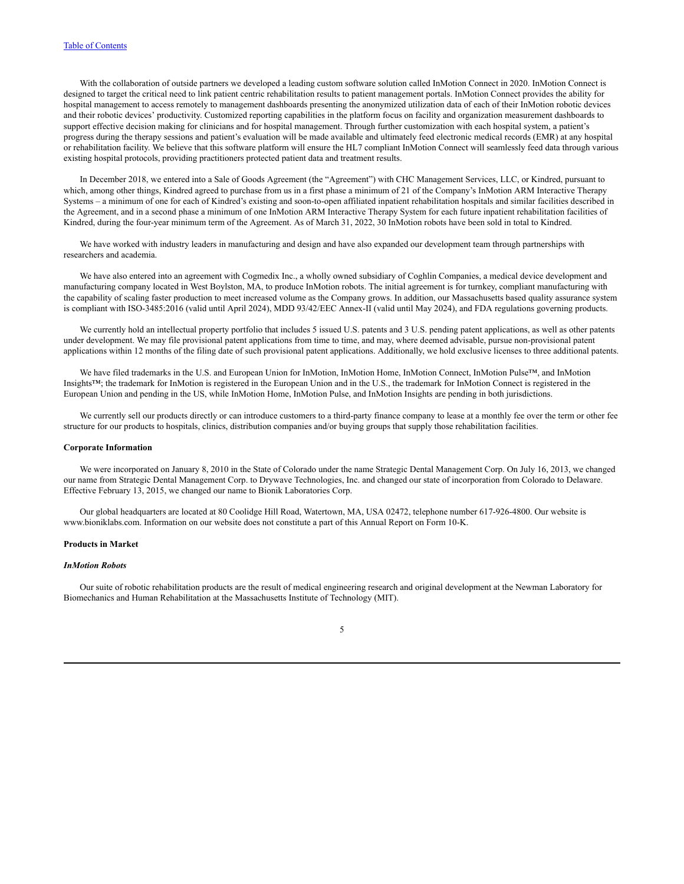With the collaboration of outside partners we developed a leading custom software solution called InMotion Connect in 2020. InMotion Connect is designed to target the critical need to link patient centric rehabilitation results to patient management portals. InMotion Connect provides the ability for hospital management to access remotely to management dashboards presenting the anonymized utilization data of each of their InMotion robotic devices and their robotic devices' productivity. Customized reporting capabilities in the platform focus on facility and organization measurement dashboards to support effective decision making for clinicians and for hospital management. Through further customization with each hospital system, a patient's progress during the therapy sessions and patient's evaluation will be made available and ultimately feed electronic medical records (EMR) at any hospital or rehabilitation facility. We believe that this software platform will ensure the HL7 compliant InMotion Connect will seamlessly feed data through various existing hospital protocols, providing practitioners protected patient data and treatment results.

In December 2018, we entered into a Sale of Goods Agreement (the "Agreement") with CHC Management Services, LLC, or Kindred, pursuant to which, among other things, Kindred agreed to purchase from us in a first phase a minimum of 21 of the Company's InMotion ARM Interactive Therapy Systems – a minimum of one for each of Kindred's existing and soon-to-open affiliated inpatient rehabilitation hospitals and similar facilities described in the Agreement, and in a second phase a minimum of one InMotion ARM Interactive Therapy System for each future inpatient rehabilitation facilities of Kindred, during the four-year minimum term of the Agreement. As of March 31, 2022, 30 InMotion robots have been sold in total to Kindred.

We have worked with industry leaders in manufacturing and design and have also expanded our development team through partnerships with researchers and academia.

We have also entered into an agreement with Cogmedix Inc., a wholly owned subsidiary of Coghlin Companies, a medical device development and manufacturing company located in West Boylston, MA, to produce InMotion robots. The initial agreement is for turnkey, compliant manufacturing with the capability of scaling faster production to meet increased volume as the Company grows. In addition, our Massachusetts based quality assurance system is compliant with ISO-3485:2016 (valid until April 2024), MDD 93/42/EEC Annex-II (valid until May 2024), and FDA regulations governing products.

We currently hold an intellectual property portfolio that includes 5 issued U.S. patents and 3 U.S. pending patent applications, as well as other patents under development. We may file provisional patent applications from time to time, and may, where deemed advisable, pursue non-provisional patent applications within 12 months of the filing date of such provisional patent applications. Additionally, we hold exclusive licenses to three additional patents.

We have filed trademarks in the U.S. and European Union for InMotion, InMotion Home, InMotion Connect, InMotion Pulse™, and InMotion Insights™; the trademark for InMotion is registered in the European Union and in the U.S., the trademark for InMotion Connect is registered in the European Union and pending in the US, while InMotion Home, InMotion Pulse, and InMotion Insights are pending in both jurisdictions.

We currently sell our products directly or can introduce customers to a third-party finance company to lease at a monthly fee over the term or other fee structure for our products to hospitals, clinics, distribution companies and/or buying groups that supply those rehabilitation facilities.

### **Corporate Information**

We were incorporated on January 8, 2010 in the State of Colorado under the name Strategic Dental Management Corp. On July 16, 2013, we changed our name from Strategic Dental Management Corp. to Drywave Technologies, Inc. and changed our state of incorporation from Colorado to Delaware. Effective February 13, 2015, we changed our name to Bionik Laboratories Corp.

Our global headquarters are located at 80 Coolidge Hill Road, Watertown, MA, USA 02472, telephone number 617-926-4800. Our website is www.bioniklabs.com. Information on our website does not constitute a part of this Annual Report on Form 10-K.

#### **Products in Market**

#### *InMotion Robots*

Our suite of robotic rehabilitation products are the result of medical engineering research and original development at the Newman Laboratory for Biomechanics and Human Rehabilitation at the Massachusetts Institute of Technology (MIT).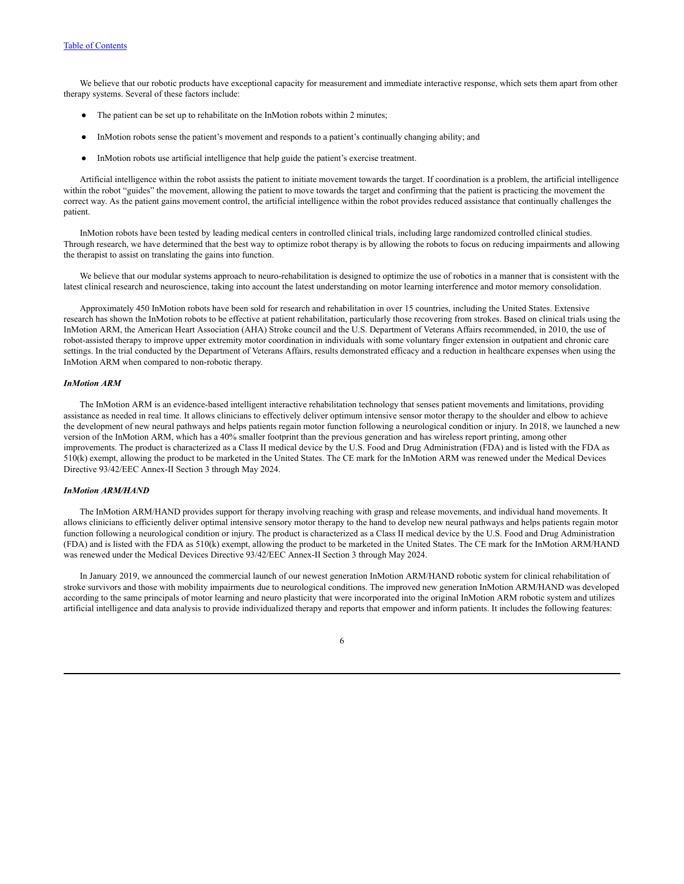We believe that our robotic products have exceptional capacity for measurement and immediate interactive response, which sets them apart from other therapy systems. Several of these factors include:

- The patient can be set up to rehabilitate on the InMotion robots within 2 minutes;
- InMotion robots sense the patient's movement and responds to a patient's continually changing ability; and
- InMotion robots use artificial intelligence that help guide the patient's exercise treatment.

Artificial intelligence within the robot assists the patient to initiate movement towards the target. If coordination is a problem, the artificial intelligence within the robot "guides" the movement, allowing the patient to move towards the target and confirming that the patient is practicing the movement the correct way. As the patient gains movement control, the artificial intelligence within the robot provides reduced assistance that continually challenges the patient.

InMotion robots have been tested by leading medical centers in controlled clinical trials, including large randomized controlled clinical studies. Through research, we have determined that the best way to optimize robot therapy is by allowing the robots to focus on reducing impairments and allowing the therapist to assist on translating the gains into function.

We believe that our modular systems approach to neuro-rehabilitation is designed to optimize the use of robotics in a manner that is consistent with the latest clinical research and neuroscience, taking into account the latest understanding on motor learning interference and motor memory consolidation.

Approximately 450 InMotion robots have been sold for research and rehabilitation in over 15 countries, including the United States. Extensive research has shown the InMotion robots to be effective at patient rehabilitation, particularly those recovering from strokes. Based on clinical trials using the InMotion ARM, the American Heart Association (AHA) Stroke council and the U.S. Department of Veterans Affairs recommended, in 2010, the use of robot-assisted therapy to improve upper extremity motor coordination in individuals with some voluntary finger extension in outpatient and chronic care settings. In the trial conducted by the Department of Veterans Affairs, results demonstrated efficacy and a reduction in healthcare expenses when using the InMotion ARM when compared to non-robotic therapy.

#### *InMotion ARM*

The InMotion ARM is an evidence-based intelligent interactive rehabilitation technology that senses patient movements and limitations, providing assistance as needed in real time. It allows clinicians to effectively deliver optimum intensive sensor motor therapy to the shoulder and elbow to achieve the development of new neural pathways and helps patients regain motor function following a neurological condition or injury. In 2018, we launched a new version of the InMotion ARM, which has a 40% smaller footprint than the previous generation and has wireless report printing, among other improvements. The product is characterized as a Class II medical device by the U.S. Food and Drug Administration (FDA) and is listed with the FDA as 510(k) exempt, allowing the product to be marketed in the United States. The CE mark for the InMotion ARM was renewed under the Medical Devices Directive 93/42/EEC Annex-II Section 3 through May 2024.

#### *InMotion ARM/HAND*

The InMotion ARM/HAND provides support for therapy involving reaching with grasp and release movements, and individual hand movements. It allows clinicians to efficiently deliver optimal intensive sensory motor therapy to the hand to develop new neural pathways and helps patients regain motor function following a neurological condition or injury. The product is characterized as a Class II medical device by the U.S. Food and Drug Administration (FDA) and is listed with the FDA as 510(k) exempt, allowing the product to be marketed in the United States. The CE mark for the InMotion ARM/HAND was renewed under the Medical Devices Directive 93/42/EEC Annex-II Section 3 through May 2024.

In January 2019, we announced the commercial launch of our newest generation InMotion ARM/HAND robotic system for clinical rehabilitation of stroke survivors and those with mobility impairments due to neurological conditions. The improved new generation InMotion ARM/HAND was developed according to the same principals of motor learning and neuro plasticity that were incorporated into the original InMotion ARM robotic system and utilizes artificial intelligence and data analysis to provide individualized therapy and reports that empower and inform patients. It includes the following features: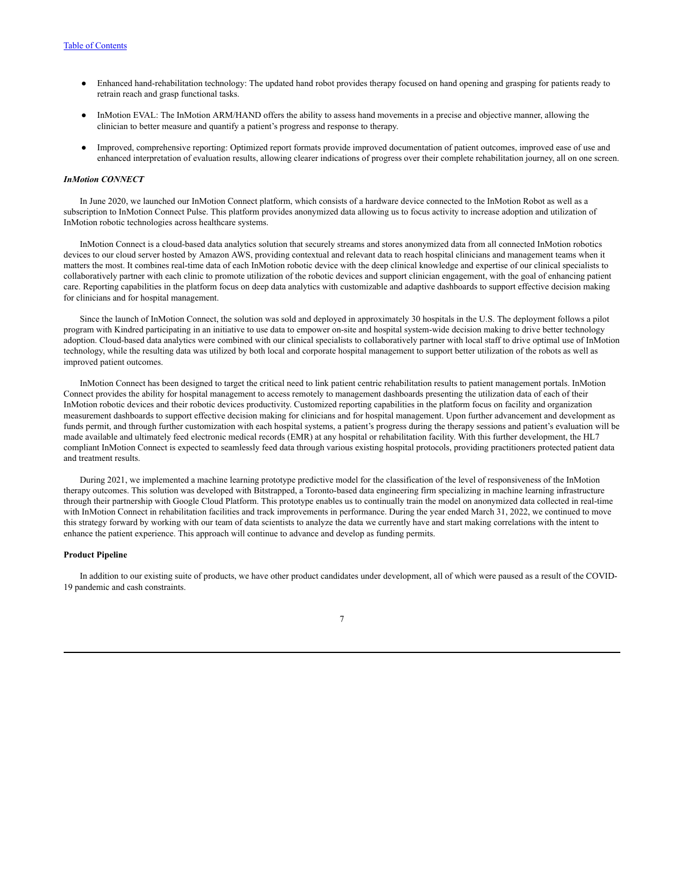- Enhanced hand-rehabilitation technology: The updated hand robot provides therapy focused on hand opening and grasping for patients ready to retrain reach and grasp functional tasks.
- InMotion EVAL: The InMotion ARM/HAND offers the ability to assess hand movements in a precise and objective manner, allowing the clinician to better measure and quantify a patient's progress and response to therapy.
- Improved, comprehensive reporting: Optimized report formats provide improved documentation of patient outcomes, improved ease of use and enhanced interpretation of evaluation results, allowing clearer indications of progress over their complete rehabilitation journey, all on one screen.

### *InMotion CONNECT*

In June 2020, we launched our InMotion Connect platform, which consists of a hardware device connected to the InMotion Robot as well as a subscription to InMotion Connect Pulse. This platform provides anonymized data allowing us to focus activity to increase adoption and utilization of InMotion robotic technologies across healthcare systems.

InMotion Connect is a cloud-based data analytics solution that securely streams and stores anonymized data from all connected InMotion robotics devices to our cloud server hosted by Amazon AWS, providing contextual and relevant data to reach hospital clinicians and management teams when it matters the most. It combines real-time data of each InMotion robotic device with the deep clinical knowledge and expertise of our clinical specialists to collaboratively partner with each clinic to promote utilization of the robotic devices and support clinician engagement, with the goal of enhancing patient care. Reporting capabilities in the platform focus on deep data analytics with customizable and adaptive dashboards to support effective decision making for clinicians and for hospital management.

Since the launch of InMotion Connect, the solution was sold and deployed in approximately 30 hospitals in the U.S. The deployment follows a pilot program with Kindred participating in an initiative to use data to empower on-site and hospital system-wide decision making to drive better technology adoption. Cloud-based data analytics were combined with our clinical specialists to collaboratively partner with local staff to drive optimal use of InMotion technology, while the resulting data was utilized by both local and corporate hospital management to support better utilization of the robots as well as improved patient outcomes.

InMotion Connect has been designed to target the critical need to link patient centric rehabilitation results to patient management portals. InMotion Connect provides the ability for hospital management to access remotely to management dashboards presenting the utilization data of each of their InMotion robotic devices and their robotic devices productivity. Customized reporting capabilities in the platform focus on facility and organization measurement dashboards to support effective decision making for clinicians and for hospital management. Upon further advancement and development as funds permit, and through further customization with each hospital systems, a patient's progress during the therapy sessions and patient's evaluation will be made available and ultimately feed electronic medical records (EMR) at any hospital or rehabilitation facility. With this further development, the HL7 compliant InMotion Connect is expected to seamlessly feed data through various existing hospital protocols, providing practitioners protected patient data and treatment results.

During 2021, we implemented a machine learning prototype predictive model for the classification of the level of responsiveness of the InMotion therapy outcomes. This solution was developed with Bitstrapped, a Toronto-based data engineering firm specializing in machine learning infrastructure through their partnership with Google Cloud Platform. This prototype enables us to continually train the model on anonymized data collected in real-time with InMotion Connect in rehabilitation facilities and track improvements in performance. During the year ended March 31, 2022, we continued to move this strategy forward by working with our team of data scientists to analyze the data we currently have and start making correlations with the intent to enhance the patient experience. This approach will continue to advance and develop as funding permits.

### **Product Pipeline**

In addition to our existing suite of products, we have other product candidates under development, all of which were paused as a result of the COVID-19 pandemic and cash constraints.

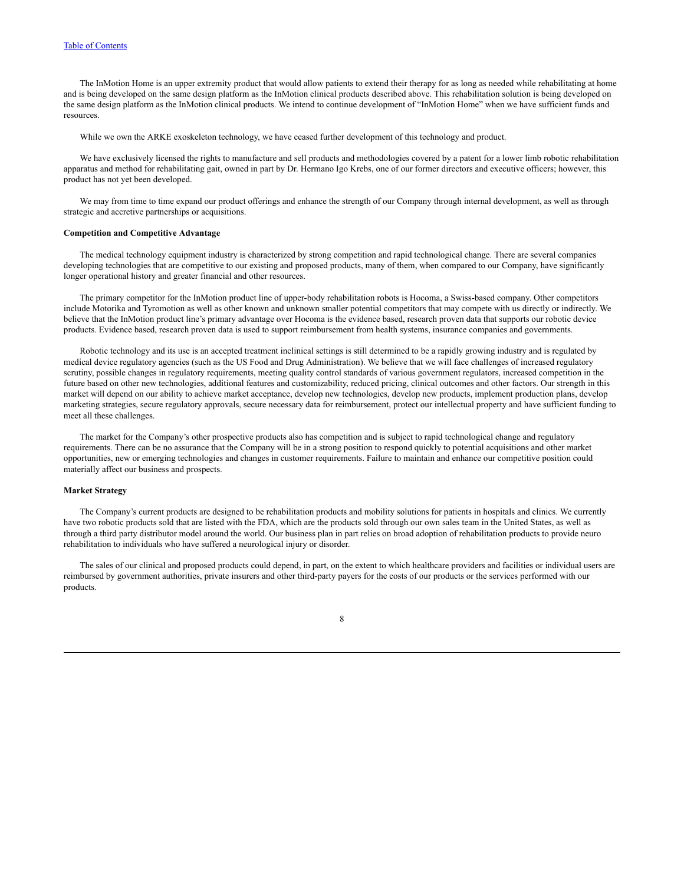The InMotion Home is an upper extremity product that would allow patients to extend their therapy for as long as needed while rehabilitating at home and is being developed on the same design platform as the InMotion clinical products described above. This rehabilitation solution is being developed on the same design platform as the InMotion clinical products. We intend to continue development of "InMotion Home" when we have sufficient funds and resources.

While we own the ARKE exoskeleton technology, we have ceased further development of this technology and product.

We have exclusively licensed the rights to manufacture and sell products and methodologies covered by a patent for a lower limb robotic rehabilitation apparatus and method for rehabilitating gait, owned in part by Dr. Hermano Igo Krebs, one of our former directors and executive officers; however, this product has not yet been developed.

We may from time to time expand our product offerings and enhance the strength of our Company through internal development, as well as through strategic and accretive partnerships or acquisitions.

#### **Competition and Competitive Advantage**

The medical technology equipment industry is characterized by strong competition and rapid technological change. There are several companies developing technologies that are competitive to our existing and proposed products, many of them, when compared to our Company, have significantly longer operational history and greater financial and other resources.

The primary competitor for the InMotion product line of upper-body rehabilitation robots is Hocoma, a Swiss-based company. Other competitors include Motorika and Tyromotion as well as other known and unknown smaller potential competitors that may compete with us directly or indirectly. We believe that the InMotion product line's primary advantage over Hocoma is the evidence based, research proven data that supports our robotic device products. Evidence based, research proven data is used to support reimbursement from health systems, insurance companies and governments.

Robotic technology and its use is an accepted treatment inclinical settings is still determined to be a rapidly growing industry and is regulated by medical device regulatory agencies (such as the US Food and Drug Administration). We believe that we will face challenges of increased regulatory scrutiny, possible changes in regulatory requirements, meeting quality control standards of various government regulators, increased competition in the future based on other new technologies, additional features and customizability, reduced pricing, clinical outcomes and other factors. Our strength in this market will depend on our ability to achieve market acceptance, develop new technologies, develop new products, implement production plans, develop marketing strategies, secure regulatory approvals, secure necessary data for reimbursement, protect our intellectual property and have sufficient funding to meet all these challenges.

The market for the Company's other prospective products also has competition and is subject to rapid technological change and regulatory requirements. There can be no assurance that the Company will be in a strong position to respond quickly to potential acquisitions and other market opportunities, new or emerging technologies and changes in customer requirements. Failure to maintain and enhance our competitive position could materially affect our business and prospects.

#### **Market Strategy**

The Company's current products are designed to be rehabilitation products and mobility solutions for patients in hospitals and clinics. We currently have two robotic products sold that are listed with the FDA, which are the products sold through our own sales team in the United States, as well as through a third party distributor model around the world. Our business plan in part relies on broad adoption of rehabilitation products to provide neuro rehabilitation to individuals who have suffered a neurological injury or disorder.

The sales of our clinical and proposed products could depend, in part, on the extent to which healthcare providers and facilities or individual users are reimbursed by government authorities, private insurers and other third-party payers for the costs of our products or the services performed with our products.

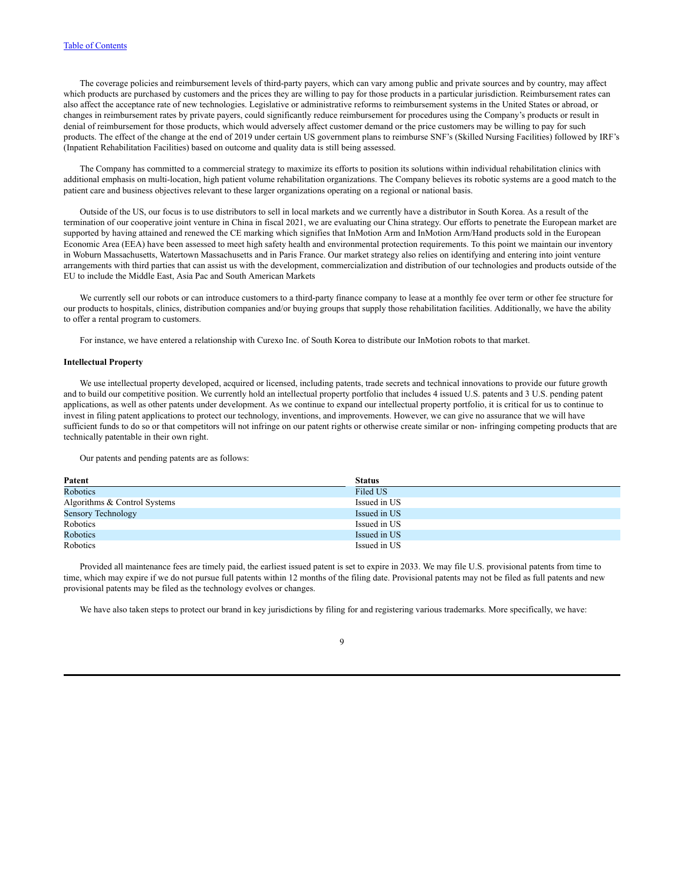The coverage policies and reimbursement levels of third-party payers, which can vary among public and private sources and by country, may affect which products are purchased by customers and the prices they are willing to pay for those products in a particular jurisdiction. Reimbursement rates can also affect the acceptance rate of new technologies. Legislative or administrative reforms to reimbursement systems in the United States or abroad, or changes in reimbursement rates by private payers, could significantly reduce reimbursement for procedures using the Company's products or result in denial of reimbursement for those products, which would adversely affect customer demand or the price customers may be willing to pay for such products. The effect of the change at the end of 2019 under certain US government plans to reimburse SNF's (Skilled Nursing Facilities) followed by IRF's (Inpatient Rehabilitation Facilities) based on outcome and quality data is still being assessed.

The Company has committed to a commercial strategy to maximize its efforts to position its solutions within individual rehabilitation clinics with additional emphasis on multi-location, high patient volume rehabilitation organizations. The Company believes its robotic systems are a good match to the patient care and business objectives relevant to these larger organizations operating on a regional or national basis.

Outside of the US, our focus is to use distributors to sell in local markets and we currently have a distributor in South Korea. As a result of the termination of our cooperative joint venture in China in fiscal 2021, we are evaluating our China strategy. Our efforts to penetrate the European market are supported by having attained and renewed the CE marking which signifies that InMotion Arm and InMotion Arm/Hand products sold in the European Economic Area (EEA) have been assessed to meet high safety health and environmental protection requirements. To this point we maintain our inventory in Woburn Massachusetts, Watertown Massachusetts and in Paris France. Our market strategy also relies on identifying and entering into joint venture arrangements with third parties that can assist us with the development, commercialization and distribution of our technologies and products outside of the EU to include the Middle East, Asia Pac and South American Markets

We currently sell our robots or can introduce customers to a third-party finance company to lease at a monthly fee over term or other fee structure for our products to hospitals, clinics, distribution companies and/or buying groups that supply those rehabilitation facilities. Additionally, we have the ability to offer a rental program to customers.

For instance, we have entered a relationship with Curexo Inc. of South Korea to distribute our InMotion robots to that market.

#### **Intellectual Property**

We use intellectual property developed, acquired or licensed, including patents, trade secrets and technical innovations to provide our future growth and to build our competitive position. We currently hold an intellectual property portfolio that includes 4 issued U.S. patents and 3 U.S. pending patent applications, as well as other patents under development. As we continue to expand our intellectual property portfolio, it is critical for us to continue to invest in filing patent applications to protect our technology, inventions, and improvements. However, we can give no assurance that we will have sufficient funds to do so or that competitors will not infringe on our patent rights or otherwise create similar or non- infringing competing products that are technically patentable in their own right.

Our patents and pending patents are as follows:

| Patent                       | <b>Status</b> |
|------------------------------|---------------|
| Robotics                     | Filed US      |
| Algorithms & Control Systems | Issued in US  |
| Sensory Technology           | Issued in US  |
| Robotics                     | Issued in US  |
| <b>Robotics</b>              | Issued in US  |
| Robotics                     | Issued in US  |

Provided all maintenance fees are timely paid, the earliest issued patent is set to expire in 2033. We may file U.S. provisional patents from time to time, which may expire if we do not pursue full patents within 12 months of the filing date. Provisional patents may not be filed as full patents and new provisional patents may be filed as the technology evolves or changes.

We have also taken steps to protect our brand in key jurisdictions by filing for and registering various trademarks. More specifically, we have: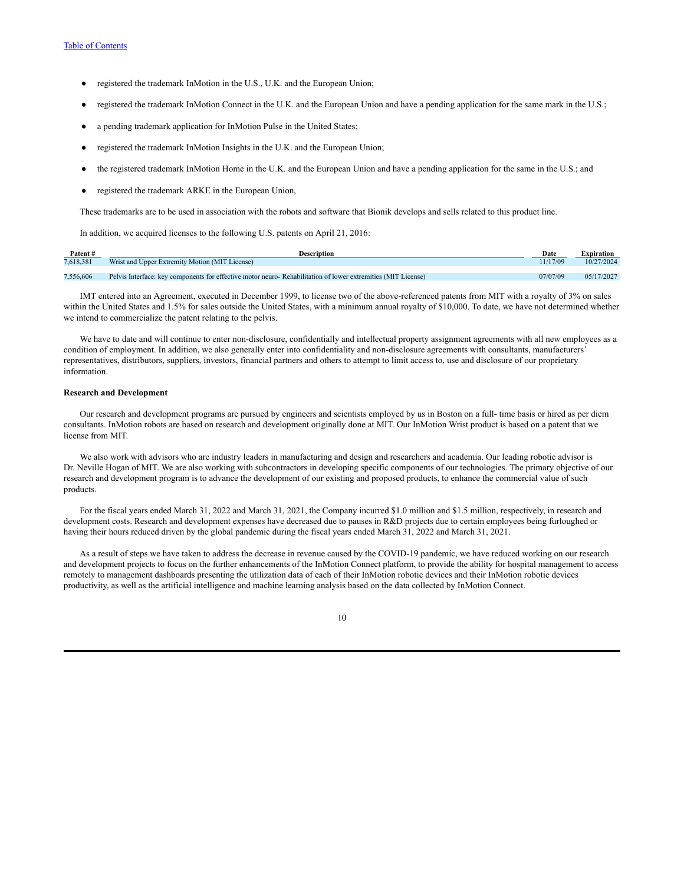- registered the trademark InMotion in the U.S., U.K. and the European Union;
- registered the trademark InMotion Connect in the U.K. and the European Union and have a pending application for the same mark in the U.S.;
- a pending trademark application for InMotion Pulse in the United States;
- registered the trademark InMotion Insights in the U.K. and the European Union;
- the registered trademark InMotion Home in the U.K. and the European Union and have a pending application for the same in the U.S.; and
- registered the trademark ARKE in the European Union,

These trademarks are to be used in association with the robots and software that Bionik develops and sells related to this product line.

In addition, we acquired licenses to the following U.S. patents on April 21, 2016:

| Patent#   | Description                                                                                                   | Date     | <b>Expiration</b> |
|-----------|---------------------------------------------------------------------------------------------------------------|----------|-------------------|
| 7,618,381 | Wrist and Upper Extremity Motion (MIT License)                                                                | 11/17/09 | 10/27/2024        |
|           |                                                                                                               |          |                   |
| 7,556,606 | Pelvis Interface: key components for effective motor neuro- Rehabilitation of lower extremities (MIT License) | 07/07/09 | 05/17/2027        |

IMT entered into an Agreement, executed in December 1999, to license two of the above-referenced patents from MIT with a royalty of 3% on sales within the United States and 1.5% for sales outside the United States, with a minimum annual royalty of \$10,000. To date, we have not determined whether we intend to commercialize the patent relating to the pelvis.

We have to date and will continue to enter non-disclosure, confidentially and intellectual property assignment agreements with all new employees as a condition of employment. In addition, we also generally enter into confidentiality and non-disclosure agreements with consultants, manufacturers' representatives, distributors, suppliers, investors, financial partners and others to attempt to limit access to, use and disclosure of our proprietary information.

#### **Research and Development**

Our research and development programs are pursued by engineers and scientists employed by us in Boston on a full- time basis or hired as per diem consultants. InMotion robots are based on research and development originally done at MIT. Our InMotion Wrist product is based on a patent that we license from MIT.

We also work with advisors who are industry leaders in manufacturing and design and researchers and academia. Our leading robotic advisor is Dr. Neville Hogan of MIT. We are also working with subcontractors in developing specific components of our technologies. The primary objective of our research and development program is to advance the development of our existing and proposed products, to enhance the commercial value of such products.

For the fiscal years ended March 31, 2022 and March 31, 2021, the Company incurred \$1.0 million and \$1.5 million, respectively, in research and development costs. Research and development expenses have decreased due to pauses in R&D projects due to certain employees being furloughed or having their hours reduced driven by the global pandemic during the fiscal years ended March 31, 2022 and March 31, 2021.

As a result of steps we have taken to address the decrease in revenue caused by the COVID-19 pandemic, we have reduced working on our research and development projects to focus on the further enhancements of the InMotion Connect platform, to provide the ability for hospital management to access remotely to management dashboards presenting the utilization data of each of their InMotion robotic devices and their InMotion robotic devices productivity, as well as the artificial intelligence and machine learning analysis based on the data collected by InMotion Connect.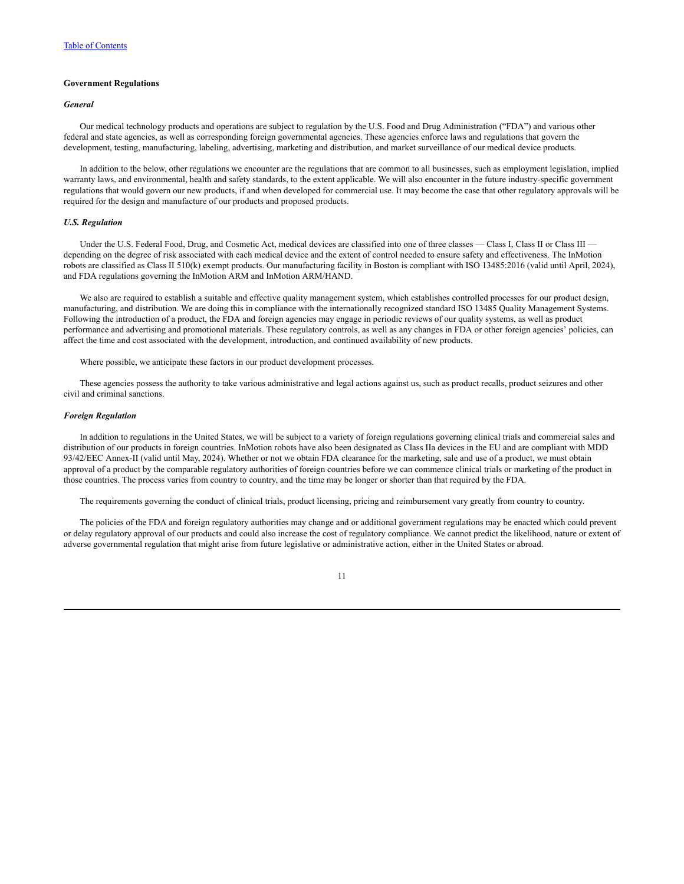#### **Government Regulations**

#### *General*

Our medical technology products and operations are subject to regulation by the U.S. Food and Drug Administration ("FDA") and various other federal and state agencies, as well as corresponding foreign governmental agencies. These agencies enforce laws and regulations that govern the development, testing, manufacturing, labeling, advertising, marketing and distribution, and market surveillance of our medical device products.

In addition to the below, other regulations we encounter are the regulations that are common to all businesses, such as employment legislation, implied warranty laws, and environmental, health and safety standards, to the extent applicable. We will also encounter in the future industry-specific government regulations that would govern our new products, if and when developed for commercial use. It may become the case that other regulatory approvals will be required for the design and manufacture of our products and proposed products.

### *U.S. Regulation*

Under the U.S. Federal Food, Drug, and Cosmetic Act, medical devices are classified into one of three classes - Class I, Class II or Class III depending on the degree of risk associated with each medical device and the extent of control needed to ensure safety and effectiveness. The InMotion robots are classified as Class II 510(k) exempt products. Our manufacturing facility in Boston is compliant with ISO 13485:2016 (valid until April, 2024), and FDA regulations governing the InMotion ARM and InMotion ARM/HAND.

We also are required to establish a suitable and effective quality management system, which establishes controlled processes for our product design, manufacturing, and distribution. We are doing this in compliance with the internationally recognized standard ISO 13485 Quality Management Systems. Following the introduction of a product, the FDA and foreign agencies may engage in periodic reviews of our quality systems, as well as product performance and advertising and promotional materials. These regulatory controls, as well as any changes in FDA or other foreign agencies' policies, can affect the time and cost associated with the development, introduction, and continued availability of new products.

Where possible, we anticipate these factors in our product development processes.

These agencies possess the authority to take various administrative and legal actions against us, such as product recalls, product seizures and other civil and criminal sanctions.

#### *Foreign Regulation*

In addition to regulations in the United States, we will be subject to a variety of foreign regulations governing clinical trials and commercial sales and distribution of our products in foreign countries. InMotion robots have also been designated as Class IIa devices in the EU and are compliant with MDD 93/42/EEC Annex-II (valid until May, 2024). Whether or not we obtain FDA clearance for the marketing, sale and use of a product, we must obtain approval of a product by the comparable regulatory authorities of foreign countries before we can commence clinical trials or marketing of the product in those countries. The process varies from country to country, and the time may be longer or shorter than that required by the FDA.

The requirements governing the conduct of clinical trials, product licensing, pricing and reimbursement vary greatly from country to country.

The policies of the FDA and foreign regulatory authorities may change and or additional government regulations may be enacted which could prevent or delay regulatory approval of our products and could also increase the cost of regulatory compliance. We cannot predict the likelihood, nature or extent of adverse governmental regulation that might arise from future legislative or administrative action, either in the United States or abroad.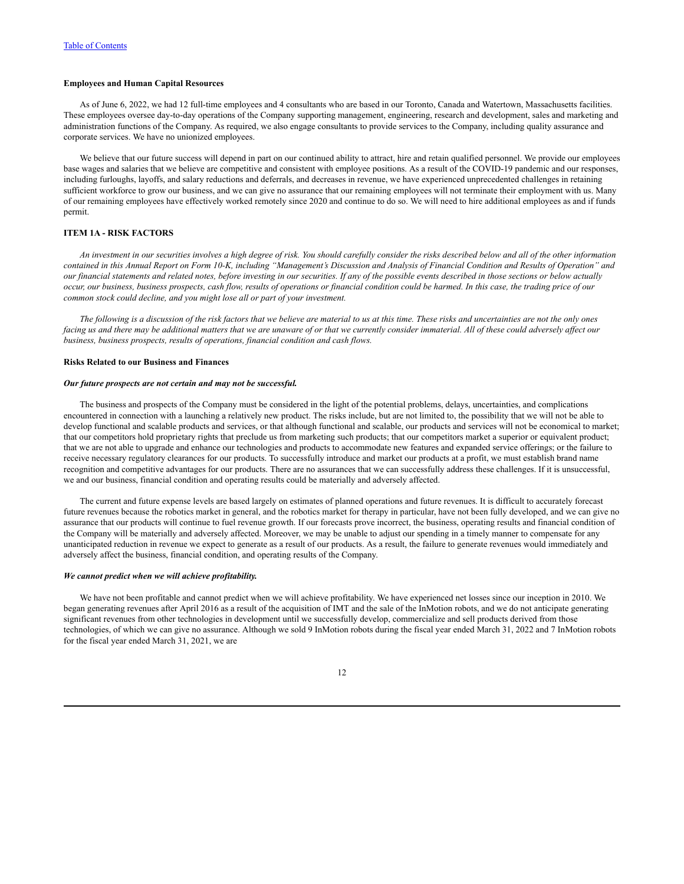### **Employees and Human Capital Resources**

As of June 6, 2022, we had 12 full-time employees and 4 consultants who are based in our Toronto, Canada and Watertown, Massachusetts facilities. These employees oversee day-to-day operations of the Company supporting management, engineering, research and development, sales and marketing and administration functions of the Company. As required, we also engage consultants to provide services to the Company, including quality assurance and corporate services. We have no unionized employees.

We believe that our future success will depend in part on our continued ability to attract, hire and retain qualified personnel. We provide our employees base wages and salaries that we believe are competitive and consistent with employee positions. As a result of the COVID-19 pandemic and our responses, including furloughs, layoffs, and salary reductions and deferrals, and decreases in revenue, we have experienced unprecedented challenges in retaining sufficient workforce to grow our business, and we can give no assurance that our remaining employees will not terminate their employment with us. Many of our remaining employees have effectively worked remotely since 2020 and continue to do so. We will need to hire additional employees as and if funds permit.

### <span id="page-13-0"></span>**ITEM 1A - RISK FACTORS**

An investment in our securities involves a high degree of risk. You should carefully consider the risks described below and all of the other information contained in this Annual Report on Form 10-K, including "Management's Discussion and Analysis of Financial Condition and Results of Operation" and our financial statements and related notes, before investing in our securities. If any of the possible events described in those sections or below actually occur, our business, business prospects, cash flow, results of operations or financial condition could be harmed. In this case, the trading price of our *common stock could decline, and you might lose all or part of your investment.*

The following is a discussion of the risk factors that we believe are material to us at this time. These risks and uncertainties are not the only ones facing us and there may be additional matters that we are unaware of or that we currently consider immaterial. All of these could adversely affect our *business, business prospects, results of operations, financial condition and cash flows.*

#### **Risks Related to our Business and Finances**

#### *Our future prospects are not certain and may not be successful.*

The business and prospects of the Company must be considered in the light of the potential problems, delays, uncertainties, and complications encountered in connection with a launching a relatively new product. The risks include, but are not limited to, the possibility that we will not be able to develop functional and scalable products and services, or that although functional and scalable, our products and services will not be economical to market; that our competitors hold proprietary rights that preclude us from marketing such products; that our competitors market a superior or equivalent product; that we are not able to upgrade and enhance our technologies and products to accommodate new features and expanded service offerings; or the failure to receive necessary regulatory clearances for our products. To successfully introduce and market our products at a profit, we must establish brand name recognition and competitive advantages for our products. There are no assurances that we can successfully address these challenges. If it is unsuccessful, we and our business, financial condition and operating results could be materially and adversely affected.

The current and future expense levels are based largely on estimates of planned operations and future revenues. It is difficult to accurately forecast future revenues because the robotics market in general, and the robotics market for therapy in particular, have not been fully developed, and we can give no assurance that our products will continue to fuel revenue growth. If our forecasts prove incorrect, the business, operating results and financial condition of the Company will be materially and adversely affected. Moreover, we may be unable to adjust our spending in a timely manner to compensate for any unanticipated reduction in revenue we expect to generate as a result of our products. As a result, the failure to generate revenues would immediately and adversely affect the business, financial condition, and operating results of the Company.

#### *We cannot predict when we will achieve profitability.*

We have not been profitable and cannot predict when we will achieve profitability. We have experienced net losses since our inception in 2010. We began generating revenues after April 2016 as a result of the acquisition of IMT and the sale of the InMotion robots, and we do not anticipate generating significant revenues from other technologies in development until we successfully develop, commercialize and sell products derived from those technologies, of which we can give no assurance. Although we sold 9 InMotion robots during the fiscal year ended March 31, 2022 and 7 InMotion robots for the fiscal year ended March 31, 2021, we are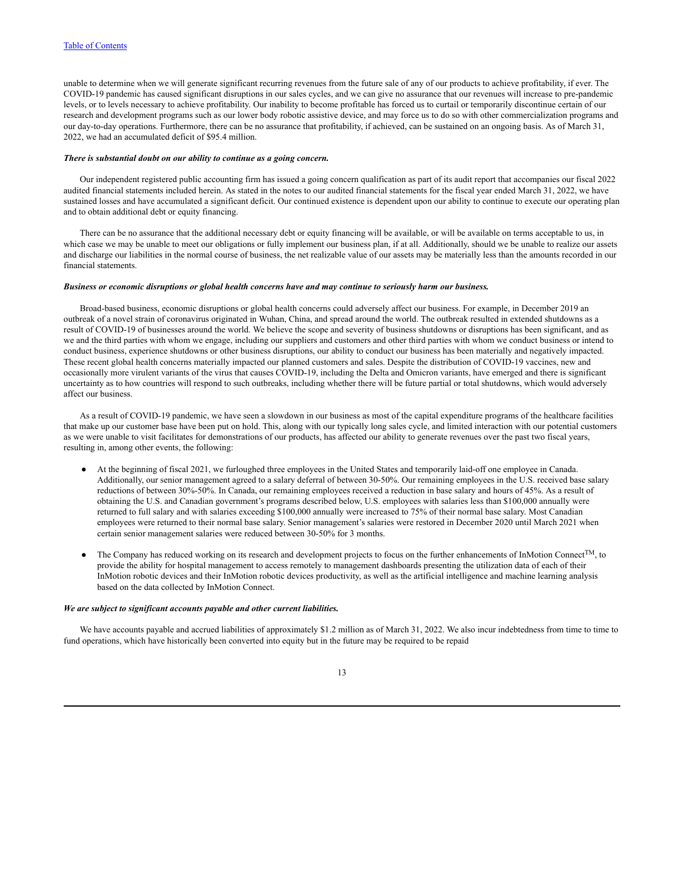unable to determine when we will generate significant recurring revenues from the future sale of any of our products to achieve profitability, if ever. The COVID-19 pandemic has caused significant disruptions in our sales cycles, and we can give no assurance that our revenues will increase to pre-pandemic levels, or to levels necessary to achieve profitability. Our inability to become profitable has forced us to curtail or temporarily discontinue certain of our research and development programs such as our lower body robotic assistive device, and may force us to do so with other commercialization programs and our day-to-day operations. Furthermore, there can be no assurance that profitability, if achieved, can be sustained on an ongoing basis. As of March 31, 2022, we had an accumulated deficit of \$95.4 million.

### *There is substantial doubt on our ability to continue as a going concern.*

Our independent registered public accounting firm has issued a going concern qualification as part of its audit report that accompanies our fiscal 2022 audited financial statements included herein. As stated in the notes to our audited financial statements for the fiscal year ended March 31, 2022, we have sustained losses and have accumulated a significant deficit. Our continued existence is dependent upon our ability to continue to execute our operating plan and to obtain additional debt or equity financing.

There can be no assurance that the additional necessary debt or equity financing will be available, or will be available on terms acceptable to us, in which case we may be unable to meet our obligations or fully implement our business plan, if at all. Additionally, should we be unable to realize our assets and discharge our liabilities in the normal course of business, the net realizable value of our assets may be materially less than the amounts recorded in our financial statements.

### Business or economic disruptions or global health concerns have and may continue to seriously harm our business.

Broad-based business, economic disruptions or global health concerns could adversely affect our business. For example, in December 2019 an outbreak of a novel strain of coronavirus originated in Wuhan, China, and spread around the world. The outbreak resulted in extended shutdowns as a result of COVID-19 of businesses around the world. We believe the scope and severity of business shutdowns or disruptions has been significant, and as we and the third parties with whom we engage, including our suppliers and customers and other third parties with whom we conduct business or intend to conduct business, experience shutdowns or other business disruptions, our ability to conduct our business has been materially and negatively impacted. These recent global health concerns materially impacted our planned customers and sales. Despite the distribution of COVID-19 vaccines, new and occasionally more virulent variants of the virus that causes COVID-19, including the Delta and Omicron variants, have emerged and there is significant uncertainty as to how countries will respond to such outbreaks, including whether there will be future partial or total shutdowns, which would adversely affect our business.

As a result of COVID-19 pandemic, we have seen a slowdown in our business as most of the capital expenditure programs of the healthcare facilities that make up our customer base have been put on hold. This, along with our typically long sales cycle, and limited interaction with our potential customers as we were unable to visit facilitates for demonstrations of our products, has affected our ability to generate revenues over the past two fiscal years, resulting in, among other events, the following:

- At the beginning of fiscal 2021, we furloughed three employees in the United States and temporarily laid-off one employee in Canada. Additionally, our senior management agreed to a salary deferral of between 30-50%. Our remaining employees in the U.S. received base salary reductions of between 30%-50%. In Canada, our remaining employees received a reduction in base salary and hours of 45%. As a result of obtaining the U.S. and Canadian government's programs described below, U.S. employees with salaries less than \$100,000 annually were returned to full salary and with salaries exceeding \$100,000 annually were increased to 75% of their normal base salary. Most Canadian employees were returned to their normal base salary. Senior management's salaries were restored in December 2020 until March 2021 when certain senior management salaries were reduced between 30-50% for 3 months.
- The Company has reduced working on its research and development projects to focus on the further enhancements of InMotion Connect<sup>TM</sup>, to provide the ability for hospital management to access remotely to management dashboards presenting the utilization data of each of their InMotion robotic devices and their InMotion robotic devices productivity, as well as the artificial intelligence and machine learning analysis based on the data collected by InMotion Connect.

### *We are subject to significant accounts payable and other current liabilities.*

We have accounts payable and accrued liabilities of approximately \$1.2 million as of March 31, 2022. We also incur indebtedness from time to time to fund operations, which have historically been converted into equity but in the future may be required to be repaid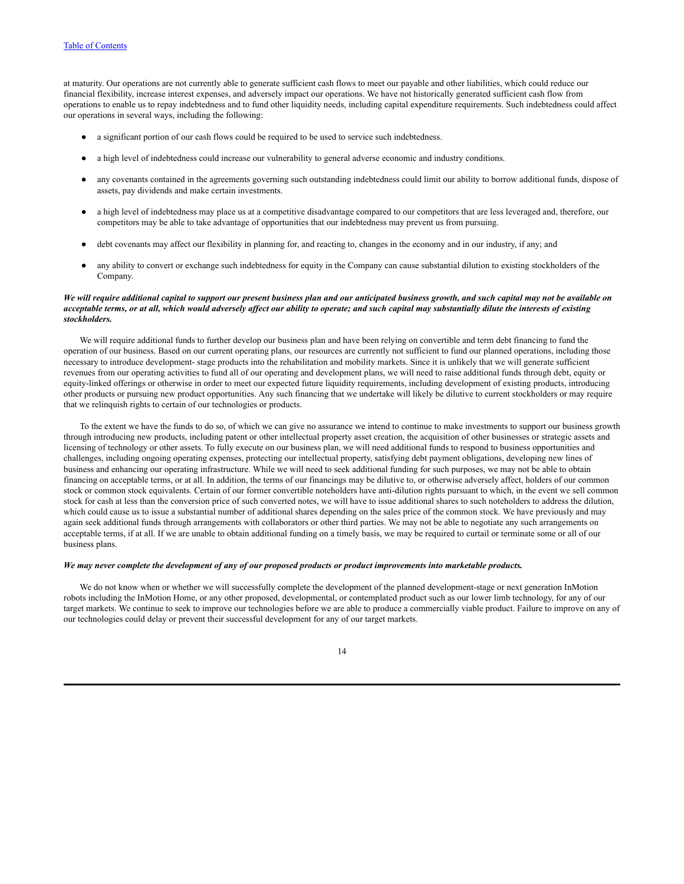at maturity. Our operations are not currently able to generate sufficient cash flows to meet our payable and other liabilities, which could reduce our financial flexibility, increase interest expenses, and adversely impact our operations. We have not historically generated sufficient cash flow from operations to enable us to repay indebtedness and to fund other liquidity needs, including capital expenditure requirements. Such indebtedness could affect our operations in several ways, including the following:

- a significant portion of our cash flows could be required to be used to service such indebtedness.
- a high level of indebtedness could increase our vulnerability to general adverse economic and industry conditions.
- any covenants contained in the agreements governing such outstanding indebtedness could limit our ability to borrow additional funds, dispose of assets, pay dividends and make certain investments.
- a high level of indebtedness may place us at a competitive disadvantage compared to our competitors that are less leveraged and, therefore, our competitors may be able to take advantage of opportunities that our indebtedness may prevent us from pursuing.
- debt covenants may affect our flexibility in planning for, and reacting to, changes in the economy and in our industry, if any; and
- any ability to convert or exchange such indebtedness for equity in the Company can cause substantial dilution to existing stockholders of the Company.

### We will require additional capital to support our present business plan and our anticipated business growth, and such capital may not be available on acceptable terms, or at all, which would adversely affect our ability to operate; and such capital may substantially dilute the interests of existing *stockholders.*

We will require additional funds to further develop our business plan and have been relying on convertible and term debt financing to fund the operation of our business. Based on our current operating plans, our resources are currently not sufficient to fund our planned operations, including those necessary to introduce development- stage products into the rehabilitation and mobility markets. Since it is unlikely that we will generate sufficient revenues from our operating activities to fund all of our operating and development plans, we will need to raise additional funds through debt, equity or equity-linked offerings or otherwise in order to meet our expected future liquidity requirements, including development of existing products, introducing other products or pursuing new product opportunities. Any such financing that we undertake will likely be dilutive to current stockholders or may require that we relinquish rights to certain of our technologies or products.

To the extent we have the funds to do so, of which we can give no assurance we intend to continue to make investments to support our business growth through introducing new products, including patent or other intellectual property asset creation, the acquisition of other businesses or strategic assets and licensing of technology or other assets. To fully execute on our business plan, we will need additional funds to respond to business opportunities and challenges, including ongoing operating expenses, protecting our intellectual property, satisfying debt payment obligations, developing new lines of business and enhancing our operating infrastructure. While we will need to seek additional funding for such purposes, we may not be able to obtain financing on acceptable terms, or at all. In addition, the terms of our financings may be dilutive to, or otherwise adversely affect, holders of our common stock or common stock equivalents. Certain of our former convertible noteholders have anti-dilution rights pursuant to which, in the event we sell common stock for cash at less than the conversion price of such converted notes, we will have to issue additional shares to such noteholders to address the dilution, which could cause us to issue a substantial number of additional shares depending on the sales price of the common stock. We have previously and may again seek additional funds through arrangements with collaborators or other third parties. We may not be able to negotiate any such arrangements on acceptable terms, if at all. If we are unable to obtain additional funding on a timely basis, we may be required to curtail or terminate some or all of our business plans.

#### We may never complete the development of any of our proposed products or product improvements into marketable products.

We do not know when or whether we will successfully complete the development of the planned development-stage or next generation InMotion robots including the InMotion Home, or any other proposed, developmental, or contemplated product such as our lower limb technology, for any of our target markets. We continue to seek to improve our technologies before we are able to produce a commercially viable product. Failure to improve on any of our technologies could delay or prevent their successful development for any of our target markets.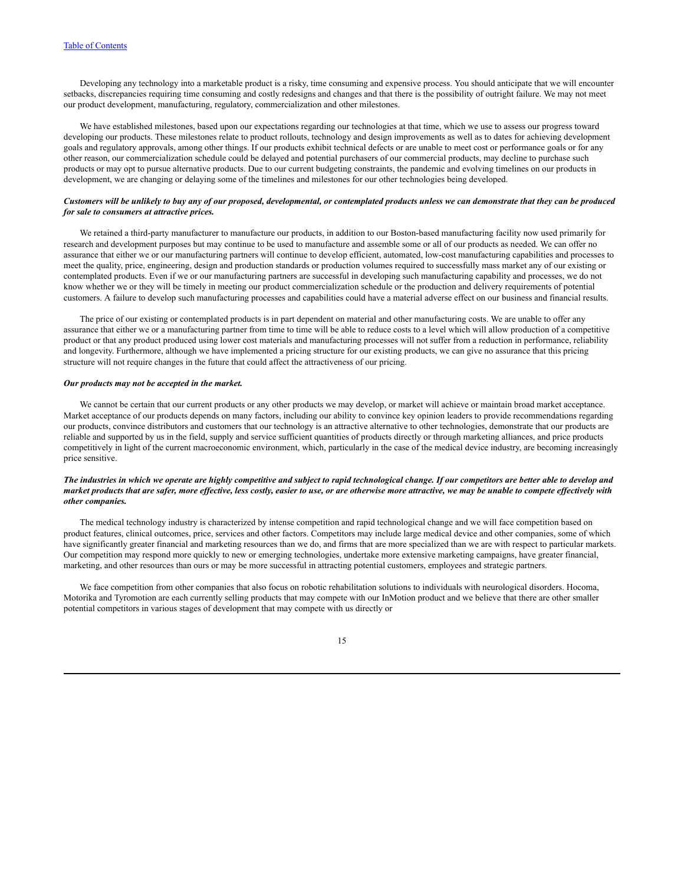Developing any technology into a marketable product is a risky, time consuming and expensive process. You should anticipate that we will encounter setbacks, discrepancies requiring time consuming and costly redesigns and changes and that there is the possibility of outright failure. We may not meet our product development, manufacturing, regulatory, commercialization and other milestones.

We have established milestones, based upon our expectations regarding our technologies at that time, which we use to assess our progress toward developing our products. These milestones relate to product rollouts, technology and design improvements as well as to dates for achieving development goals and regulatory approvals, among other things. If our products exhibit technical defects or are unable to meet cost or performance goals or for any other reason, our commercialization schedule could be delayed and potential purchasers of our commercial products, may decline to purchase such products or may opt to pursue alternative products. Due to our current budgeting constraints, the pandemic and evolving timelines on our products in development, we are changing or delaying some of the timelines and milestones for our other technologies being developed.

### Customers will be unlikely to buy any of our proposed, developmental, or contemplated products unless we can demonstrate that they can be produced *for sale to consumers at attractive prices.*

We retained a third-party manufacturer to manufacture our products, in addition to our Boston-based manufacturing facility now used primarily for research and development purposes but may continue to be used to manufacture and assemble some or all of our products as needed. We can offer no assurance that either we or our manufacturing partners will continue to develop efficient, automated, low-cost manufacturing capabilities and processes to meet the quality, price, engineering, design and production standards or production volumes required to successfully mass market any of our existing or contemplated products. Even if we or our manufacturing partners are successful in developing such manufacturing capability and processes, we do not know whether we or they will be timely in meeting our product commercialization schedule or the production and delivery requirements of potential customers. A failure to develop such manufacturing processes and capabilities could have a material adverse effect on our business and financial results.

The price of our existing or contemplated products is in part dependent on material and other manufacturing costs. We are unable to offer any assurance that either we or a manufacturing partner from time to time will be able to reduce costs to a level which will allow production of a competitive product or that any product produced using lower cost materials and manufacturing processes will not suffer from a reduction in performance, reliability and longevity. Furthermore, although we have implemented a pricing structure for our existing products, we can give no assurance that this pricing structure will not require changes in the future that could affect the attractiveness of our pricing.

#### *Our products may not be accepted in the market.*

We cannot be certain that our current products or any other products we may develop, or market will achieve or maintain broad market acceptance. Market acceptance of our products depends on many factors, including our ability to convince key opinion leaders to provide recommendations regarding our products, convince distributors and customers that our technology is an attractive alternative to other technologies, demonstrate that our products are reliable and supported by us in the field, supply and service sufficient quantities of products directly or through marketing alliances, and price products competitively in light of the current macroeconomic environment, which, particularly in the case of the medical device industry, are becoming increasingly price sensitive.

### The industries in which we operate are highly competitive and subject to rapid technological change. If our competitors are better able to develop and market products that are safer, more effective, less costly, easier to use, or are otherwise more attractive, we may be unable to compete effectively with *other companies.*

The medical technology industry is characterized by intense competition and rapid technological change and we will face competition based on product features, clinical outcomes, price, services and other factors. Competitors may include large medical device and other companies, some of which have significantly greater financial and marketing resources than we do, and firms that are more specialized than we are with respect to particular markets. Our competition may respond more quickly to new or emerging technologies, undertake more extensive marketing campaigns, have greater financial, marketing, and other resources than ours or may be more successful in attracting potential customers, employees and strategic partners.

We face competition from other companies that also focus on robotic rehabilitation solutions to individuals with neurological disorders. Hocoma, Motorika and Tyromotion are each currently selling products that may compete with our InMotion product and we believe that there are other smaller potential competitors in various stages of development that may compete with us directly or

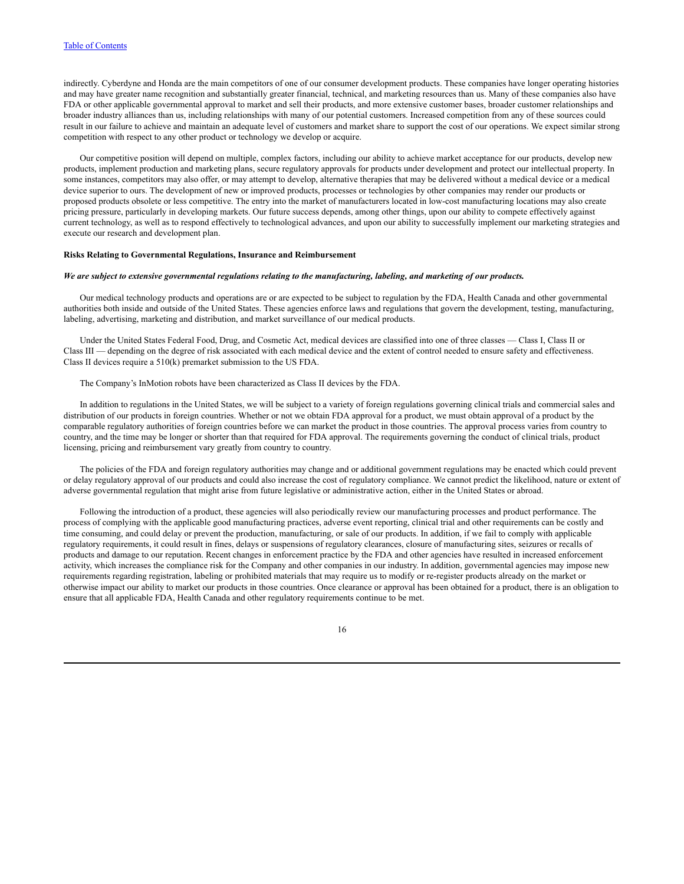indirectly. Cyberdyne and Honda are the main competitors of one of our consumer development products. These companies have longer operating histories and may have greater name recognition and substantially greater financial, technical, and marketing resources than us. Many of these companies also have FDA or other applicable governmental approval to market and sell their products, and more extensive customer bases, broader customer relationships and broader industry alliances than us, including relationships with many of our potential customers. Increased competition from any of these sources could result in our failure to achieve and maintain an adequate level of customers and market share to support the cost of our operations. We expect similar strong competition with respect to any other product or technology we develop or acquire.

Our competitive position will depend on multiple, complex factors, including our ability to achieve market acceptance for our products, develop new products, implement production and marketing plans, secure regulatory approvals for products under development and protect our intellectual property. In some instances, competitors may also offer, or may attempt to develop, alternative therapies that may be delivered without a medical device or a medical device superior to ours. The development of new or improved products, processes or technologies by other companies may render our products or proposed products obsolete or less competitive. The entry into the market of manufacturers located in low-cost manufacturing locations may also create pricing pressure, particularly in developing markets. Our future success depends, among other things, upon our ability to compete effectively against current technology, as well as to respond effectively to technological advances, and upon our ability to successfully implement our marketing strategies and execute our research and development plan.

#### **Risks Relating to Governmental Regulations, Insurance and Reimbursement**

#### We are subject to extensive governmental regulations relating to the manufacturing, labeling, and marketing of our products.

Our medical technology products and operations are or are expected to be subject to regulation by the FDA, Health Canada and other governmental authorities both inside and outside of the United States. These agencies enforce laws and regulations that govern the development, testing, manufacturing, labeling, advertising, marketing and distribution, and market surveillance of our medical products.

Under the United States Federal Food, Drug, and Cosmetic Act, medical devices are classified into one of three classes — Class I, Class II or Class III — depending on the degree of risk associated with each medical device and the extent of control needed to ensure safety and effectiveness. Class II devices require a 510(k) premarket submission to the US FDA.

The Company's InMotion robots have been characterized as Class II devices by the FDA.

In addition to regulations in the United States, we will be subject to a variety of foreign regulations governing clinical trials and commercial sales and distribution of our products in foreign countries. Whether or not we obtain FDA approval for a product, we must obtain approval of a product by the comparable regulatory authorities of foreign countries before we can market the product in those countries. The approval process varies from country to country, and the time may be longer or shorter than that required for FDA approval. The requirements governing the conduct of clinical trials, product licensing, pricing and reimbursement vary greatly from country to country.

The policies of the FDA and foreign regulatory authorities may change and or additional government regulations may be enacted which could prevent or delay regulatory approval of our products and could also increase the cost of regulatory compliance. We cannot predict the likelihood, nature or extent of adverse governmental regulation that might arise from future legislative or administrative action, either in the United States or abroad.

Following the introduction of a product, these agencies will also periodically review our manufacturing processes and product performance. The process of complying with the applicable good manufacturing practices, adverse event reporting, clinical trial and other requirements can be costly and time consuming, and could delay or prevent the production, manufacturing, or sale of our products. In addition, if we fail to comply with applicable regulatory requirements, it could result in fines, delays or suspensions of regulatory clearances, closure of manufacturing sites, seizures or recalls of products and damage to our reputation. Recent changes in enforcement practice by the FDA and other agencies have resulted in increased enforcement activity, which increases the compliance risk for the Company and other companies in our industry. In addition, governmental agencies may impose new requirements regarding registration, labeling or prohibited materials that may require us to modify or re-register products already on the market or otherwise impact our ability to market our products in those countries. Once clearance or approval has been obtained for a product, there is an obligation to ensure that all applicable FDA, Health Canada and other regulatory requirements continue to be met.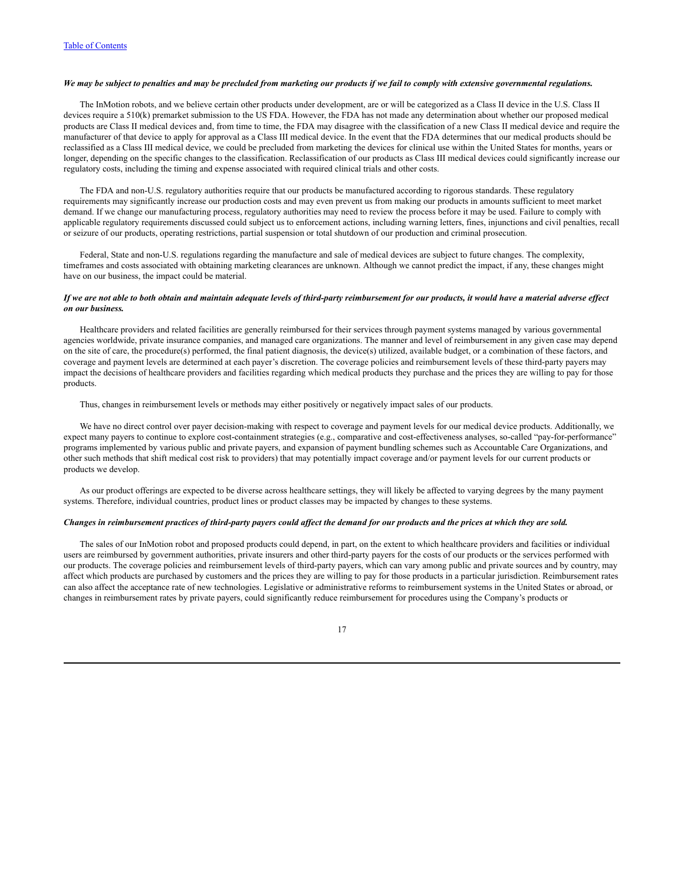## We may be subject to penalties and may be precluded from marketing our products if we fail to comply with extensive governmental regulations.

The InMotion robots, and we believe certain other products under development, are or will be categorized as a Class II device in the U.S. Class II devices require a 510(k) premarket submission to the US FDA. However, the FDA has not made any determination about whether our proposed medical products are Class II medical devices and, from time to time, the FDA may disagree with the classification of a new Class II medical device and require the manufacturer of that device to apply for approval as a Class III medical device. In the event that the FDA determines that our medical products should be reclassified as a Class III medical device, we could be precluded from marketing the devices for clinical use within the United States for months, years or longer, depending on the specific changes to the classification. Reclassification of our products as Class III medical devices could significantly increase our regulatory costs, including the timing and expense associated with required clinical trials and other costs.

The FDA and non-U.S. regulatory authorities require that our products be manufactured according to rigorous standards. These regulatory requirements may significantly increase our production costs and may even prevent us from making our products in amounts sufficient to meet market demand. If we change our manufacturing process, regulatory authorities may need to review the process before it may be used. Failure to comply with applicable regulatory requirements discussed could subject us to enforcement actions, including warning letters, fines, injunctions and civil penalties, recall or seizure of our products, operating restrictions, partial suspension or total shutdown of our production and criminal prosecution.

Federal, State and non-U.S. regulations regarding the manufacture and sale of medical devices are subject to future changes. The complexity, timeframes and costs associated with obtaining marketing clearances are unknown. Although we cannot predict the impact, if any, these changes might have on our business, the impact could be material.

### If we are not able to both obtain and maintain adequate levels of third-party reimbursement for our products, it would have a material adverse effect *on our business.*

Healthcare providers and related facilities are generally reimbursed for their services through payment systems managed by various governmental agencies worldwide, private insurance companies, and managed care organizations. The manner and level of reimbursement in any given case may depend on the site of care, the procedure(s) performed, the final patient diagnosis, the device(s) utilized, available budget, or a combination of these factors, and coverage and payment levels are determined at each payer's discretion. The coverage policies and reimbursement levels of these third-party payers may impact the decisions of healthcare providers and facilities regarding which medical products they purchase and the prices they are willing to pay for those products.

Thus, changes in reimbursement levels or methods may either positively or negatively impact sales of our products.

We have no direct control over payer decision-making with respect to coverage and payment levels for our medical device products. Additionally, we expect many payers to continue to explore cost-containment strategies (e.g., comparative and cost-effectiveness analyses, so-called "pay-for-performance" programs implemented by various public and private payers, and expansion of payment bundling schemes such as Accountable Care Organizations, and other such methods that shift medical cost risk to providers) that may potentially impact coverage and/or payment levels for our current products or products we develop.

As our product offerings are expected to be diverse across healthcare settings, they will likely be affected to varying degrees by the many payment systems. Therefore, individual countries, product lines or product classes may be impacted by changes to these systems.

### Changes in reimbursement practices of third-party payers could affect the demand for our products and the prices at which they are sold.

The sales of our InMotion robot and proposed products could depend, in part, on the extent to which healthcare providers and facilities or individual users are reimbursed by government authorities, private insurers and other third-party payers for the costs of our products or the services performed with our products. The coverage policies and reimbursement levels of third-party payers, which can vary among public and private sources and by country, may affect which products are purchased by customers and the prices they are willing to pay for those products in a particular jurisdiction. Reimbursement rates can also affect the acceptance rate of new technologies. Legislative or administrative reforms to reimbursement systems in the United States or abroad, or changes in reimbursement rates by private payers, could significantly reduce reimbursement for procedures using the Company's products or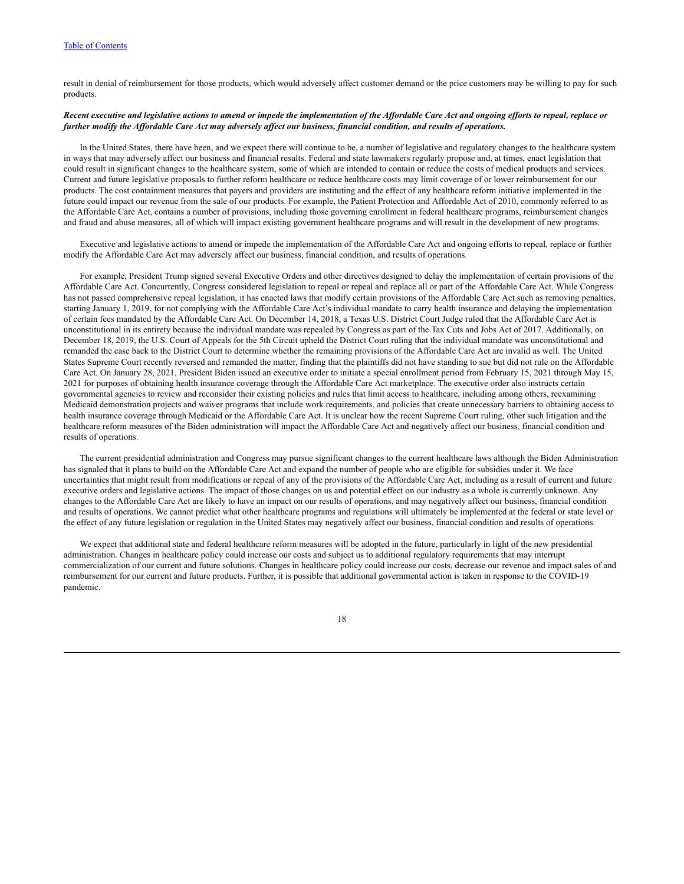result in denial of reimbursement for those products, which would adversely affect customer demand or the price customers may be willing to pay for such products.

### Recent executive and legislative actions to amend or impede the implementation of the Affordable Care Act and ongoing efforts to repeal, replace or further modify the Affordable Care Act may adversely affect our business, financial condition, and results of operations.

In the United States, there have been, and we expect there will continue to be, a number of legislative and regulatory changes to the healthcare system in ways that may adversely affect our business and financial results. Federal and state lawmakers regularly propose and, at times, enact legislation that could result in significant changes to the healthcare system, some of which are intended to contain or reduce the costs of medical products and services. Current and future legislative proposals to further reform healthcare or reduce healthcare costs may limit coverage of or lower reimbursement for our products. The cost containment measures that payers and providers are instituting and the effect of any healthcare reform initiative implemented in the future could impact our revenue from the sale of our products. For example, the Patient Protection and Affordable Act of 2010, commonly referred to as the Affordable Care Act, contains a number of provisions, including those governing enrollment in federal healthcare programs, reimbursement changes and fraud and abuse measures, all of which will impact existing government healthcare programs and will result in the development of new programs.

Executive and legislative actions to amend or impede the implementation of the Affordable Care Act and ongoing efforts to repeal, replace or further modify the Affordable Care Act may adversely affect our business, financial condition, and results of operations.

For example, President Trump signed several Executive Orders and other directives designed to delay the implementation of certain provisions of the Affordable Care Act. Concurrently, Congress considered legislation to repeal or repeal and replace all or part of the Affordable Care Act. While Congress has not passed comprehensive repeal legislation, it has enacted laws that modify certain provisions of the Affordable Care Act such as removing penalties, starting January 1, 2019, for not complying with the Affordable Care Act's individual mandate to carry health insurance and delaying the implementation of certain fees mandated by the Affordable Care Act. On December 14, 2018, a Texas U.S. District Court Judge ruled that the Affordable Care Act is unconstitutional in its entirety because the individual mandate was repealed by Congress as part of the Tax Cuts and Jobs Act of 2017. Additionally, on December 18, 2019, the U.S. Court of Appeals for the 5th Circuit upheld the District Court ruling that the individual mandate was unconstitutional and remanded the case back to the District Court to determine whether the remaining provisions of the Affordable Care Act are invalid as well. The United States Supreme Court recently reversed and remanded the matter, finding that the plaintiffs did not have standing to sue but did not rule on the Affordable Care Act. On January 28, 2021, President Biden issued an executive order to initiate a special enrollment period from February 15, 2021 through May 15, 2021 for purposes of obtaining health insurance coverage through the Affordable Care Act marketplace. The executive order also instructs certain governmental agencies to review and reconsider their existing policies and rules that limit access to healthcare, including among others, reexamining Medicaid demonstration projects and waiver programs that include work requirements, and policies that create unnecessary barriers to obtaining access to health insurance coverage through Medicaid or the Affordable Care Act. It is unclear how the recent Supreme Court ruling, other such litigation and the healthcare reform measures of the Biden administration will impact the Affordable Care Act and negatively affect our business, financial condition and results of operations.

The current presidential administration and Congress may pursue significant changes to the current healthcare laws although the Biden Administration has signaled that it plans to build on the Affordable Care Act and expand the number of people who are eligible for subsidies under it. We face uncertainties that might result from modifications or repeal of any of the provisions of the Affordable Care Act, including as a result of current and future executive orders and legislative actions. The impact of those changes on us and potential effect on our industry as a whole is currently unknown. Any changes to the Affordable Care Act are likely to have an impact on our results of operations, and may negatively affect our business, financial condition and results of operations. We cannot predict what other healthcare programs and regulations will ultimately be implemented at the federal or state level or the effect of any future legislation or regulation in the United States may negatively affect our business, financial condition and results of operations.

We expect that additional state and federal healthcare reform measures will be adopted in the future, particularly in light of the new presidential administration. Changes in healthcare policy could increase our costs and subject us to additional regulatory requirements that may interrupt commercialization of our current and future solutions. Changes in healthcare policy could increase our costs, decrease our revenue and impact sales of and reimbursement for our current and future products. Further, it is possible that additional governmental action is taken in response to the COVID-19 pandemic.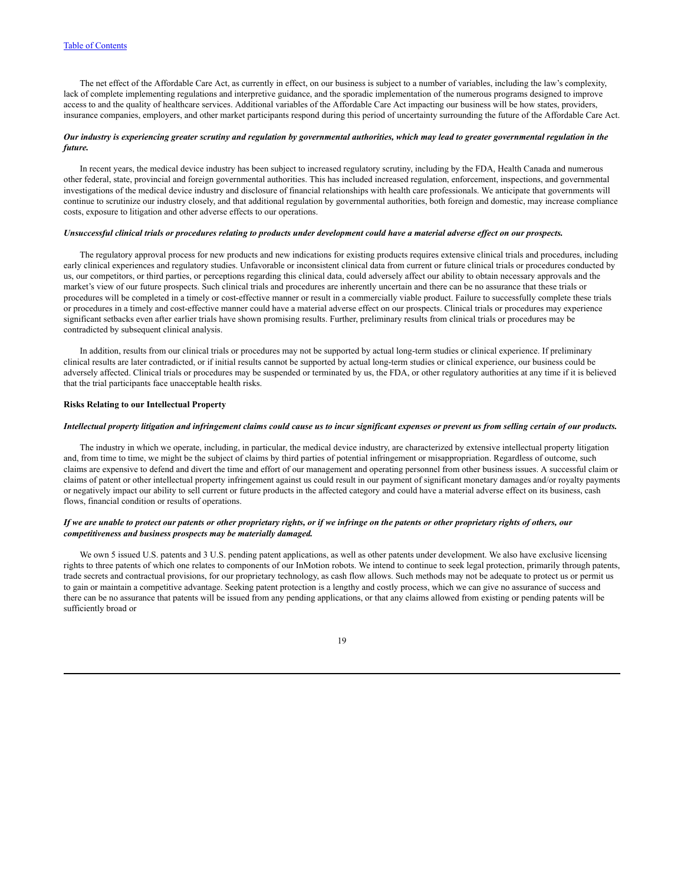The net effect of the Affordable Care Act, as currently in effect, on our business is subject to a number of variables, including the law's complexity, lack of complete implementing regulations and interpretive guidance, and the sporadic implementation of the numerous programs designed to improve access to and the quality of healthcare services. Additional variables of the Affordable Care Act impacting our business will be how states, providers, insurance companies, employers, and other market participants respond during this period of uncertainty surrounding the future of the Affordable Care Act.

### Our industry is experiencing greater scrutiny and regulation by governmental authorities, which may lead to greater governmental regulation in the *future.*

In recent years, the medical device industry has been subject to increased regulatory scrutiny, including by the FDA, Health Canada and numerous other federal, state, provincial and foreign governmental authorities. This has included increased regulation, enforcement, inspections, and governmental investigations of the medical device industry and disclosure of financial relationships with health care professionals. We anticipate that governments will continue to scrutinize our industry closely, and that additional regulation by governmental authorities, both foreign and domestic, may increase compliance costs, exposure to litigation and other adverse effects to our operations.

### Unsuccessful clinical trials or procedures relating to products under development could have a material adverse effect on our prospects.

The regulatory approval process for new products and new indications for existing products requires extensive clinical trials and procedures, including early clinical experiences and regulatory studies. Unfavorable or inconsistent clinical data from current or future clinical trials or procedures conducted by us, our competitors, or third parties, or perceptions regarding this clinical data, could adversely affect our ability to obtain necessary approvals and the market's view of our future prospects. Such clinical trials and procedures are inherently uncertain and there can be no assurance that these trials or procedures will be completed in a timely or cost-effective manner or result in a commercially viable product. Failure to successfully complete these trials or procedures in a timely and cost-effective manner could have a material adverse effect on our prospects. Clinical trials or procedures may experience significant setbacks even after earlier trials have shown promising results. Further, preliminary results from clinical trials or procedures may be contradicted by subsequent clinical analysis.

In addition, results from our clinical trials or procedures may not be supported by actual long-term studies or clinical experience. If preliminary clinical results are later contradicted, or if initial results cannot be supported by actual long-term studies or clinical experience, our business could be adversely affected. Clinical trials or procedures may be suspended or terminated by us, the FDA, or other regulatory authorities at any time if it is believed that the trial participants face unacceptable health risks.

### **Risks Relating to our Intellectual Property**

#### Intellectual property litigation and infringement claims could cause us to incur significant expenses or prevent us from selling certain of our products.

The industry in which we operate, including, in particular, the medical device industry, are characterized by extensive intellectual property litigation and, from time to time, we might be the subject of claims by third parties of potential infringement or misappropriation. Regardless of outcome, such claims are expensive to defend and divert the time and effort of our management and operating personnel from other business issues. A successful claim or claims of patent or other intellectual property infringement against us could result in our payment of significant monetary damages and/or royalty payments or negatively impact our ability to sell current or future products in the affected category and could have a material adverse effect on its business, cash flows, financial condition or results of operations.

### If we are unable to protect our patents or other proprietary rights, or if we infringe on the patents or other proprietary rights of others, our *competitiveness and business prospects may be materially damaged.*

We own 5 issued U.S. patents and 3 U.S. pending patent applications, as well as other patents under development. We also have exclusive licensing rights to three patents of which one relates to components of our InMotion robots. We intend to continue to seek legal protection, primarily through patents, trade secrets and contractual provisions, for our proprietary technology, as cash flow allows. Such methods may not be adequate to protect us or permit us to gain or maintain a competitive advantage. Seeking patent protection is a lengthy and costly process, which we can give no assurance of success and there can be no assurance that patents will be issued from any pending applications, or that any claims allowed from existing or pending patents will be sufficiently broad or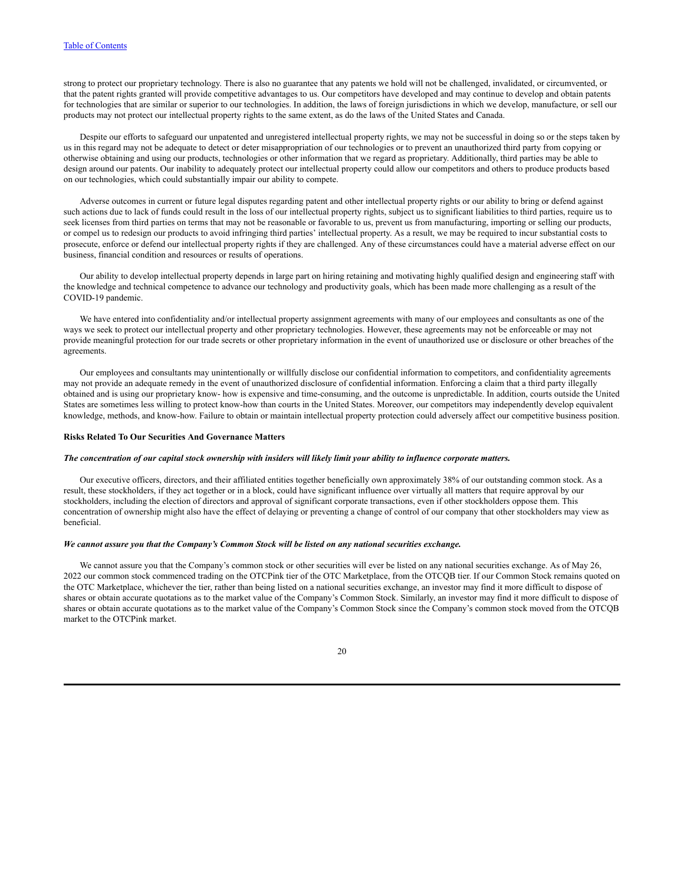strong to protect our proprietary technology. There is also no guarantee that any patents we hold will not be challenged, invalidated, or circumvented, or that the patent rights granted will provide competitive advantages to us. Our competitors have developed and may continue to develop and obtain patents for technologies that are similar or superior to our technologies. In addition, the laws of foreign jurisdictions in which we develop, manufacture, or sell our products may not protect our intellectual property rights to the same extent, as do the laws of the United States and Canada.

Despite our efforts to safeguard our unpatented and unregistered intellectual property rights, we may not be successful in doing so or the steps taken by us in this regard may not be adequate to detect or deter misappropriation of our technologies or to prevent an unauthorized third party from copying or otherwise obtaining and using our products, technologies or other information that we regard as proprietary. Additionally, third parties may be able to design around our patents. Our inability to adequately protect our intellectual property could allow our competitors and others to produce products based on our technologies, which could substantially impair our ability to compete.

Adverse outcomes in current or future legal disputes regarding patent and other intellectual property rights or our ability to bring or defend against such actions due to lack of funds could result in the loss of our intellectual property rights, subject us to significant liabilities to third parties, require us to seek licenses from third parties on terms that may not be reasonable or favorable to us, prevent us from manufacturing, importing or selling our products, or compel us to redesign our products to avoid infringing third parties' intellectual property. As a result, we may be required to incur substantial costs to prosecute, enforce or defend our intellectual property rights if they are challenged. Any of these circumstances could have a material adverse effect on our business, financial condition and resources or results of operations.

Our ability to develop intellectual property depends in large part on hiring retaining and motivating highly qualified design and engineering staff with the knowledge and technical competence to advance our technology and productivity goals, which has been made more challenging as a result of the COVID-19 pandemic.

We have entered into confidentiality and/or intellectual property assignment agreements with many of our employees and consultants as one of the ways we seek to protect our intellectual property and other proprietary technologies. However, these agreements may not be enforceable or may not provide meaningful protection for our trade secrets or other proprietary information in the event of unauthorized use or disclosure or other breaches of the agreements.

Our employees and consultants may unintentionally or willfully disclose our confidential information to competitors, and confidentiality agreements may not provide an adequate remedy in the event of unauthorized disclosure of confidential information. Enforcing a claim that a third party illegally obtained and is using our proprietary know- how is expensive and time-consuming, and the outcome is unpredictable. In addition, courts outside the United States are sometimes less willing to protect know-how than courts in the United States. Moreover, our competitors may independently develop equivalent knowledge, methods, and know-how. Failure to obtain or maintain intellectual property protection could adversely affect our competitive business position.

### **Risks Related To Our Securities And Governance Matters**

### The concentration of our capital stock ownership with insiders will likely limit your ability to influence corporate matters.

Our executive officers, directors, and their affiliated entities together beneficially own approximately 38% of our outstanding common stock. As a result, these stockholders, if they act together or in a block, could have significant influence over virtually all matters that require approval by our stockholders, including the election of directors and approval of significant corporate transactions, even if other stockholders oppose them. This concentration of ownership might also have the effect of delaying or preventing a change of control of our company that other stockholders may view as beneficial.

### *We cannot assure you that the Company's Common Stock will be listed on any national securities exchange.*

We cannot assure you that the Company's common stock or other securities will ever be listed on any national securities exchange. As of May 26, 2022 our common stock commenced trading on the OTCPink tier of the OTC Marketplace, from the OTCQB tier. If our Common Stock remains quoted on the OTC Marketplace, whichever the tier, rather than being listed on a national securities exchange, an investor may find it more difficult to dispose of shares or obtain accurate quotations as to the market value of the Company's Common Stock. Similarly, an investor may find it more difficult to dispose of shares or obtain accurate quotations as to the market value of the Company's Common Stock since the Company's common stock moved from the OTCQB market to the OTCPink market.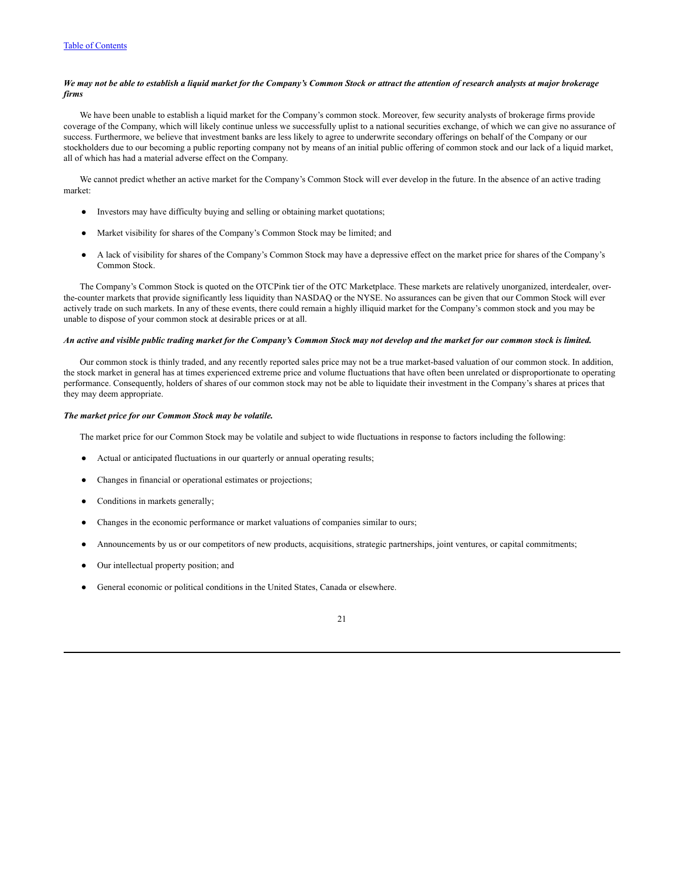### We may not be able to establish a liquid market for the Company's Common Stock or attract the attention of research analysts at major brokerage *firms*

We have been unable to establish a liquid market for the Company's common stock. Moreover, few security analysts of brokerage firms provide coverage of the Company, which will likely continue unless we successfully uplist to a national securities exchange, of which we can give no assurance of success. Furthermore, we believe that investment banks are less likely to agree to underwrite secondary offerings on behalf of the Company or our stockholders due to our becoming a public reporting company not by means of an initial public offering of common stock and our lack of a liquid market, all of which has had a material adverse effect on the Company.

We cannot predict whether an active market for the Company's Common Stock will ever develop in the future. In the absence of an active trading market:

- Investors may have difficulty buying and selling or obtaining market quotations;
- Market visibility for shares of the Company's Common Stock may be limited; and
- A lack of visibility for shares of the Company's Common Stock may have a depressive effect on the market price for shares of the Company's Common Stock.

The Company's Common Stock is quoted on the OTCPink tier of the OTC Marketplace. These markets are relatively unorganized, interdealer, overthe-counter markets that provide significantly less liquidity than NASDAQ or the NYSE. No assurances can be given that our Common Stock will ever actively trade on such markets. In any of these events, there could remain a highly illiquid market for the Company's common stock and you may be unable to dispose of your common stock at desirable prices or at all.

### An active and visible public trading market for the Company's Common Stock may not develop and the market for our common stock is limited.

Our common stock is thinly traded, and any recently reported sales price may not be a true market-based valuation of our common stock. In addition, the stock market in general has at times experienced extreme price and volume fluctuations that have often been unrelated or disproportionate to operating performance. Consequently, holders of shares of our common stock may not be able to liquidate their investment in the Company's shares at prices that they may deem appropriate.

#### *The market price for our Common Stock may be volatile.*

The market price for our Common Stock may be volatile and subject to wide fluctuations in response to factors including the following:

- Actual or anticipated fluctuations in our quarterly or annual operating results;
- Changes in financial or operational estimates or projections;
- Conditions in markets generally;
- Changes in the economic performance or market valuations of companies similar to ours;
- Announcements by us or our competitors of new products, acquisitions, strategic partnerships, joint ventures, or capital commitments;
- Our intellectual property position; and
- General economic or political conditions in the United States, Canada or elsewhere.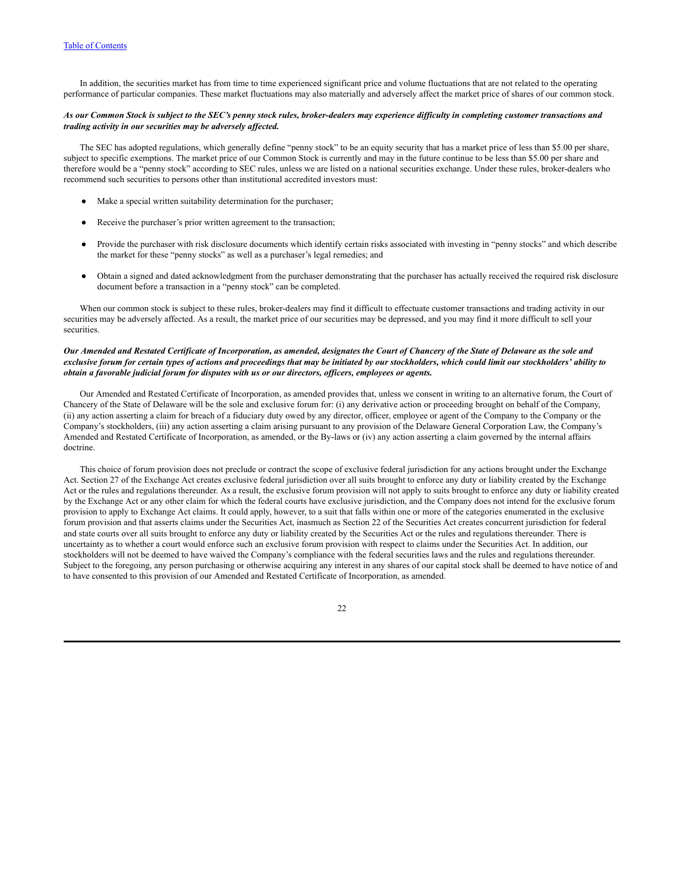In addition, the securities market has from time to time experienced significant price and volume fluctuations that are not related to the operating performance of particular companies. These market fluctuations may also materially and adversely affect the market price of shares of our common stock.

### As our Common Stock is subject to the SEC's penny stock rules, broker-dealers may experience difficulty in completing customer transactions and *trading activity in our securities may be adversely af ected.*

The SEC has adopted regulations, which generally define "penny stock" to be an equity security that has a market price of less than \$5.00 per share, subject to specific exemptions. The market price of our Common Stock is currently and may in the future continue to be less than \$5.00 per share and therefore would be a "penny stock" according to SEC rules, unless we are listed on a national securities exchange. Under these rules, broker-dealers who recommend such securities to persons other than institutional accredited investors must:

- Make a special written suitability determination for the purchaser;
- Receive the purchaser's prior written agreement to the transaction;
- Provide the purchaser with risk disclosure documents which identify certain risks associated with investing in "penny stocks" and which describe the market for these "penny stocks" as well as a purchaser's legal remedies; and
- Obtain a signed and dated acknowledgment from the purchaser demonstrating that the purchaser has actually received the required risk disclosure document before a transaction in a "penny stock" can be completed.

When our common stock is subject to these rules, broker-dealers may find it difficult to effectuate customer transactions and trading activity in our securities may be adversely affected. As a result, the market price of our securities may be depressed, and you may find it more difficult to sell your securities.

### Our Amended and Restated Certificate of Incorporation, as amended, designates the Court of Chancery of the State of Delaware as the sole and exclusive forum for certain types of actions and proceedings that may be initiated by our stockholders, which could limit our stockholders' ability to *obtain a favorable judicial forum for disputes with us or our directors, of icers, employees or agents.*

Our Amended and Restated Certificate of Incorporation, as amended provides that, unless we consent in writing to an alternative forum, the Court of Chancery of the State of Delaware will be the sole and exclusive forum for: (i) any derivative action or proceeding brought on behalf of the Company, (ii) any action asserting a claim for breach of a fiduciary duty owed by any director, officer, employee or agent of the Company to the Company or the Company's stockholders, (iii) any action asserting a claim arising pursuant to any provision of the Delaware General Corporation Law, the Company's Amended and Restated Certificate of Incorporation, as amended, or the By-laws or (iv) any action asserting a claim governed by the internal affairs doctrine.

This choice of forum provision does not preclude or contract the scope of exclusive federal jurisdiction for any actions brought under the Exchange Act. Section 27 of the Exchange Act creates exclusive federal jurisdiction over all suits brought to enforce any duty or liability created by the Exchange Act or the rules and regulations thereunder. As a result, the exclusive forum provision will not apply to suits brought to enforce any duty or liability created by the Exchange Act or any other claim for which the federal courts have exclusive jurisdiction, and the Company does not intend for the exclusive forum provision to apply to Exchange Act claims. It could apply, however, to a suit that falls within one or more of the categories enumerated in the exclusive forum provision and that asserts claims under the Securities Act, inasmuch as Section 22 of the Securities Act creates concurrent jurisdiction for federal and state courts over all suits brought to enforce any duty or liability created by the Securities Act or the rules and regulations thereunder. There is uncertainty as to whether a court would enforce such an exclusive forum provision with respect to claims under the Securities Act. In addition, our stockholders will not be deemed to have waived the Company's compliance with the federal securities laws and the rules and regulations thereunder. Subject to the foregoing, any person purchasing or otherwise acquiring any interest in any shares of our capital stock shall be deemed to have notice of and to have consented to this provision of our Amended and Restated Certificate of Incorporation, as amended.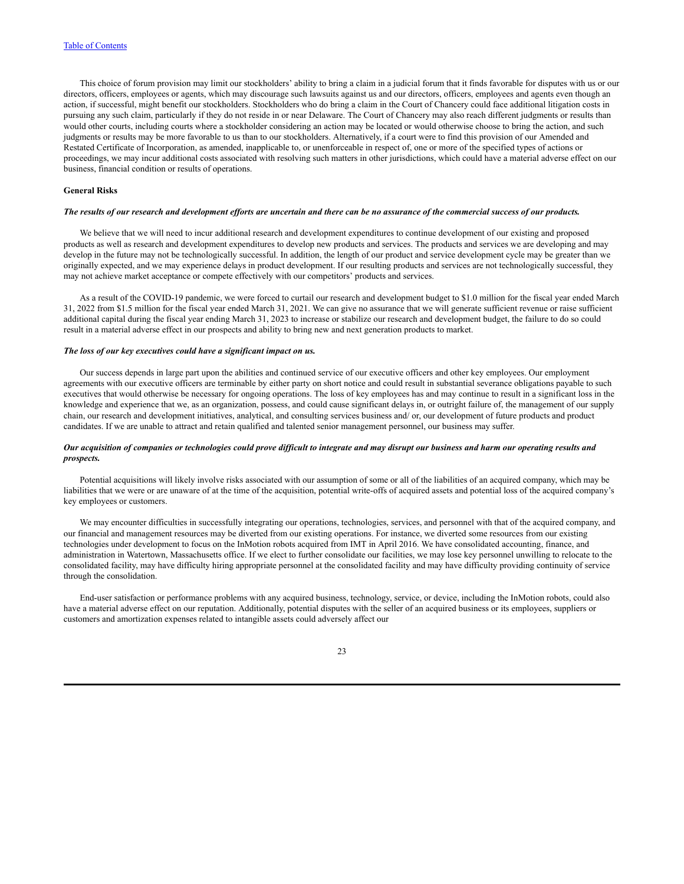This choice of forum provision may limit our stockholders' ability to bring a claim in a judicial forum that it finds favorable for disputes with us or our directors, officers, employees or agents, which may discourage such lawsuits against us and our directors, officers, employees and agents even though an action, if successful, might benefit our stockholders. Stockholders who do bring a claim in the Court of Chancery could face additional litigation costs in pursuing any such claim, particularly if they do not reside in or near Delaware. The Court of Chancery may also reach different judgments or results than would other courts, including courts where a stockholder considering an action may be located or would otherwise choose to bring the action, and such judgments or results may be more favorable to us than to our stockholders. Alternatively, if a court were to find this provision of our Amended and Restated Certificate of Incorporation, as amended, inapplicable to, or unenforceable in respect of, one or more of the specified types of actions or proceedings, we may incur additional costs associated with resolving such matters in other jurisdictions, which could have a material adverse effect on our business, financial condition or results of operations.

### **General Risks**

#### The results of our research and development efforts are uncertain and there can be no assurance of the commercial success of our products.

We believe that we will need to incur additional research and development expenditures to continue development of our existing and proposed products as well as research and development expenditures to develop new products and services. The products and services we are developing and may develop in the future may not be technologically successful. In addition, the length of our product and service development cycle may be greater than we originally expected, and we may experience delays in product development. If our resulting products and services are not technologically successful, they may not achieve market acceptance or compete effectively with our competitors' products and services.

As a result of the COVID-19 pandemic, we were forced to curtail our research and development budget to \$1.0 million for the fiscal year ended March 31, 2022 from \$1.5 million for the fiscal year ended March 31, 2021. We can give no assurance that we will generate sufficient revenue or raise sufficient additional capital during the fiscal year ending March 31, 2023 to increase or stabilize our research and development budget, the failure to do so could result in a material adverse effect in our prospects and ability to bring new and next generation products to market.

### *The loss of our key executives could have a significant impact on us.*

Our success depends in large part upon the abilities and continued service of our executive officers and other key employees. Our employment agreements with our executive officers are terminable by either party on short notice and could result in substantial severance obligations payable to such executives that would otherwise be necessary for ongoing operations. The loss of key employees has and may continue to result in a significant loss in the knowledge and experience that we, as an organization, possess, and could cause significant delays in, or outright failure of, the management of our supply chain, our research and development initiatives, analytical, and consulting services business and/ or, our development of future products and product candidates. If we are unable to attract and retain qualified and talented senior management personnel, our business may suffer.

### Our acquisition of companies or technologies could prove difficult to integrate and may disrupt our business and harm our operating results and *prospects.*

Potential acquisitions will likely involve risks associated with our assumption of some or all of the liabilities of an acquired company, which may be liabilities that we were or are unaware of at the time of the acquisition, potential write-offs of acquired assets and potential loss of the acquired company's key employees or customers.

We may encounter difficulties in successfully integrating our operations, technologies, services, and personnel with that of the acquired company, and our financial and management resources may be diverted from our existing operations. For instance, we diverted some resources from our existing technologies under development to focus on the InMotion robots acquired from IMT in April 2016. We have consolidated accounting, finance, and administration in Watertown, Massachusetts office. If we elect to further consolidate our facilities, we may lose key personnel unwilling to relocate to the consolidated facility, may have difficulty hiring appropriate personnel at the consolidated facility and may have difficulty providing continuity of service through the consolidation.

End-user satisfaction or performance problems with any acquired business, technology, service, or device, including the InMotion robots, could also have a material adverse effect on our reputation. Additionally, potential disputes with the seller of an acquired business or its employees, suppliers or customers and amortization expenses related to intangible assets could adversely affect our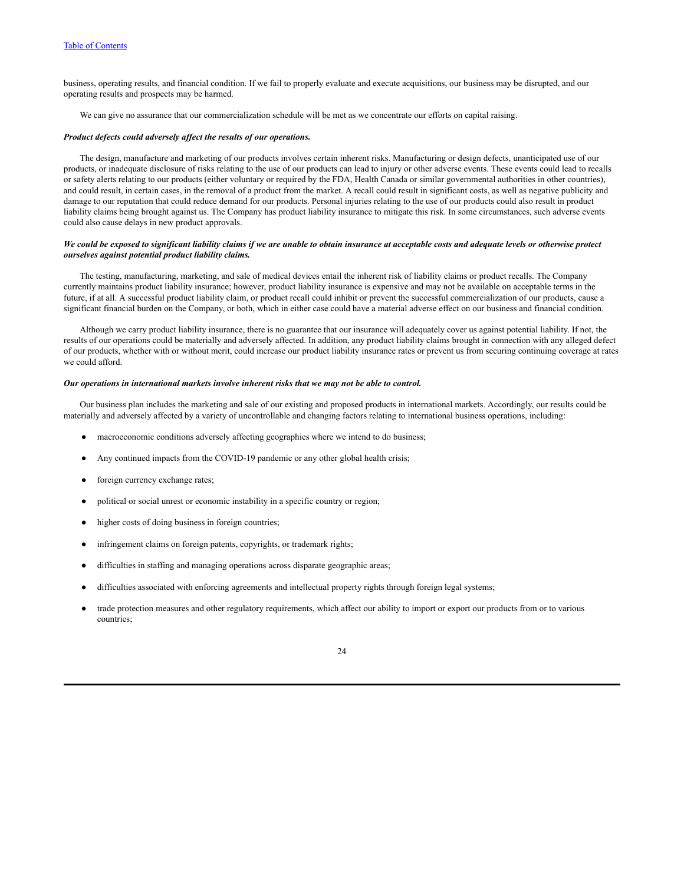business, operating results, and financial condition. If we fail to properly evaluate and execute acquisitions, our business may be disrupted, and our operating results and prospects may be harmed.

We can give no assurance that our commercialization schedule will be met as we concentrate our efforts on capital raising.

#### *Product defects could adversely af ect the results of our operations.*

The design, manufacture and marketing of our products involves certain inherent risks. Manufacturing or design defects, unanticipated use of our products, or inadequate disclosure of risks relating to the use of our products can lead to injury or other adverse events. These events could lead to recalls or safety alerts relating to our products (either voluntary or required by the FDA, Health Canada or similar governmental authorities in other countries), and could result, in certain cases, in the removal of a product from the market. A recall could result in significant costs, as well as negative publicity and damage to our reputation that could reduce demand for our products. Personal injuries relating to the use of our products could also result in product liability claims being brought against us. The Company has product liability insurance to mitigate this risk. In some circumstances, such adverse events could also cause delays in new product approvals.

### We could be exposed to significant liability claims if we are unable to obtain insurance at acceptable costs and adequate levels or otherwise protect *ourselves against potential product liability claims.*

The testing, manufacturing, marketing, and sale of medical devices entail the inherent risk of liability claims or product recalls. The Company currently maintains product liability insurance; however, product liability insurance is expensive and may not be available on acceptable terms in the future, if at all. A successful product liability claim, or product recall could inhibit or prevent the successful commercialization of our products, cause a significant financial burden on the Company, or both, which in either case could have a material adverse effect on our business and financial condition.

Although we carry product liability insurance, there is no guarantee that our insurance will adequately cover us against potential liability. If not, the results of our operations could be materially and adversely affected. In addition, any product liability claims brought in connection with any alleged defect of our products, whether with or without merit, could increase our product liability insurance rates or prevent us from securing continuing coverage at rates we could afford.

### *Our operations in international markets involve inherent risks that we may not be able to control.*

Our business plan includes the marketing and sale of our existing and proposed products in international markets. Accordingly, our results could be materially and adversely affected by a variety of uncontrollable and changing factors relating to international business operations, including:

- macroeconomic conditions adversely affecting geographies where we intend to do business;
- Any continued impacts from the COVID-19 pandemic or any other global health crisis;
- foreign currency exchange rates;
- political or social unrest or economic instability in a specific country or region;
- higher costs of doing business in foreign countries;
- infringement claims on foreign patents, copyrights, or trademark rights;
- difficulties in staffing and managing operations across disparate geographic areas;
- difficulties associated with enforcing agreements and intellectual property rights through foreign legal systems;
- trade protection measures and other regulatory requirements, which affect our ability to import or export our products from or to various countries;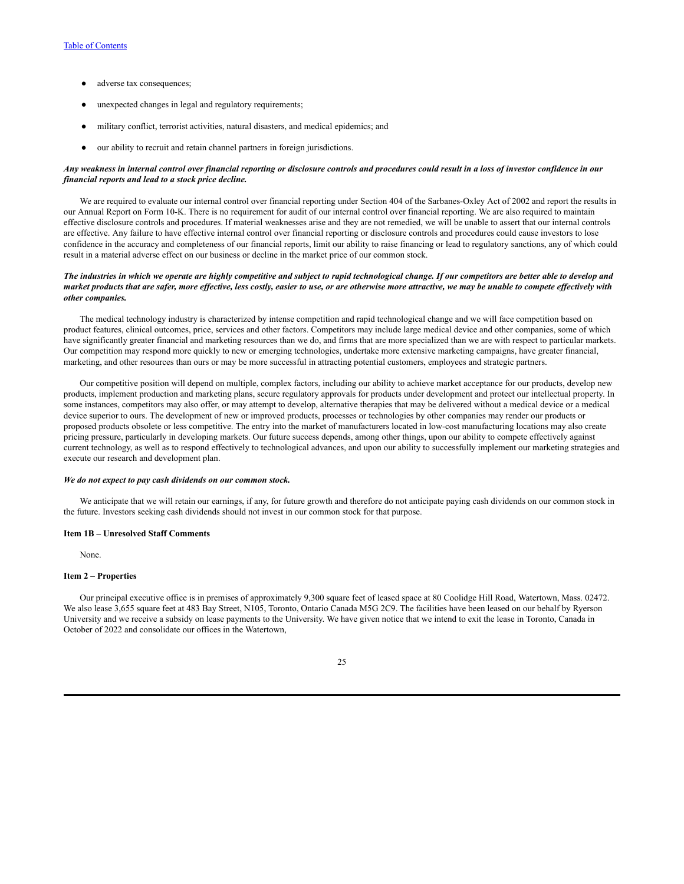- adverse tax consequences;
- unexpected changes in legal and regulatory requirements;
- military conflict, terrorist activities, natural disasters, and medical epidemics; and
- our ability to recruit and retain channel partners in foreign jurisdictions.

### Any weakness in internal control over financial reporting or disclosure controls and procedures could result in a loss of investor confidence in our *financial reports and lead to a stock price decline.*

We are required to evaluate our internal control over financial reporting under Section 404 of the Sarbanes-Oxley Act of 2002 and report the results in our Annual Report on Form 10-K. There is no requirement for audit of our internal control over financial reporting. We are also required to maintain effective disclosure controls and procedures. If material weaknesses arise and they are not remedied, we will be unable to assert that our internal controls are effective. Any failure to have effective internal control over financial reporting or disclosure controls and procedures could cause investors to lose confidence in the accuracy and completeness of our financial reports, limit our ability to raise financing or lead to regulatory sanctions, any of which could result in a material adverse effect on our business or decline in the market price of our common stock.

### The industries in which we operate are highly competitive and subject to rapid technological change. If our competitors are better able to develop and market products that are safer, more effective, less costly, easier to use, or are otherwise more attractive, we may be unable to compete effectively with *other companies.*

The medical technology industry is characterized by intense competition and rapid technological change and we will face competition based on product features, clinical outcomes, price, services and other factors. Competitors may include large medical device and other companies, some of which have significantly greater financial and marketing resources than we do, and firms that are more specialized than we are with respect to particular markets. Our competition may respond more quickly to new or emerging technologies, undertake more extensive marketing campaigns, have greater financial, marketing, and other resources than ours or may be more successful in attracting potential customers, employees and strategic partners.

Our competitive position will depend on multiple, complex factors, including our ability to achieve market acceptance for our products, develop new products, implement production and marketing plans, secure regulatory approvals for products under development and protect our intellectual property. In some instances, competitors may also offer, or may attempt to develop, alternative therapies that may be delivered without a medical device or a medical device superior to ours. The development of new or improved products, processes or technologies by other companies may render our products or proposed products obsolete or less competitive. The entry into the market of manufacturers located in low-cost manufacturing locations may also create pricing pressure, particularly in developing markets. Our future success depends, among other things, upon our ability to compete effectively against current technology, as well as to respond effectively to technological advances, and upon our ability to successfully implement our marketing strategies and execute our research and development plan.

### *We do not expect to pay cash dividends on our common stock.*

We anticipate that we will retain our earnings, if any, for future growth and therefore do not anticipate paying cash dividends on our common stock in the future. Investors seeking cash dividends should not invest in our common stock for that purpose.

#### <span id="page-26-0"></span>**Item 1B – Unresolved Staff Comments**

None.

#### <span id="page-26-1"></span>**Item 2 – Properties**

Our principal executive office is in premises of approximately 9,300 square feet of leased space at 80 Coolidge Hill Road, Watertown, Mass. 02472. We also lease 3,655 square feet at 483 Bay Street, N105, Toronto, Ontario Canada M5G 2C9. The facilities have been leased on our behalf by Ryerson University and we receive a subsidy on lease payments to the University. We have given notice that we intend to exit the lease in Toronto, Canada in October of 2022 and consolidate our offices in the Watertown,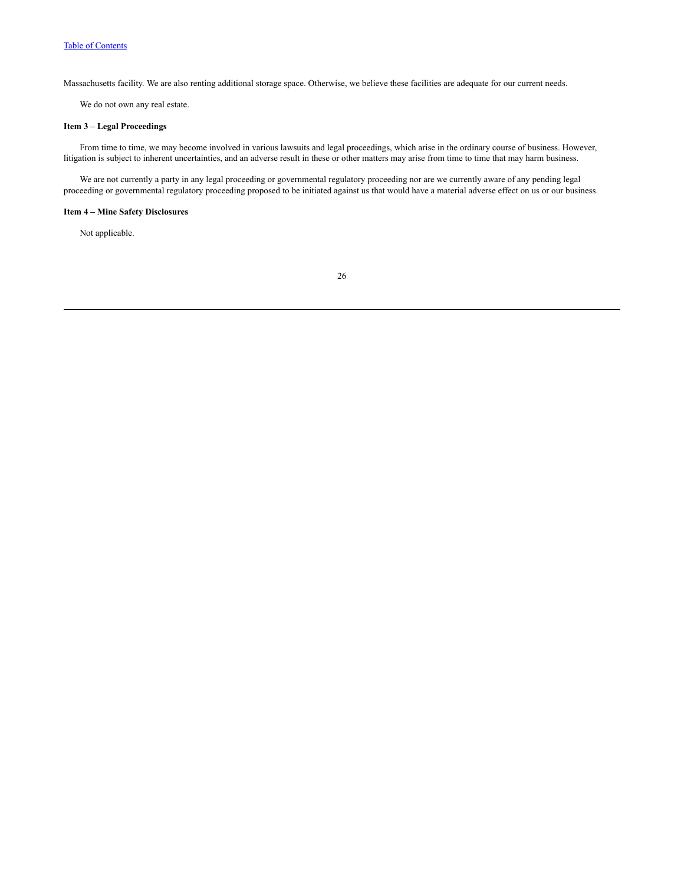Massachusetts facility. We are also renting additional storage space. Otherwise, we believe these facilities are adequate for our current needs.

We do not own any real estate.

#### <span id="page-27-0"></span>**Item 3 – Legal Proceedings**

From time to time, we may become involved in various lawsuits and legal proceedings, which arise in the ordinary course of business. However, litigation is subject to inherent uncertainties, and an adverse result in these or other matters may arise from time to time that may harm business.

We are not currently a party in any legal proceeding or governmental regulatory proceeding nor are we currently aware of any pending legal proceeding or governmental regulatory proceeding proposed to be initiated against us that would have a material adverse effect on us or our business.

#### <span id="page-27-1"></span>**Item 4 – Mine Safety Disclosures**

Not applicable.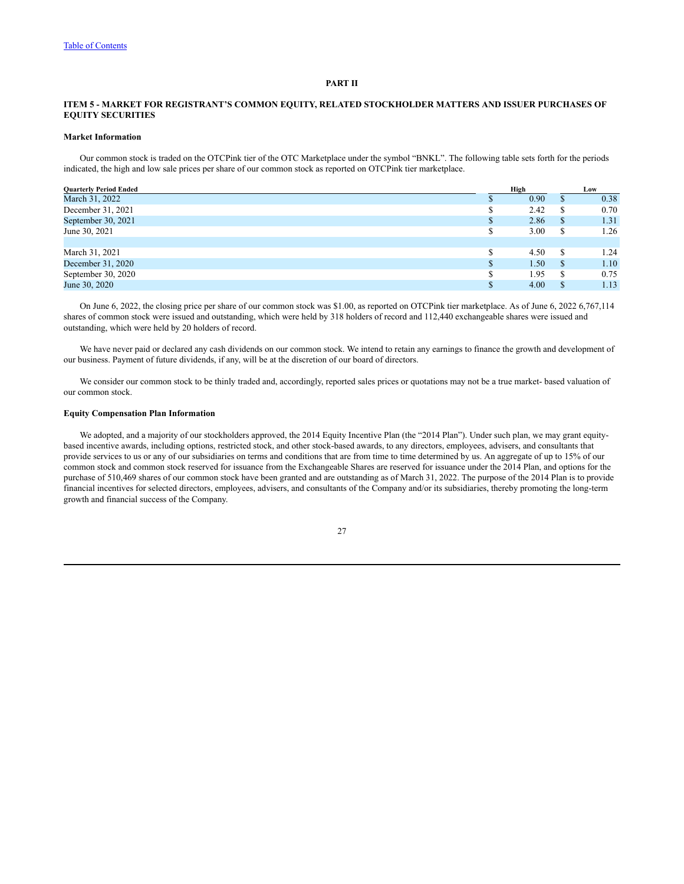# **PART II**

# <span id="page-28-1"></span><span id="page-28-0"></span>**ITEM 5 - MARKET FOR REGISTRANT'S COMMON EQUITY, RELATED STOCKHOLDER MATTERS AND ISSUER PURCHASES OF EQUITY SECURITIES**

### **Market Information**

Our common stock is traded on the OTCPink tier of the OTC Marketplace under the symbol "BNKL". The following table sets forth for the periods indicated, the high and low sale prices per share of our common stock as reported on OTCPink tier marketplace.

| <b>Quarterly Period Ended</b> |        | High |   | Low  |
|-------------------------------|--------|------|---|------|
| March 31, 2022                |        | 0.90 |   | 0.38 |
| December 31, 2021             |        | 2.42 |   | 0.70 |
| September 30, 2021            | \$     | 2.86 | S | 1.31 |
| June 30, 2021                 | \$     | 3.00 |   | 1.26 |
|                               |        |      |   |      |
| March 31, 2021                |        | 4.50 |   | 1.24 |
| December 31, 2020             | \$     | 1.50 | S | 1.10 |
| September 30, 2020            | ¢      | 1.95 |   | 0.75 |
| June 30, 2020                 | Φ<br>D | 4.00 |   | 1.13 |

On June 6, 2022, the closing price per share of our common stock was \$1.00, as reported on OTCPink tier marketplace. As of June 6, 2022 6,767,114 shares of common stock were issued and outstanding, which were held by 318 holders of record and 112,440 exchangeable shares were issued and outstanding, which were held by 20 holders of record.

We have never paid or declared any cash dividends on our common stock. We intend to retain any earnings to finance the growth and development of our business. Payment of future dividends, if any, will be at the discretion of our board of directors.

We consider our common stock to be thinly traded and, accordingly, reported sales prices or quotations may not be a true market- based valuation of our common stock.

#### **Equity Compensation Plan Information**

We adopted, and a majority of our stockholders approved, the 2014 Equity Incentive Plan (the "2014 Plan"). Under such plan, we may grant equitybased incentive awards, including options, restricted stock, and other stock-based awards, to any directors, employees, advisers, and consultants that provide services to us or any of our subsidiaries on terms and conditions that are from time to time determined by us. An aggregate of up to 15% of our common stock and common stock reserved for issuance from the Exchangeable Shares are reserved for issuance under the 2014 Plan, and options for the purchase of 510,469 shares of our common stock have been granted and are outstanding as of March 31, 2022. The purpose of the 2014 Plan is to provide financial incentives for selected directors, employees, advisers, and consultants of the Company and/or its subsidiaries, thereby promoting the long-term growth and financial success of the Company.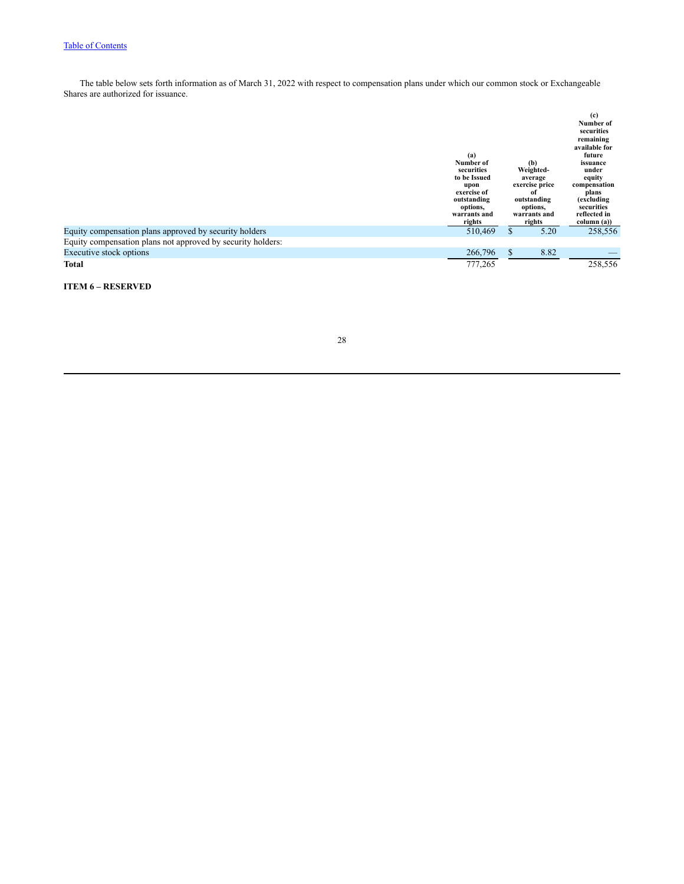The table below sets forth information as of March 31, 2022 with respect to compensation plans under which our common stock or Exchangeable Shares are authorized for issuance.

|                                                             | (a)<br>Number of<br>securities<br>to be Issued<br>upon<br>exercise of<br>outstanding<br>options,<br>warrants and<br>rights | (b)<br>Weighted-<br>average<br>exercise price<br>оt<br>outstanding<br>options,<br>warrants and<br>rights |      | (c)<br>Number of<br>securities<br>remaining<br>available for<br>future<br>issuance<br>under<br>equity<br>compensation<br>plans<br>(excluding<br>securities<br>reflected in<br>column (a)) |
|-------------------------------------------------------------|----------------------------------------------------------------------------------------------------------------------------|----------------------------------------------------------------------------------------------------------|------|-------------------------------------------------------------------------------------------------------------------------------------------------------------------------------------------|
| Equity compensation plans approved by security holders      | 510.469                                                                                                                    | \$                                                                                                       | 5.20 | 258,556                                                                                                                                                                                   |
| Equity compensation plans not approved by security holders: |                                                                                                                            |                                                                                                          |      |                                                                                                                                                                                           |
| Executive stock options                                     | 266,796                                                                                                                    | \$.                                                                                                      | 8.82 |                                                                                                                                                                                           |
| <b>Total</b>                                                | 777,265                                                                                                                    |                                                                                                          |      | 258,556                                                                                                                                                                                   |

<span id="page-29-0"></span>**ITEM 6 – RESERVED**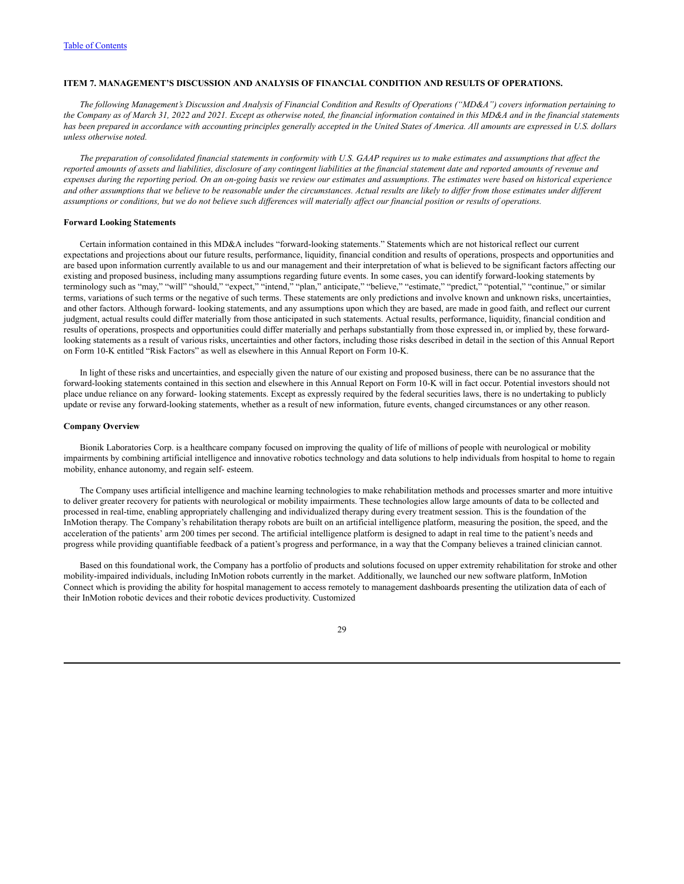# <span id="page-30-0"></span>**ITEM 7. MANAGEMENT'S DISCUSSION AND ANALYSIS OF FINANCIAL CONDITION AND RESULTS OF OPERATIONS.**

The following Management's Discussion and Analysis of Financial Condition and Results of Operations ("MD&A") covers information pertaining to the Company as of March 31, 2022 and 2021. Except as otherwise noted, the financial information contained in this MD&A and in the financial statements has been prepared in accordance with accounting principles generally accepted in the United States of America. All amounts are expressed in U.S. dollars *unless otherwise noted.*

The preparation of consolidated financial statements in conformity with U.S. GAAP requires us to make estimates and assumptions that affect the reported amounts of assets and liabilities, disclosure of any contingent liabilities at the financial statement date and reported amounts of revenue and expenses during the reporting period. On an on-going basis we review our estimates and assumptions. The estimates were based on historical experience and other assumptions that we believe to be reasonable under the circumstances. Actual results are likely to differ from those estimates under different assumptions or conditions, but we do not believe such differences will materially affect our financial position or results of operations.

### **Forward Looking Statements**

Certain information contained in this MD&A includes "forward-looking statements." Statements which are not historical reflect our current expectations and projections about our future results, performance, liquidity, financial condition and results of operations, prospects and opportunities and are based upon information currently available to us and our management and their interpretation of what is believed to be significant factors affecting our existing and proposed business, including many assumptions regarding future events. In some cases, you can identify forward-looking statements by terminology such as "may," "will" "should," "expect," "intend," "plan," anticipate," "believe," "estimate," "predict," "potential," "continue," or similar terms, variations of such terms or the negative of such terms. These statements are only predictions and involve known and unknown risks, uncertainties, and other factors. Although forward- looking statements, and any assumptions upon which they are based, are made in good faith, and reflect our current judgment, actual results could differ materially from those anticipated in such statements. Actual results, performance, liquidity, financial condition and results of operations, prospects and opportunities could differ materially and perhaps substantially from those expressed in, or implied by, these forwardlooking statements as a result of various risks, uncertainties and other factors, including those risks described in detail in the section of this Annual Report on Form 10-K entitled "Risk Factors" as well as elsewhere in this Annual Report on Form 10-K.

In light of these risks and uncertainties, and especially given the nature of our existing and proposed business, there can be no assurance that the forward-looking statements contained in this section and elsewhere in this Annual Report on Form 10-K will in fact occur. Potential investors should not place undue reliance on any forward- looking statements. Except as expressly required by the federal securities laws, there is no undertaking to publicly update or revise any forward-looking statements, whether as a result of new information, future events, changed circumstances or any other reason.

#### **Company Overview**

Bionik Laboratories Corp. is a healthcare company focused on improving the quality of life of millions of people with neurological or mobility impairments by combining artificial intelligence and innovative robotics technology and data solutions to help individuals from hospital to home to regain mobility, enhance autonomy, and regain self- esteem.

The Company uses artificial intelligence and machine learning technologies to make rehabilitation methods and processes smarter and more intuitive to deliver greater recovery for patients with neurological or mobility impairments. These technologies allow large amounts of data to be collected and processed in real-time, enabling appropriately challenging and individualized therapy during every treatment session. This is the foundation of the InMotion therapy. The Company's rehabilitation therapy robots are built on an artificial intelligence platform, measuring the position, the speed, and the acceleration of the patients' arm 200 times per second. The artificial intelligence platform is designed to adapt in real time to the patient's needs and progress while providing quantifiable feedback of a patient's progress and performance, in a way that the Company believes a trained clinician cannot.

Based on this foundational work, the Company has a portfolio of products and solutions focused on upper extremity rehabilitation for stroke and other mobility-impaired individuals, including InMotion robots currently in the market. Additionally, we launched our new software platform, InMotion Connect which is providing the ability for hospital management to access remotely to management dashboards presenting the utilization data of each of their InMotion robotic devices and their robotic devices productivity. Customized

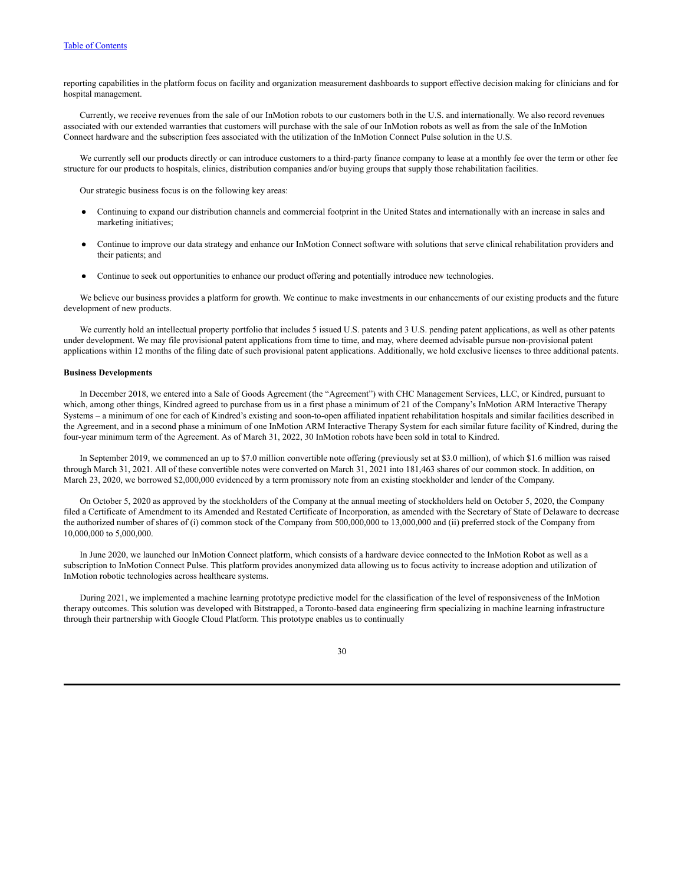reporting capabilities in the platform focus on facility and organization measurement dashboards to support effective decision making for clinicians and for hospital management.

Currently, we receive revenues from the sale of our InMotion robots to our customers both in the U.S. and internationally. We also record revenues associated with our extended warranties that customers will purchase with the sale of our InMotion robots as well as from the sale of the InMotion Connect hardware and the subscription fees associated with the utilization of the InMotion Connect Pulse solution in the U.S.

We currently sell our products directly or can introduce customers to a third-party finance company to lease at a monthly fee over the term or other fee structure for our products to hospitals, clinics, distribution companies and/or buying groups that supply those rehabilitation facilities.

Our strategic business focus is on the following key areas:

- Continuing to expand our distribution channels and commercial footprint in the United States and internationally with an increase in sales and marketing initiatives;
- Continue to improve our data strategy and enhance our InMotion Connect software with solutions that serve clinical rehabilitation providers and their patients; and
- Continue to seek out opportunities to enhance our product offering and potentially introduce new technologies.

We believe our business provides a platform for growth. We continue to make investments in our enhancements of our existing products and the future development of new products.

We currently hold an intellectual property portfolio that includes 5 issued U.S. patents and 3 U.S. pending patent applications, as well as other patents under development. We may file provisional patent applications from time to time, and may, where deemed advisable pursue non-provisional patent applications within 12 months of the filing date of such provisional patent applications. Additionally, we hold exclusive licenses to three additional patents.

### **Business Developments**

In December 2018, we entered into a Sale of Goods Agreement (the "Agreement") with CHC Management Services, LLC, or Kindred, pursuant to which, among other things, Kindred agreed to purchase from us in a first phase a minimum of 21 of the Company's InMotion ARM Interactive Therapy Systems – a minimum of one for each of Kindred's existing and soon-to-open affiliated inpatient rehabilitation hospitals and similar facilities described in the Agreement, and in a second phase a minimum of one InMotion ARM Interactive Therapy System for each similar future facility of Kindred, during the four-year minimum term of the Agreement. As of March 31, 2022, 30 InMotion robots have been sold in total to Kindred.

In September 2019, we commenced an up to \$7.0 million convertible note offering (previously set at \$3.0 million), of which \$1.6 million was raised through March 31, 2021. All of these convertible notes were converted on March 31, 2021 into 181,463 shares of our common stock. In addition, on March 23, 2020, we borrowed \$2,000,000 evidenced by a term promissory note from an existing stockholder and lender of the Company.

On October 5, 2020 as approved by the stockholders of the Company at the annual meeting of stockholders held on October 5, 2020, the Company filed a Certificate of Amendment to its Amended and Restated Certificate of Incorporation, as amended with the Secretary of State of Delaware to decrease the authorized number of shares of (i) common stock of the Company from 500,000,000 to 13,000,000 and (ii) preferred stock of the Company from 10,000,000 to 5,000,000.

In June 2020, we launched our InMotion Connect platform, which consists of a hardware device connected to the InMotion Robot as well as a subscription to InMotion Connect Pulse. This platform provides anonymized data allowing us to focus activity to increase adoption and utilization of InMotion robotic technologies across healthcare systems.

During 2021, we implemented a machine learning prototype predictive model for the classification of the level of responsiveness of the InMotion therapy outcomes. This solution was developed with Bitstrapped, a Toronto-based data engineering firm specializing in machine learning infrastructure through their partnership with Google Cloud Platform. This prototype enables us to continually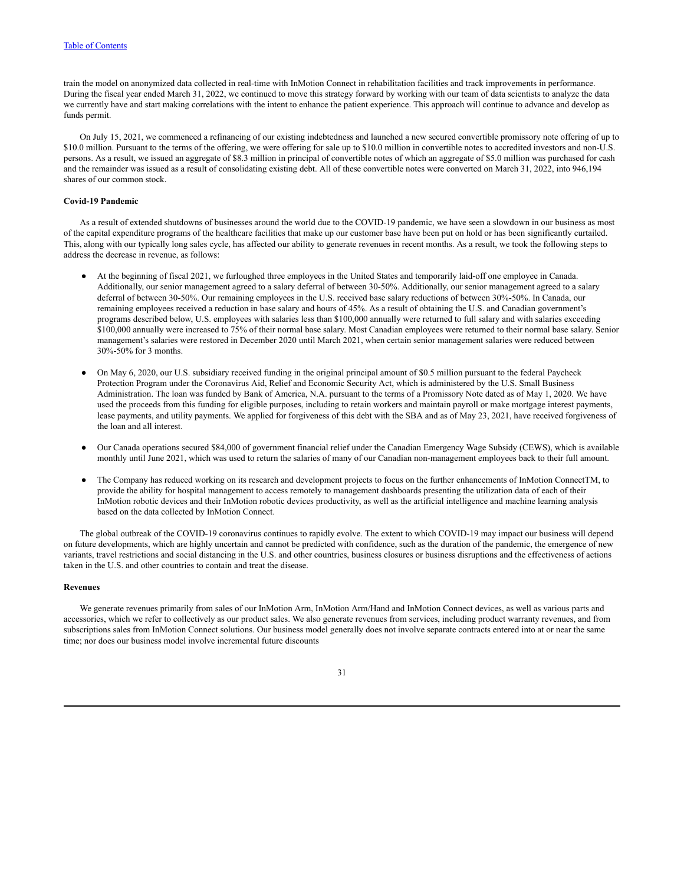train the model on anonymized data collected in real-time with InMotion Connect in rehabilitation facilities and track improvements in performance. During the fiscal year ended March 31, 2022, we continued to move this strategy forward by working with our team of data scientists to analyze the data we currently have and start making correlations with the intent to enhance the patient experience. This approach will continue to advance and develop as funds permit.

On July 15, 2021, we commenced a refinancing of our existing indebtedness and launched a new secured convertible promissory note offering of up to \$10.0 million. Pursuant to the terms of the offering, we were offering for sale up to \$10.0 million in convertible notes to accredited investors and non-U.S. persons. As a result, we issued an aggregate of \$8.3 million in principal of convertible notes of which an aggregate of \$5.0 million was purchased for cash and the remainder was issued as a result of consolidating existing debt. All of these convertible notes were converted on March 31, 2022, into 946,194 shares of our common stock.

# **Covid-19 Pandemic**

As a result of extended shutdowns of businesses around the world due to the COVID-19 pandemic, we have seen a slowdown in our business as most of the capital expenditure programs of the healthcare facilities that make up our customer base have been put on hold or has been significantly curtailed. This, along with our typically long sales cycle, has affected our ability to generate revenues in recent months. As a result, we took the following steps to address the decrease in revenue, as follows:

- At the beginning of fiscal 2021, we furloughed three employees in the United States and temporarily laid-off one employee in Canada. Additionally, our senior management agreed to a salary deferral of between 30-50%. Additionally, our senior management agreed to a salary deferral of between 30-50%. Our remaining employees in the U.S. received base salary reductions of between 30%-50%. In Canada, our remaining employees received a reduction in base salary and hours of 45%. As a result of obtaining the U.S. and Canadian government's programs described below, U.S. employees with salaries less than \$100,000 annually were returned to full salary and with salaries exceeding \$100,000 annually were increased to 75% of their normal base salary. Most Canadian employees were returned to their normal base salary. Senior management's salaries were restored in December 2020 until March 2021, when certain senior management salaries were reduced between 30%-50% for 3 months.
- On May 6, 2020, our U.S. subsidiary received funding in the original principal amount of \$0.5 million pursuant to the federal Paycheck Protection Program under the Coronavirus Aid, Relief and Economic Security Act, which is administered by the U.S. Small Business Administration. The loan was funded by Bank of America, N.A. pursuant to the terms of a Promissory Note dated as of May 1, 2020. We have used the proceeds from this funding for eligible purposes, including to retain workers and maintain payroll or make mortgage interest payments, lease payments, and utility payments. We applied for forgiveness of this debt with the SBA and as of May 23, 2021, have received forgiveness of the loan and all interest.
- Our Canada operations secured \$84,000 of government financial relief under the Canadian Emergency Wage Subsidy (CEWS), which is available monthly until June 2021, which was used to return the salaries of many of our Canadian non-management employees back to their full amount.
- The Company has reduced working on its research and development projects to focus on the further enhancements of InMotion ConnectTM, to provide the ability for hospital management to access remotely to management dashboards presenting the utilization data of each of their InMotion robotic devices and their InMotion robotic devices productivity, as well as the artificial intelligence and machine learning analysis based on the data collected by InMotion Connect.

The global outbreak of the COVID-19 coronavirus continues to rapidly evolve. The extent to which COVID-19 may impact our business will depend on future developments, which are highly uncertain and cannot be predicted with confidence, such as the duration of the pandemic, the emergence of new variants, travel restrictions and social distancing in the U.S. and other countries, business closures or business disruptions and the effectiveness of actions taken in the U.S. and other countries to contain and treat the disease.

### **Revenues**

We generate revenues primarily from sales of our InMotion Arm, InMotion Arm/Hand and InMotion Connect devices, as well as various parts and accessories, which we refer to collectively as our product sales. We also generate revenues from services, including product warranty revenues, and from subscriptions sales from InMotion Connect solutions. Our business model generally does not involve separate contracts entered into at or near the same time; nor does our business model involve incremental future discounts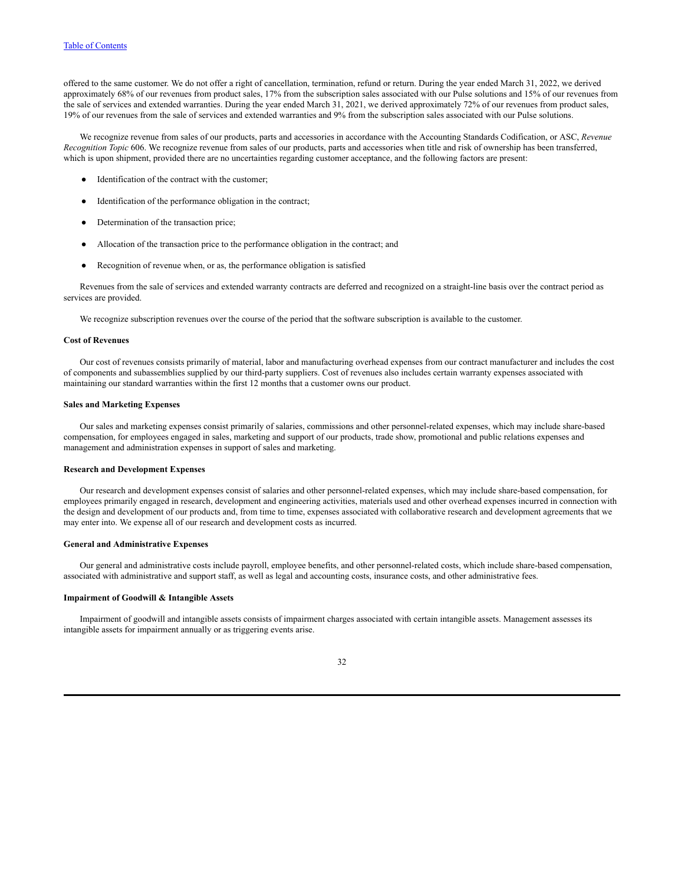offered to the same customer. We do not offer a right of cancellation, termination, refund or return. During the year ended March 31, 2022, we derived approximately 68% of our revenues from product sales, 17% from the subscription sales associated with our Pulse solutions and 15% of our revenues from the sale of services and extended warranties. During the year ended March 31, 2021, we derived approximately 72% of our revenues from product sales, 19% of our revenues from the sale of services and extended warranties and 9% from the subscription sales associated with our Pulse solutions.

We recognize revenue from sales of our products, parts and accessories in accordance with the Accounting Standards Codification, or ASC, *Revenue Recognition Topic* 606. We recognize revenue from sales of our products, parts and accessories when title and risk of ownership has been transferred, which is upon shipment, provided there are no uncertainties regarding customer acceptance, and the following factors are present:

- Identification of the contract with the customer;
- Identification of the performance obligation in the contract;
- Determination of the transaction price;
- Allocation of the transaction price to the performance obligation in the contract; and
- Recognition of revenue when, or as, the performance obligation is satisfied

Revenues from the sale of services and extended warranty contracts are deferred and recognized on a straight-line basis over the contract period as services are provided.

We recognize subscription revenues over the course of the period that the software subscription is available to the customer.

#### **Cost of Revenues**

Our cost of revenues consists primarily of material, labor and manufacturing overhead expenses from our contract manufacturer and includes the cost of components and subassemblies supplied by our third-party suppliers. Cost of revenues also includes certain warranty expenses associated with maintaining our standard warranties within the first 12 months that a customer owns our product.

### **Sales and Marketing Expenses**

Our sales and marketing expenses consist primarily of salaries, commissions and other personnel-related expenses, which may include share-based compensation, for employees engaged in sales, marketing and support of our products, trade show, promotional and public relations expenses and management and administration expenses in support of sales and marketing.

### **Research and Development Expenses**

Our research and development expenses consist of salaries and other personnel-related expenses, which may include share-based compensation, for employees primarily engaged in research, development and engineering activities, materials used and other overhead expenses incurred in connection with the design and development of our products and, from time to time, expenses associated with collaborative research and development agreements that we may enter into. We expense all of our research and development costs as incurred.

### **General and Administrative Expenses**

Our general and administrative costs include payroll, employee benefits, and other personnel-related costs, which include share-based compensation, associated with administrative and support staff, as well as legal and accounting costs, insurance costs, and other administrative fees.

### **Impairment of Goodwill & Intangible Assets**

Impairment of goodwill and intangible assets consists of impairment charges associated with certain intangible assets. Management assesses its intangible assets for impairment annually or as triggering events arise.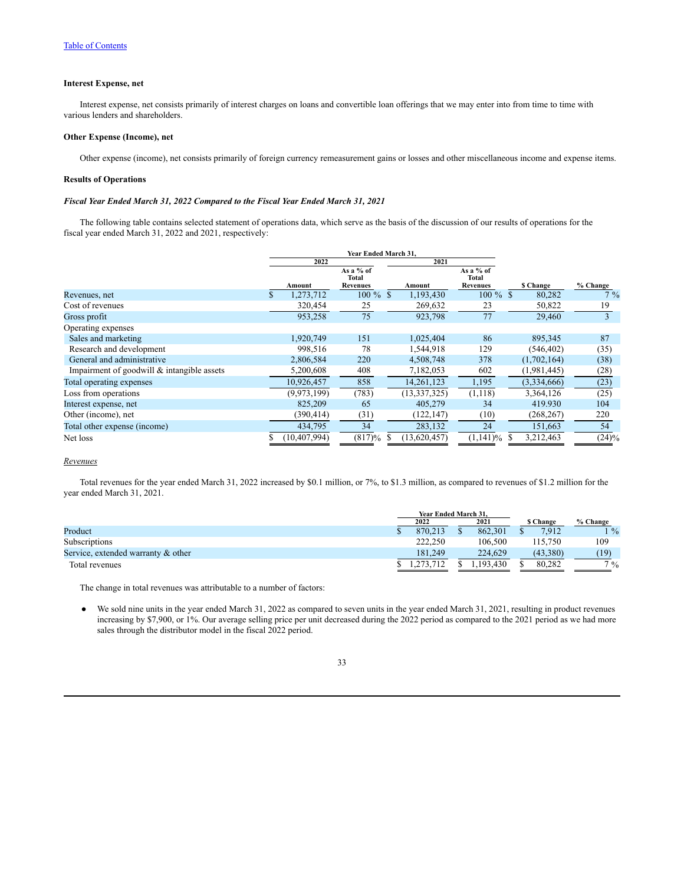### **Interest Expense, net**

Interest expense, net consists primarily of interest charges on loans and convertible loan offerings that we may enter into from time to time with various lenders and shareholders.

### **Other Expense (Income), net**

Other expense (income), net consists primarily of foreign currency remeasurement gains or losses and other miscellaneous income and expense items.

### **Results of Operations**

## *Fiscal Year Ended March 31, 2022 Compared to the Fiscal Year Ended March 31, 2021*

The following table contains selected statement of operations data, which serve as the basis of the discussion of our results of operations for the fiscal year ended March 31, 2022 and 2021, respectively:

|                                               | 2022           |                                       | 2021           |                                |             |          |
|-----------------------------------------------|----------------|---------------------------------------|----------------|--------------------------------|-------------|----------|
|                                               | Amount         | As a % of<br>Total<br><b>Revenues</b> | Amount         | As a % of<br>Total<br>Revenues | \$ Change   | % Change |
| Revenues, net                                 | 1,273,712      | $100 \%$ \$                           | 1,193,430      | $100 \%$ \$                    | 80,282      | $7\%$    |
| Cost of revenues                              | 320,454        | 25                                    | 269,632        | 23                             | 50,822      | 19       |
| Gross profit                                  | 953,258        | 75                                    | 923,798        | 77                             | 29,460      | 3        |
| Operating expenses                            |                |                                       |                |                                |             |          |
| Sales and marketing                           | 1,920,749      | 151                                   | 1,025,404      | 86                             | 895,345     | 87       |
| Research and development                      | 998,516        | 78                                    | 1,544,918      | 129                            | (546, 402)  | (35)     |
| General and administrative                    | 2,806,584      | 220                                   | 4,508,748      | 378                            | (1,702,164) | (38)     |
| Impairment of goodwill $\&$ intangible assets | 5,200,608      | 408                                   | 7,182,053      | 602                            | (1,981,445) | (28)     |
| Total operating expenses                      | 10,926,457     | 858                                   | 14,261,123     | 1,195                          | (3,334,666) | (23)     |
| Loss from operations                          | (9,973,199)    | (783)                                 | (13, 337, 325) | (1,118)                        | 3,364,126   | (25)     |
| Interest expense, net                         | 825,209        | 65                                    | 405,279        | 34                             | 419.930     | 104      |
| Other (income), net                           | (390, 414)     | (31)                                  | (122, 147)     | (10)                           | (268, 267)  | 220      |
| Total other expense (income)                  | 434,795        | 34                                    | 283,132        | 24                             | 151,663     | 54       |
| Net loss                                      | (10, 407, 994) | (817)%                                | (13,620,457)   | $(1,141)\%$                    | 3,212,463   | $(24)\%$ |

# *Revenues*

Total revenues for the year ended March 31, 2022 increased by \$0.1 million, or 7%, to \$1.3 million, as compared to revenues of \$1.2 million for the year ended March 31, 2021.

|                                    |         | <b>Year Ended March 31.</b> |         |                 |                 |
|------------------------------------|---------|-----------------------------|---------|-----------------|-----------------|
|                                    | 2022    |                             | 2021    | <b>S</b> Change | % Change        |
| Product                            | 870.213 |                             | 862.301 | 7.912           | $\frac{0}{0}$   |
| Subscriptions                      | 222,250 |                             | 106.500 | 115.750         | 109             |
| Service, extended warranty & other | 181.249 |                             | 224.629 | (43.380)        | (19)            |
| Total revenues                     |         |                             | 193.430 | 80.282          | $7 \frac{0}{0}$ |

The change in total revenues was attributable to a number of factors:

● We sold nine units in the year ended March 31, 2022 as compared to seven units in the year ended March 31, 2021, resulting in product revenues increasing by \$7,900, or 1%. Our average selling price per unit decreased during the 2022 period as compared to the 2021 period as we had more sales through the distributor model in the fiscal 2022 period.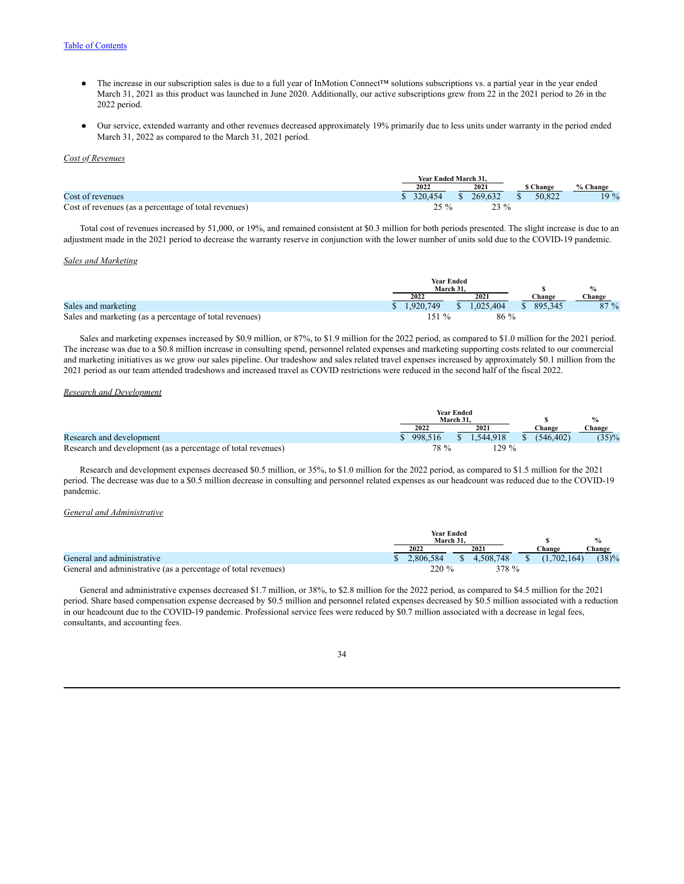- The increase in our subscription sales is due to a full year of InMotion Connect™ solutions subscriptions vs. a partial year in the year ended March 31, 2021 as this product was launched in June 2020. Additionally, our active subscriptions grew from 22 in the 2021 period to 26 in the 2022 period.
- Our service, extended warranty and other revenues decreased approximately 19% primarily due to less units under warranty in the period ended March 31, 2022 as compared to the March 31, 2021 period.

### *Cost of Revenues*

|                                                      |         | Year Ended March 31. |  |  |        |          |
|------------------------------------------------------|---------|----------------------|--|--|--------|----------|
|                                                      | 2022    | 2021                 |  |  | Change | % Change |
| Cost of revenues                                     | 320.454 | 269.632              |  |  | 50.822 | 19%      |
| Cost of revenues (as a percentage of total revenues) |         |                      |  |  |        |          |

Total cost of revenues increased by 51,000, or 19%, and remained consistent at \$0.3 million for both periods presented. The slight increase is due to an adjustment made in the 2021 period to decrease the warranty reserve in conjunction with the lower number of units sold due to the COVID-19 pandemic.

#### *Sales and Marketing*

|                                                         |               | Year Ended           |           |        |         |        |
|---------------------------------------------------------|---------------|----------------------|-----------|--------|---------|--------|
|                                                         |               | March 31.            |           |        |         |        |
|                                                         |               | 2022                 | 2021      |        | Change  | Change |
| Sales and marketing                                     | <sup>\$</sup> | 1.920.749            | 1.025.404 |        | 895.345 | 87%    |
| Sales and marketing (as a percentage of total revenues) |               | 151<br>$\frac{0}{0}$ |           | $86\%$ |         |        |

Sales and marketing expenses increased by \$0.9 million, or 87%, to \$1.9 million for the 2022 period, as compared to \$1.0 million for the 2021 period. The increase was due to a \$0.8 million increase in consulting spend, personnel related expenses and marketing supporting costs related to our commercial and marketing initiatives as we grow our sales pipeline. Our tradeshow and sales related travel expenses increased by approximately \$0.1 million from the 2021 period as our team attended tradeshows and increased travel as COVID restrictions were reduced in the second half of the fiscal 2022.

## *Research and Development*

|                                                              |         | <b>Year Ended</b><br>March 31 |          |               |               |
|--------------------------------------------------------------|---------|-------------------------------|----------|---------------|---------------|
|                                                              | 2022    |                               | 2021     | <b>Change</b> | <b>Change</b> |
| Research and development                                     | 998.516 |                               | .544.918 | (546.402)     | $(35)\%$      |
| Research and development (as a percentage of total revenues) | 78 %    |                               | $129\%$  |               |               |

Research and development expenses decreased \$0.5 million, or 35%, to \$1.0 million for the 2022 period, as compared to \$1.5 million for the 2021 period. The decrease was due to a \$0.5 million decrease in consulting and personnel related expenses as our headcount was reduced due to the COVID-19 pandemic.

### *General and Administrative*

|                                                                | <b>Year Ended</b><br>March 31 |  |           |              |               | $\frac{0}{0}$ |
|----------------------------------------------------------------|-------------------------------|--|-----------|--------------|---------------|---------------|
|                                                                | 2022                          |  | 2021      |              | <b>Change</b> | <b>Change</b> |
| General and administrative                                     | 2.806.584                     |  | 4.508.748 | <sup>S</sup> | (1.702.164)   | $(38)\%$      |
| General and administrative (as a percentage of total revenues) | 220%                          |  | 378 %     |              |               |               |

General and administrative expenses decreased \$1.7 million, or 38%, to \$2.8 million for the 2022 period, as compared to \$4.5 million for the 2021 period. Share based compensation expense decreased by \$0.5 million and personnel related expenses decreased by \$0.5 million associated with a reduction in our headcount due to the COVID-19 pandemic. Professional service fees were reduced by \$0.7 million associated with a decrease in legal fees, consultants, and accounting fees.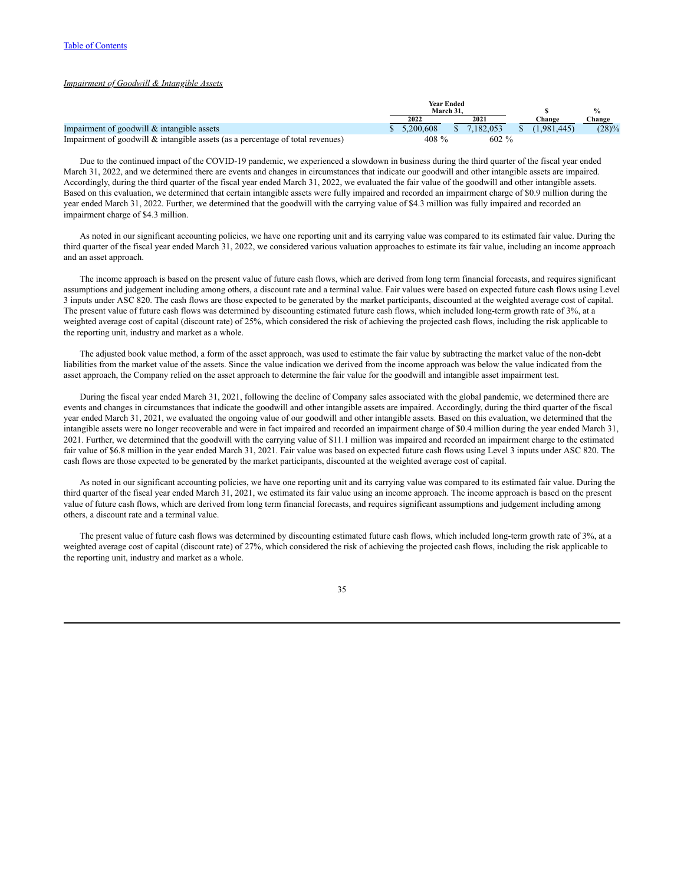# *Impairment of Goodwill & Intangible Assets*

|                                                                                   |           | <b>Year Ended</b> |  |           |               |          |
|-----------------------------------------------------------------------------------|-----------|-------------------|--|-----------|---------------|----------|
|                                                                                   | March 31. |                   |  |           |               |          |
|                                                                                   |           | 2022              |  | 2021      | <b>Change</b> | Change   |
| Impairment of goodwill $\&$ intangible assets                                     |           | \$5,200,608       |  | 7.182.053 | (1.981.445)   | $(28)\%$ |
| Impairment of goodwill $\&$ intangible assets (as a percentage of total revenues) |           | 408 %             |  | 602 %     |               |          |

Due to the continued impact of the COVID-19 pandemic, we experienced a slowdown in business during the third quarter of the fiscal year ended March 31, 2022, and we determined there are events and changes in circumstances that indicate our goodwill and other intangible assets are impaired. Accordingly, during the third quarter of the fiscal year ended March 31, 2022, we evaluated the fair value of the goodwill and other intangible assets. Based on this evaluation, we determined that certain intangible assets were fully impaired and recorded an impairment charge of \$0.9 million during the year ended March 31, 2022. Further, we determined that the goodwill with the carrying value of \$4.3 million was fully impaired and recorded an impairment charge of \$4.3 million.

As noted in our significant accounting policies, we have one reporting unit and its carrying value was compared to its estimated fair value. During the third quarter of the fiscal year ended March 31, 2022, we considered various valuation approaches to estimate its fair value, including an income approach and an asset approach.

The income approach is based on the present value of future cash flows, which are derived from long term financial forecasts, and requires significant assumptions and judgement including among others, a discount rate and a terminal value. Fair values were based on expected future cash flows using Level 3 inputs under ASC 820. The cash flows are those expected to be generated by the market participants, discounted at the weighted average cost of capital. The present value of future cash flows was determined by discounting estimated future cash flows, which included long-term growth rate of 3%, at a weighted average cost of capital (discount rate) of 25%, which considered the risk of achieving the projected cash flows, including the risk applicable to the reporting unit, industry and market as a whole.

The adjusted book value method, a form of the asset approach, was used to estimate the fair value by subtracting the market value of the non-debt liabilities from the market value of the assets. Since the value indication we derived from the income approach was below the value indicated from the asset approach, the Company relied on the asset approach to determine the fair value for the goodwill and intangible asset impairment test.

During the fiscal year ended March 31, 2021, following the decline of Company sales associated with the global pandemic, we determined there are events and changes in circumstances that indicate the goodwill and other intangible assets are impaired. Accordingly, during the third quarter of the fiscal year ended March 31, 2021, we evaluated the ongoing value of our goodwill and other intangible assets. Based on this evaluation, we determined that the intangible assets were no longer recoverable and were in fact impaired and recorded an impairment charge of \$0.4 million during the year ended March 31, 2021. Further, we determined that the goodwill with the carrying value of \$11.1 million was impaired and recorded an impairment charge to the estimated fair value of \$6.8 million in the year ended March 31, 2021. Fair value was based on expected future cash flows using Level 3 inputs under ASC 820. The cash flows are those expected to be generated by the market participants, discounted at the weighted average cost of capital.

As noted in our significant accounting policies, we have one reporting unit and its carrying value was compared to its estimated fair value. During the third quarter of the fiscal year ended March 31, 2021, we estimated its fair value using an income approach. The income approach is based on the present value of future cash flows, which are derived from long term financial forecasts, and requires significant assumptions and judgement including among others, a discount rate and a terminal value.

The present value of future cash flows was determined by discounting estimated future cash flows, which included long-term growth rate of 3%, at a weighted average cost of capital (discount rate) of 27%, which considered the risk of achieving the projected cash flows, including the risk applicable to the reporting unit, industry and market as a whole.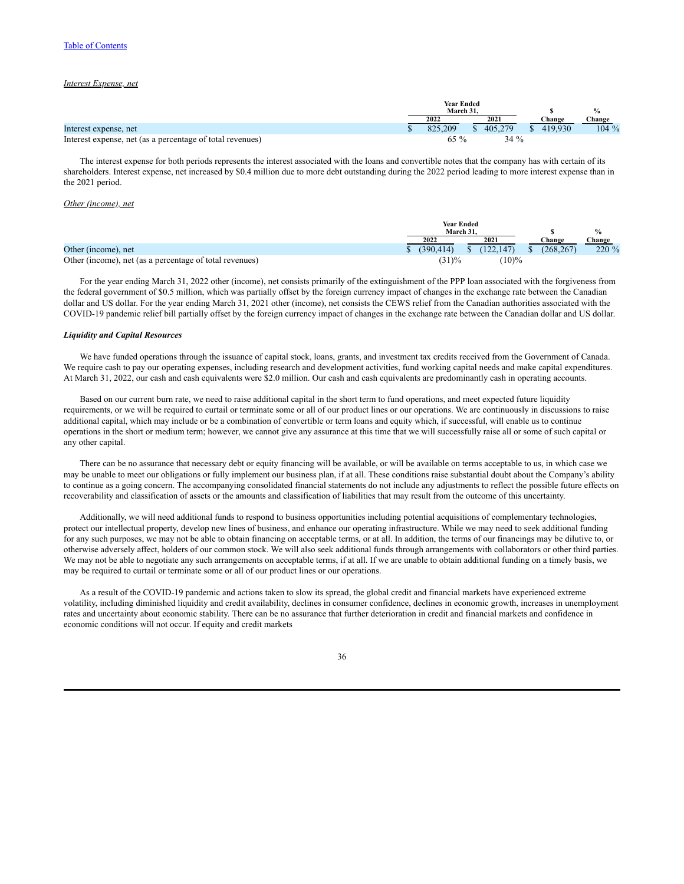# *Interest Expense, net*

|                                                           | <b>Year Ended</b><br><b>March 31.</b> |         |  |         |               |         |
|-----------------------------------------------------------|---------------------------------------|---------|--|---------|---------------|---------|
|                                                           |                                       | 2022    |  | 2021    | <b>Change</b> | Change  |
| Interest expense, net                                     |                                       | 825.209 |  | 405.279 | 419.930       | $104\%$ |
| Interest expense, net (as a percentage of total revenues) |                                       | 65 %    |  | $34\%$  |               |         |

The interest expense for both periods represents the interest associated with the loans and convertible notes that the company has with certain of its shareholders. Interest expense, net increased by \$0.4 million due to more debt outstanding during the 2022 period leading to more interest expense than in the 2021 period.

# *Other (income), net*

|                                                         | <b>Year Ended</b> |  |                         |              |           |          |
|---------------------------------------------------------|-------------------|--|-------------------------|--------------|-----------|----------|
|                                                         | March 31.         |  |                         |              |           |          |
|                                                         | 2022              |  | 2021                    |              | Change    | Change   |
| Other (income), net                                     | (390.414)         |  | $\frac{1}{2}$ (122,147) | <sup>S</sup> | (268.267) | $220 \%$ |
| Other (income), net (as a percentage of total revenues) | $31\frac{9}{6}$   |  | $10\%$                  |              |           |          |

For the year ending March 31, 2022 other (income), net consists primarily of the extinguishment of the PPP loan associated with the forgiveness from the federal government of \$0.5 million, which was partially offset by the foreign currency impact of changes in the exchange rate between the Canadian dollar and US dollar. For the year ending March 31, 2021 other (income), net consists the CEWS relief from the Canadian authorities associated with the COVID-19 pandemic relief bill partially offset by the foreign currency impact of changes in the exchange rate between the Canadian dollar and US dollar.

### *Liquidity and Capital Resources*

We have funded operations through the issuance of capital stock, loans, grants, and investment tax credits received from the Government of Canada. We require cash to pay our operating expenses, including research and development activities, fund working capital needs and make capital expenditures. At March 31, 2022, our cash and cash equivalents were \$2.0 million. Our cash and cash equivalents are predominantly cash in operating accounts.

Based on our current burn rate, we need to raise additional capital in the short term to fund operations, and meet expected future liquidity requirements, or we will be required to curtail or terminate some or all of our product lines or our operations. We are continuously in discussions to raise additional capital, which may include or be a combination of convertible or term loans and equity which, if successful, will enable us to continue operations in the short or medium term; however, we cannot give any assurance at this time that we will successfully raise all or some of such capital or any other capital.

There can be no assurance that necessary debt or equity financing will be available, or will be available on terms acceptable to us, in which case we may be unable to meet our obligations or fully implement our business plan, if at all. These conditions raise substantial doubt about the Company's ability to continue as a going concern. The accompanying consolidated financial statements do not include any adjustments to reflect the possible future effects on recoverability and classification of assets or the amounts and classification of liabilities that may result from the outcome of this uncertainty.

Additionally, we will need additional funds to respond to business opportunities including potential acquisitions of complementary technologies, protect our intellectual property, develop new lines of business, and enhance our operating infrastructure. While we may need to seek additional funding for any such purposes, we may not be able to obtain financing on acceptable terms, or at all. In addition, the terms of our financings may be dilutive to, or otherwise adversely affect, holders of our common stock. We will also seek additional funds through arrangements with collaborators or other third parties. We may not be able to negotiate any such arrangements on acceptable terms, if at all. If we are unable to obtain additional funding on a timely basis, we may be required to curtail or terminate some or all of our product lines or our operations.

As a result of the COVID-19 pandemic and actions taken to slow its spread, the global credit and financial markets have experienced extreme volatility, including diminished liquidity and credit availability, declines in consumer confidence, declines in economic growth, increases in unemployment rates and uncertainty about economic stability. There can be no assurance that further deterioration in credit and financial markets and confidence in economic conditions will not occur. If equity and credit markets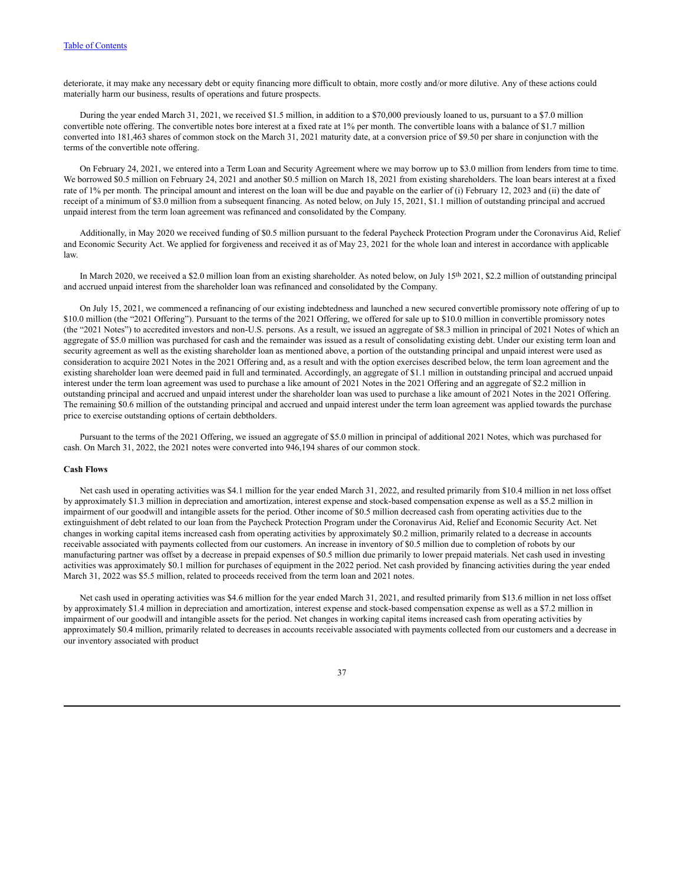deteriorate, it may make any necessary debt or equity financing more difficult to obtain, more costly and/or more dilutive. Any of these actions could materially harm our business, results of operations and future prospects.

During the year ended March 31, 2021, we received \$1.5 million, in addition to a \$70,000 previously loaned to us, pursuant to a \$7.0 million convertible note offering. The convertible notes bore interest at a fixed rate at 1% per month. The convertible loans with a balance of \$1.7 million converted into 181,463 shares of common stock on the March 31, 2021 maturity date, at a conversion price of \$9.50 per share in conjunction with the terms of the convertible note offering.

On February 24, 2021, we entered into a Term Loan and Security Agreement where we may borrow up to \$3.0 million from lenders from time to time. We borrowed \$0.5 million on February 24, 2021 and another \$0.5 million on March 18, 2021 from existing shareholders. The loan bears interest at a fixed rate of 1% per month. The principal amount and interest on the loan will be due and payable on the earlier of (i) February 12, 2023 and (ii) the date of receipt of a minimum of \$3.0 million from a subsequent financing. As noted below, on July 15, 2021, \$1.1 million of outstanding principal and accrued unpaid interest from the term loan agreement was refinanced and consolidated by the Company.

Additionally, in May 2020 we received funding of \$0.5 million pursuant to the federal Paycheck Protection Program under the Coronavirus Aid, Relief and Economic Security Act. We applied for forgiveness and received it as of May 23, 2021 for the whole loan and interest in accordance with applicable law.

In March 2020, we received a \$2.0 million loan from an existing shareholder. As noted below, on July 15<sup>th</sup> 2021, \$2.2 million of outstanding principal and accrued unpaid interest from the shareholder loan was refinanced and consolidated by the Company.

On July 15, 2021, we commenced a refinancing of our existing indebtedness and launched a new secured convertible promissory note offering of up to \$10.0 million (the "2021 Offering"). Pursuant to the terms of the 2021 Offering, we offered for sale up to \$10.0 million in convertible promissory notes (the "2021 Notes") to accredited investors and non-U.S. persons. As a result, we issued an aggregate of \$8.3 million in principal of 2021 Notes of which an aggregate of \$5.0 million was purchased for cash and the remainder was issued as a result of consolidating existing debt. Under our existing term loan and security agreement as well as the existing shareholder loan as mentioned above, a portion of the outstanding principal and unpaid interest were used as consideration to acquire 2021 Notes in the 2021 Offering and, as a result and with the option exercises described below, the term loan agreement and the existing shareholder loan were deemed paid in full and terminated. Accordingly, an aggregate of \$1.1 million in outstanding principal and accrued unpaid interest under the term loan agreement was used to purchase a like amount of 2021 Notes in the 2021 Offering and an aggregate of \$2.2 million in outstanding principal and accrued and unpaid interest under the shareholder loan was used to purchase a like amount of 2021 Notes in the 2021 Offering. The remaining \$0.6 million of the outstanding principal and accrued and unpaid interest under the term loan agreement was applied towards the purchase price to exercise outstanding options of certain debtholders.

Pursuant to the terms of the 2021 Offering, we issued an aggregate of \$5.0 million in principal of additional 2021 Notes, which was purchased for cash. On March 31, 2022, the 2021 notes were converted into 946,194 shares of our common stock.

### **Cash Flows**

Net cash used in operating activities was \$4.1 million for the year ended March 31, 2022, and resulted primarily from \$10.4 million in net loss offset by approximately \$1.3 million in depreciation and amortization, interest expense and stock-based compensation expense as well as a \$5.2 million in impairment of our goodwill and intangible assets for the period. Other income of \$0.5 million decreased cash from operating activities due to the extinguishment of debt related to our loan from the Paycheck Protection Program under the Coronavirus Aid, Relief and Economic Security Act. Net changes in working capital items increased cash from operating activities by approximately \$0.2 million, primarily related to a decrease in accounts receivable associated with payments collected from our customers. An increase in inventory of \$0.5 million due to completion of robots by our manufacturing partner was offset by a decrease in prepaid expenses of \$0.5 million due primarily to lower prepaid materials. Net cash used in investing activities was approximately \$0.1 million for purchases of equipment in the 2022 period. Net cash provided by financing activities during the year ended March 31, 2022 was \$5.5 million, related to proceeds received from the term loan and 2021 notes.

Net cash used in operating activities was \$4.6 million for the year ended March 31, 2021, and resulted primarily from \$13.6 million in net loss offset by approximately \$1.4 million in depreciation and amortization, interest expense and stock-based compensation expense as well as a \$7.2 million in impairment of our goodwill and intangible assets for the period. Net changes in working capital items increased cash from operating activities by approximately \$0.4 million, primarily related to decreases in accounts receivable associated with payments collected from our customers and a decrease in our inventory associated with product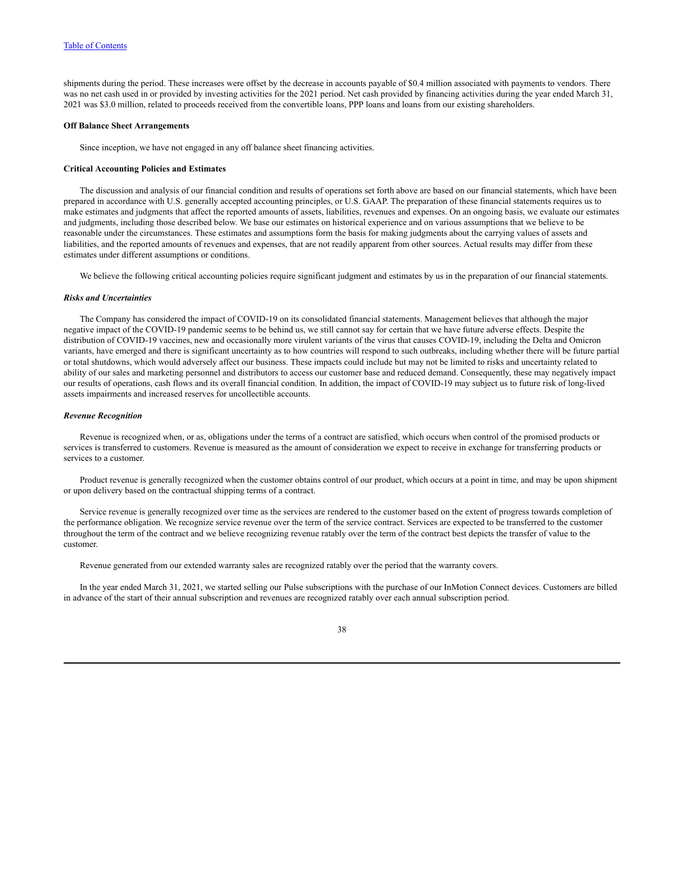shipments during the period. These increases were offset by the decrease in accounts payable of \$0.4 million associated with payments to vendors. There was no net cash used in or provided by investing activities for the 2021 period. Net cash provided by financing activities during the year ended March 31, 2021 was \$3.0 million, related to proceeds received from the convertible loans, PPP loans and loans from our existing shareholders.

#### **Off Balance Sheet Arrangements**

Since inception, we have not engaged in any off balance sheet financing activities.

# **Critical Accounting Policies and Estimates**

The discussion and analysis of our financial condition and results of operations set forth above are based on our financial statements, which have been prepared in accordance with U.S. generally accepted accounting principles, or U.S. GAAP. The preparation of these financial statements requires us to make estimates and judgments that affect the reported amounts of assets, liabilities, revenues and expenses. On an ongoing basis, we evaluate our estimates and judgments, including those described below. We base our estimates on historical experience and on various assumptions that we believe to be reasonable under the circumstances. These estimates and assumptions form the basis for making judgments about the carrying values of assets and liabilities, and the reported amounts of revenues and expenses, that are not readily apparent from other sources. Actual results may differ from these estimates under different assumptions or conditions.

We believe the following critical accounting policies require significant judgment and estimates by us in the preparation of our financial statements.

#### *Risks and Uncertainties*

The Company has considered the impact of COVID-19 on its consolidated financial statements. Management believes that although the major negative impact of the COVID-19 pandemic seems to be behind us, we still cannot say for certain that we have future adverse effects. Despite the distribution of COVID-19 vaccines, new and occasionally more virulent variants of the virus that causes COVID-19, including the Delta and Omicron variants, have emerged and there is significant uncertainty as to how countries will respond to such outbreaks, including whether there will be future partial or total shutdowns, which would adversely affect our business. These impacts could include but may not be limited to risks and uncertainty related to ability of our sales and marketing personnel and distributors to access our customer base and reduced demand. Consequently, these may negatively impact our results of operations, cash flows and its overall financial condition. In addition, the impact of COVID-19 may subject us to future risk of long-lived assets impairments and increased reserves for uncollectible accounts.

# *Revenue Recognition*

Revenue is recognized when, or as, obligations under the terms of a contract are satisfied, which occurs when control of the promised products or services is transferred to customers. Revenue is measured as the amount of consideration we expect to receive in exchange for transferring products or services to a customer.

Product revenue is generally recognized when the customer obtains control of our product, which occurs at a point in time, and may be upon shipment or upon delivery based on the contractual shipping terms of a contract.

Service revenue is generally recognized over time as the services are rendered to the customer based on the extent of progress towards completion of the performance obligation. We recognize service revenue over the term of the service contract. Services are expected to be transferred to the customer throughout the term of the contract and we believe recognizing revenue ratably over the term of the contract best depicts the transfer of value to the customer.

Revenue generated from our extended warranty sales are recognized ratably over the period that the warranty covers.

In the year ended March 31, 2021, we started selling our Pulse subscriptions with the purchase of our InMotion Connect devices. Customers are billed in advance of the start of their annual subscription and revenues are recognized ratably over each annual subscription period.

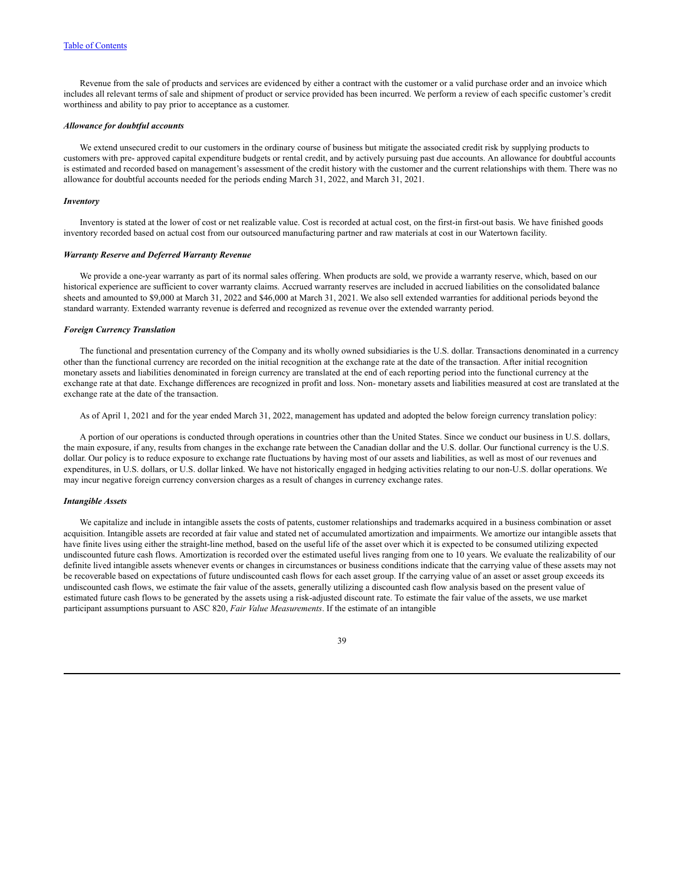Revenue from the sale of products and services are evidenced by either a contract with the customer or a valid purchase order and an invoice which includes all relevant terms of sale and shipment of product or service provided has been incurred. We perform a review of each specific customer's credit worthiness and ability to pay prior to acceptance as a customer.

#### *Allowance for doubtful accounts*

We extend unsecured credit to our customers in the ordinary course of business but mitigate the associated credit risk by supplying products to customers with pre- approved capital expenditure budgets or rental credit, and by actively pursuing past due accounts. An allowance for doubtful accounts is estimated and recorded based on management's assessment of the credit history with the customer and the current relationships with them. There was no allowance for doubtful accounts needed for the periods ending March 31, 2022, and March 31, 2021.

# *Inventory*

Inventory is stated at the lower of cost or net realizable value. Cost is recorded at actual cost, on the first-in first-out basis. We have finished goods inventory recorded based on actual cost from our outsourced manufacturing partner and raw materials at cost in our Watertown facility.

### *Warranty Reserve and Deferred Warranty Revenue*

We provide a one-year warranty as part of its normal sales offering. When products are sold, we provide a warranty reserve, which, based on our historical experience are sufficient to cover warranty claims. Accrued warranty reserves are included in accrued liabilities on the consolidated balance sheets and amounted to \$9,000 at March 31, 2022 and \$46,000 at March 31, 2021. We also sell extended warranties for additional periods beyond the standard warranty. Extended warranty revenue is deferred and recognized as revenue over the extended warranty period.

# *Foreign Currency Translation*

The functional and presentation currency of the Company and its wholly owned subsidiaries is the U.S. dollar. Transactions denominated in a currency other than the functional currency are recorded on the initial recognition at the exchange rate at the date of the transaction. After initial recognition monetary assets and liabilities denominated in foreign currency are translated at the end of each reporting period into the functional currency at the exchange rate at that date. Exchange differences are recognized in profit and loss. Non- monetary assets and liabilities measured at cost are translated at the exchange rate at the date of the transaction.

As of April 1, 2021 and for the year ended March 31, 2022, management has updated and adopted the below foreign currency translation policy:

A portion of our operations is conducted through operations in countries other than the United States. Since we conduct our business in U.S. dollars, the main exposure, if any, results from changes in the exchange rate between the Canadian dollar and the U.S. dollar. Our functional currency is the U.S. dollar. Our policy is to reduce exposure to exchange rate fluctuations by having most of our assets and liabilities, as well as most of our revenues and expenditures, in U.S. dollars, or U.S. dollar linked. We have not historically engaged in hedging activities relating to our non-U.S. dollar operations. We may incur negative foreign currency conversion charges as a result of changes in currency exchange rates.

## *Intangible Assets*

We capitalize and include in intangible assets the costs of patents, customer relationships and trademarks acquired in a business combination or asset acquisition. Intangible assets are recorded at fair value and stated net of accumulated amortization and impairments. We amortize our intangible assets that have finite lives using either the straight-line method, based on the useful life of the asset over which it is expected to be consumed utilizing expected undiscounted future cash flows. Amortization is recorded over the estimated useful lives ranging from one to 10 years. We evaluate the realizability of our definite lived intangible assets whenever events or changes in circumstances or business conditions indicate that the carrying value of these assets may not be recoverable based on expectations of future undiscounted cash flows for each asset group. If the carrying value of an asset or asset group exceeds its undiscounted cash flows, we estimate the fair value of the assets, generally utilizing a discounted cash flow analysis based on the present value of estimated future cash flows to be generated by the assets using a risk-adjusted discount rate. To estimate the fair value of the assets, we use market participant assumptions pursuant to ASC 820, *Fair Value Measurements*. If the estimate of an intangible

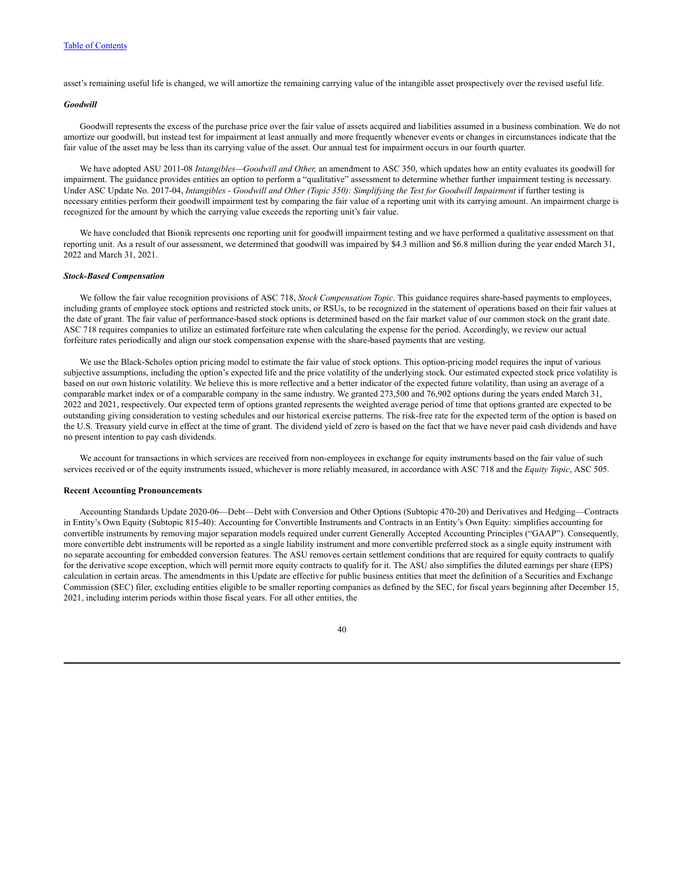asset's remaining useful life is changed, we will amortize the remaining carrying value of the intangible asset prospectively over the revised useful life.

### *Goodwill*

Goodwill represents the excess of the purchase price over the fair value of assets acquired and liabilities assumed in a business combination. We do not amortize our goodwill, but instead test for impairment at least annually and more frequently whenever events or changes in circumstances indicate that the fair value of the asset may be less than its carrying value of the asset. Our annual test for impairment occurs in our fourth quarter.

We have adopted ASU 2011-08 *Intangibles—Goodwill and Other,* an amendment to ASC 350, which updates how an entity evaluates its goodwill for impairment. The guidance provides entities an option to perform a "qualitative" assessment to determine whether further impairment testing is necessary. Under ASC Update No. 2017-04, Intangibles - Goodwill and Other (Topic 350): Simplifying the Test for Goodwill Impairment if further testing is necessary entities perform their goodwill impairment test by comparing the fair value of a reporting unit with its carrying amount. An impairment charge is recognized for the amount by which the carrying value exceeds the reporting unit's fair value.

We have concluded that Bionik represents one reporting unit for goodwill impairment testing and we have performed a qualitative assessment on that reporting unit. As a result of our assessment, we determined that goodwill was impaired by \$4.3 million and \$6.8 million during the year ended March 31, 2022 and March 31, 2021.

### *Stock-Based Compensation*

We follow the fair value recognition provisions of ASC 718, *Stock Compensation Topic*. This guidance requires share-based payments to employees, including grants of employee stock options and restricted stock units, or RSUs, to be recognized in the statement of operations based on their fair values at the date of grant. The fair value of performance-based stock options is determined based on the fair market value of our common stock on the grant date. ASC 718 requires companies to utilize an estimated forfeiture rate when calculating the expense for the period. Accordingly, we review our actual forfeiture rates periodically and align our stock compensation expense with the share-based payments that are vesting.

We use the Black-Scholes option pricing model to estimate the fair value of stock options. This option-pricing model requires the input of various subjective assumptions, including the option's expected life and the price volatility of the underlying stock. Our estimated expected stock price volatility is based on our own historic volatility. We believe this is more reflective and a better indicator of the expected future volatility, than using an average of a comparable market index or of a comparable company in the same industry. We granted 273,500 and 76,902 options during the years ended March 31, 2022 and 2021, respectively. Our expected term of options granted represents the weighted average period of time that options granted are expected to be outstanding giving consideration to vesting schedules and our historical exercise patterns. The risk-free rate for the expected term of the option is based on the U.S. Treasury yield curve in effect at the time of grant. The dividend yield of zero is based on the fact that we have never paid cash dividends and have no present intention to pay cash dividends.

We account for transactions in which services are received from non-employees in exchange for equity instruments based on the fair value of such services received or of the equity instruments issued, whichever is more reliably measured, in accordance with ASC 718 and the *Equity Topic*, ASC 505.

#### **Recent Accounting Pronouncements**

Accounting Standards Update 2020-06—Debt—Debt with Conversion and Other Options (Subtopic 470-20) and Derivatives and Hedging—Contracts in Entity's Own Equity (Subtopic 815-40): Accounting for Convertible Instruments and Contracts in an Entity's Own Equity: simplifies accounting for convertible instruments by removing major separation models required under current Generally Accepted Accounting Principles ("GAAP"). Consequently, more convertible debt instruments will be reported as a single liability instrument and more convertible preferred stock as a single equity instrument with no separate accounting for embedded conversion features. The ASU removes certain settlement conditions that are required for equity contracts to qualify for the derivative scope exception, which will permit more equity contracts to qualify for it. The ASU also simplifies the diluted earnings per share (EPS) calculation in certain areas. The amendments in this Update are effective for public business entities that meet the definition of a Securities and Exchange Commission (SEC) filer, excluding entities eligible to be smaller reporting companies as defined by the SEC, for fiscal years beginning after December 15, 2021, including interim periods within those fiscal years. For all other entities, the

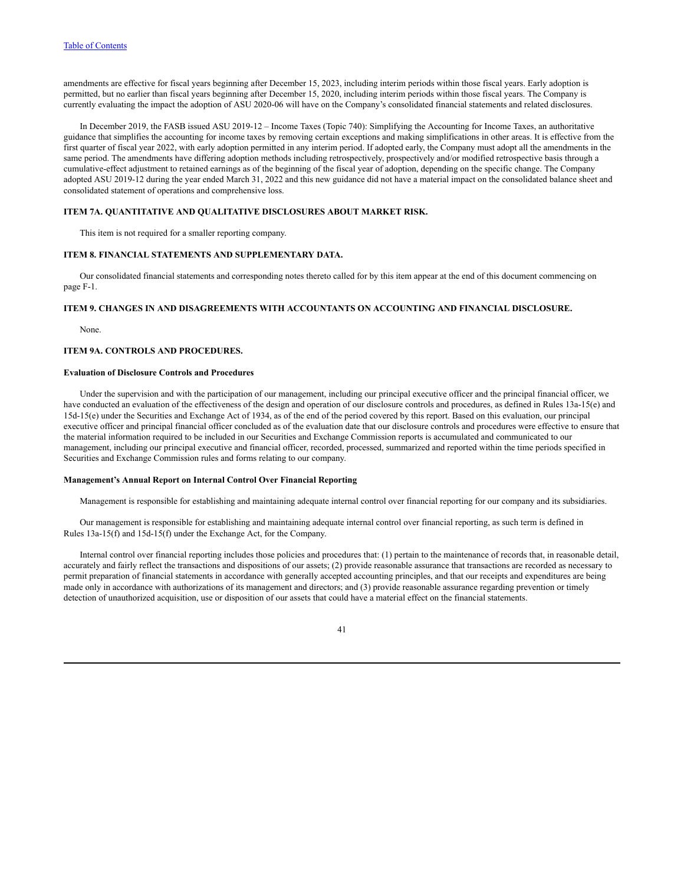amendments are effective for fiscal years beginning after December 15, 2023, including interim periods within those fiscal years. Early adoption is permitted, but no earlier than fiscal years beginning after December 15, 2020, including interim periods within those fiscal years. The Company is currently evaluating the impact the adoption of ASU 2020-06 will have on the Company's consolidated financial statements and related disclosures.

In December 2019, the FASB issued ASU 2019-12 – Income Taxes (Topic 740): Simplifying the Accounting for Income Taxes, an authoritative guidance that simplifies the accounting for income taxes by removing certain exceptions and making simplifications in other areas. It is effective from the first quarter of fiscal year 2022, with early adoption permitted in any interim period. If adopted early, the Company must adopt all the amendments in the same period. The amendments have differing adoption methods including retrospectively, prospectively and/or modified retrospective basis through a cumulative-effect adjustment to retained earnings as of the beginning of the fiscal year of adoption, depending on the specific change. The Company adopted ASU 2019-12 during the year ended March 31, 2022 and this new guidance did not have a material impact on the consolidated balance sheet and consolidated statement of operations and comprehensive loss.

# **ITEM 7A. QUANTITATIVE AND QUALITATIVE DISCLOSURES ABOUT MARKET RISK.**

This item is not required for a smaller reporting company.

# **ITEM 8. FINANCIAL STATEMENTS AND SUPPLEMENTARY DATA.**

Our consolidated financial statements and corresponding notes thereto called for by this item appear at the end of this document commencing on page F-1.

# **ITEM 9. CHANGES IN AND DISAGREEMENTS WITH ACCOUNTANTS ON ACCOUNTING AND FINANCIAL DISCLOSURE.**

None.

# **ITEM 9A. CONTROLS AND PROCEDURES.**

# **Evaluation of Disclosure Controls and Procedures**

Under the supervision and with the participation of our management, including our principal executive officer and the principal financial officer, we have conducted an evaluation of the effectiveness of the design and operation of our disclosure controls and procedures, as defined in Rules 13a-15(e) and 15d-15(e) under the Securities and Exchange Act of 1934, as of the end of the period covered by this report. Based on this evaluation, our principal executive officer and principal financial officer concluded as of the evaluation date that our disclosure controls and procedures were effective to ensure that the material information required to be included in our Securities and Exchange Commission reports is accumulated and communicated to our management, including our principal executive and financial officer, recorded, processed, summarized and reported within the time periods specified in Securities and Exchange Commission rules and forms relating to our company.

# **Management's Annual Report on Internal Control Over Financial Reporting**

Management is responsible for establishing and maintaining adequate internal control over financial reporting for our company and its subsidiaries.

Our management is responsible for establishing and maintaining adequate internal control over financial reporting, as such term is defined in Rules 13a-15(f) and 15d-15(f) under the Exchange Act, for the Company.

Internal control over financial reporting includes those policies and procedures that: (1) pertain to the maintenance of records that, in reasonable detail, accurately and fairly reflect the transactions and dispositions of our assets; (2) provide reasonable assurance that transactions are recorded as necessary to permit preparation of financial statements in accordance with generally accepted accounting principles, and that our receipts and expenditures are being made only in accordance with authorizations of its management and directors; and (3) provide reasonable assurance regarding prevention or timely detection of unauthorized acquisition, use or disposition of our assets that could have a material effect on the financial statements.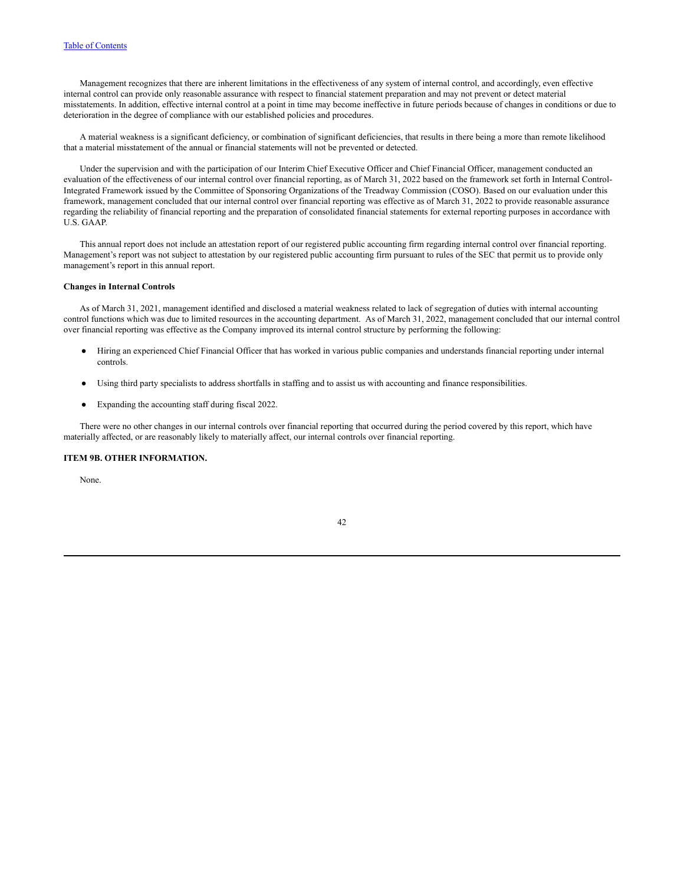Management recognizes that there are inherent limitations in the effectiveness of any system of internal control, and accordingly, even effective internal control can provide only reasonable assurance with respect to financial statement preparation and may not prevent or detect material misstatements. In addition, effective internal control at a point in time may become ineffective in future periods because of changes in conditions or due to deterioration in the degree of compliance with our established policies and procedures.

A material weakness is a significant deficiency, or combination of significant deficiencies, that results in there being a more than remote likelihood that a material misstatement of the annual or financial statements will not be prevented or detected.

Under the supervision and with the participation of our Interim Chief Executive Officer and Chief Financial Officer, management conducted an evaluation of the effectiveness of our internal control over financial reporting, as of March 31, 2022 based on the framework set forth in Internal Control-Integrated Framework issued by the Committee of Sponsoring Organizations of the Treadway Commission (COSO). Based on our evaluation under this framework, management concluded that our internal control over financial reporting was effective as of March 31, 2022 to provide reasonable assurance regarding the reliability of financial reporting and the preparation of consolidated financial statements for external reporting purposes in accordance with U.S. GAAP.

This annual report does not include an attestation report of our registered public accounting firm regarding internal control over financial reporting. Management's report was not subject to attestation by our registered public accounting firm pursuant to rules of the SEC that permit us to provide only management's report in this annual report.

## **Changes in Internal Controls**

As of March 31, 2021, management identified and disclosed a material weakness related to lack of segregation of duties with internal accounting control functions which was due to limited resources in the accounting department. As of March 31, 2022, management concluded that our internal control over financial reporting was effective as the Company improved its internal control structure by performing the following:

- Hiring an experienced Chief Financial Officer that has worked in various public companies and understands financial reporting under internal controls.
- Using third party specialists to address shortfalls in staffing and to assist us with accounting and finance responsibilities.
- Expanding the accounting staff during fiscal 2022.

There were no other changes in our internal controls over financial reporting that occurred during the period covered by this report, which have materially affected, or are reasonably likely to materially affect, our internal controls over financial reporting.

# **ITEM 9B. OTHER INFORMATION.**

None.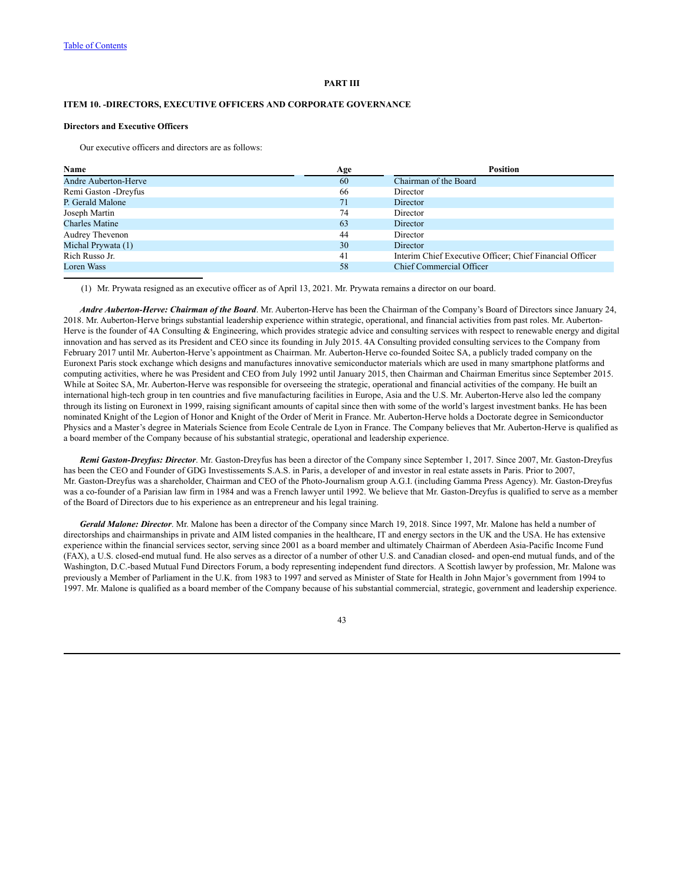# **PART III**

# **ITEM 10. -DIRECTORS, EXECUTIVE OFFICERS AND CORPORATE GOVERNANCE**

### **Directors and Executive Officers**

Our executive officers and directors are as follows:

| Name                  | Age | <b>Position</b>                                          |
|-----------------------|-----|----------------------------------------------------------|
| Andre Auberton-Herve  | 60  | Chairman of the Board                                    |
| Remi Gaston - Dreyfus | 66  | Director                                                 |
| P. Gerald Malone      | 71  | Director                                                 |
| Joseph Martin         | 74  | Director                                                 |
| <b>Charles Matine</b> | 63  | Director                                                 |
| Audrey Thevenon       | 44  | Director                                                 |
| Michal Prywata (1)    | 30  | Director                                                 |
| Rich Russo Jr.        | 41  | Interim Chief Executive Officer; Chief Financial Officer |
| Loren Wass            | 58  | Chief Commercial Officer                                 |

(1) Mr. Prywata resigned as an executive officer as of April 13, 2021. Mr. Prywata remains a director on our board.

*Andre Auberton-Herve: Chairman of the Board*. Mr. Auberton-Herve has been the Chairman of the Company's Board of Directors since January 24, 2018. Mr. Auberton-Herve brings substantial leadership experience within strategic, operational, and financial activities from past roles. Mr. Auberton-Herve is the founder of 4A Consulting & Engineering, which provides strategic advice and consulting services with respect to renewable energy and digital innovation and has served as its President and CEO since its founding in July 2015. 4A Consulting provided consulting services to the Company from February 2017 until Mr. Auberton-Herve's appointment as Chairman. Mr. Auberton-Herve co-founded Soitec SA, a publicly traded company on the Euronext Paris stock exchange which designs and manufactures innovative semiconductor materials which are used in many smartphone platforms and computing activities, where he was President and CEO from July 1992 until January 2015, then Chairman and Chairman Emeritus since September 2015. While at Soitec SA, Mr. Auberton-Herve was responsible for overseeing the strategic, operational and financial activities of the company. He built an international high-tech group in ten countries and five manufacturing facilities in Europe, Asia and the U.S. Mr. Auberton-Herve also led the company through its listing on Euronext in 1999, raising significant amounts of capital since then with some of the world's largest investment banks. He has been nominated Knight of the Legion of Honor and Knight of the Order of Merit in France. Mr. Auberton-Herve holds a Doctorate degree in Semiconductor Physics and a Master's degree in Materials Science from Ecole Centrale de Lyon in France. The Company believes that Mr. Auberton-Herve is qualified as a board member of the Company because of his substantial strategic, operational and leadership experience.

*Remi Gaston-Dreyfus: Director*. Mr. Gaston-Dreyfus has been a director of the Company since September 1, 2017. Since 2007, Mr. Gaston-Dreyfus has been the CEO and Founder of GDG Investissements S.A.S. in Paris, a developer of and investor in real estate assets in Paris. Prior to 2007, Mr. Gaston-Dreyfus was a shareholder, Chairman and CEO of the Photo-Journalism group A.G.I. (including Gamma Press Agency). Mr. Gaston-Dreyfus was a co-founder of a Parisian law firm in 1984 and was a French lawyer until 1992. We believe that Mr. Gaston-Dreyfus is qualified to serve as a member of the Board of Directors due to his experience as an entrepreneur and his legal training.

*Gerald Malone: Director*. Mr. Malone has been a director of the Company since March 19, 2018. Since 1997, Mr. Malone has held a number of directorships and chairmanships in private and AIM listed companies in the healthcare, IT and energy sectors in the UK and the USA. He has extensive experience within the financial services sector, serving since 2001 as a board member and ultimately Chairman of Aberdeen Asia-Pacific Income Fund (FAX), a U.S. closed-end mutual fund. He also serves as a director of a number of other U.S. and Canadian closed- and open-end mutual funds, and of the Washington, D.C.-based Mutual Fund Directors Forum, a body representing independent fund directors. A Scottish lawyer by profession, Mr. Malone was previously a Member of Parliament in the U.K. from 1983 to 1997 and served as Minister of State for Health in John Major's government from 1994 to 1997. Mr. Malone is qualified as a board member of the Company because of his substantial commercial, strategic, government and leadership experience.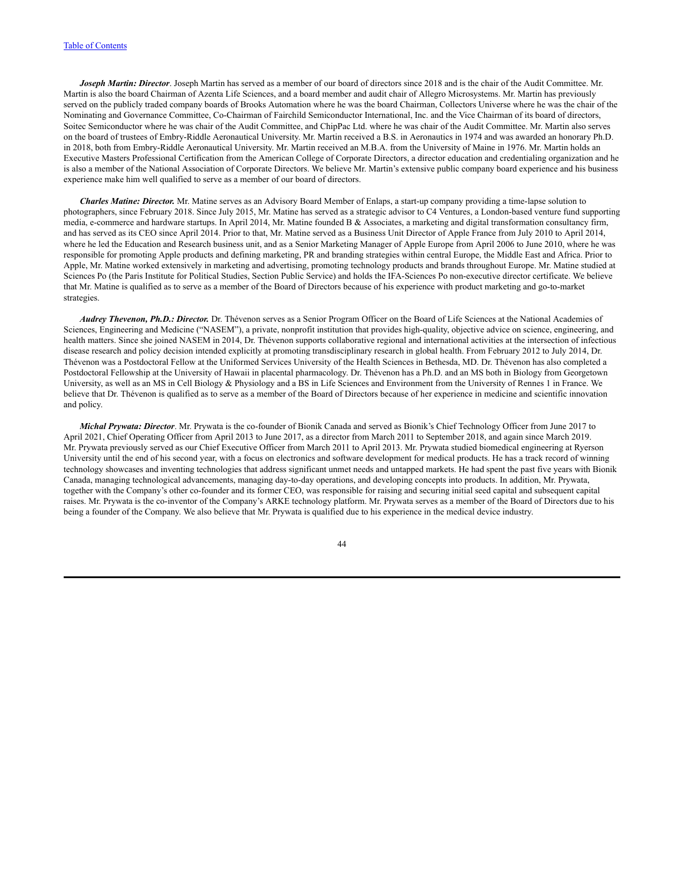*Joseph Martin: Director*. Joseph Martin has served as a member of our board of directors since 2018 and is the chair of the Audit Committee. Mr. Martin is also the board Chairman of Azenta Life Sciences, and a board member and audit chair of Allegro Microsystems. Mr. Martin has previously served on the publicly traded company boards of Brooks Automation where he was the board Chairman, Collectors Universe where he was the chair of the Nominating and Governance Committee, Co-Chairman of Fairchild Semiconductor International, Inc. and the Vice Chairman of its board of directors, Soitec Semiconductor where he was chair of the Audit Committee, and ChipPac Ltd. where he was chair of the Audit Committee. Mr. Martin also serves on the board of trustees of Embry-Riddle Aeronautical University. Mr. Martin received a B.S. in Aeronautics in 1974 and was awarded an honorary Ph.D. in 2018, both from Embry-Riddle Aeronautical University. Mr. Martin received an M.B.A. from the University of Maine in 1976. Mr. Martin holds an Executive Masters Professional Certification from the American College of Corporate Directors, a director education and credentialing organization and he is also a member of the National Association of Corporate Directors. We believe Mr. Martin's extensive public company board experience and his business experience make him well qualified to serve as a member of our board of directors.

*Charles Matine: Director.* Mr. Matine serves as an Advisory Board Member of Enlaps, a start-up company providing a time-lapse solution to photographers, since February 2018. Since July 2015, Mr. Matine has served as a strategic advisor to C4 Ventures, a London-based venture fund supporting media, e-commerce and hardware startups. In April 2014, Mr. Matine founded B & Associates, a marketing and digital transformation consultancy firm, and has served as its CEO since April 2014. Prior to that, Mr. Matine served as a Business Unit Director of Apple France from July 2010 to April 2014, where he led the Education and Research business unit, and as a Senior Marketing Manager of Apple Europe from April 2006 to June 2010, where he was responsible for promoting Apple products and defining marketing, PR and branding strategies within central Europe, the Middle East and Africa. Prior to Apple, Mr. Matine worked extensively in marketing and advertising, promoting technology products and brands throughout Europe. Mr. Matine studied at Sciences Po (the Paris Institute for Political Studies, Section Public Service) and holds the IFA-Sciences Po non-executive director certificate. We believe that Mr. Matine is qualified as to serve as a member of the Board of Directors because of his experience with product marketing and go-to-market strategies.

*Audrey Thevenon, Ph.D.: Director.* Dr. Thévenon serves as a Senior Program Officer on the Board of Life Sciences at the National Academies of Sciences, Engineering and Medicine ("NASEM"), a private, nonprofit institution that provides high-quality, objective advice on science, engineering, and health matters. Since she joined NASEM in 2014, Dr. Thévenon supports collaborative regional and international activities at the intersection of infectious disease research and policy decision intended explicitly at promoting transdisciplinary research in global health. From February 2012 to July 2014, Dr. Thévenon was a Postdoctoral Fellow at the Uniformed Services University of the Health Sciences in Bethesda, MD. Dr. Thévenon has also completed a Postdoctoral Fellowship at the University of Hawaii in placental pharmacology. Dr. Thévenon has a Ph.D. and an MS both in Biology from Georgetown University, as well as an MS in Cell Biology & Physiology and a BS in Life Sciences and Environment from the University of Rennes 1 in France. We believe that Dr. Thévenon is qualified as to serve as a member of the Board of Directors because of her experience in medicine and scientific innovation and policy.

*Michal Prywata: Director*. Mr. Prywata is the co-founder of Bionik Canada and served as Bionik's Chief Technology Officer from June 2017 to April 2021, Chief Operating Officer from April 2013 to June 2017, as a director from March 2011 to September 2018, and again since March 2019. Mr. Prywata previously served as our Chief Executive Officer from March 2011 to April 2013. Mr. Prywata studied biomedical engineering at Ryerson University until the end of his second year, with a focus on electronics and software development for medical products. He has a track record of winning technology showcases and inventing technologies that address significant unmet needs and untapped markets. He had spent the past five years with Bionik Canada, managing technological advancements, managing day-to-day operations, and developing concepts into products. In addition, Mr. Prywata, together with the Company's other co-founder and its former CEO, was responsible for raising and securing initial seed capital and subsequent capital raises. Mr. Prywata is the co-inventor of the Company's ARKE technology platform. Mr. Prywata serves as a member of the Board of Directors due to his being a founder of the Company. We also believe that Mr. Prywata is qualified due to his experience in the medical device industry.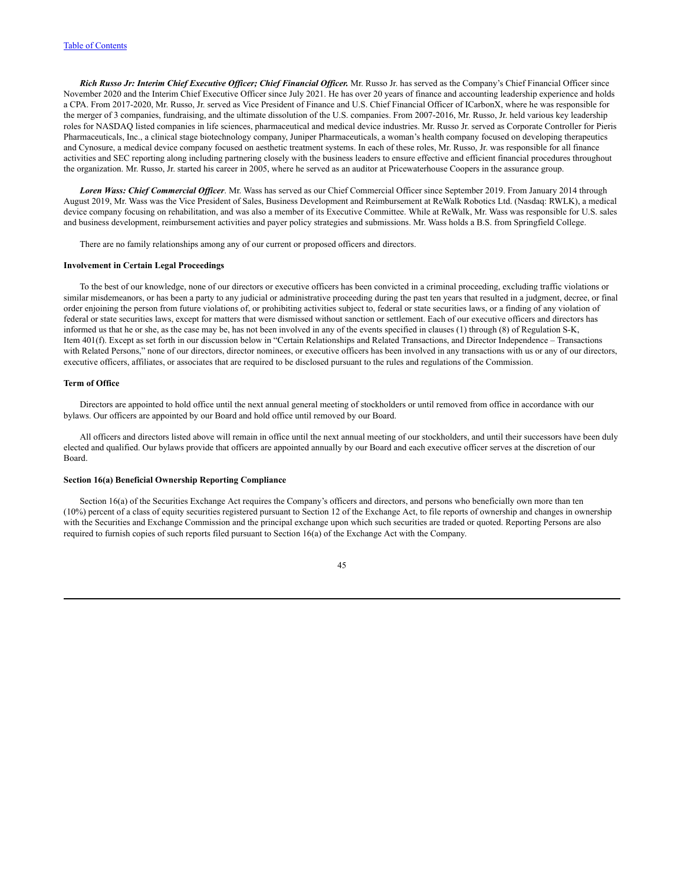Rich Russo Jr: Interim Chief Executive Officer; Chief Financial Officer. Mr. Russo Jr. has served as the Company's Chief Financial Officer since November 2020 and the Interim Chief Executive Officer since July 2021. He has over 20 years of finance and accounting leadership experience and holds a CPA. From 2017-2020, Mr. Russo, Jr. served as Vice President of Finance and U.S. Chief Financial Officer of ICarbonX, where he was responsible for the merger of 3 companies, fundraising, and the ultimate dissolution of the U.S. companies. From 2007-2016, Mr. Russo, Jr. held various key leadership roles for NASDAQ listed companies in life sciences, pharmaceutical and medical device industries. Mr. Russo Jr. served as Corporate Controller for Pieris Pharmaceuticals, Inc., a clinical stage biotechnology company, Juniper Pharmaceuticals, a woman's health company focused on developing therapeutics and Cynosure, a medical device company focused on aesthetic treatment systems. In each of these roles, Mr. Russo, Jr. was responsible for all finance activities and SEC reporting along including partnering closely with the business leaders to ensure effective and efficient financial procedures throughout the organization. Mr. Russo, Jr. started his career in 2005, where he served as an auditor at Pricewaterhouse Coopers in the assurance group.

*Loren Wass: Chief Commercial Of icer*. Mr. Wass has served as our Chief Commercial Officer since September 2019. From January 2014 through August 2019, Mr. Wass was the Vice President of Sales, Business Development and Reimbursement at ReWalk Robotics Ltd. (Nasdaq: RWLK), a medical device company focusing on rehabilitation, and was also a member of its Executive Committee. While at ReWalk, Mr. Wass was responsible for U.S. sales and business development, reimbursement activities and payer policy strategies and submissions. Mr. Wass holds a B.S. from Springfield College.

There are no family relationships among any of our current or proposed officers and directors.

# **Involvement in Certain Legal Proceedings**

To the best of our knowledge, none of our directors or executive officers has been convicted in a criminal proceeding, excluding traffic violations or similar misdemeanors, or has been a party to any judicial or administrative proceeding during the past ten years that resulted in a judgment, decree, or final order enjoining the person from future violations of, or prohibiting activities subject to, federal or state securities laws, or a finding of any violation of federal or state securities laws, except for matters that were dismissed without sanction or settlement. Each of our executive officers and directors has informed us that he or she, as the case may be, has not been involved in any of the events specified in clauses (1) through (8) of Regulation S-K, Item 401(f). Except as set forth in our discussion below in "Certain Relationships and Related Transactions, and Director Independence – Transactions with Related Persons," none of our directors, director nominees, or executive officers has been involved in any transactions with us or any of our directors, executive officers, affiliates, or associates that are required to be disclosed pursuant to the rules and regulations of the Commission.

### **Term of Office**

Directors are appointed to hold office until the next annual general meeting of stockholders or until removed from office in accordance with our bylaws. Our officers are appointed by our Board and hold office until removed by our Board.

All officers and directors listed above will remain in office until the next annual meeting of our stockholders, and until their successors have been duly elected and qualified. Our bylaws provide that officers are appointed annually by our Board and each executive officer serves at the discretion of our Board.

# **Section 16(a) Beneficial Ownership Reporting Compliance**

Section 16(a) of the Securities Exchange Act requires the Company's officers and directors, and persons who beneficially own more than ten (10%) percent of a class of equity securities registered pursuant to Section 12 of the Exchange Act, to file reports of ownership and changes in ownership with the Securities and Exchange Commission and the principal exchange upon which such securities are traded or quoted. Reporting Persons are also required to furnish copies of such reports filed pursuant to Section 16(a) of the Exchange Act with the Company.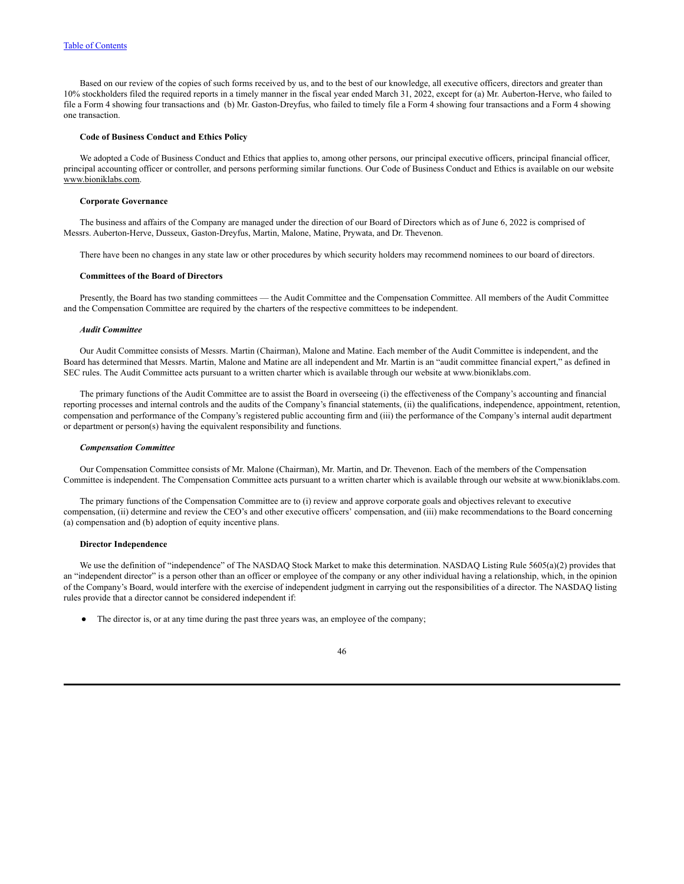Based on our review of the copies of such forms received by us, and to the best of our knowledge, all executive officers, directors and greater than 10% stockholders filed the required reports in a timely manner in the fiscal year ended March 31, 2022, except for (a) Mr. Auberton-Herve, who failed to file a Form 4 showing four transactions and (b) Mr. Gaston-Dreyfus, who failed to timely file a Form 4 showing four transactions and a Form 4 showing one transaction.

# **Code of Business Conduct and Ethics Policy**

We adopted a Code of Business Conduct and Ethics that applies to, among other persons, our principal executive officers, principal financial officer, principal accounting officer or controller, and persons performing similar functions. Our Code of Business Conduct and Ethics is available on our website www.bioniklabs.com.

# **Corporate Governance**

The business and affairs of the Company are managed under the direction of our Board of Directors which as of June 6, 2022 is comprised of Messrs. Auberton-Herve, Dusseux, Gaston-Dreyfus, Martin, Malone, Matine, Prywata, and Dr. Thevenon.

There have been no changes in any state law or other procedures by which security holders may recommend nominees to our board of directors.

### **Committees of the Board of Directors**

Presently, the Board has two standing committees — the Audit Committee and the Compensation Committee. All members of the Audit Committee and the Compensation Committee are required by the charters of the respective committees to be independent.

### *Audit Committee*

Our Audit Committee consists of Messrs. Martin (Chairman), Malone and Matine. Each member of the Audit Committee is independent, and the Board has determined that Messrs. Martin, Malone and Matine are all independent and Mr. Martin is an "audit committee financial expert," as defined in SEC rules. The Audit Committee acts pursuant to a written charter which is available through our website at www.bioniklabs.com.

The primary functions of the Audit Committee are to assist the Board in overseeing (i) the effectiveness of the Company's accounting and financial reporting processes and internal controls and the audits of the Company's financial statements, (ii) the qualifications, independence, appointment, retention, compensation and performance of the Company's registered public accounting firm and (iii) the performance of the Company's internal audit department or department or person(s) having the equivalent responsibility and functions.

### *Compensation Committee*

Our Compensation Committee consists of Mr. Malone (Chairman), Mr. Martin, and Dr. Thevenon. Each of the members of the Compensation Committee is independent. The Compensation Committee acts pursuant to a written charter which is available through our website at www.bioniklabs.com.

The primary functions of the Compensation Committee are to (i) review and approve corporate goals and objectives relevant to executive compensation, (ii) determine and review the CEO's and other executive officers' compensation, and (iii) make recommendations to the Board concerning (a) compensation and (b) adoption of equity incentive plans.

# **Director Independence**

We use the definition of "independence" of The NASDAQ Stock Market to make this determination. NASDAQ Listing Rule 5605(a)(2) provides that an "independent director" is a person other than an officer or employee of the company or any other individual having a relationship, which, in the opinion of the Company's Board, would interfere with the exercise of independent judgment in carrying out the responsibilities of a director. The NASDAQ listing rules provide that a director cannot be considered independent if:

● The director is, or at any time during the past three years was, an employee of the company;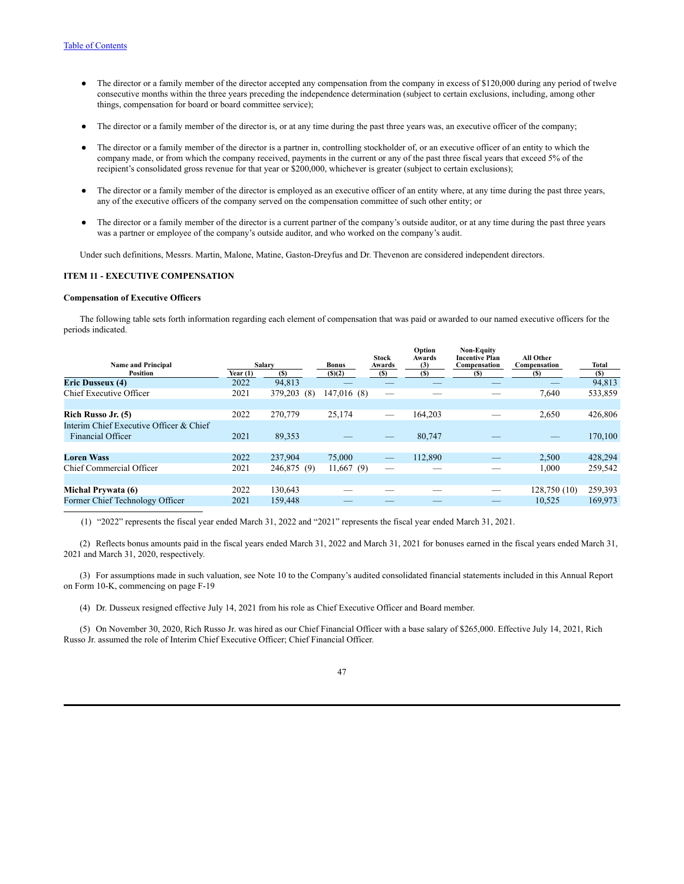- The director or a family member of the director accepted any compensation from the company in excess of \$120,000 during any period of twelve consecutive months within the three years preceding the independence determination (subject to certain exclusions, including, among other things, compensation for board or board committee service);
- The director or a family member of the director is, or at any time during the past three years was, an executive officer of the company;
- The director or a family member of the director is a partner in, controlling stockholder of, or an executive officer of an entity to which the company made, or from which the company received, payments in the current or any of the past three fiscal years that exceed 5% of the recipient's consolidated gross revenue for that year or \$200,000, whichever is greater (subject to certain exclusions);
- The director or a family member of the director is employed as an executive officer of an entity where, at any time during the past three years, any of the executive officers of the company served on the compensation committee of such other entity; or
- The director or a family member of the director is a current partner of the company's outside auditor, or at any time during the past three years was a partner or employee of the company's outside auditor, and who worked on the company's audit.

Under such definitions, Messrs. Martin, Malone, Matine, Gaston-Dreyfus and Dr. Thevenon are considered independent directors.

# **ITEM 11 - EXECUTIVE COMPENSATION**

# **Compensation of Executive Officers**

The following table sets forth information regarding each element of compensation that was paid or awarded to our named executive officers for the periods indicated.

| <b>Name and Principal</b>               |            | Salary      | <b>Bonus</b> | <b>Stock</b><br>Awards | Option<br>Awards<br>(3) | <b>Non-Equity</b><br><b>Incentive Plan</b><br>Compensation | All Other<br>Compensation | Total   |
|-----------------------------------------|------------|-------------|--------------|------------------------|-------------------------|------------------------------------------------------------|---------------------------|---------|
| Position                                | Year $(1)$ | (S)         | (S)(2)       | (S)                    | (S)                     | (S)                                                        | (S)                       | (S)     |
| Eric Dusseux (4)                        | 2022       | 94.813      |              |                        |                         |                                                            | –                         | 94,813  |
| Chief Executive Officer                 | 2021       | 379,203 (8) | 147,016 (8)  |                        |                         |                                                            | 7,640                     | 533,859 |
|                                         |            |             |              |                        |                         |                                                            |                           |         |
| Rich Russo Jr. (5)                      | 2022       | 270,779     | 25,174       |                        | 164,203                 |                                                            | 2,650                     | 426,806 |
| Interim Chief Executive Officer & Chief |            |             |              |                        |                         |                                                            |                           |         |
| Financial Officer                       | 2021       | 89,353      |              | —                      | 80,747                  |                                                            | –                         | 170,100 |
|                                         |            |             |              |                        |                         |                                                            |                           |         |
| <b>Loren Wass</b>                       | 2022       | 237,904     | 75,000       |                        | 112,890                 |                                                            | 2,500                     | 428,294 |
| Chief Commercial Officer                | 2021       | 246,875 (9) | 11,667(9)    |                        |                         |                                                            | 1,000                     | 259,542 |
|                                         |            |             |              |                        |                         |                                                            |                           |         |
| Michal Prywata (6)                      | 2022       | 130,643     |              |                        |                         |                                                            | 128,750 (10)              | 259,393 |
| Former Chief Technology Officer         | 2021       | 159.448     |              |                        |                         |                                                            | 10,525                    | 169,973 |
|                                         |            |             |              |                        |                         |                                                            |                           |         |

(1) "2022" represents the fiscal year ended March 31, 2022 and "2021" represents the fiscal year ended March 31, 2021.

(2) Reflects bonus amounts paid in the fiscal years ended March 31, 2022 and March 31, 2021 for bonuses earned in the fiscal years ended March 31, 2021 and March 31, 2020, respectively.

(3) For assumptions made in such valuation, see Note 10 to the Company's audited consolidated financial statements included in this Annual Report on Form 10-K, commencing on page F-19

(4) Dr. Dusseux resigned effective July 14, 2021 from his role as Chief Executive Officer and Board member.

(5) On November 30, 2020, Rich Russo Jr. was hired as our Chief Financial Officer with a base salary of \$265,000. Effective July 14, 2021, Rich Russo Jr. assumed the role of Interim Chief Executive Officer; Chief Financial Officer.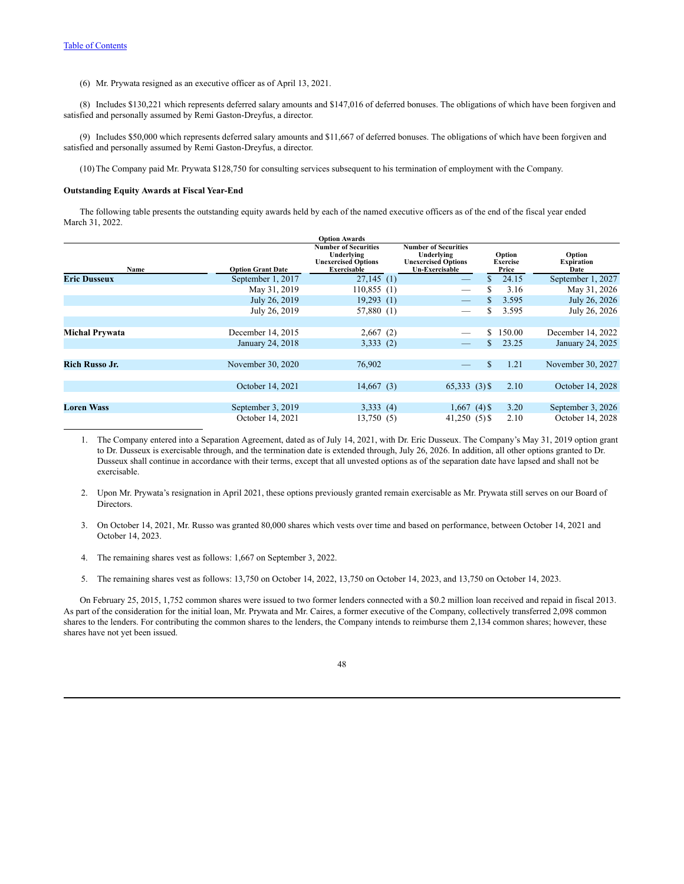(6) Mr. Prywata resigned as an executive officer as of April 13, 2021.

(8) Includes \$130,221 which represents deferred salary amounts and \$147,016 of deferred bonuses. The obligations of which have been forgiven and satisfied and personally assumed by Remi Gaston-Dreyfus, a director.

(9) Includes \$50,000 which represents deferred salary amounts and \$11,667 of deferred bonuses. The obligations of which have been forgiven and satisfied and personally assumed by Remi Gaston-Dreyfus, a director.

(10)The Company paid Mr. Prywata \$128,750 for consulting services subsequent to his termination of employment with the Company.

#### **Outstanding Equity Awards at Fiscal Year-End**

The following table presents the outstanding equity awards held by each of the named executive officers as of the end of the fiscal year ended March 31, 2022.

|                       |                          | <b>Option Awards</b>                                                                   |                                                                                           |                                    |                                     |
|-----------------------|--------------------------|----------------------------------------------------------------------------------------|-------------------------------------------------------------------------------------------|------------------------------------|-------------------------------------|
| Name                  | <b>Option Grant Date</b> | <b>Number of Securities</b><br>Underlying<br><b>Unexercised Options</b><br>Exercisable | <b>Number of Securities</b><br>Underlying<br><b>Unexercised Options</b><br>Un-Exercisable | Option<br><b>Exercise</b><br>Price | Option<br><b>Expiration</b><br>Date |
| <b>Eric Dusseux</b>   | September 1, 2017        | 27,145(1)                                                                              |                                                                                           | $\mathbb{S}$<br>24.15              | September 1, 2027                   |
|                       | May 31, 2019             | 110,855(1)                                                                             |                                                                                           | 3.16<br>\$                         | May 31, 2026                        |
|                       | July 26, 2019            | 19,293(1)                                                                              | $\hspace{0.1mm}-\hspace{0.1mm}$                                                           | 3.595<br>$\mathbb{S}$              | July 26, 2026                       |
|                       | July 26, 2019            | 57,880 (1)                                                                             | $\hspace{0.05cm}$                                                                         | 3.595<br>\$                        | July 26, 2026                       |
|                       |                          |                                                                                        |                                                                                           |                                    |                                     |
| Michal Prywata        | December 14, 2015        | 2,667(2)                                                                               |                                                                                           | 150.00<br>S.                       | December 14, 2022                   |
|                       | January 24, 2018         | 3,333(2)                                                                               |                                                                                           | 23.25<br>\$                        | January 24, 2025                    |
|                       |                          |                                                                                        |                                                                                           |                                    |                                     |
| <b>Rich Russo Jr.</b> | November 30, 2020        | 76,902                                                                                 |                                                                                           | \$<br>1.21                         | November 30, 2027                   |
|                       |                          |                                                                                        |                                                                                           |                                    |                                     |
|                       | October 14, 2021         | 14,667(3)                                                                              | $65,333(3)$ \$                                                                            | 2.10                               | October 14, 2028                    |
|                       |                          |                                                                                        |                                                                                           |                                    |                                     |
| <b>Loren Wass</b>     | September 3, 2019        | 3,333(4)                                                                               | 1,667(4)                                                                                  | 3.20                               | September 3, 2026                   |
|                       | October 14, 2021         | 13,750(5)                                                                              | $41,250(5)$ \$                                                                            | 2.10                               | October 14, 2028                    |

1. The Company entered into a Separation Agreement, dated as of July 14, 2021, with Dr. Eric Dusseux. The Company's May 31, 2019 option grant to Dr. Dusseux is exercisable through, and the termination date is extended through, July 26, 2026. In addition, all other options granted to Dr. Dusseux shall continue in accordance with their terms, except that all unvested options as of the separation date have lapsed and shall not be exercisable.

- 2. Upon Mr. Prywata's resignation in April 2021, these options previously granted remain exercisable as Mr. Prywata still serves on our Board of Directors.
- 3. On October 14, 2021, Mr. Russo was granted 80,000 shares which vests over time and based on performance, between October 14, 2021 and October 14, 2023.
- 4. The remaining shares vest as follows: 1,667 on September 3, 2022.
- 5. The remaining shares vest as follows: 13,750 on October 14, 2022, 13,750 on October 14, 2023, and 13,750 on October 14, 2023.

On February 25, 2015, 1,752 common shares were issued to two former lenders connected with a \$0.2 million loan received and repaid in fiscal 2013. As part of the consideration for the initial loan, Mr. Prywata and Mr. Caires, a former executive of the Company, collectively transferred 2,098 common shares to the lenders. For contributing the common shares to the lenders, the Company intends to reimburse them 2,134 common shares; however, these shares have not yet been issued.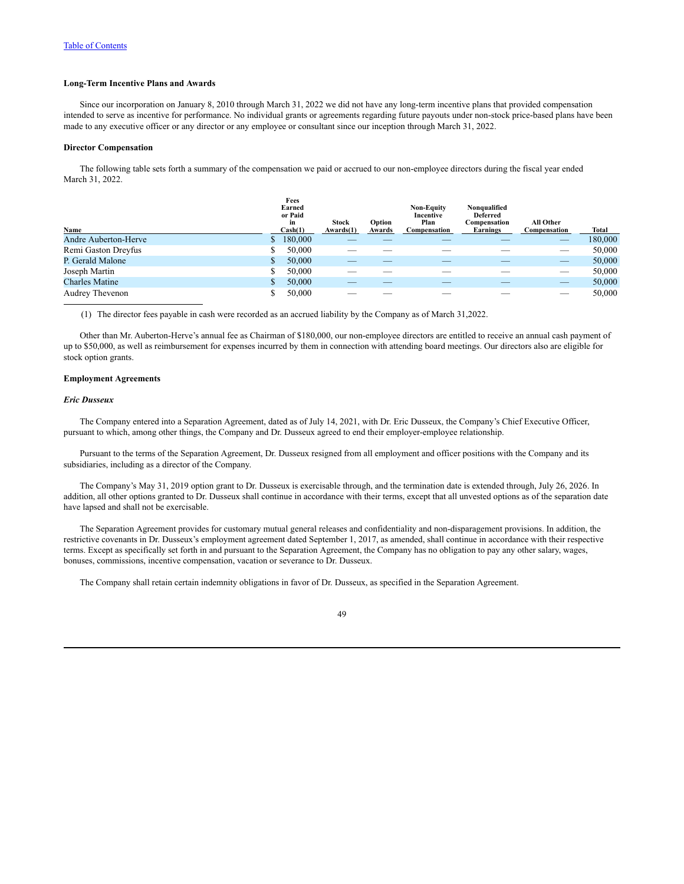# **Long-Term Incentive Plans and Awards**

Since our incorporation on January 8, 2010 through March 31, 2022 we did not have any long-term incentive plans that provided compensation intended to serve as incentive for performance. No individual grants or agreements regarding future payouts under non-stock price-based plans have been made to any executive officer or any director or any employee or consultant since our inception through March 31, 2022.

### **Director Compensation**

The following table sets forth a summary of the compensation we paid or accrued to our non-employee directors during the fiscal year ended March 31, 2022.

| Name                  | Fees<br>Earned<br>or Paid<br>in<br>Cash(1) | <b>Stock</b><br>Awards(1) | Option<br>Awards | <b>Non-Equity</b><br>Incentive<br>Plan<br>Compensation | Nonqualified<br>Deferred<br>Compensation<br>Earnings | All Other<br>Compensation | Total   |
|-----------------------|--------------------------------------------|---------------------------|------------------|--------------------------------------------------------|------------------------------------------------------|---------------------------|---------|
| Andre Auberton-Herve  | 180,000                                    |                           |                  |                                                        |                                                      |                           | 180,000 |
| Remi Gaston Dreyfus   | 50,000                                     |                           |                  |                                                        |                                                      | __                        | 50,000  |
| P. Gerald Malone      | 50,000                                     |                           |                  |                                                        |                                                      |                           | 50,000  |
| Joseph Martin         | 50,000                                     |                           |                  |                                                        |                                                      | __                        | 50,000  |
| <b>Charles Matine</b> | 50,000                                     |                           |                  |                                                        |                                                      | —                         | 50,000  |
| Audrey Thevenon       | 50,000                                     |                           |                  |                                                        |                                                      |                           | 50,000  |

(1) The director fees payable in cash were recorded as an accrued liability by the Company as of March 31,2022.

Other than Mr. Auberton-Herve's annual fee as Chairman of \$180,000, our non-employee directors are entitled to receive an annual cash payment of up to \$50,000, as well as reimbursement for expenses incurred by them in connection with attending board meetings. Our directors also are eligible for stock option grants.

# **Employment Agreements**

#### *Eric Dusseux*

The Company entered into a Separation Agreement, dated as of July 14, 2021, with Dr. Eric Dusseux, the Company's Chief Executive Officer, pursuant to which, among other things, the Company and Dr. Dusseux agreed to end their employer-employee relationship.

Pursuant to the terms of the Separation Agreement, Dr. Dusseux resigned from all employment and officer positions with the Company and its subsidiaries, including as a director of the Company.

The Company's May 31, 2019 option grant to Dr. Dusseux is exercisable through, and the termination date is extended through, July 26, 2026. In addition, all other options granted to Dr. Dusseux shall continue in accordance with their terms, except that all unvested options as of the separation date have lapsed and shall not be exercisable.

The Separation Agreement provides for customary mutual general releases and confidentiality and non-disparagement provisions. In addition, the restrictive covenants in Dr. Dusseux's employment agreement dated September 1, 2017, as amended, shall continue in accordance with their respective terms. Except as specifically set forth in and pursuant to the Separation Agreement, the Company has no obligation to pay any other salary, wages, bonuses, commissions, incentive compensation, vacation or severance to Dr. Dusseux.

The Company shall retain certain indemnity obligations in favor of Dr. Dusseux, as specified in the Separation Agreement.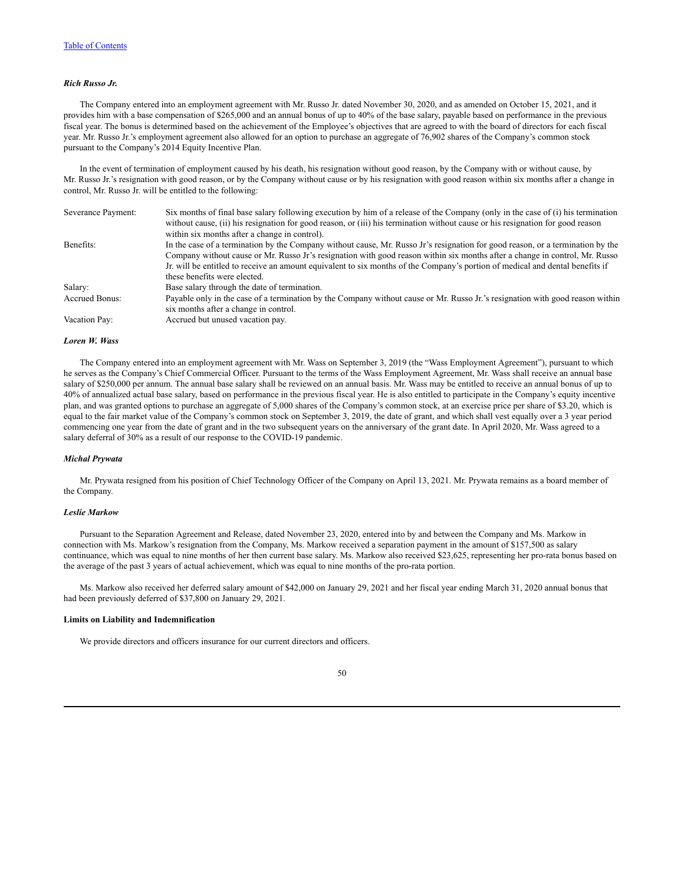# *Rich Russo Jr.*

The Company entered into an employment agreement with Mr. Russo Jr. dated November 30, 2020, and as amended on October 15, 2021, and it provides him with a base compensation of \$265,000 and an annual bonus of up to 40% of the base salary, payable based on performance in the previous fiscal year. The bonus is determined based on the achievement of the Employee's objectives that are agreed to with the board of directors for each fiscal year. Mr. Russo Jr.'s employment agreement also allowed for an option to purchase an aggregate of 76,902 shares of the Company's common stock pursuant to the Company's 2014 Equity Incentive Plan.

In the event of termination of employment caused by his death, his resignation without good reason, by the Company with or without cause, by Mr. Russo Jr.'s resignation with good reason, or by the Company without cause or by his resignation with good reason within six months after a change in control, Mr. Russo Jr. will be entitled to the following:

| Severance Payment:    | Six months of final base salary following execution by him of a release of the Company (only in the case of (i) his termination<br>without cause, (ii) his resignation for good reason, or (iii) his termination without cause or his resignation for good reason<br>within six months after a change in control).                                                                                                             |
|-----------------------|--------------------------------------------------------------------------------------------------------------------------------------------------------------------------------------------------------------------------------------------------------------------------------------------------------------------------------------------------------------------------------------------------------------------------------|
| Benefits:             | In the case of a termination by the Company without cause, Mr. Russo Jr's resignation for good reason, or a termination by the<br>Company without cause or Mr. Russo Jr's resignation with good reason within six months after a change in control, Mr. Russo<br>Jr. will be entitled to receive an amount equivalent to six months of the Company's portion of medical and dental benefits if<br>these benefits were elected. |
| Salary:               | Base salary through the date of termination.                                                                                                                                                                                                                                                                                                                                                                                   |
| <b>Accrued Bonus:</b> | Payable only in the case of a termination by the Company without cause or Mr. Russo Jr.'s resignation with good reason within<br>six months after a change in control.                                                                                                                                                                                                                                                         |
| Vacation Pay:         | Accrued but unused vacation pay.                                                                                                                                                                                                                                                                                                                                                                                               |

### *Loren W. Wass*

The Company entered into an employment agreement with Mr. Wass on September 3, 2019 (the "Wass Employment Agreement"), pursuant to which he serves as the Company's Chief Commercial Officer. Pursuant to the terms of the Wass Employment Agreement, Mr. Wass shall receive an annual base salary of \$250,000 per annum. The annual base salary shall be reviewed on an annual basis. Mr. Wass may be entitled to receive an annual bonus of up to 40% of annualized actual base salary, based on performance in the previous fiscal year. He is also entitled to participate in the Company's equity incentive plan, and was granted options to purchase an aggregate of 5,000 shares of the Company's common stock, at an exercise price per share of \$3.20, which is equal to the fair market value of the Company's common stock on September 3, 2019, the date of grant, and which shall vest equally over a 3 year period commencing one year from the date of grant and in the two subsequent years on the anniversary of the grant date. In April 2020, Mr. Wass agreed to a salary deferral of 30% as a result of our response to the COVID-19 pandemic.

### *Michal Prywata*

Mr. Prywata resigned from his position of Chief Technology Officer of the Company on April 13, 2021. Mr. Prywata remains as a board member of the Company.

### *Leslie Markow*

Pursuant to the Separation Agreement and Release, dated November 23, 2020, entered into by and between the Company and Ms. Markow in connection with Ms. Markow's resignation from the Company, Ms. Markow received a separation payment in the amount of \$157,500 as salary continuance, which was equal to nine months of her then current base salary. Ms. Markow also received \$23,625, representing her pro-rata bonus based on the average of the past 3 years of actual achievement, which was equal to nine months of the pro-rata portion.

Ms. Markow also received her deferred salary amount of \$42,000 on January 29, 2021 and her fiscal year ending March 31, 2020 annual bonus that had been previously deferred of \$37,800 on January 29, 2021.

# **Limits on Liability and Indemnification**

We provide directors and officers insurance for our current directors and officers.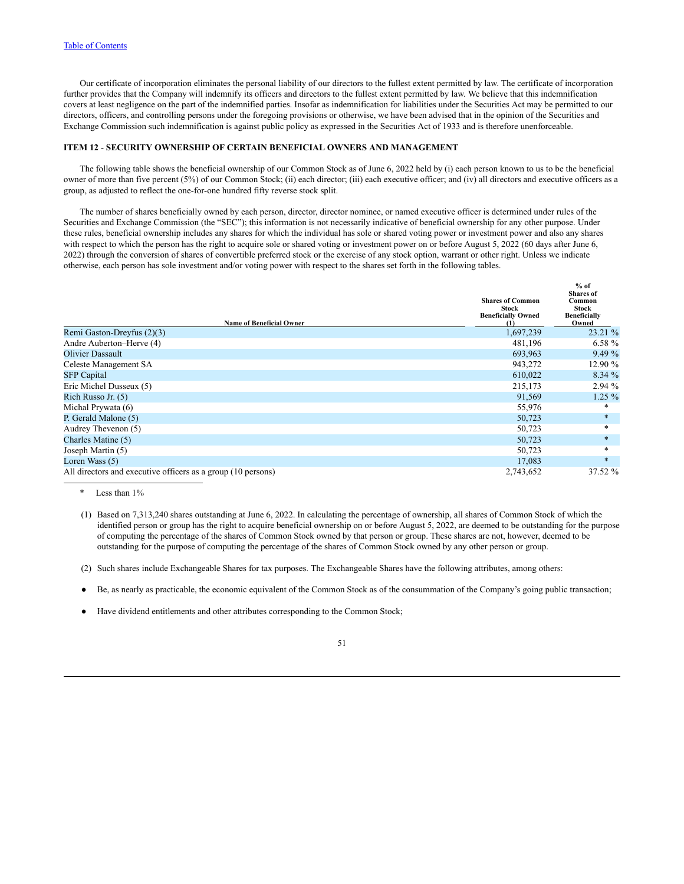Our certificate of incorporation eliminates the personal liability of our directors to the fullest extent permitted by law. The certificate of incorporation further provides that the Company will indemnify its officers and directors to the fullest extent permitted by law. We believe that this indemnification covers at least negligence on the part of the indemnified parties. Insofar as indemnification for liabilities under the Securities Act may be permitted to our directors, officers, and controlling persons under the foregoing provisions or otherwise, we have been advised that in the opinion of the Securities and Exchange Commission such indemnification is against public policy as expressed in the Securities Act of 1933 and is therefore unenforceable.

# **ITEM 12** - **SECURITY OWNERSHIP OF CERTAIN BENEFICIAL OWNERS AND MANAGEMENT**

The following table shows the beneficial ownership of our Common Stock as of June 6, 2022 held by (i) each person known to us to be the beneficial owner of more than five percent (5%) of our Common Stock; (ii) each director; (iii) each executive officer; and (iv) all directors and executive officers as a group, as adjusted to reflect the one-for-one hundred fifty reverse stock split.

The number of shares beneficially owned by each person, director, director nominee, or named executive officer is determined under rules of the Securities and Exchange Commission (the "SEC"); this information is not necessarily indicative of beneficial ownership for any other purpose. Under these rules, beneficial ownership includes any shares for which the individual has sole or shared voting power or investment power and also any shares with respect to which the person has the right to acquire sole or shared voting or investment power on or before August 5, 2022 (60 days after June 6, 2022) through the conversion of shares of convertible preferred stock or the exercise of any stock option, warrant or other right. Unless we indicate otherwise, each person has sole investment and/or voting power with respect to the shares set forth in the following tables.

**% of**

| <b>Name of Beneficial Owner</b>                              | <b>Shares of Common</b><br><b>Stock</b><br><b>Beneficially Owned</b> | 70 VI<br><b>Shares</b> of<br>Common<br>Stock<br><b>Beneficially</b><br>Owned |
|--------------------------------------------------------------|----------------------------------------------------------------------|------------------------------------------------------------------------------|
| Remi Gaston-Dreyfus (2)(3)                                   | 1,697,239                                                            | 23.21 %                                                                      |
| Andre Auberton–Herve (4)                                     | 481,196                                                              | 6.58 $%$                                                                     |
| Olivier Dassault                                             | 693,963                                                              | 9.49%                                                                        |
| Celeste Management SA                                        | 943,272                                                              | 12.90 %                                                                      |
| <b>SFP</b> Capital                                           | 610,022                                                              | $8.34\%$                                                                     |
| Eric Michel Dusseux (5)                                      | 215,173                                                              | 2.94%                                                                        |
| Rich Russo Jr. (5)                                           | 91,569                                                               | $1.25 \%$                                                                    |
| Michal Prywata (6)                                           | 55,976                                                               | $\ast$                                                                       |
| P. Gerald Malone (5)                                         | 50,723                                                               | $\ast$                                                                       |
| Audrey Thevenon (5)                                          | 50,723                                                               | $\ast$                                                                       |
| Charles Matine (5)                                           | 50,723                                                               | $\ast$                                                                       |
| Joseph Martin (5)                                            | 50,723                                                               | $\ast$                                                                       |
| Loren Wass $(5)$                                             | 17,083                                                               | $\ast$                                                                       |
| All directors and executive officers as a group (10 persons) | 2,743,652                                                            | 37.52 %                                                                      |

Less than 1%

- (1) Based on 7,313,240 shares outstanding at June 6, 2022. In calculating the percentage of ownership, all shares of Common Stock of which the identified person or group has the right to acquire beneficial ownership on or before August 5, 2022, are deemed to be outstanding for the purpose of computing the percentage of the shares of Common Stock owned by that person or group. These shares are not, however, deemed to be outstanding for the purpose of computing the percentage of the shares of Common Stock owned by any other person or group.
- (2) Such shares include Exchangeable Shares for tax purposes. The Exchangeable Shares have the following attributes, among others:
- Be, as nearly as practicable, the economic equivalent of the Common Stock as of the consummation of the Company's going public transaction;
- Have dividend entitlements and other attributes corresponding to the Common Stock;

<sup>51</sup>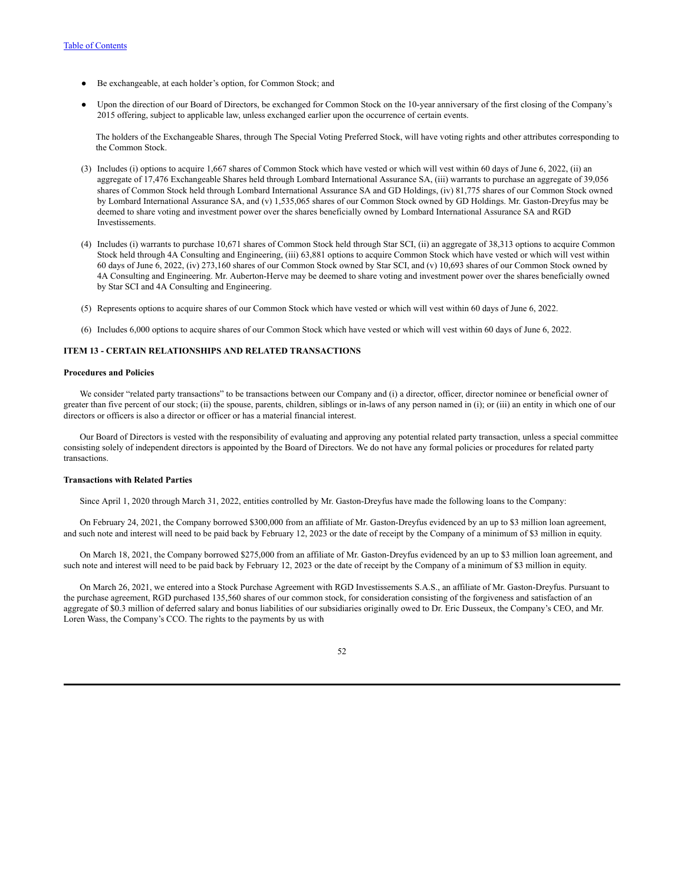- Be exchangeable, at each holder's option, for Common Stock; and
- Upon the direction of our Board of Directors, be exchanged for Common Stock on the 10-year anniversary of the first closing of the Company's 2015 offering, subject to applicable law, unless exchanged earlier upon the occurrence of certain events.

The holders of the Exchangeable Shares, through The Special Voting Preferred Stock, will have voting rights and other attributes corresponding to the Common Stock.

- (3) Includes (i) options to acquire 1,667 shares of Common Stock which have vested or which will vest within 60 days of June 6, 2022, (ii) an aggregate of 17,476 Exchangeable Shares held through Lombard International Assurance SA, (iii) warrants to purchase an aggregate of 39,056 shares of Common Stock held through Lombard International Assurance SA and GD Holdings, (iv) 81,775 shares of our Common Stock owned by Lombard International Assurance SA, and (v) 1,535,065 shares of our Common Stock owned by GD Holdings. Mr. Gaston-Dreyfus may be deemed to share voting and investment power over the shares beneficially owned by Lombard International Assurance SA and RGD Investissements.
- (4) Includes (i) warrants to purchase 10,671 shares of Common Stock held through Star SCI, (ii) an aggregate of 38,313 options to acquire Common Stock held through 4A Consulting and Engineering, (iii) 63,881 options to acquire Common Stock which have vested or which will vest within 60 days of June 6, 2022, (iv) 273,160 shares of our Common Stock owned by Star SCI, and (v) 10,693 shares of our Common Stock owned by 4A Consulting and Engineering. Mr. Auberton-Herve may be deemed to share voting and investment power over the shares beneficially owned by Star SCI and 4A Consulting and Engineering.
- (5) Represents options to acquire shares of our Common Stock which have vested or which will vest within 60 days of June 6, 2022.
- (6) Includes 6,000 options to acquire shares of our Common Stock which have vested or which will vest within 60 days of June 6, 2022.

# **ITEM 13 - CERTAIN RELATIONSHIPS AND RELATED TRANSACTIONS**

# **Procedures and Policies**

We consider "related party transactions" to be transactions between our Company and (i) a director, officer, director nominee or beneficial owner of greater than five percent of our stock; (ii) the spouse, parents, children, siblings or in-laws of any person named in (i); or (iii) an entity in which one of our directors or officers is also a director or officer or has a material financial interest.

Our Board of Directors is vested with the responsibility of evaluating and approving any potential related party transaction, unless a special committee consisting solely of independent directors is appointed by the Board of Directors. We do not have any formal policies or procedures for related party transactions.

# **Transactions with Related Parties**

Since April 1, 2020 through March 31, 2022, entities controlled by Mr. Gaston-Dreyfus have made the following loans to the Company:

On February 24, 2021, the Company borrowed \$300,000 from an affiliate of Mr. Gaston-Dreyfus evidenced by an up to \$3 million loan agreement, and such note and interest will need to be paid back by February 12, 2023 or the date of receipt by the Company of a minimum of \$3 million in equity.

On March 18, 2021, the Company borrowed \$275,000 from an affiliate of Mr. Gaston-Dreyfus evidenced by an up to \$3 million loan agreement, and such note and interest will need to be paid back by February 12, 2023 or the date of receipt by the Company of a minimum of \$3 million in equity.

On March 26, 2021, we entered into a Stock Purchase Agreement with RGD Investissements S.A.S., an affiliate of Mr. Gaston-Dreyfus. Pursuant to the purchase agreement, RGD purchased 135,560 shares of our common stock, for consideration consisting of the forgiveness and satisfaction of an aggregate of \$0.3 million of deferred salary and bonus liabilities of our subsidiaries originally owed to Dr. Eric Dusseux, the Company's CEO, and Mr. Loren Wass, the Company's CCO. The rights to the payments by us with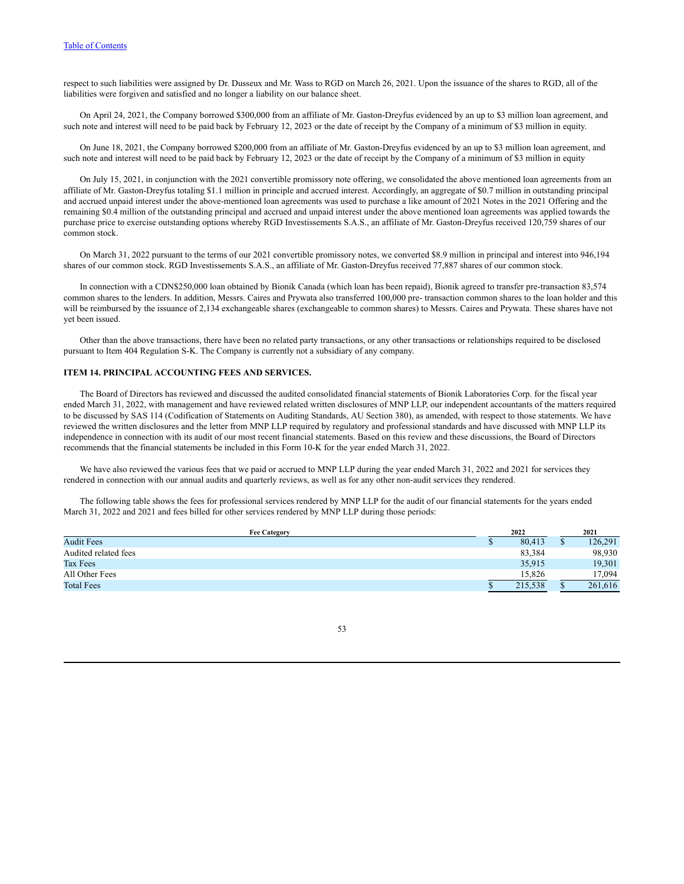respect to such liabilities were assigned by Dr. Dusseux and Mr. Wass to RGD on March 26, 2021. Upon the issuance of the shares to RGD, all of the liabilities were forgiven and satisfied and no longer a liability on our balance sheet.

On April 24, 2021, the Company borrowed \$300,000 from an affiliate of Mr. Gaston-Dreyfus evidenced by an up to \$3 million loan agreement, and such note and interest will need to be paid back by February 12, 2023 or the date of receipt by the Company of a minimum of \$3 million in equity.

On June 18, 2021, the Company borrowed \$200,000 from an affiliate of Mr. Gaston-Dreyfus evidenced by an up to \$3 million loan agreement, and such note and interest will need to be paid back by February 12, 2023 or the date of receipt by the Company of a minimum of \$3 million in equity

On July 15, 2021, in conjunction with the 2021 convertible promissory note offering, we consolidated the above mentioned loan agreements from an affiliate of Mr. Gaston-Dreyfus totaling \$1.1 million in principle and accrued interest. Accordingly, an aggregate of \$0.7 million in outstanding principal and accrued unpaid interest under the above-mentioned loan agreements was used to purchase a like amount of 2021 Notes in the 2021 Offering and the remaining \$0.4 million of the outstanding principal and accrued and unpaid interest under the above mentioned loan agreements was applied towards the purchase price to exercise outstanding options whereby RGD Investissements S.A.S., an affiliate of Mr. Gaston-Dreyfus received 120,759 shares of our common stock.

On March 31, 2022 pursuant to the terms of our 2021 convertible promissory notes, we converted \$8.9 million in principal and interest into 946,194 shares of our common stock. RGD Investissements S.A.S., an affiliate of Mr. Gaston-Dreyfus received 77,887 shares of our common stock.

In connection with a CDN\$250,000 loan obtained by Bionik Canada (which loan has been repaid), Bionik agreed to transfer pre-transaction 83,574 common shares to the lenders. In addition, Messrs. Caires and Prywata also transferred 100,000 pre- transaction common shares to the loan holder and this will be reimbursed by the issuance of 2,134 exchangeable shares (exchangeable to common shares) to Messrs. Caires and Prywata. These shares have not yet been issued.

Other than the above transactions, there have been no related party transactions, or any other transactions or relationships required to be disclosed pursuant to Item 404 Regulation S-K. The Company is currently not a subsidiary of any company.

# **ITEM 14. PRINCIPAL ACCOUNTING FEES AND SERVICES.**

The Board of Directors has reviewed and discussed the audited consolidated financial statements of Bionik Laboratories Corp. for the fiscal year ended March 31, 2022, with management and have reviewed related written disclosures of MNP LLP, our independent accountants of the matters required to be discussed by SAS 114 (Codification of Statements on Auditing Standards, AU Section 380), as amended, with respect to those statements. We have reviewed the written disclosures and the letter from MNP LLP required by regulatory and professional standards and have discussed with MNP LLP its independence in connection with its audit of our most recent financial statements. Based on this review and these discussions, the Board of Directors recommends that the financial statements be included in this Form 10-K for the year ended March 31, 2022.

We have also reviewed the various fees that we paid or accrued to MNP LLP during the year ended March 31, 2022 and 2021 for services they rendered in connection with our annual audits and quarterly reviews, as well as for any other non-audit services they rendered.

The following table shows the fees for professional services rendered by MNP LLP for the audit of our financial statements for the years ended March 31, 2022 and 2021 and fees billed for other services rendered by MNP LLP during those periods:

| <b>Fee Category</b>  |   | 2022    | 2021    |
|----------------------|---|---------|---------|
| <b>Audit Fees</b>    | w | 80,413  | 126,291 |
| Audited related fees |   | 83,384  | 98,930  |
| Tax Fees             |   | 35,915  | 19,301  |
| All Other Fees       |   | 15.826  | 17.094  |
| <b>Total Fees</b>    |   | 215.538 | 261,616 |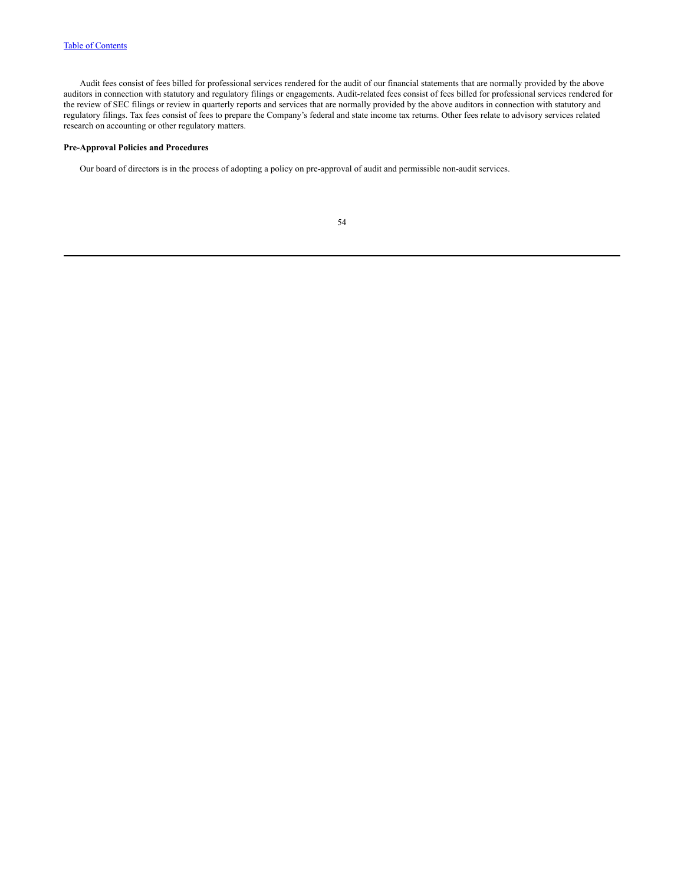Audit fees consist of fees billed for professional services rendered for the audit of our financial statements that are normally provided by the above auditors in connection with statutory and regulatory filings or engagements. Audit-related fees consist of fees billed for professional services rendered for the review of SEC filings or review in quarterly reports and services that are normally provided by the above auditors in connection with statutory and regulatory filings. Tax fees consist of fees to prepare the Company's federal and state income tax returns. Other fees relate to advisory services related research on accounting or other regulatory matters.

# **Pre-Approval Policies and Procedures**

Our board of directors is in the process of adopting a policy on pre-approval of audit and permissible non-audit services.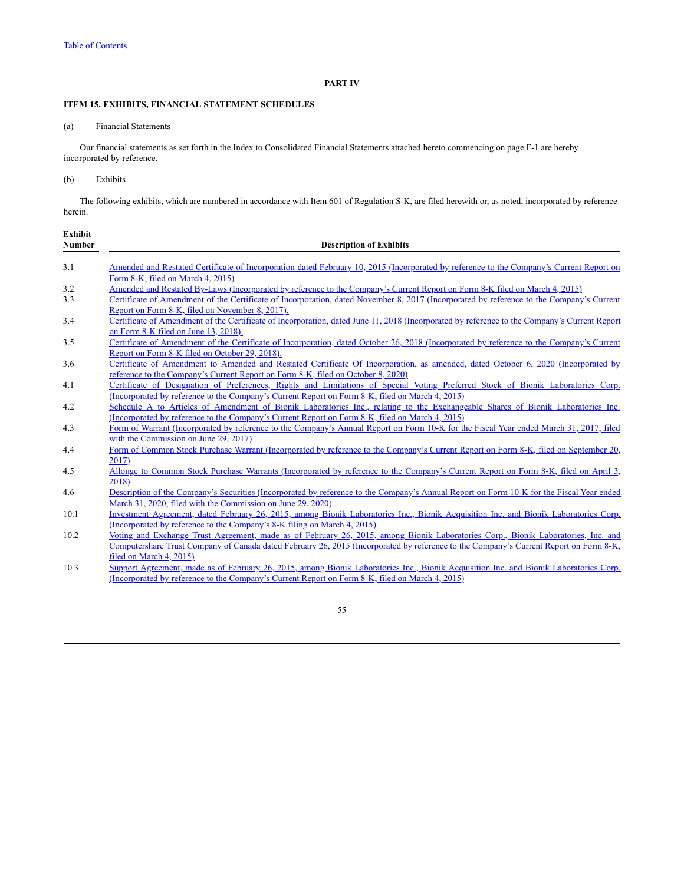# **PART IV**

# **ITEM 15. EXHIBITS, FINANCIAL STATEMENT SCHEDULES**

(a) Financial Statements

Our financial statements as set forth in the Index to Consolidated Financial Statements attached hereto commencing on page F-1 are hereby incorporated by reference.

# (b) Exhibits

The following exhibits, which are numbered in accordance with Item 601 of Regulation S-K, are filed herewith or, as noted, incorporated by reference herein.

| <b>Exhibit</b> |                                                                                                                                                                              |
|----------------|------------------------------------------------------------------------------------------------------------------------------------------------------------------------------|
| Number         | <b>Description of Exhibits</b>                                                                                                                                               |
| 3.1            | Amended and Restated Certificate of Incorporation dated February 10, 2015 (Incorporated by reference to the Company's Current Report on<br>Form 8-K, filed on March 4, 2015) |
| 3.2            | Amended and Restated By-Laws (Incorporated by reference to the Company's Current Report on Form 8-K filed on March 4, 2015)                                                  |
| 3.3            | Certificate of Amendment of the Certificate of Incorporation, dated November 8, 2017 (Incorporated by reference to the Company's Current                                     |
|                | Report on Form 8-K, filed on November 8, 2017).                                                                                                                              |
| 3.4            | Certificate of Amendment of the Certificate of Incorporation, dated June 11, 2018 (Incorporated by reference to the Company's Current Report                                 |
|                | on Form 8-K filed on June 13, 2018).                                                                                                                                         |
| 3.5            | Certificate of Amendment of the Certificate of Incorporation, dated October 26, 2018 (Incorporated by reference to the Company's Current                                     |
|                | Report on Form 8-K filed on October 29, 2018).                                                                                                                               |
| 3.6            | Certificate of Amendment to Amended and Restated Certificate Of Incorporation, as amended, dated October 6, 2020 (Incorporated by                                            |
|                | reference to the Company's Current Report on Form 8-K, filed on October 8, 2020)                                                                                             |
| 4.1            | Certificate of Designation of Preferences, Rights and Limitations of Special Voting Preferred Stock of Bionik Laboratories Corp.                                             |
|                | (Incorporated by reference to the Company's Current Report on Form 8-K, filed on March 4, 2015)                                                                              |
| 4.2            | Schedule A to Articles of Amendment of Bionik Laboratories Inc., relating to the Exchangeable Shares of Bionik Laboratories Inc.                                             |
|                | <u>(Incorporated by reference to the Company's Current Report on Form 8-K, filed on March 4, 2015)</u>                                                                       |
| 4.3            | Form of Warrant (Incorporated by reference to the Company's Annual Report on Form 10-K for the Fiscal Year ended March 31, 2017, filed                                       |
|                | with the Commission on June 29, 2017)                                                                                                                                        |
| 4.4            | Form of Common Stock Purchase Warrant (Incorporated by reference to the Company's Current Report on Form 8-K, filed on September 20,                                         |
|                | 2017                                                                                                                                                                         |
| 4.5            | Allonge to Common Stock Purchase Warrants (Incorporated by reference to the Company's Current Report on Form 8-K, filed on April 3,                                          |
|                | 2018)                                                                                                                                                                        |
| 4.6            | Description of the Company's Securities (Incorporated by reference to the Company's Annual Report on Form 10-K for the Fiscal Year ended                                     |
|                | March 31, 2020, filed with the Commission on June 29, 2020)                                                                                                                  |
| 10.1           | Investment Agreement, dated February 26, 2015, among Bionik Laboratories Inc., Bionik Acquisition Inc. and Bionik Laboratories Corp.                                         |
|                | (Incorporated by reference to the Company's 8-K filing on March 4, 2015)                                                                                                     |
| 10.2           | Voting and Exchange Trust Agreement, made as of February 26, 2015, among Bionik Laboratories Corp., Bionik Laboratories, Inc. and                                            |
|                | Computershare Trust Company of Canada dated February 26, 2015 (Incorporated by reference to the Company's Current Report on Form 8-K,                                        |
|                | filed on March 4, 2015)                                                                                                                                                      |
| 10.3           | Support Agreement, made as of February 26, 2015, among Bionik Laboratories Inc., Bionik Acquisition Inc. and Bionik Laboratories Corp.                                       |
|                | (Incorporated by reference to the Company's Current Report on Form 8-K, filed on March 4, 2015)                                                                              |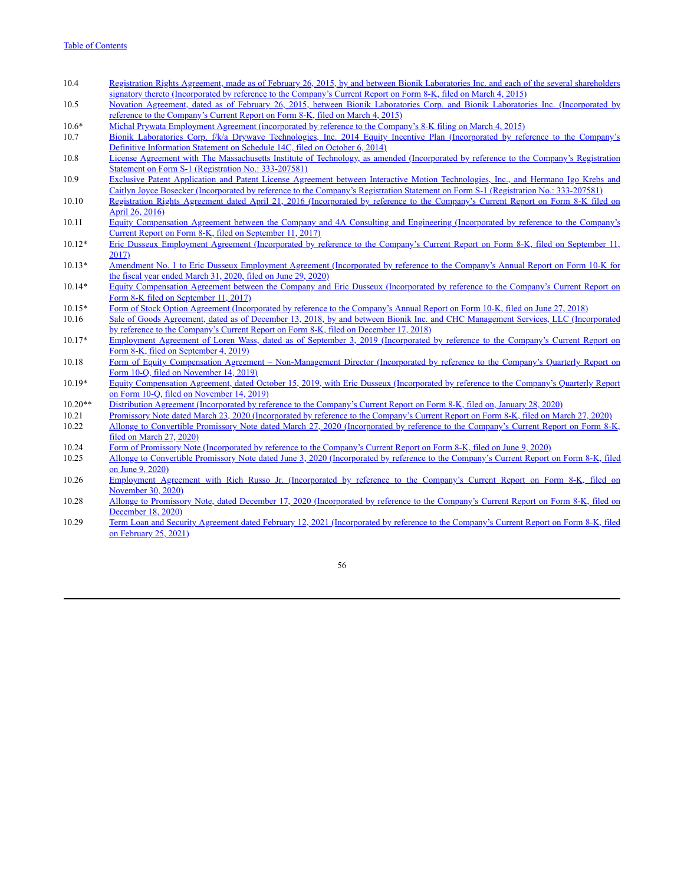10.4 Registration Rights Agreement, made as of February 26, 2015, by and between Bionik Laboratories Inc. and each of the several shareholders signatory thereto [\(Incorporated](https://www.sec.gov/Archives/edgar/data/1508381/000114420415014033/v403184_ex10-4.htm) by reference to the Company's Current Report on Form 8-K, filed on March 4, 2015)

10.5 Novation Agreement, dated as of February 26, 2015, between Bionik Laboratories Corp. and Bionik Laboratories Inc. [\(Incorporated](https://www.sec.gov/Archives/edgar/data/1508381/000114420415014033/v403184_ex10-5.htm) by reference to the Company's Current Report on Form 8-K, filed on March 4, 2015)

10.6\* Michal Prywata Employment Agreement [\(incorporated](https://www.sec.gov/Archives/edgar/data/1508381/000114420415014033/v403184_ex10-10.htm) by reference to the Company's 8-K filing on March 4, 2015)

10.7 Bionik Laboratories Corp. f/k/a Drywave [Technologies,](https://www.sec.gov/Archives/edgar/data/1508381/000100944814000051/drywavedef14c.htm) Inc. 2014 Equity Incentive Plan (Incorporated by reference to the Company's Definitive Information Statement on Schedule 14C, filed on October 6, 2014)

- 10.8 License Agreement with The [Massachusetts](https://www.sec.gov/Archives/edgar/data/1508381/000114420416113601/v444086_ex10-14.htm) Institute of Technology, as amended (Incorporated by reference to the Company's Registration Statement on Form S-1 (Registration No.: 333-207581)
- 10.9 Exclusive Patent Application and Patent License Agreement between Interactive Motion [Technologies,](https://www.sec.gov/Archives/edgar/data/1508381/000114420416113601/v444086_ex10-15.htm) Inc., and Hermano Igo Krebs and Caitlyn Joyce Bosecker (Incorporated by reference to the Company's Registration Statement on Form S-1 (Registration No.: 333-207581)
- 10.10 Registration Rights Agreement dated April 21, 2016 [\(Incorporated](https://www.sec.gov/Archives/edgar/data/1508381/000114420416096398/v437968_ex10-2.htm) by reference to the Company's Current Report on Form 8-K filed on April 26, 2016)
- 10.11 Equity [Compensation](https://www.sec.gov/Archives/edgar/data/1508381/000114420417047348/v474865_ex10-1.htm) Agreement between the Company and 4A Consulting and Engineering (Incorporated by reference to the Company's Current Report on Form 8-K, filed on September 11, 2017)
- 10.12\* Eric Dusseux Employment Agreement [\(Incorporated](https://www.sec.gov/Archives/edgar/data/1508381/000114420417047348/v474865_ex10-4.htm) by reference to the Company's Current Report on Form 8-K, filed on September 11, 2017)
- 10.13\* Amendment No. 1 to Eric Dusseux Employment Agreement [\(Incorporated](https://www.sec.gov/Archives/edgar/data/1508381/000110465920078067/tm2015431d1_ex10-18.htm) by reference to the Company's Annual Report on Form 10-K for the fiscal year ended March 31, 2020, filed on June 29, 2020)
- 10.14\* Equity [Compensation](https://www.sec.gov/Archives/edgar/data/1508381/000114420417047348/v474865_ex10-5.htm) Agreement between the Company and Eric Dusseux (Incorporated by reference to the Company's Current Report on Form 8-K filed on September 11, 2017)
- 10.15\* Form of Stock Option Agreement [\(Incorporated](https://www.sec.gov/Archives/edgar/data/1508381/000114420418035938/tv496898_ex10-67.htm) by reference to the Company's Annual Report on Form 10-K, filed on June 27, 2018)
- 10.16 Sale of Goods Agreement, dated as of December 13, 2018, by and between Bionik Inc. and CHC Management Services, LLC [\(Incorporated](https://www.sec.gov/Archives/edgar/data/1508381/000114420418064765/tv509222_ex10-1.htm) by reference to the Company's Current Report on Form 8-K, filed on December 17, 2018)
- 10.17\* Employment Agreement of Loren Wass, dated as of September 3, 2019 [\(Incorporated](https://www.sec.gov/Archives/edgar/data/1508381/000114420419043318/tv528800_ex10-1.htm) by reference to the Company's Current Report on Form 8-K, filed on September 4, 2019)
- 10.18 Form of Equity Compensation Agreement [Non-Management](https://www.sec.gov/Archives/edgar/data/1508381/000110465919064039/tm1919505d1_ex10-1.htm) Director (Incorporated by reference to the Company's Quarterly Report on Form 10-Q, filed on November 14, 2019)
- 10.19\* Equity [Compensation](https://www.sec.gov/Archives/edgar/data/1508381/000110465919064039/tm1919505d1_ex10-2.htm) Agreement, dated October 15, 2019, with Eric Dusseux (Incorporated by reference to the Company's Quarterly Report on Form 10-Q, filed on November 14, 2019)
- 10.20\*\* Distribution Agreement [\(Incorporated](https://www.sec.gov/Archives/edgar/data/1508381/000110465920007709/tm205959d1_ex10-1.htm) by reference to the Company's Current Report on Form 8-K, filed on, January 28, 2020)
- 10.21 Promissory Note dated March 23, 2020 [\(Incorporated](https://www.sec.gov/Archives/edgar/data/1508381/000110465920039653/tm2014053d1_ex10-1.htm) by reference to the Company's Current Report on Form 8-K, filed on March 27, 2020)
- 10.22 Allonge to Convertible Promissory Note dated March 27, 2020 [\(Incorporated](https://www.sec.gov/Archives/edgar/data/1508381/000110465920039653/tm2014053d1_ex10-2.htm) by reference to the Company's Current Report on Form 8-K, filed on March 27, 2020)
- 10.24 Form of Promissory Note [\(Incorporated](https://www.sec.gov/Archives/edgar/data/1508381/000110465920071408/tm2022171d1_ex10-2.htm) by reference to the Company's Current Report on Form 8-K, filed on June 9, 2020)
- 10.25 Allonge to Convertible Promissory Note dated June 3, 2020 [\(Incorporated](https://www.sec.gov/Archives/edgar/data/1508381/000110465920071408/tm2022171d1_ex10-3.htm) by reference to the Company's Current Report on Form 8-K, filed on June 9, 2020)
- 10.26 Employment Agreement with Rich Russo Jr. [\(Incorporated](https://www.sec.gov/Archives/edgar/data/1508381/000110465920130230/tm2037264d1_ex10-1.htm) by reference to the Company's Current Report on Form 8-K, filed on November 30, 2020)
- 10.28 Allonge to Promissory Note, dated December 17, 2020 [\(Incorporated](https://www.sec.gov/Archives/edgar/data/1508381/000110465920137215/tm2038858d1_ex10-1.htm) by reference to the Company's Current Report on Form 8-K, filed on December 18, 2020)
- 10.29 Term Loan and Security Agreement dated February 12, 2021 [\(Incorporated](https://www.sec.gov/Archives/edgar/data/1508381/000110465921028336/tm218003d1_ex10-1.htm) by reference to the Company's Current Report on Form 8-K, filed on February 25, 2021)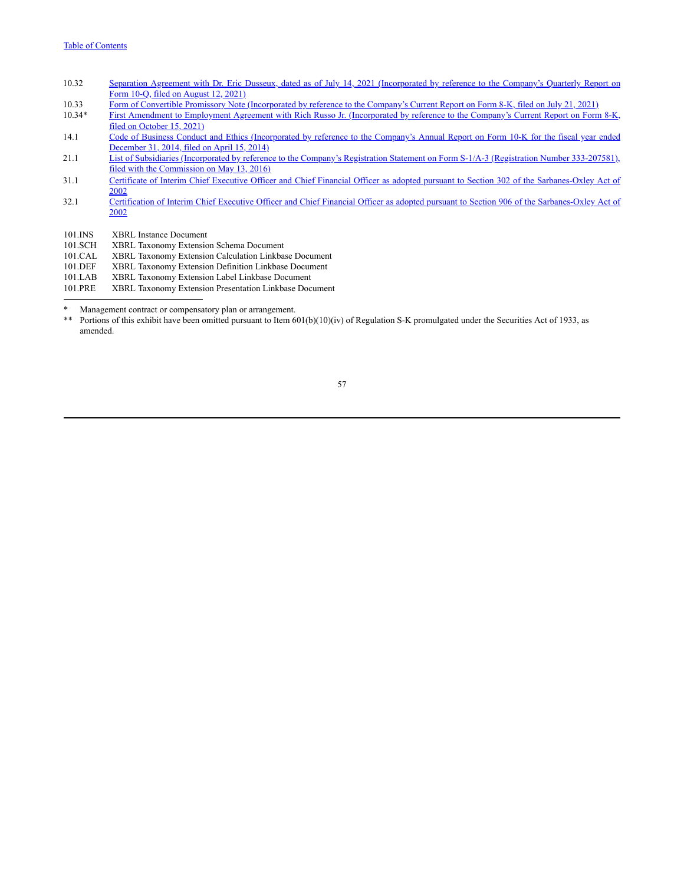- 10.32 Separation Agreement with Dr. Eric Dusseux, dated as of July 14, 2021 [\(Incorporated](https://www.sec.gov/Archives/edgar/data/1508381/000110465921103760/bnkl-20210630xex10d1.htm) by reference to the Company's Quarterly Report on Form 10-Q, filed on August 12, 2021)
- 10.33 Form of Convertible Promissory Note [\(Incorporated](https://www.sec.gov/Archives/edgar/data/1508381/000110465921094432/tm2122863d1_ex10-2.htm) by reference to the Company's Current Report on Form 8-K, filed on July 21, 2021)
- 10.34\* First Amendment to Employment Agreement with Rich Russo Jr. [\(Incorporated](https://www.sec.gov/Archives/edgar/data/1508381/000110465921126792/tm2130158d1_ex10-1.htm) by reference to the Company's Current Report on Form 8-K, filed on October 15, 2021)
- 14.1 Code of Business Conduct and Ethics [\(Incorporated](https://www.sec.gov/Archives/edgar/data/1508381/000101489715000132/exhibit141.htm) by reference to the Company's Annual Report on Form 10-K for the fiscal year ended December 31, 2014, filed on April 15, 2014)
- 21.1 List of Subsidiaries [\(Incorporated](https://www.sec.gov/Archives/edgar/data/1508381/000114420416101933/v439414_ex21-1.htm) by reference to the Company's Registration Statement on Form S-1/A-3 (Registration Number 333-207581), filed with the Commission on May 13, 2016)
- 31.1 Certificate of Interim Chief Executive Officer and Chief Financial Officer as adopted pursuant to Section 302 of the [Sarbanes-Oxley](https://s3.amazonaws.com/content.stockpr.com/bioniklabs/sec/0001410578-22-001865/for_pdf/bnkl-20220331xex31d1.htm) Act of 2002
- 32.1 Certification of Interim Chief Executive Officer and Chief Financial Officer as adopted pursuant to Section 906 of the [Sarbanes-Oxley](https://s3.amazonaws.com/content.stockpr.com/bioniklabs/sec/0001410578-22-001865/for_pdf/bnkl-20220331xex32d1.htm) Act of 2002

- 101.SCH XBRL Taxonomy Extension Schema Document
- 101.CAL XBRL Taxonomy Extension Calculation Linkbase Document
- 101.DEF XBRL Taxonomy Extension Definition Linkbase Document<br>101.LAB XBRL Taxonomy Extension Label Linkbase Document
- XBRL Taxonomy Extension Label Linkbase Document
- 101.PRE XBRL Taxonomy Extension Presentation Linkbase Document

\*\* Portions of this exhibit have been omitted pursuant to Item 601(b)(10)(iv) of Regulation S-K promulgated under the Securities Act of 1933, as amended.

<sup>101.</sup>INS XBRL Instance Document

<sup>\*</sup> Management contract or compensatory plan or arrangement.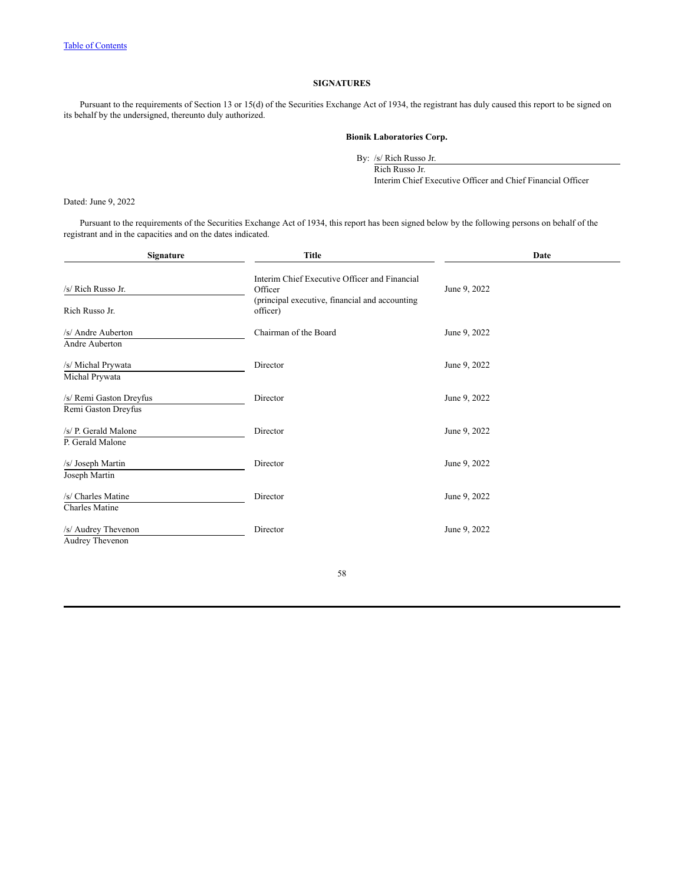# **SIGNATURES**

Pursuant to the requirements of Section 13 or 15(d) of the Securities Exchange Act of 1934, the registrant has duly caused this report to be signed on its behalf by the undersigned, thereunto duly authorized.

# **Bionik Laboratories Corp.**

By: /s/ Rich Russo Jr.

Rich Russo Jr. Interim Chief Executive Officer and Chief Financial Officer

Dated: June 9, 2022

Pursuant to the requirements of the Securities Exchange Act of 1934, this report has been signed below by the following persons on behalf of the registrant and in the capacities and on the dates indicated.

| Signature                                      | <b>Title</b>                                                                                                           | Date         |  |  |  |
|------------------------------------------------|------------------------------------------------------------------------------------------------------------------------|--------------|--|--|--|
| /s/ Rich Russo Jr.<br>Rich Russo Jr.           | Interim Chief Executive Officer and Financial<br>Officer<br>(principal executive, financial and accounting<br>officer) | June 9, 2022 |  |  |  |
| /s/ Andre Auberton<br>Andre Auberton           | Chairman of the Board                                                                                                  | June 9, 2022 |  |  |  |
| /s/ Michal Prywata<br>Michal Prywata           | Director                                                                                                               | June 9, 2022 |  |  |  |
| /s/ Remi Gaston Dreyfus<br>Remi Gaston Dreyfus | Director                                                                                                               | June 9, 2022 |  |  |  |
| /s/ P. Gerald Malone<br>P. Gerald Malone       | Director                                                                                                               | June 9, 2022 |  |  |  |
| /s/ Joseph Martin<br>Joseph Martin             | Director                                                                                                               | June 9, 2022 |  |  |  |
| /s/ Charles Matine<br>Charles Matine           | Director                                                                                                               | June 9, 2022 |  |  |  |
| /s/ Audrey Thevenon<br>Audrey Thevenon         | Director                                                                                                               | June 9, 2022 |  |  |  |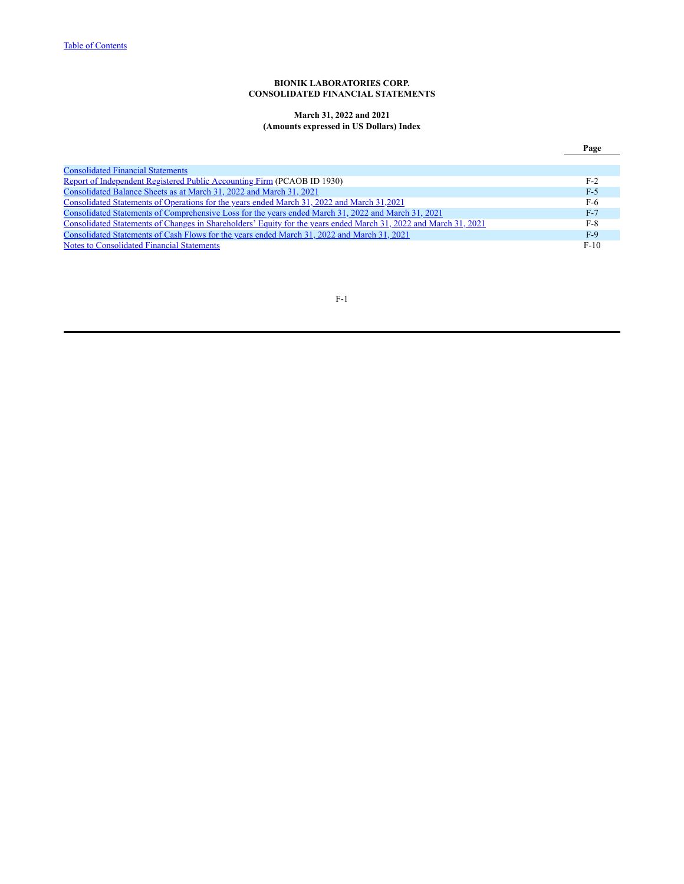### **BIONIK LABORATORIES CORP. CONSOLIDATED FINANCIAL STATEMENTS**

# **March 31, 2022 and 2021 (Amounts expressed in US Dollars) Index**

**Page**

<span id="page-60-0"></span>

| <b>Consolidated Financial Statements</b>                                                                         |        |
|------------------------------------------------------------------------------------------------------------------|--------|
| Report of Independent Registered Public Accounting Firm (PCAOB ID 1930)                                          | $F-2$  |
| Consolidated Balance Sheets as at March 31, 2022 and March 31, 2021                                              | $F-5$  |
| Consolidated Statements of Operations for the years ended March 31, 2022 and March 31, 2021                      | $F-6$  |
| Consolidated Statements of Comprehensive Loss for the years ended March 31, 2022 and March 31, 2021              | $F-7$  |
| Consolidated Statements of Changes in Shareholders' Equity for the years ended March 31, 2022 and March 31, 2021 | $F-8$  |
| Consolidated Statements of Cash Flows for the years ended March 31, 2022 and March 31, 2021                      | $F-9$  |
| <b>Notes to Consolidated Financial Statements</b>                                                                | $F-10$ |
|                                                                                                                  |        |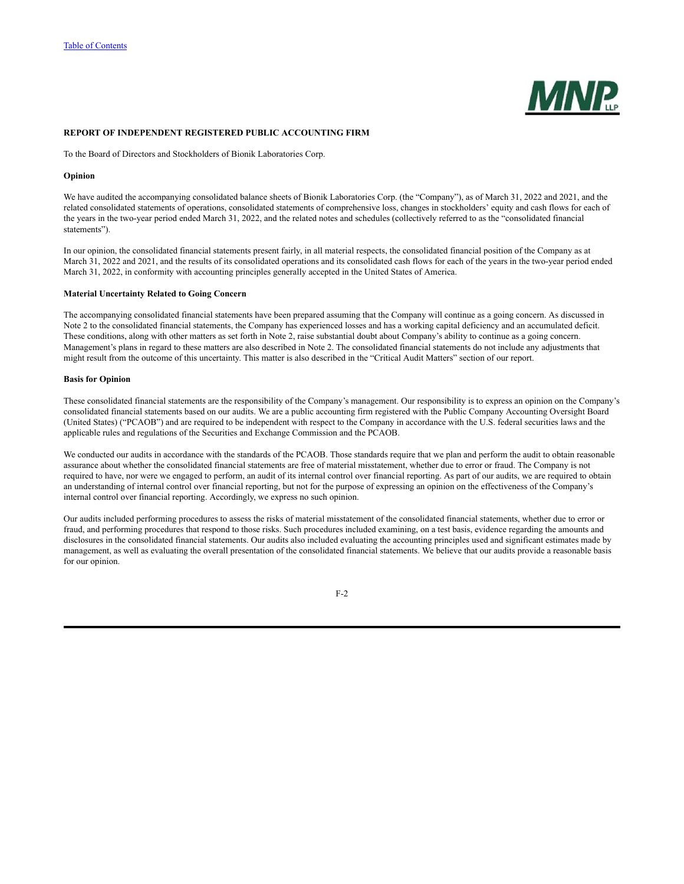

# <span id="page-61-0"></span>**REPORT OF INDEPENDENT REGISTERED PUBLIC ACCOUNTING FIRM**

To the Board of Directors and Stockholders of Bionik Laboratories Corp.

### **Opinion**

We have audited the accompanying consolidated balance sheets of Bionik Laboratories Corp. (the "Company"), as of March 31, 2022 and 2021, and the related consolidated statements of operations, consolidated statements of comprehensive loss, changes in stockholders' equity and cash flows for each of the years in the two-year period ended March 31, 2022, and the related notes and schedules (collectively referred to as the "consolidated financial statements").

In our opinion, the consolidated financial statements present fairly, in all material respects, the consolidated financial position of the Company as at March 31, 2022 and 2021, and the results of its consolidated operations and its consolidated cash flows for each of the years in the two-year period ended March 31, 2022, in conformity with accounting principles generally accepted in the United States of America.

## **Material Uncertainty Related to Going Concern**

The accompanying consolidated financial statements have been prepared assuming that the Company will continue as a going concern. As discussed in Note 2 to the consolidated financial statements, the Company has experienced losses and has a working capital deficiency and an accumulated deficit. These conditions, along with other matters as set forth in Note 2, raise substantial doubt about Company's ability to continue as a going concern. Management's plans in regard to these matters are also described in Note 2. The consolidated financial statements do not include any adjustments that might result from the outcome of this uncertainty. This matter is also described in the "Critical Audit Matters" section of our report.

# **Basis for Opinion**

These consolidated financial statements are the responsibility of the Company's management. Our responsibility is to express an opinion on the Company's consolidated financial statements based on our audits. We are a public accounting firm registered with the Public Company Accounting Oversight Board (United States) ("PCAOB") and are required to be independent with respect to the Company in accordance with the U.S. federal securities laws and the applicable rules and regulations of the Securities and Exchange Commission and the PCAOB.

We conducted our audits in accordance with the standards of the PCAOB. Those standards require that we plan and perform the audit to obtain reasonable assurance about whether the consolidated financial statements are free of material misstatement, whether due to error or fraud. The Company is not required to have, nor were we engaged to perform, an audit of its internal control over financial reporting. As part of our audits, we are required to obtain an understanding of internal control over financial reporting, but not for the purpose of expressing an opinion on the effectiveness of the Company's internal control over financial reporting. Accordingly, we express no such opinion.

Our audits included performing procedures to assess the risks of material misstatement of the consolidated financial statements, whether due to error or fraud, and performing procedures that respond to those risks. Such procedures included examining, on a test basis, evidence regarding the amounts and disclosures in the consolidated financial statements. Our audits also included evaluating the accounting principles used and significant estimates made by management, as well as evaluating the overall presentation of the consolidated financial statements. We believe that our audits provide a reasonable basis for our opinion.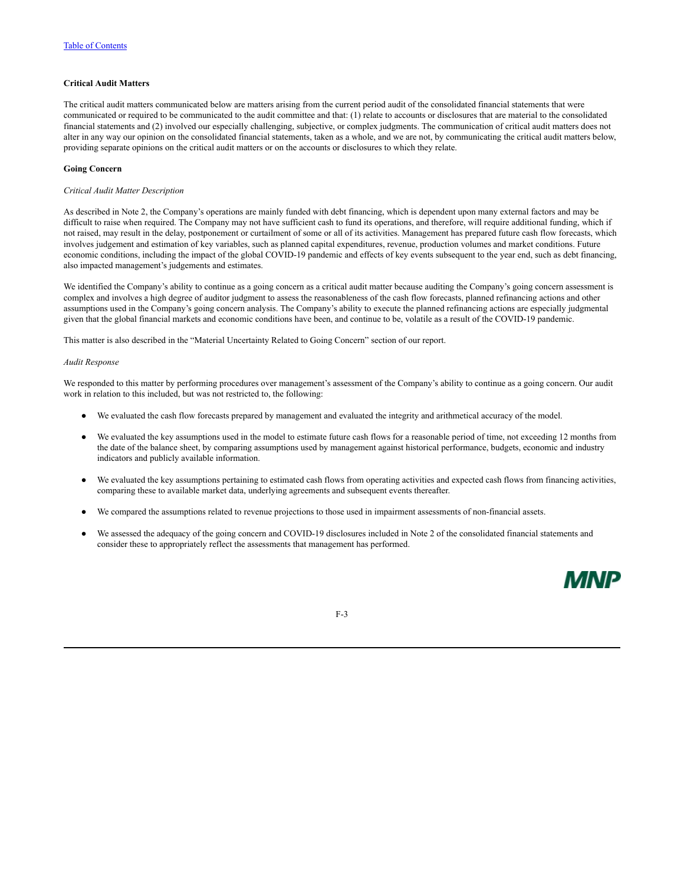# **Critical Audit Matters**

The critical audit matters communicated below are matters arising from the current period audit of the consolidated financial statements that were communicated or required to be communicated to the audit committee and that: (1) relate to accounts or disclosures that are material to the consolidated financial statements and (2) involved our especially challenging, subjective, or complex judgments. The communication of critical audit matters does not alter in any way our opinion on the consolidated financial statements, taken as a whole, and we are not, by communicating the critical audit matters below, providing separate opinions on the critical audit matters or on the accounts or disclosures to which they relate.

### **Going Concern**

### *Critical Audit Matter Description*

As described in Note 2, the Company's operations are mainly funded with debt financing, which is dependent upon many external factors and may be difficult to raise when required. The Company may not have sufficient cash to fund its operations, and therefore, will require additional funding, which if not raised, may result in the delay, postponement or curtailment of some or all of its activities. Management has prepared future cash flow forecasts, which involves judgement and estimation of key variables, such as planned capital expenditures, revenue, production volumes and market conditions. Future economic conditions, including the impact of the global COVID-19 pandemic and effects of key events subsequent to the year end, such as debt financing, also impacted management's judgements and estimates.

We identified the Company's ability to continue as a going concern as a critical audit matter because auditing the Company's going concern assessment is complex and involves a high degree of auditor judgment to assess the reasonableness of the cash flow forecasts, planned refinancing actions and other assumptions used in the Company's going concern analysis. The Company's ability to execute the planned refinancing actions are especially judgmental given that the global financial markets and economic conditions have been, and continue to be, volatile as a result of the COVID-19 pandemic.

This matter is also described in the "Material Uncertainty Related to Going Concern" section of our report.

### *Audit Response*

We responded to this matter by performing procedures over management's assessment of the Company's ability to continue as a going concern. Our audit work in relation to this included, but was not restricted to, the following:

- We evaluated the cash flow forecasts prepared by management and evaluated the integrity and arithmetical accuracy of the model.
- We evaluated the key assumptions used in the model to estimate future cash flows for a reasonable period of time, not exceeding 12 months from the date of the balance sheet, by comparing assumptions used by management against historical performance, budgets, economic and industry indicators and publicly available information.
- We evaluated the key assumptions pertaining to estimated cash flows from operating activities and expected cash flows from financing activities, comparing these to available market data, underlying agreements and subsequent events thereafter.
- We compared the assumptions related to revenue projections to those used in impairment assessments of non-financial assets.
- We assessed the adequacy of the going concern and COVID-19 disclosures included in Note 2 of the consolidated financial statements and consider these to appropriately reflect the assessments that management has performed.

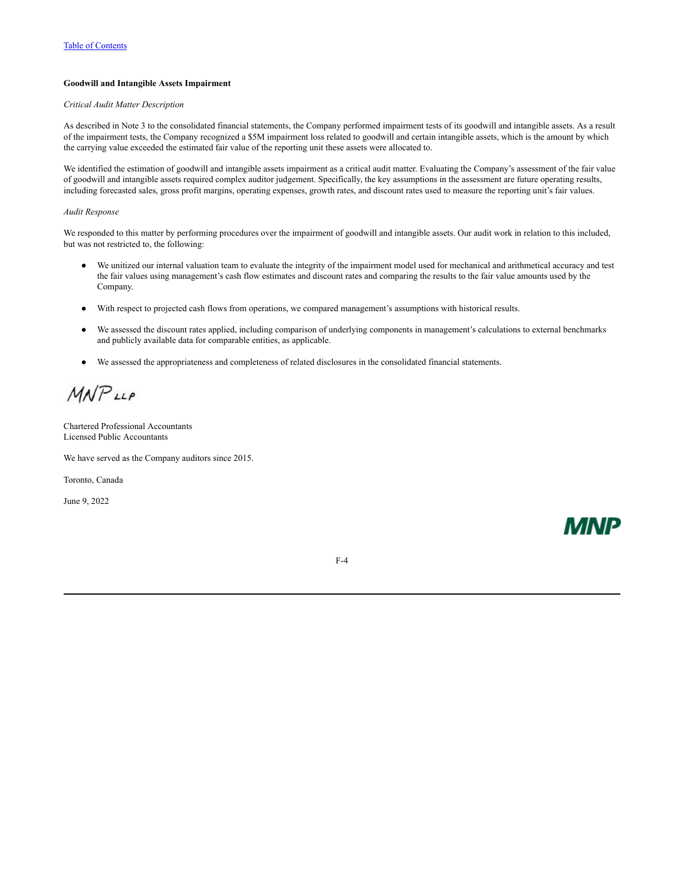# **Goodwill and Intangible Assets Impairment**

# *Critical Audit Matter Description*

As described in Note 3 to the consolidated financial statements, the Company performed impairment tests of its goodwill and intangible assets. As a result of the impairment tests, the Company recognized a \$5M impairment loss related to goodwill and certain intangible assets, which is the amount by which the carrying value exceeded the estimated fair value of the reporting unit these assets were allocated to.

We identified the estimation of goodwill and intangible assets impairment as a critical audit matter. Evaluating the Company's assessment of the fair value of goodwill and intangible assets required complex auditor judgement. Specifically, the key assumptions in the assessment are future operating results, including forecasted sales, gross profit margins, operating expenses, growth rates, and discount rates used to measure the reporting unit's fair values.

# *Audit Response*

We responded to this matter by performing procedures over the impairment of goodwill and intangible assets. Our audit work in relation to this included, but was not restricted to, the following:

- We unitized our internal valuation team to evaluate the integrity of the impairment model used for mechanical and arithmetical accuracy and test the fair values using management's cash flow estimates and discount rates and comparing the results to the fair value amounts used by the Company.
- With respect to projected cash flows from operations, we compared management's assumptions with historical results.
- We assessed the discount rates applied, including comparison of underlying components in management's calculations to external benchmarks and publicly available data for comparable entities, as applicable.
- We assessed the appropriateness and completeness of related disclosures in the consolidated financial statements.

 $MNP$ 

Chartered Professional Accountants Licensed Public Accountants

We have served as the Company auditors since 2015.

Toronto, Canada

June 9, 2022

**MNP**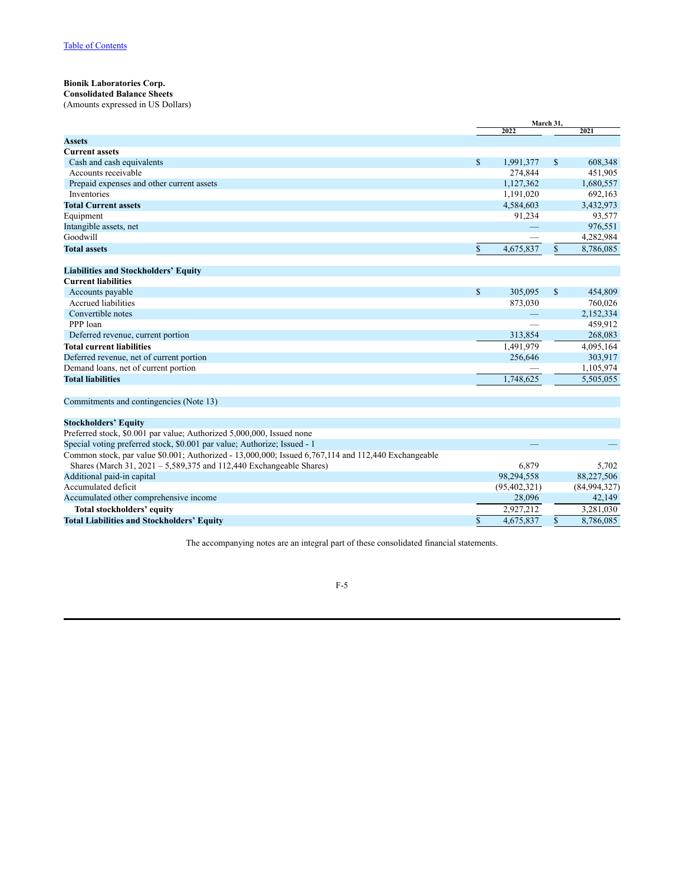# <span id="page-64-0"></span>**Consolidated Balance Sheets**

(Amounts expressed in US Dollars)

|                                                                                                     | March 31, |                |               |              |
|-----------------------------------------------------------------------------------------------------|-----------|----------------|---------------|--------------|
|                                                                                                     |           | 2022           |               | 2021         |
| <b>Assets</b>                                                                                       |           |                |               |              |
| <b>Current assets</b>                                                                               |           |                |               |              |
| Cash and cash equivalents                                                                           | \$        | 1,991,377      | <sup>\$</sup> | 608,348      |
| Accounts receivable                                                                                 |           | 274,844        |               | 451,905      |
| Prepaid expenses and other current assets                                                           |           | 1,127,362      |               | 1,680,557    |
| Inventories                                                                                         |           | 1,191,020      |               | 692,163      |
| <b>Total Current assets</b>                                                                         |           | 4,584,603      |               | 3,432,973    |
| Equipment                                                                                           |           | 91,234         |               | 93,577       |
| Intangible assets, net                                                                              |           |                |               | 976,551      |
| Goodwill                                                                                            |           |                |               | 4,282,984    |
| <b>Total assets</b>                                                                                 | \$        | 4,675,837      | $\mathbf S$   | 8,786,085    |
| <b>Liabilities and Stockholders' Equity</b>                                                         |           |                |               |              |
| <b>Current liabilities</b>                                                                          |           |                |               |              |
| Accounts payable                                                                                    | \$        | 305,095        | $\mathbf S$   | 454,809      |
| <b>Accrued liabilities</b>                                                                          |           | 873,030        |               | 760,026      |
| Convertible notes                                                                                   |           |                |               | 2,152,334    |
| PPP loan                                                                                            |           |                |               | 459,912      |
| Deferred revenue, current portion                                                                   |           | 313,854        |               | 268,083      |
| <b>Total current liabilities</b>                                                                    |           | 1,491,979      |               | 4,095,164    |
| Deferred revenue, net of current portion                                                            |           | 256,646        |               | 303,917      |
| Demand loans, net of current portion                                                                |           |                |               | 1,105,974    |
| <b>Total liabilities</b>                                                                            |           | 1.748.625      |               | 5,505,055    |
| Commitments and contingencies (Note 13)                                                             |           |                |               |              |
|                                                                                                     |           |                |               |              |
| <b>Stockholders' Equity</b>                                                                         |           |                |               |              |
| Preferred stock, \$0.001 par value; Authorized 5,000,000, Issued none                               |           |                |               |              |
| Special voting preferred stock, \$0.001 par value; Authorize; Issued - 1                            |           |                |               |              |
| Common stock, par value \$0.001; Authorized - 13,000,000; Issued 6,767,114 and 112,440 Exchangeable |           |                |               |              |
| Shares (March 31, $2021 - 5,589,375$ and $112,440$ Exchangeable Shares)                             |           | 6,879          |               | 5,702        |
| Additional paid-in capital                                                                          |           | 98,294,558     |               | 88,227,506   |
| Accumulated deficit                                                                                 |           | (95, 402, 321) |               | (84,994,327) |
| Accumulated other comprehensive income                                                              |           | 28,096         |               | 42,149       |
| Total stockholders' equity                                                                          |           | 2,927,212      |               | 3,281,030    |
| <b>Total Liabilities and Stockholders' Equity</b>                                                   | \$        | 4,675,837      | \$.           | 8,786,085    |

The accompanying notes are an integral part of these consolidated financial statements.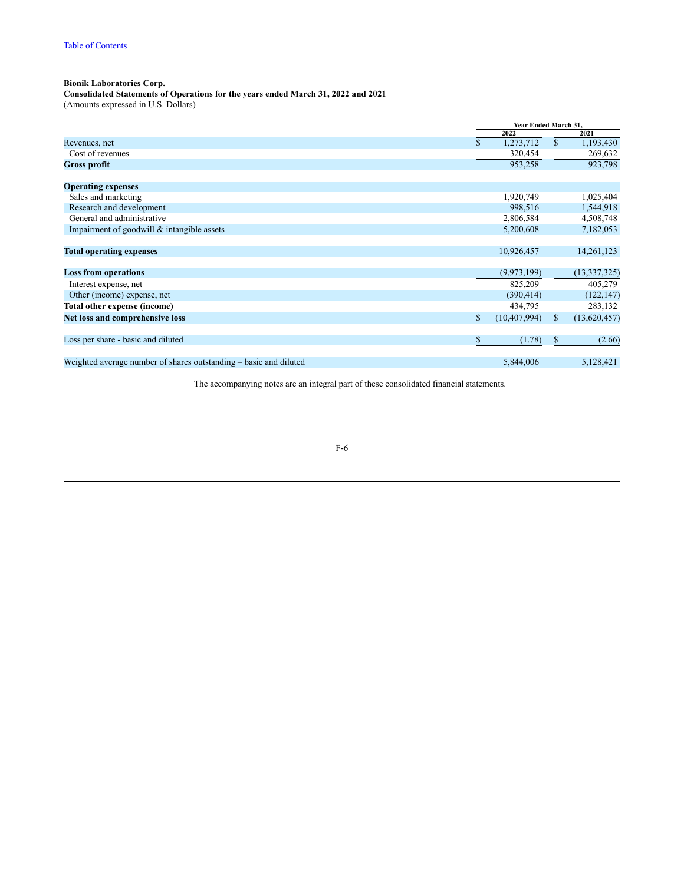### <span id="page-65-0"></span>**Consolidated Statements of Operations for the years ended March 31, 2022 and 2021**

(Amounts expressed in U.S. Dollars)

|                                                                   |    | Year Ended March 31,           |                |  |
|-------------------------------------------------------------------|----|--------------------------------|----------------|--|
|                                                                   |    | 2022                           | 2021           |  |
| Revenues, net                                                     | \$ | $\mathbb{S}$<br>1,273,712      | 1,193,430      |  |
| Cost of revenues                                                  |    | 320,454                        | 269,632        |  |
| <b>Gross profit</b>                                               |    | 953,258                        | 923,798        |  |
| <b>Operating expenses</b>                                         |    |                                |                |  |
| Sales and marketing                                               |    | 1,920,749                      | 1,025,404      |  |
| Research and development                                          |    | 998,516                        | 1,544,918      |  |
| General and administrative                                        |    | 2,806,584                      | 4,508,748      |  |
| Impairment of goodwill $&$ intangible assets                      |    | 5,200,608                      | 7,182,053      |  |
| <b>Total operating expenses</b>                                   |    | 10,926,457                     | 14,261,123     |  |
| <b>Loss from operations</b>                                       |    | (9,973,199)                    | (13, 337, 325) |  |
| Interest expense, net                                             |    | 825,209                        | 405,279        |  |
| Other (income) expense, net                                       |    | (390, 414)                     | (122, 147)     |  |
| Total other expense (income)                                      |    | 434,795                        | 283,132        |  |
| Net loss and comprehensive loss                                   | S  | $\mathbb{S}$<br>(10, 407, 994) | (13,620,457)   |  |
| Loss per share - basic and diluted                                | \$ | (1.78)<br>\$                   | (2.66)         |  |
| Weighted average number of shares outstanding – basic and diluted |    | 5,844,006                      | 5,128,421      |  |

The accompanying notes are an integral part of these consolidated financial statements.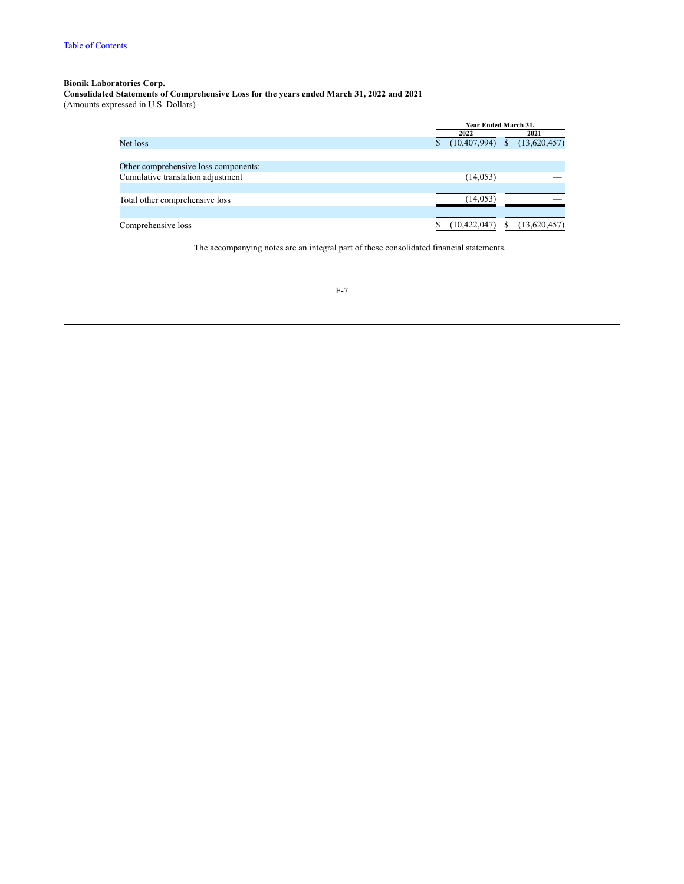<span id="page-66-0"></span>**Consolidated Statements of Comprehensive Loss for the years ended March 31, 2022 and 2021**

(Amounts expressed in U.S. Dollars)

|                                      |                | Year Ended March 31, |  |  |
|--------------------------------------|----------------|----------------------|--|--|
|                                      | 2022           | 2021                 |  |  |
| Net loss                             | (10, 407, 994) | (13,620,457)         |  |  |
|                                      |                |                      |  |  |
| Other comprehensive loss components: |                |                      |  |  |
| Cumulative translation adjustment    | (14, 053)      |                      |  |  |
|                                      |                |                      |  |  |
| Total other comprehensive loss       | (14, 053)      |                      |  |  |
|                                      |                |                      |  |  |
| Comprehensive loss                   | (10, 422, 047) | (13,620,457)         |  |  |
|                                      |                |                      |  |  |

The accompanying notes are an integral part of these consolidated financial statements.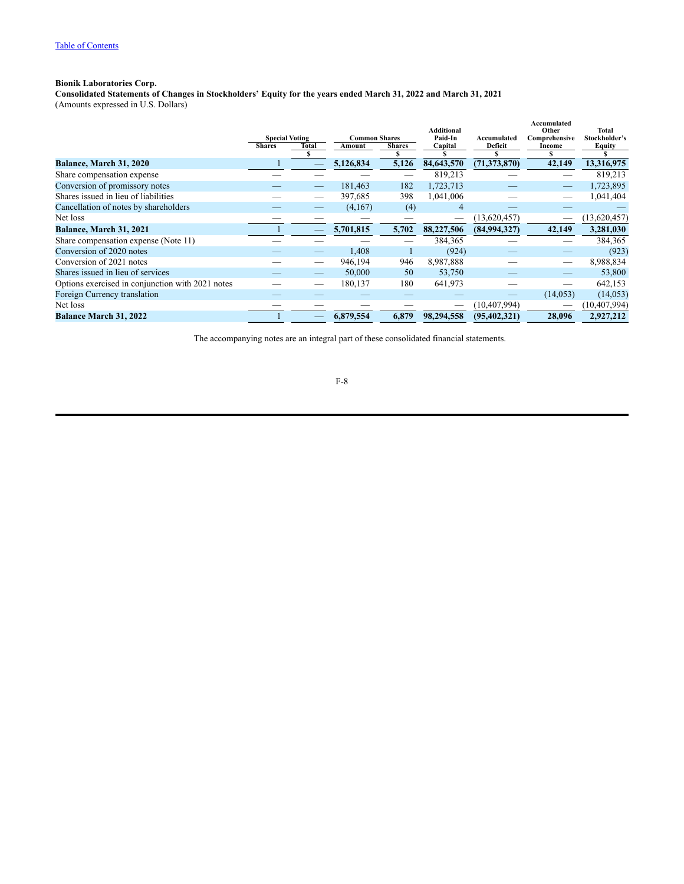<span id="page-67-0"></span>Consolidated Statements of Changes in Stockholders' Equity for the years ended March 31, 2022 and March 31, 2021

(Amounts expressed in U.S. Dollars)

|                                                  |                       |       |                      |               | <b>Additional</b> |                | Accumulated<br>Other          | Total          |
|--------------------------------------------------|-----------------------|-------|----------------------|---------------|-------------------|----------------|-------------------------------|----------------|
|                                                  | <b>Special Voting</b> |       | <b>Common Shares</b> |               | Paid-In           | Accumulated    | Comprehensive                 | Stockholder's  |
|                                                  | <b>Shares</b>         | Total | Amount               | <b>Shares</b> | Capital           | Deficit        | Income                        | Equity         |
| Balance, March 31, 2020                          |                       |       | 5,126,834            | 5,126         | 84,643,570        | (71, 373, 870) | 42,149                        | 13,316,975     |
| Share compensation expense                       |                       |       |                      |               | 819,213           |                |                               | 819,213        |
| Conversion of promissory notes                   |                       |       | 181,463              | 182           | 1,723,713         |                |                               | 1,723,895      |
| Shares issued in lieu of liabilities             |                       | —     | 397,685              | 398           | 1,041,006         |                |                               | 1,041,404      |
| Cancellation of notes by shareholders            |                       |       | (4,167)              | (4)           | $\overline{4}$    |                |                               |                |
| Net loss                                         |                       |       |                      |               |                   | (13,620,457)   | $\overbrace{\phantom{aaaaa}}$ | (13,620,457)   |
| Balance, March 31, 2021                          |                       | -     | 5,701,815            | 5,702         | 88,227,506        | (84,994,327)   | 42,149                        | 3,281,030      |
| Share compensation expense (Note 11)             |                       |       |                      |               | 384,365           |                |                               | 384,365        |
| Conversion of 2020 notes                         |                       |       | 1,408                |               | (924)             |                |                               | (923)          |
| Conversion of 2021 notes                         |                       | --    | 946,194              | 946           | 8,987,888         |                |                               | 8,988,834      |
| Shares issued in lieu of services                |                       | --    | 50,000               | 50            | 53,750            |                |                               | 53,800         |
| Options exercised in conjunction with 2021 notes |                       | --    | 180,137              | 180           | 641,973           |                |                               | 642,153        |
| Foreign Currency translation                     |                       |       |                      |               |                   |                | (14, 053)                     | (14, 053)      |
| Net loss                                         |                       |       |                      |               |                   | (10, 407, 994) |                               | (10, 407, 994) |
| <b>Balance March 31, 2022</b>                    |                       |       | 6,879,554            | 6,879         | 98,294,558        | (95, 402, 321) | 28,096                        | 2,927,212      |

The accompanying notes are an integral part of these consolidated financial statements.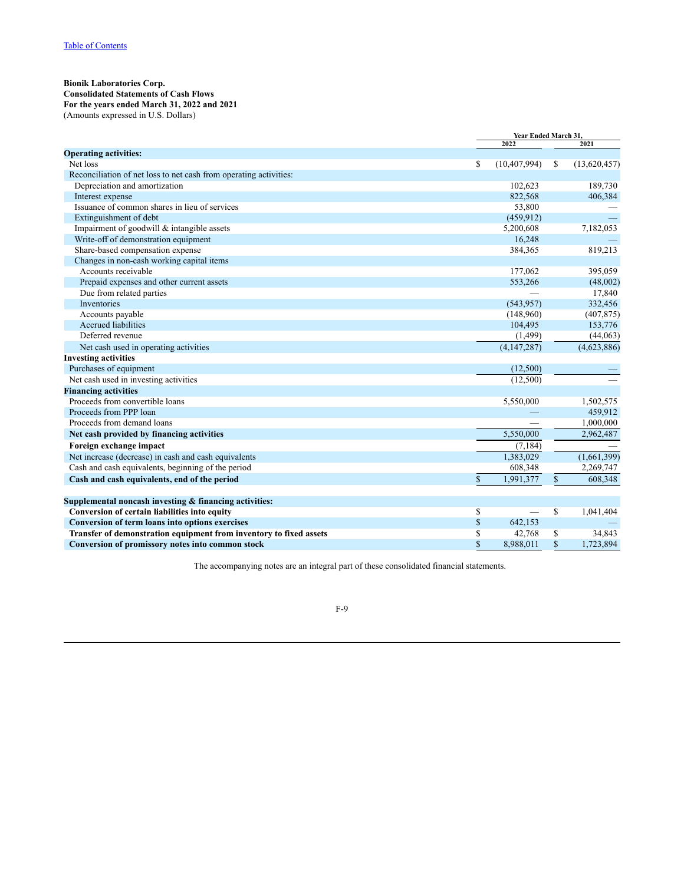# <span id="page-68-0"></span>**Consolidated Statements of Cash Flows**

**For the years ended March 31, 2022 and 2021**

(Amounts expressed in U.S. Dollars)

|                                                                    |              | Year Ended March 31,     |               |              |
|--------------------------------------------------------------------|--------------|--------------------------|---------------|--------------|
|                                                                    |              | 2022                     |               | 2021         |
| <b>Operating activities:</b>                                       |              |                          |               |              |
| Net loss                                                           | \$           | (10, 407, 994)           | <sup>\$</sup> | (13,620,457) |
| Reconciliation of net loss to net cash from operating activities:  |              |                          |               |              |
| Depreciation and amortization                                      |              | 102,623                  |               | 189,730      |
| Interest expense                                                   |              | 822,568                  |               | 406,384      |
| Issuance of common shares in lieu of services                      |              | 53,800                   |               |              |
| Extinguishment of debt                                             |              | (459.912)                |               |              |
| Impairment of goodwill & intangible assets                         |              | 5,200,608                |               | 7,182,053    |
| Write-off of demonstration equipment                               |              | 16,248                   |               |              |
| Share-based compensation expense                                   |              | 384,365                  |               | 819,213      |
| Changes in non-cash working capital items                          |              |                          |               |              |
| Accounts receivable                                                |              | 177,062                  |               | 395,059      |
| Prepaid expenses and other current assets                          |              | 553,266                  |               | (48,002)     |
| Due from related parties                                           |              |                          |               | 17,840       |
| Inventories                                                        |              | (543.957)                |               | 332,456      |
| Accounts payable                                                   |              | (148,960)                |               | (407, 875)   |
| <b>Accrued liabilities</b>                                         |              | 104,495                  |               | 153,776      |
| Deferred revenue                                                   |              | (1, 499)                 |               | (44,063)     |
| Net cash used in operating activities                              |              | (4,147,287)              |               | (4,623,886)  |
| <b>Investing activities</b>                                        |              |                          |               |              |
| Purchases of equipment                                             |              | (12,500)                 |               |              |
| Net cash used in investing activities                              |              | (12,500)                 |               |              |
| <b>Financing activities</b>                                        |              |                          |               |              |
| Proceeds from convertible loans                                    |              | 5,550,000                |               | 1,502,575    |
| Proceeds from PPP loan                                             |              |                          |               | 459,912      |
| Proceeds from demand loans                                         |              |                          |               | 1,000,000    |
| Net cash provided by financing activities                          |              | 5,550,000                |               | 2,962,487    |
| Foreign exchange impact                                            |              | (7, 184)                 |               |              |
| Net increase (decrease) in cash and cash equivalents               |              | 1,383,029                |               | (1,661,399)  |
| Cash and cash equivalents, beginning of the period                 |              | 608,348                  |               | 2,269,747    |
| Cash and cash equivalents, end of the period                       | $\mathbb{S}$ | 1,991,377                | \$            | 608,348      |
|                                                                    |              |                          |               |              |
| Supplemental noncash investing & financing activities:             |              |                          |               |              |
| Conversion of certain liabilities into equity                      | \$           | $\overline{\phantom{0}}$ | \$            | 1,041,404    |
| Conversion of term loans into options exercises                    | \$           | 642,153                  |               |              |
| Transfer of demonstration equipment from inventory to fixed assets | \$           | 42,768                   | \$            | 34,843       |
| <b>Conversion of promissory notes into common stock</b>            | \$           | 8,988,011                | $\mathbb{S}$  | 1,723,894    |

The accompanying notes are an integral part of these consolidated financial statements.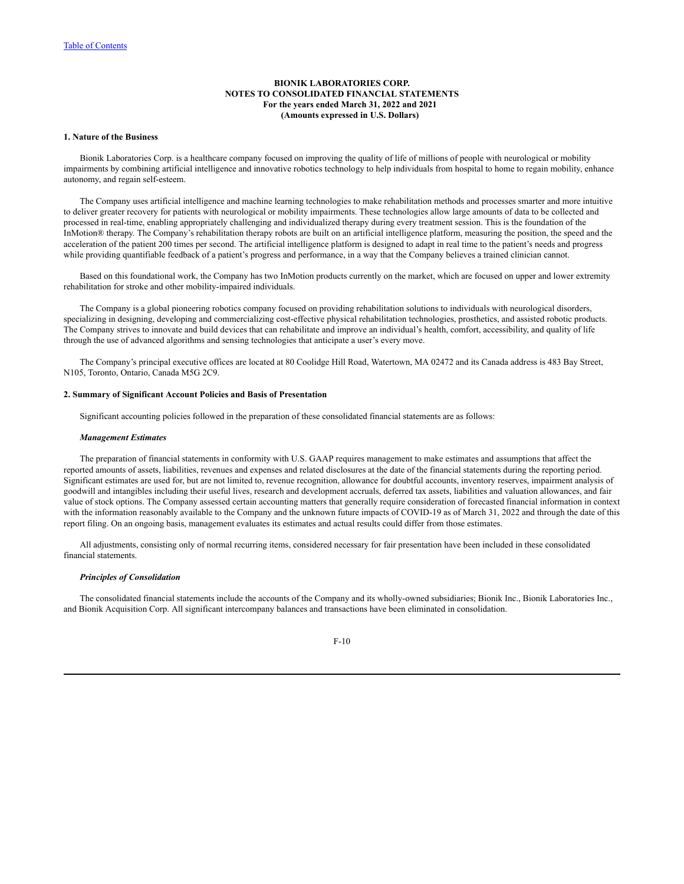# **BIONIK LABORATORIES CORP. NOTES TO CONSOLIDATED FINANCIAL STATEMENTS For the years ended March 31, 2022 and 2021 (Amounts expressed in U.S. Dollars)**

# <span id="page-69-0"></span>**1. Nature of the Business**

Bionik Laboratories Corp. is a healthcare company focused on improving the quality of life of millions of people with neurological or mobility impairments by combining artificial intelligence and innovative robotics technology to help individuals from hospital to home to regain mobility, enhance autonomy, and regain self-esteem.

The Company uses artificial intelligence and machine learning technologies to make rehabilitation methods and processes smarter and more intuitive to deliver greater recovery for patients with neurological or mobility impairments. These technologies allow large amounts of data to be collected and processed in real-time, enabling appropriately challenging and individualized therapy during every treatment session. This is the foundation of the InMotion® therapy. The Company's rehabilitation therapy robots are built on an artificial intelligence platform, measuring the position, the speed and the acceleration of the patient 200 times per second. The artificial intelligence platform is designed to adapt in real time to the patient's needs and progress while providing quantifiable feedback of a patient's progress and performance, in a way that the Company believes a trained clinician cannot.

Based on this foundational work, the Company has two InMotion products currently on the market, which are focused on upper and lower extremity rehabilitation for stroke and other mobility-impaired individuals.

The Company is a global pioneering robotics company focused on providing rehabilitation solutions to individuals with neurological disorders, specializing in designing, developing and commercializing cost-effective physical rehabilitation technologies, prosthetics, and assisted robotic products. The Company strives to innovate and build devices that can rehabilitate and improve an individual's health, comfort, accessibility, and quality of life through the use of advanced algorithms and sensing technologies that anticipate a user's every move.

The Company's principal executive offices are located at 80 Coolidge Hill Road, Watertown, MA 02472 and its Canada address is 483 Bay Street, N105, Toronto, Ontario, Canada M5G 2C9.

# **2. Summary of Significant Account Policies and Basis of Presentation**

Significant accounting policies followed in the preparation of these consolidated financial statements are as follows:

### *Management Estimates*

The preparation of financial statements in conformity with U.S. GAAP requires management to make estimates and assumptions that affect the reported amounts of assets, liabilities, revenues and expenses and related disclosures at the date of the financial statements during the reporting period. Significant estimates are used for, but are not limited to, revenue recognition, allowance for doubtful accounts, inventory reserves, impairment analysis of goodwill and intangibles including their useful lives, research and development accruals, deferred tax assets, liabilities and valuation allowances, and fair value of stock options. The Company assessed certain accounting matters that generally require consideration of forecasted financial information in context with the information reasonably available to the Company and the unknown future impacts of COVID-19 as of March 31, 2022 and through the date of this report filing. On an ongoing basis, management evaluates its estimates and actual results could differ from those estimates.

All adjustments, consisting only of normal recurring items, considered necessary for fair presentation have been included in these consolidated financial statements.

### *Principles of Consolidation*

The consolidated financial statements include the accounts of the Company and its wholly-owned subsidiaries; Bionik Inc., Bionik Laboratories Inc., and Bionik Acquisition Corp. All significant intercompany balances and transactions have been eliminated in consolidation.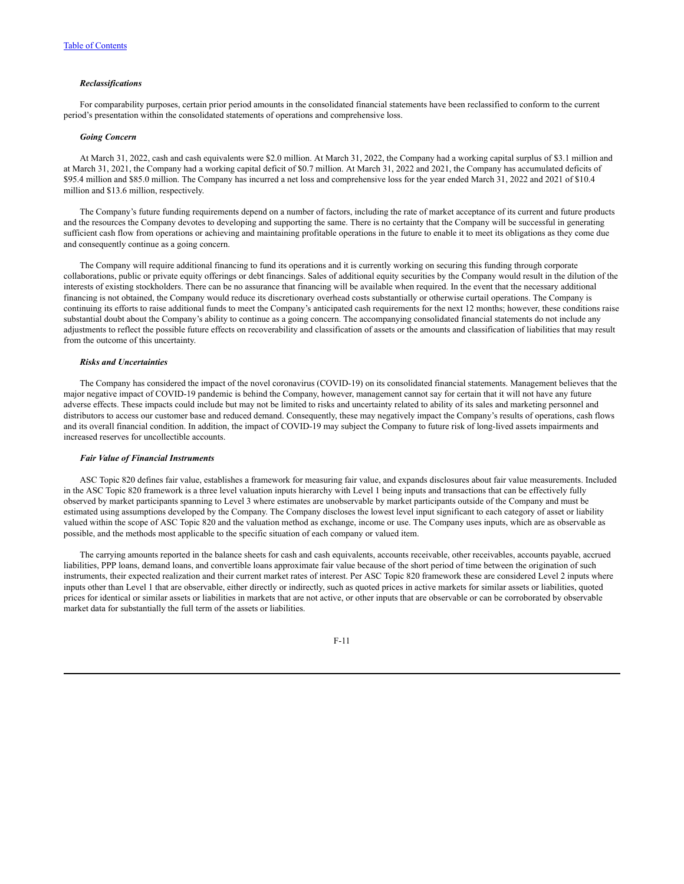# *Reclassifications*

For comparability purposes, certain prior period amounts in the consolidated financial statements have been reclassified to conform to the current period's presentation within the consolidated statements of operations and comprehensive loss.

#### *Going Concern*

At March 31, 2022, cash and cash equivalents were \$2.0 million. At March 31, 2022, the Company had a working capital surplus of \$3.1 million and at March 31, 2021, the Company had a working capital deficit of \$0.7 million. At March 31, 2022 and 2021, the Company has accumulated deficits of \$95.4 million and \$85.0 million. The Company has incurred a net loss and comprehensive loss for the year ended March 31, 2022 and 2021 of \$10.4 million and \$13.6 million, respectively.

The Company's future funding requirements depend on a number of factors, including the rate of market acceptance of its current and future products and the resources the Company devotes to developing and supporting the same. There is no certainty that the Company will be successful in generating sufficient cash flow from operations or achieving and maintaining profitable operations in the future to enable it to meet its obligations as they come due and consequently continue as a going concern.

The Company will require additional financing to fund its operations and it is currently working on securing this funding through corporate collaborations, public or private equity offerings or debt financings. Sales of additional equity securities by the Company would result in the dilution of the interests of existing stockholders. There can be no assurance that financing will be available when required. In the event that the necessary additional financing is not obtained, the Company would reduce its discretionary overhead costs substantially or otherwise curtail operations. The Company is continuing its efforts to raise additional funds to meet the Company's anticipated cash requirements for the next 12 months; however, these conditions raise substantial doubt about the Company's ability to continue as a going concern. The accompanying consolidated financial statements do not include any adjustments to reflect the possible future effects on recoverability and classification of assets or the amounts and classification of liabilities that may result from the outcome of this uncertainty.

### *Risks and Uncertainties*

The Company has considered the impact of the novel coronavirus (COVID-19) on its consolidated financial statements. Management believes that the major negative impact of COVID-19 pandemic is behind the Company, however, management cannot say for certain that it will not have any future adverse effects. These impacts could include but may not be limited to risks and uncertainty related to ability of its sales and marketing personnel and distributors to access our customer base and reduced demand. Consequently, these may negatively impact the Company's results of operations, cash flows and its overall financial condition. In addition, the impact of COVID-19 may subject the Company to future risk of long-lived assets impairments and increased reserves for uncollectible accounts.

### *Fair Value of Financial Instruments*

ASC Topic 820 defines fair value, establishes a framework for measuring fair value, and expands disclosures about fair value measurements. Included in the ASC Topic 820 framework is a three level valuation inputs hierarchy with Level 1 being inputs and transactions that can be effectively fully observed by market participants spanning to Level 3 where estimates are unobservable by market participants outside of the Company and must be estimated using assumptions developed by the Company. The Company discloses the lowest level input significant to each category of asset or liability valued within the scope of ASC Topic 820 and the valuation method as exchange, income or use. The Company uses inputs, which are as observable as possible, and the methods most applicable to the specific situation of each company or valued item.

The carrying amounts reported in the balance sheets for cash and cash equivalents, accounts receivable, other receivables, accounts payable, accrued liabilities, PPP loans, demand loans, and convertible loans approximate fair value because of the short period of time between the origination of such instruments, their expected realization and their current market rates of interest. Per ASC Topic 820 framework these are considered Level 2 inputs where inputs other than Level 1 that are observable, either directly or indirectly, such as quoted prices in active markets for similar assets or liabilities, quoted prices for identical or similar assets or liabilities in markets that are not active, or other inputs that are observable or can be corroborated by observable market data for substantially the full term of the assets or liabilities.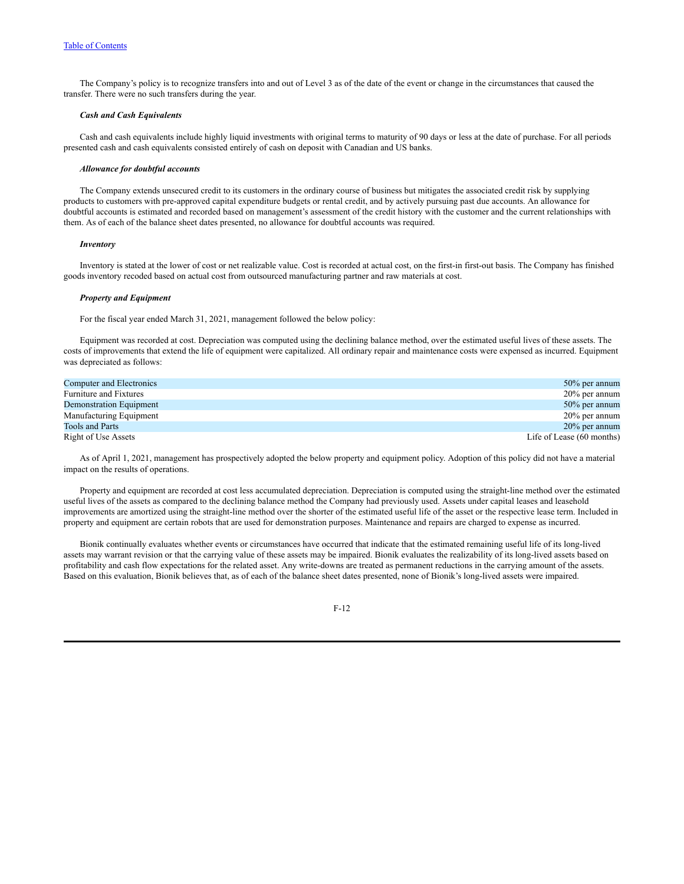The Company's policy is to recognize transfers into and out of Level 3 as of the date of the event or change in the circumstances that caused the transfer. There were no such transfers during the year.

# *Cash and Cash Equivalents*

Cash and cash equivalents include highly liquid investments with original terms to maturity of 90 days or less at the date of purchase. For all periods presented cash and cash equivalents consisted entirely of cash on deposit with Canadian and US banks.

# *Allowance for doubtful accounts*

The Company extends unsecured credit to its customers in the ordinary course of business but mitigates the associated credit risk by supplying products to customers with pre-approved capital expenditure budgets or rental credit, and by actively pursuing past due accounts. An allowance for doubtful accounts is estimated and recorded based on management's assessment of the credit history with the customer and the current relationships with them. As of each of the balance sheet dates presented, no allowance for doubtful accounts was required.

### *Inventory*

Inventory is stated at the lower of cost or net realizable value. Cost is recorded at actual cost, on the first-in first-out basis. The Company has finished goods inventory recoded based on actual cost from outsourced manufacturing partner and raw materials at cost.

#### *Property and Equipment*

For the fiscal year ended March 31, 2021, management followed the below policy:

Equipment was recorded at cost. Depreciation was computed using the declining balance method, over the estimated useful lives of these assets. The costs of improvements that extend the life of equipment were capitalized. All ordinary repair and maintenance costs were expensed as incurred. Equipment was depreciated as follows:

| Computer and Electronics      | 50% per annum             |
|-------------------------------|---------------------------|
| <b>Furniture and Fixtures</b> | $20\%$ per annum          |
| Demonstration Equipment       | $50\%$ per annum          |
| Manufacturing Equipment       | 20% per annum             |
| Tools and Parts               | $20\%$ per annum          |
| Right of Use Assets           | Life of Lease (60 months) |

As of April 1, 2021, management has prospectively adopted the below property and equipment policy. Adoption of this policy did not have a material impact on the results of operations.

Property and equipment are recorded at cost less accumulated depreciation. Depreciation is computed using the straight-line method over the estimated useful lives of the assets as compared to the declining balance method the Company had previously used. Assets under capital leases and leasehold improvements are amortized using the straight-line method over the shorter of the estimated useful life of the asset or the respective lease term. Included in property and equipment are certain robots that are used for demonstration purposes. Maintenance and repairs are charged to expense as incurred.

Bionik continually evaluates whether events or circumstances have occurred that indicate that the estimated remaining useful life of its long-lived assets may warrant revision or that the carrying value of these assets may be impaired. Bionik evaluates the realizability of its long-lived assets based on profitability and cash flow expectations for the related asset. Any write-downs are treated as permanent reductions in the carrying amount of the assets. Based on this evaluation, Bionik believes that, as of each of the balance sheet dates presented, none of Bionik's long-lived assets were impaired.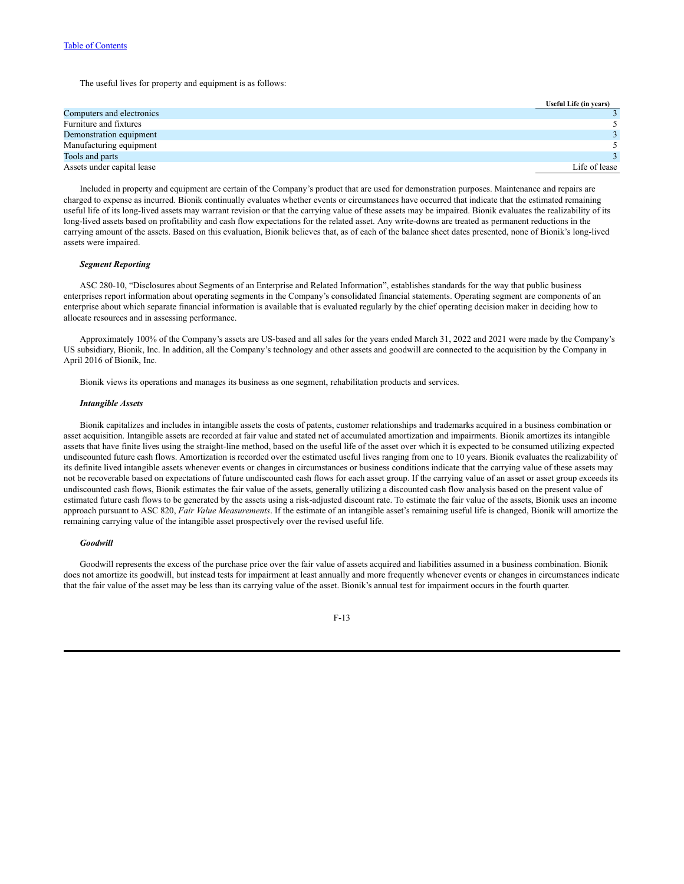The useful lives for property and equipment is as follows:

|                            | Useful Life (in years) |
|----------------------------|------------------------|
| Computers and electronics  |                        |
| Furniture and fixtures     |                        |
| Demonstration equipment    |                        |
| Manufacturing equipment    |                        |
| Tools and parts            |                        |
| Assets under capital lease | Life of lease          |

Included in property and equipment are certain of the Company's product that are used for demonstration purposes. Maintenance and repairs are charged to expense as incurred. Bionik continually evaluates whether events or circumstances have occurred that indicate that the estimated remaining useful life of its long-lived assets may warrant revision or that the carrying value of these assets may be impaired. Bionik evaluates the realizability of its long-lived assets based on profitability and cash flow expectations for the related asset. Any write-downs are treated as permanent reductions in the carrying amount of the assets. Based on this evaluation, Bionik believes that, as of each of the balance sheet dates presented, none of Bionik's long-lived assets were impaired.

### *Segment Reporting*

ASC 280-10, "Disclosures about Segments of an Enterprise and Related Information", establishes standards for the way that public business enterprises report information about operating segments in the Company's consolidated financial statements. Operating segment are components of an enterprise about which separate financial information is available that is evaluated regularly by the chief operating decision maker in deciding how to allocate resources and in assessing performance.

Approximately 100% of the Company's assets are US-based and all sales for the years ended March 31, 2022 and 2021 were made by the Company's US subsidiary, Bionik, Inc. In addition, all the Company's technology and other assets and goodwill are connected to the acquisition by the Company in April 2016 of Bionik, Inc.

Bionik views its operations and manages its business as one segment, rehabilitation products and services.

### *Intangible Assets*

Bionik capitalizes and includes in intangible assets the costs of patents, customer relationships and trademarks acquired in a business combination or asset acquisition. Intangible assets are recorded at fair value and stated net of accumulated amortization and impairments. Bionik amortizes its intangible assets that have finite lives using the straight-line method, based on the useful life of the asset over which it is expected to be consumed utilizing expected undiscounted future cash flows. Amortization is recorded over the estimated useful lives ranging from one to 10 years. Bionik evaluates the realizability of its definite lived intangible assets whenever events or changes in circumstances or business conditions indicate that the carrying value of these assets may not be recoverable based on expectations of future undiscounted cash flows for each asset group. If the carrying value of an asset or asset group exceeds its undiscounted cash flows, Bionik estimates the fair value of the assets, generally utilizing a discounted cash flow analysis based on the present value of estimated future cash flows to be generated by the assets using a risk-adjusted discount rate. To estimate the fair value of the assets, Bionik uses an income approach pursuant to ASC 820, *Fair Value Measurements*. If the estimate of an intangible asset's remaining useful life is changed, Bionik will amortize the remaining carrying value of the intangible asset prospectively over the revised useful life.

#### *Goodwill*

Goodwill represents the excess of the purchase price over the fair value of assets acquired and liabilities assumed in a business combination. Bionik does not amortize its goodwill, but instead tests for impairment at least annually and more frequently whenever events or changes in circumstances indicate that the fair value of the asset may be less than its carrying value of the asset. Bionik's annual test for impairment occurs in the fourth quarter.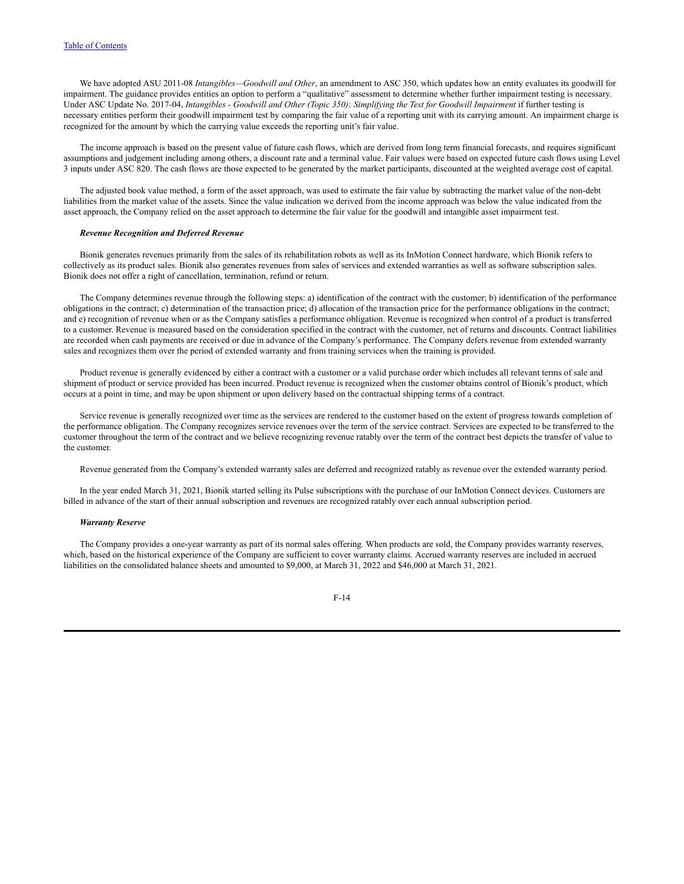We have adopted ASU 2011-08 *Intangibles—Goodwill and Other*, an amendment to ASC 350, which updates how an entity evaluates its goodwill for impairment. The guidance provides entities an option to perform a "qualitative" assessment to determine whether further impairment testing is necessary. Under ASC Update No. 2017-04, Intangibles - Goodwill and Other (Topic 350): Simplifying the Test for Goodwill Impairment if further testing is necessary entities perform their goodwill impairment test by comparing the fair value of a reporting unit with its carrying amount. An impairment charge is recognized for the amount by which the carrying value exceeds the reporting unit's fair value.

The income approach is based on the present value of future cash flows, which are derived from long term financial forecasts, and requires significant assumptions and judgement including among others, a discount rate and a terminal value. Fair values were based on expected future cash flows using Level 3 inputs under ASC 820. The cash flows are those expected to be generated by the market participants, discounted at the weighted average cost of capital.

The adjusted book value method, a form of the asset approach, was used to estimate the fair value by subtracting the market value of the non-debt liabilities from the market value of the assets. Since the value indication we derived from the income approach was below the value indicated from the asset approach, the Company relied on the asset approach to determine the fair value for the goodwill and intangible asset impairment test.

#### *Revenue Recognition and Deferred Revenue*

Bionik generates revenues primarily from the sales of its rehabilitation robots as well as its InMotion Connect hardware, which Bionik refers to collectively as its product sales. Bionik also generates revenues from sales of services and extended warranties as well as software subscription sales. Bionik does not offer a right of cancellation, termination, refund or return.

The Company determines revenue through the following steps: a) identification of the contract with the customer; b) identification of the performance obligations in the contract; c) determination of the transaction price; d) allocation of the transaction price for the performance obligations in the contract; and e) recognition of revenue when or as the Company satisfies a performance obligation. Revenue is recognized when control of a product is transferred to a customer. Revenue is measured based on the consideration specified in the contract with the customer, net of returns and discounts. Contract liabilities are recorded when cash payments are received or due in advance of the Company's performance. The Company defers revenue from extended warranty sales and recognizes them over the period of extended warranty and from training services when the training is provided.

Product revenue is generally evidenced by either a contract with a customer or a valid purchase order which includes all relevant terms of sale and shipment of product or service provided has been incurred. Product revenue is recognized when the customer obtains control of Bionik's product, which occurs at a point in time, and may be upon shipment or upon delivery based on the contractual shipping terms of a contract.

Service revenue is generally recognized over time as the services are rendered to the customer based on the extent of progress towards completion of the performance obligation. The Company recognizes service revenues over the term of the service contract. Services are expected to be transferred to the customer throughout the term of the contract and we believe recognizing revenue ratably over the term of the contract best depicts the transfer of value to the customer.

Revenue generated from the Company's extended warranty sales are deferred and recognized ratably as revenue over the extended warranty period.

In the year ended March 31, 2021, Bionik started selling its Pulse subscriptions with the purchase of our InMotion Connect devices. Customers are billed in advance of the start of their annual subscription and revenues are recognized ratably over each annual subscription period.

### *Warranty Reserve*

The Company provides a one-year warranty as part of its normal sales offering. When products are sold, the Company provides warranty reserves, which, based on the historical experience of the Company are sufficient to cover warranty claims. Accrued warranty reserves are included in accrued liabilities on the consolidated balance sheets and amounted to \$9,000, at March 31, 2022 and \$46,000 at March 31, 2021.

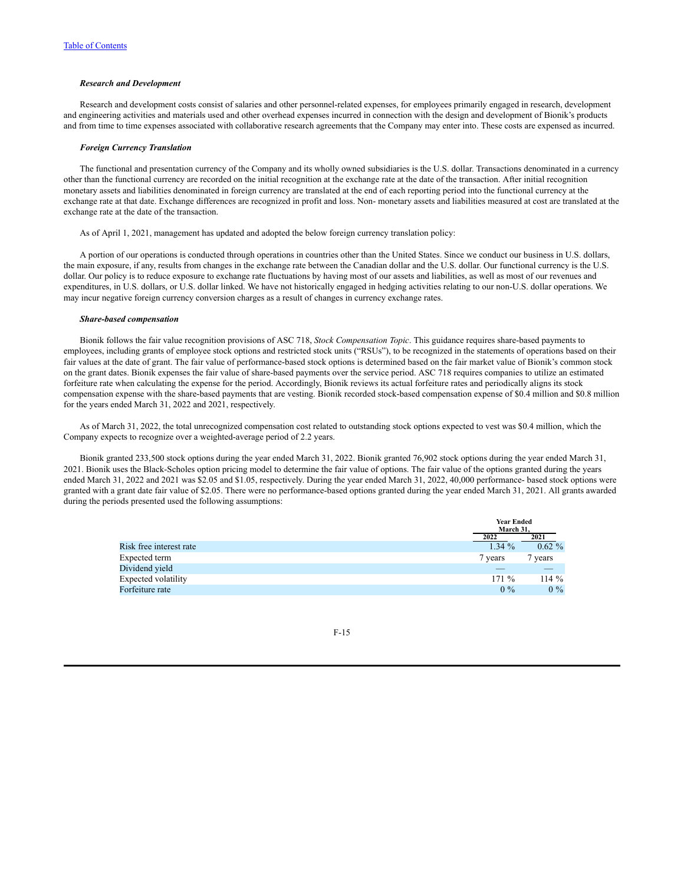### *Research and Development*

Research and development costs consist of salaries and other personnel-related expenses, for employees primarily engaged in research, development and engineering activities and materials used and other overhead expenses incurred in connection with the design and development of Bionik's products and from time to time expenses associated with collaborative research agreements that the Company may enter into. These costs are expensed as incurred.

#### *Foreign Currency Translation*

The functional and presentation currency of the Company and its wholly owned subsidiaries is the U.S. dollar. Transactions denominated in a currency other than the functional currency are recorded on the initial recognition at the exchange rate at the date of the transaction. After initial recognition monetary assets and liabilities denominated in foreign currency are translated at the end of each reporting period into the functional currency at the exchange rate at that date. Exchange differences are recognized in profit and loss. Non- monetary assets and liabilities measured at cost are translated at the exchange rate at the date of the transaction.

As of April 1, 2021, management has updated and adopted the below foreign currency translation policy:

A portion of our operations is conducted through operations in countries other than the United States. Since we conduct our business in U.S. dollars, the main exposure, if any, results from changes in the exchange rate between the Canadian dollar and the U.S. dollar. Our functional currency is the U.S. dollar. Our policy is to reduce exposure to exchange rate fluctuations by having most of our assets and liabilities, as well as most of our revenues and expenditures, in U.S. dollars, or U.S. dollar linked. We have not historically engaged in hedging activities relating to our non-U.S. dollar operations. We may incur negative foreign currency conversion charges as a result of changes in currency exchange rates.

### *Share-based compensation*

Bionik follows the fair value recognition provisions of ASC 718, *Stock Compensation Topic*. This guidance requires share-based payments to employees, including grants of employee stock options and restricted stock units ("RSUs"), to be recognized in the statements of operations based on their fair values at the date of grant. The fair value of performance-based stock options is determined based on the fair market value of Bionik's common stock on the grant dates. Bionik expenses the fair value of share-based payments over the service period. ASC 718 requires companies to utilize an estimated forfeiture rate when calculating the expense for the period. Accordingly, Bionik reviews its actual forfeiture rates and periodically aligns its stock compensation expense with the share-based payments that are vesting. Bionik recorded stock-based compensation expense of \$0.4 million and \$0.8 million for the years ended March 31, 2022 and 2021, respectively.

As of March 31, 2022, the total unrecognized compensation cost related to outstanding stock options expected to vest was \$0.4 million, which the Company expects to recognize over a weighted-average period of 2.2 years.

Bionik granted 233,500 stock options during the year ended March 31, 2022. Bionik granted 76,902 stock options during the year ended March 31, 2021. Bionik uses the Black-Scholes option pricing model to determine the fair value of options. The fair value of the options granted during the years ended March 31, 2022 and 2021 was \$2.05 and \$1.05, respectively. During the year ended March 31, 2022, 40,000 performance- based stock options were granted with a grant date fair value of \$2.05. There were no performance-based options granted during the year ended March 31, 2021. All grants awarded during the periods presented used the following assumptions:

|                         | <b>Year Ended</b><br>March 31. |           |
|-------------------------|--------------------------------|-----------|
|                         | 2022                           | 2021      |
| Risk free interest rate | 1.34%                          | $0.62 \%$ |
| Expected term           | 7 years                        | 7 years   |
| Dividend yield          |                                |           |
| Expected volatility     | $171\%$                        | $114\%$   |
| Forfeiture rate         | $0\%$                          | $0\%$     |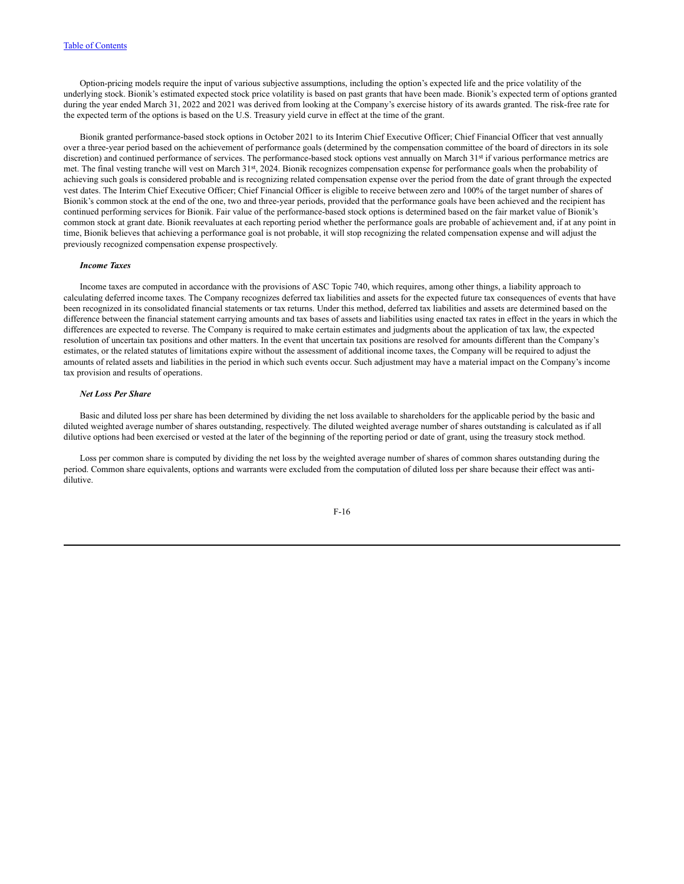Option-pricing models require the input of various subjective assumptions, including the option's expected life and the price volatility of the underlying stock. Bionik's estimated expected stock price volatility is based on past grants that have been made. Bionik's expected term of options granted during the year ended March 31, 2022 and 2021 was derived from looking at the Company's exercise history of its awards granted. The risk-free rate for the expected term of the options is based on the U.S. Treasury yield curve in effect at the time of the grant.

Bionik granted performance-based stock options in October 2021 to its Interim Chief Executive Officer; Chief Financial Officer that vest annually over a three-year period based on the achievement of performance goals (determined by the compensation committee of the board of directors in its sole discretion) and continued performance of services. The performance-based stock options vest annually on March 31<sup>st</sup> if various performance metrics are met. The final vesting tranche will vest on March 31<sup>st</sup>, 2024. Bionik recognizes compensation expense for performance goals when the probability of achieving such goals is considered probable and is recognizing related compensation expense over the period from the date of grant through the expected vest dates. The Interim Chief Executive Officer; Chief Financial Officer is eligible to receive between zero and 100% of the target number of shares of Bionik's common stock at the end of the one, two and three-year periods, provided that the performance goals have been achieved and the recipient has continued performing services for Bionik. Fair value of the performance-based stock options is determined based on the fair market value of Bionik's common stock at grant date. Bionik reevaluates at each reporting period whether the performance goals are probable of achievement and, if at any point in time, Bionik believes that achieving a performance goal is not probable, it will stop recognizing the related compensation expense and will adjust the previously recognized compensation expense prospectively.

### *Income Taxes*

Income taxes are computed in accordance with the provisions of ASC Topic 740, which requires, among other things, a liability approach to calculating deferred income taxes. The Company recognizes deferred tax liabilities and assets for the expected future tax consequences of events that have been recognized in its consolidated financial statements or tax returns. Under this method, deferred tax liabilities and assets are determined based on the difference between the financial statement carrying amounts and tax bases of assets and liabilities using enacted tax rates in effect in the years in which the differences are expected to reverse. The Company is required to make certain estimates and judgments about the application of tax law, the expected resolution of uncertain tax positions and other matters. In the event that uncertain tax positions are resolved for amounts different than the Company's estimates, or the related statutes of limitations expire without the assessment of additional income taxes, the Company will be required to adjust the amounts of related assets and liabilities in the period in which such events occur. Such adjustment may have a material impact on the Company's income tax provision and results of operations.

#### *Net Loss Per Share*

Basic and diluted loss per share has been determined by dividing the net loss available to shareholders for the applicable period by the basic and diluted weighted average number of shares outstanding, respectively. The diluted weighted average number of shares outstanding is calculated as if all dilutive options had been exercised or vested at the later of the beginning of the reporting period or date of grant, using the treasury stock method.

Loss per common share is computed by dividing the net loss by the weighted average number of shares of common shares outstanding during the period. Common share equivalents, options and warrants were excluded from the computation of diluted loss per share because their effect was antidilutive.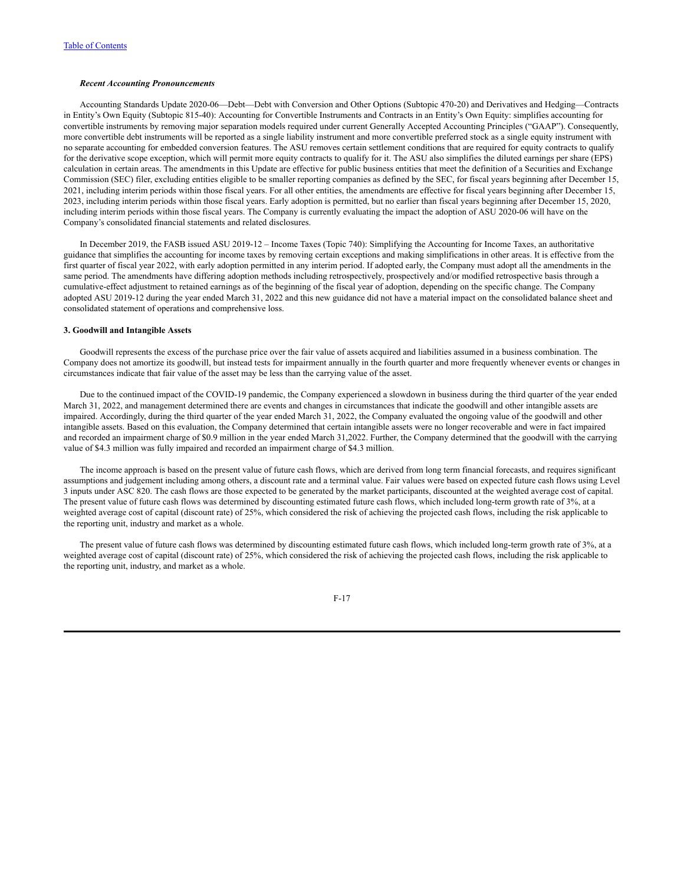#### *Recent Accounting Pronouncements*

Accounting Standards Update 2020-06—Debt—Debt with Conversion and Other Options (Subtopic 470-20) and Derivatives and Hedging—Contracts in Entity's Own Equity (Subtopic 815-40): Accounting for Convertible Instruments and Contracts in an Entity's Own Equity: simplifies accounting for convertible instruments by removing major separation models required under current Generally Accepted Accounting Principles ("GAAP"). Consequently, more convertible debt instruments will be reported as a single liability instrument and more convertible preferred stock as a single equity instrument with no separate accounting for embedded conversion features. The ASU removes certain settlement conditions that are required for equity contracts to qualify for the derivative scope exception, which will permit more equity contracts to qualify for it. The ASU also simplifies the diluted earnings per share (EPS) calculation in certain areas. The amendments in this Update are effective for public business entities that meet the definition of a Securities and Exchange Commission (SEC) filer, excluding entities eligible to be smaller reporting companies as defined by the SEC, for fiscal years beginning after December 15, 2021, including interim periods within those fiscal years. For all other entities, the amendments are effective for fiscal years beginning after December 15, 2023, including interim periods within those fiscal years. Early adoption is permitted, but no earlier than fiscal years beginning after December 15, 2020, including interim periods within those fiscal years. The Company is currently evaluating the impact the adoption of ASU 2020-06 will have on the Company's consolidated financial statements and related disclosures.

In December 2019, the FASB issued ASU 2019-12 – Income Taxes (Topic 740): Simplifying the Accounting for Income Taxes, an authoritative guidance that simplifies the accounting for income taxes by removing certain exceptions and making simplifications in other areas. It is effective from the first quarter of fiscal year 2022, with early adoption permitted in any interim period. If adopted early, the Company must adopt all the amendments in the same period. The amendments have differing adoption methods including retrospectively, prospectively and/or modified retrospective basis through a cumulative-effect adjustment to retained earnings as of the beginning of the fiscal year of adoption, depending on the specific change. The Company adopted ASU 2019-12 during the year ended March 31, 2022 and this new guidance did not have a material impact on the consolidated balance sheet and consolidated statement of operations and comprehensive loss.

### **3. Goodwill and Intangible Assets**

Goodwill represents the excess of the purchase price over the fair value of assets acquired and liabilities assumed in a business combination. The Company does not amortize its goodwill, but instead tests for impairment annually in the fourth quarter and more frequently whenever events or changes in circumstances indicate that fair value of the asset may be less than the carrying value of the asset.

Due to the continued impact of the COVID-19 pandemic, the Company experienced a slowdown in business during the third quarter of the year ended March 31, 2022, and management determined there are events and changes in circumstances that indicate the goodwill and other intangible assets are impaired. Accordingly, during the third quarter of the year ended March 31, 2022, the Company evaluated the ongoing value of the goodwill and other intangible assets. Based on this evaluation, the Company determined that certain intangible assets were no longer recoverable and were in fact impaired and recorded an impairment charge of \$0.9 million in the year ended March 31,2022. Further, the Company determined that the goodwill with the carrying value of \$4.3 million was fully impaired and recorded an impairment charge of \$4.3 million.

The income approach is based on the present value of future cash flows, which are derived from long term financial forecasts, and requires significant assumptions and judgement including among others, a discount rate and a terminal value. Fair values were based on expected future cash flows using Level 3 inputs under ASC 820. The cash flows are those expected to be generated by the market participants, discounted at the weighted average cost of capital. The present value of future cash flows was determined by discounting estimated future cash flows, which included long-term growth rate of 3%, at a weighted average cost of capital (discount rate) of 25%, which considered the risk of achieving the projected cash flows, including the risk applicable to the reporting unit, industry and market as a whole.

The present value of future cash flows was determined by discounting estimated future cash flows, which included long-term growth rate of 3%, at a weighted average cost of capital (discount rate) of 25%, which considered the risk of achieving the projected cash flows, including the risk applicable to the reporting unit, industry, and market as a whole.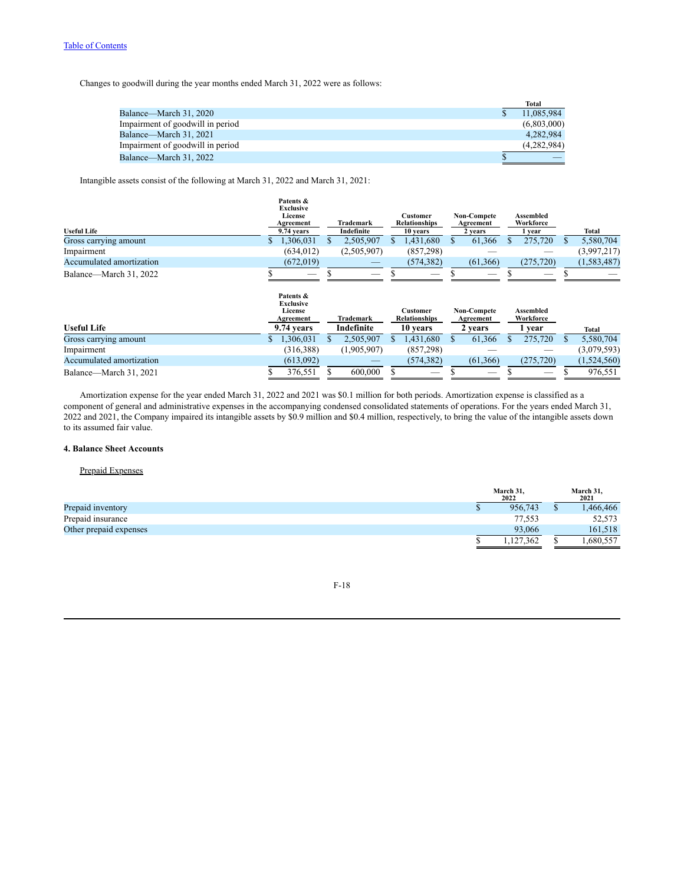Changes to goodwill during the year months ended March 31, 2022 were as follows:

|                                  | <b>Total</b> |
|----------------------------------|--------------|
| Balance—March 31, 2020           | 11.085.984   |
| Impairment of goodwill in period | (6,803,000)  |
| Balance—March 31, 2021           | 4,282,984    |
| Impairment of goodwill in period | (4,282,984)  |
| Balance—March 31, 2022           |              |

Intangible assets consist of the following at March 31, 2022 and March 31, 2021:

| <b>Useful Life</b><br>Gross carrying amount<br>Impairment |    | Patents &<br><b>Exclusive</b><br>License<br>Agreement<br>9.74 years<br>1,306,031<br>(634, 012) | Trademark<br>Indefinite<br>2,505,907<br>(2,505,907) | Customer<br>Relationships<br>10 years<br>1,431,680<br>(857, 298) | \$<br><b>Non-Compete</b><br>Agreement<br>2 years<br>61,366 | <b>Assembled</b><br>Workforce<br>1 year<br>275,720 | Total<br>5,580,704<br>(3,997,217) |
|-----------------------------------------------------------|----|------------------------------------------------------------------------------------------------|-----------------------------------------------------|------------------------------------------------------------------|------------------------------------------------------------|----------------------------------------------------|-----------------------------------|
| Accumulated amortization                                  |    | (672, 019)                                                                                     |                                                     | (574, 382)                                                       | (61, 366)                                                  | (275, 720)                                         | (1,583,487)                       |
| Balance—March 31, 2022                                    |    |                                                                                                |                                                     |                                                                  |                                                            |                                                    |                                   |
| <b>Useful Life</b>                                        |    | Patents &<br><b>Exclusive</b><br>License<br>Agreement<br>9.74 years                            | Trademark<br>Indefinite                             | Customer<br><b>Relationships</b><br>10 years                     | <b>Non-Compete</b><br>Agreement<br>2 years                 | Assembled<br>Workforce<br>l year                   | Total                             |
| Gross carrying amount                                     | S. | 1,306,031                                                                                      | 2,505,907                                           | 1,431,680                                                        | 61,366                                                     | 275,720                                            | 5,580,704                         |
| Impairment                                                |    | (316, 388)                                                                                     | (1,905,907)                                         | (857, 298)                                                       |                                                            |                                                    | (3,079,593)                       |
| Accumulated amortization                                  |    | (613,092)                                                                                      |                                                     | (574, 382)                                                       | (61, 366)                                                  | (275, 720)                                         | (1,524,560)                       |
| Balance—March 31, 2021                                    |    | 376,551                                                                                        | 600,000                                             |                                                                  |                                                            |                                                    | 976,551                           |

Amortization expense for the year ended March 31, 2022 and 2021 was \$0.1 million for both periods. Amortization expense is classified as a component of general and administrative expenses in the accompanying condensed consolidated statements of operations. For the years ended March 31, 2022 and 2021, the Company impaired its intangible assets by \$0.9 million and \$0.4 million, respectively, to bring the value of the intangible assets down to its assumed fair value.

# **4. Balance Sheet Accounts**

Prepaid Expenses

|                        | March 31,<br>2022 | March 31,<br>2021 |
|------------------------|-------------------|-------------------|
| Prepaid inventory      | 956.743           | .466.466          |
| Prepaid insurance      | 77.553            | 52,573            |
| Other prepaid expenses | 93,066            | 161.518           |
|                        | 1,127,362         | .680.557          |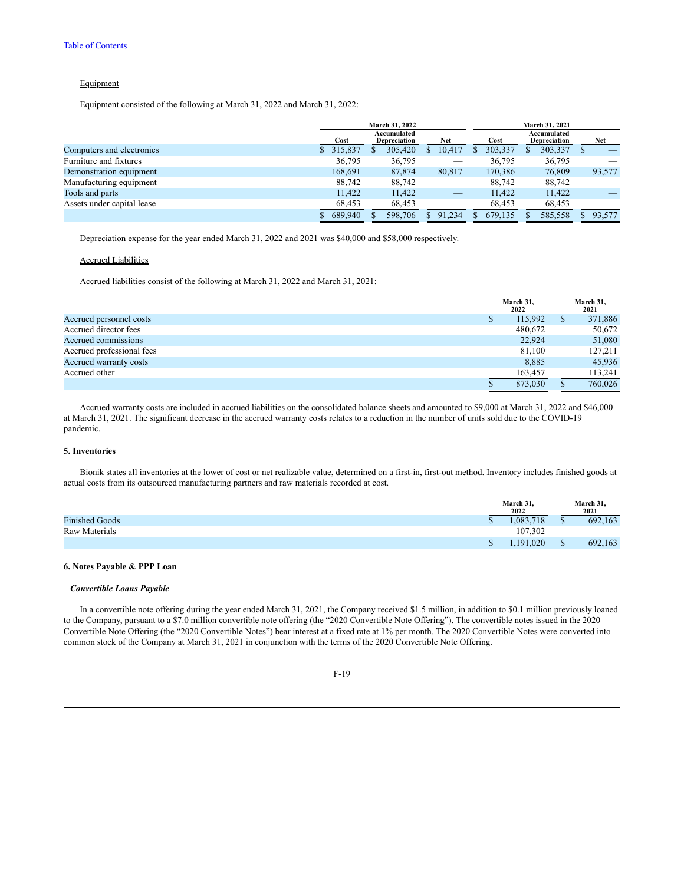# **Equipment**

Equipment consisted of the following at March 31, 2022 and March 31, 2022:

|                            | March 31, 2022 |  |              |  |                               | March 31, 2021 |             |                     |         |  |            |
|----------------------------|----------------|--|--------------|--|-------------------------------|----------------|-------------|---------------------|---------|--|------------|
|                            |                |  | Accumulated  |  |                               |                | Accumulated |                     |         |  |            |
|                            | Cost           |  | Depreciation |  | <b>Net</b>                    |                | Cost        | <b>Depreciation</b> |         |  | <b>Net</b> |
| Computers and electronics  | 315,837        |  | 305,420      |  | 10,417                        |                | 303,337     |                     | 303,337 |  |            |
| Furniture and fixtures     | 36,795         |  | 36,795       |  | $\overbrace{\phantom{12332}}$ |                | 36,795      |                     | 36,795  |  |            |
| Demonstration equipment    | 168,691        |  | 87,874       |  | 80,817                        |                | 170,386     |                     | 76,809  |  | 93,577     |
| Manufacturing equipment    | 88,742         |  | 88,742       |  |                               |                | 88.742      |                     | 88,742  |  |            |
| Tools and parts            | 11,422         |  | 11,422       |  |                               |                | 11.422      |                     | 11,422  |  |            |
| Assets under capital lease | 68,453         |  | 68,453       |  |                               |                | 68,453      |                     | 68,453  |  |            |
|                            | 689.940        |  | 598,706      |  | 91.234                        |                | 679.135     |                     | 585,558 |  | 93.577     |

Depreciation expense for the year ended March 31, 2022 and 2021 was \$40,000 and \$58,000 respectively.

### Accrued Liabilities

Accrued liabilities consist of the following at March 31, 2022 and March 31, 2021:

|                           | March 31,<br>2022 | March 31,<br>2021 |
|---------------------------|-------------------|-------------------|
| Accrued personnel costs   | 115.992           | 371,886           |
| Accrued director fees     | 480.672           | 50,672            |
| Accrued commissions       |                   | 22,924<br>51,080  |
| Accrued professional fees |                   | 81,100<br>127.211 |
| Accrued warranty costs    |                   | 45,936<br>8,885   |
| Accrued other             | 163.457           | 113,241           |
|                           | 873,030           | 760,026           |

Accrued warranty costs are included in accrued liabilities on the consolidated balance sheets and amounted to \$9,000 at March 31, 2022 and \$46,000 at March 31, 2021. The significant decrease in the accrued warranty costs relates to a reduction in the number of units sold due to the COVID-19 pandemic.

### **5. Inventories**

Bionik states all inventories at the lower of cost or net realizable value, determined on a first-in, first-out method. Inventory includes finished goods at actual costs from its outsourced manufacturing partners and raw materials recorded at cost.

|                       | March 31,<br>2022 | March 31,<br>2021 |
|-----------------------|-------------------|-------------------|
| <b>Finished Goods</b> | 1,083,718         | 692,163           |
| Raw Materials         | 107,302           |                   |
|                       | 1.191.020         | 692,163           |

### **6. Notes Payable & PPP Loan**

# *Convertible Loans Payable*

In a convertible note offering during the year ended March 31, 2021, the Company received \$1.5 million, in addition to \$0.1 million previously loaned to the Company, pursuant to a \$7.0 million convertible note offering (the "2020 Convertible Note Offering"). The convertible notes issued in the 2020 Convertible Note Offering (the "2020 Convertible Notes") bear interest at a fixed rate at 1% per month. The 2020 Convertible Notes were converted into common stock of the Company at March 31, 2021 in conjunction with the terms of the 2020 Convertible Note Offering.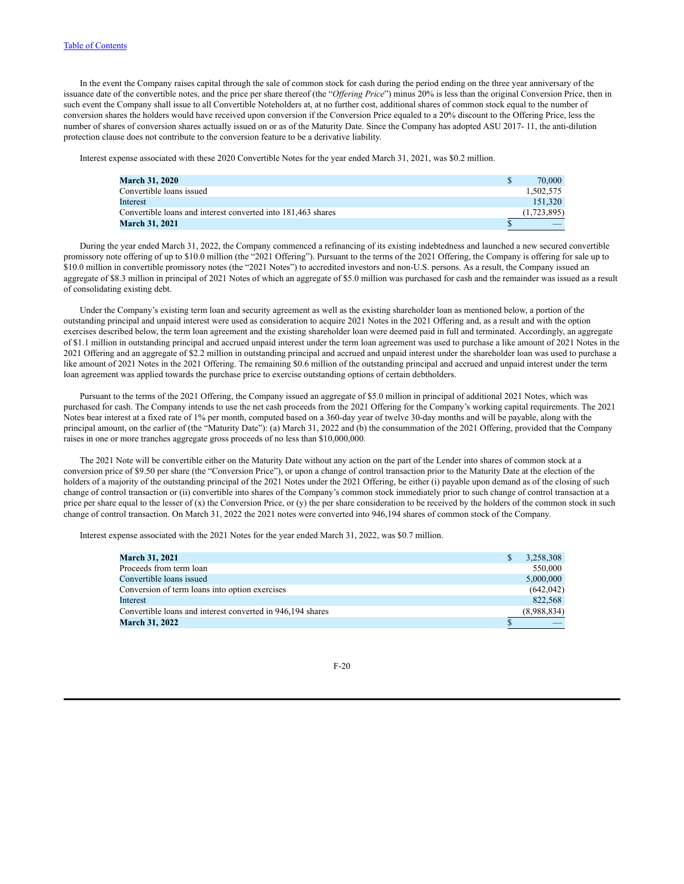In the event the Company raises capital through the sale of common stock for cash during the period ending on the three year anniversary of the issuance date of the convertible notes, and the price per share thereof (the "*Offering Price*") minus 20% is less than the original Conversion Price, then in such event the Company shall issue to all Convertible Noteholders at, at no further cost, additional shares of common stock equal to the number of conversion shares the holders would have received upon conversion if the Conversion Price equaled to a 20% discount to the Offering Price, less the number of shares of conversion shares actually issued on or as of the Maturity Date. Since the Company has adopted ASU 2017- 11, the anti-dilution protection clause does not contribute to the conversion feature to be a derivative liability.

Interest expense associated with these 2020 Convertible Notes for the year ended March 31, 2021, was \$0.2 million.

| <b>March 31, 2020</b>                                        | 70,000      |
|--------------------------------------------------------------|-------------|
| Convertible loans issued                                     | 1.502.575   |
| Interest                                                     | 151.320     |
| Convertible loans and interest converted into 181,463 shares | (1,723,895) |
| <b>March 31, 2021</b>                                        |             |

During the year ended March 31, 2022, the Company commenced a refinancing of its existing indebtedness and launched a new secured convertible promissory note offering of up to \$10.0 million (the "2021 Offering"). Pursuant to the terms of the 2021 Offering, the Company is offering for sale up to \$10.0 million in convertible promissory notes (the "2021 Notes") to accredited investors and non-U.S. persons. As a result, the Company issued an aggregate of \$8.3 million in principal of 2021 Notes of which an aggregate of \$5.0 million was purchased for cash and the remainder was issued as a result of consolidating existing debt.

Under the Company's existing term loan and security agreement as well as the existing shareholder loan as mentioned below, a portion of the outstanding principal and unpaid interest were used as consideration to acquire 2021 Notes in the 2021 Offering and, as a result and with the option exercises described below, the term loan agreement and the existing shareholder loan were deemed paid in full and terminated. Accordingly, an aggregate of \$1.1 million in outstanding principal and accrued unpaid interest under the term loan agreement was used to purchase a like amount of 2021 Notes in the 2021 Offering and an aggregate of \$2.2 million in outstanding principal and accrued and unpaid interest under the shareholder loan was used to purchase a like amount of 2021 Notes in the 2021 Offering. The remaining \$0.6 million of the outstanding principal and accrued and unpaid interest under the term loan agreement was applied towards the purchase price to exercise outstanding options of certain debtholders.

Pursuant to the terms of the 2021 Offering, the Company issued an aggregate of \$5.0 million in principal of additional 2021 Notes, which was purchased for cash. The Company intends to use the net cash proceeds from the 2021 Offering for the Company's working capital requirements. The 2021 Notes bear interest at a fixed rate of 1% per month, computed based on a 360-day year of twelve 30-day months and will be payable, along with the principal amount, on the earlier of (the "Maturity Date"): (a) March 31, 2022 and (b) the consummation of the 2021 Offering, provided that the Company raises in one or more tranches aggregate gross proceeds of no less than \$10,000,000.

The 2021 Note will be convertible either on the Maturity Date without any action on the part of the Lender into shares of common stock at a conversion price of \$9.50 per share (the "Conversion Price"), or upon a change of control transaction prior to the Maturity Date at the election of the holders of a majority of the outstanding principal of the 2021 Notes under the 2021 Offering, be either (i) payable upon demand as of the closing of such change of control transaction or (ii) convertible into shares of the Company's common stock immediately prior to such change of control transaction at a price per share equal to the lesser of (x) the Conversion Price, or (y) the per share consideration to be received by the holders of the common stock in such change of control transaction. On March 31, 2022 the 2021 notes were converted into 946,194 shares of common stock of the Company.

Interest expense associated with the 2021 Notes for the year ended March 31, 2022, was \$0.7 million.

| <b>March 31, 2021</b>                                      | 3,258,308   |
|------------------------------------------------------------|-------------|
| Proceeds from term loan                                    | 550,000     |
| Convertible loans issued                                   | 5,000,000   |
| Conversion of term loans into option exercises             | (642, 042)  |
| Interest                                                   | 822,568     |
| Convertible loans and interest converted in 946,194 shares | (8,988,834) |
| <b>March 31, 2022</b>                                      |             |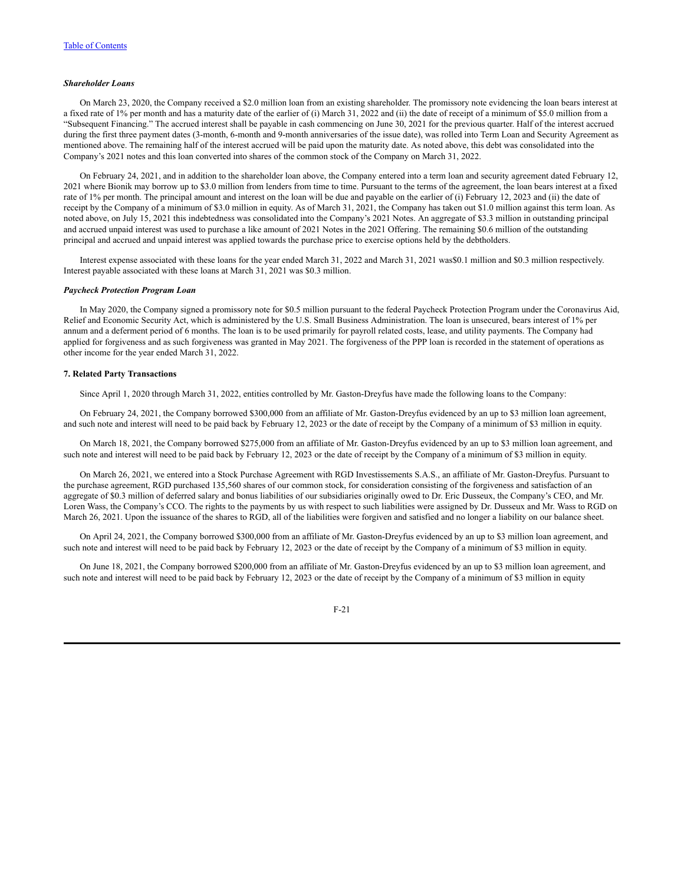### *Shareholder Loans*

On March 23, 2020, the Company received a \$2.0 million loan from an existing shareholder. The promissory note evidencing the loan bears interest at a fixed rate of 1% per month and has a maturity date of the earlier of (i) March 31, 2022 and (ii) the date of receipt of a minimum of \$5.0 million from a "Subsequent Financing." The accrued interest shall be payable in cash commencing on June 30, 2021 for the previous quarter. Half of the interest accrued during the first three payment dates (3-month, 6-month and 9-month anniversaries of the issue date), was rolled into Term Loan and Security Agreement as mentioned above. The remaining half of the interest accrued will be paid upon the maturity date. As noted above, this debt was consolidated into the Company's 2021 notes and this loan converted into shares of the common stock of the Company on March 31, 2022.

On February 24, 2021, and in addition to the shareholder loan above, the Company entered into a term loan and security agreement dated February 12, 2021 where Bionik may borrow up to \$3.0 million from lenders from time to time. Pursuant to the terms of the agreement, the loan bears interest at a fixed rate of 1% per month. The principal amount and interest on the loan will be due and payable on the earlier of (i) February 12, 2023 and (ii) the date of receipt by the Company of a minimum of \$3.0 million in equity. As of March 31, 2021, the Company has taken out \$1.0 million against this term loan. As noted above, on July 15, 2021 this indebtedness was consolidated into the Company's 2021 Notes. An aggregate of \$3.3 million in outstanding principal and accrued unpaid interest was used to purchase a like amount of 2021 Notes in the 2021 Offering. The remaining \$0.6 million of the outstanding principal and accrued and unpaid interest was applied towards the purchase price to exercise options held by the debtholders.

Interest expense associated with these loans for the year ended March 31, 2022 and March 31, 2021 was\$0.1 million and \$0.3 million respectively. Interest payable associated with these loans at March 31, 2021 was \$0.3 million.

### *Paycheck Protection Program Loan*

In May 2020, the Company signed a promissory note for \$0.5 million pursuant to the federal Paycheck Protection Program under the Coronavirus Aid, Relief and Economic Security Act, which is administered by the U.S. Small Business Administration. The loan is unsecured, bears interest of 1% per annum and a deferment period of 6 months. The loan is to be used primarily for payroll related costs, lease, and utility payments. The Company had applied for forgiveness and as such forgiveness was granted in May 2021. The forgiveness of the PPP loan is recorded in the statement of operations as other income for the year ended March 31, 2022.

### **7. Related Party Transactions**

Since April 1, 2020 through March 31, 2022, entities controlled by Mr. Gaston-Dreyfus have made the following loans to the Company:

On February 24, 2021, the Company borrowed \$300,000 from an affiliate of Mr. Gaston-Dreyfus evidenced by an up to \$3 million loan agreement, and such note and interest will need to be paid back by February 12, 2023 or the date of receipt by the Company of a minimum of \$3 million in equity.

On March 18, 2021, the Company borrowed \$275,000 from an affiliate of Mr. Gaston-Dreyfus evidenced by an up to \$3 million loan agreement, and such note and interest will need to be paid back by February 12, 2023 or the date of receipt by the Company of a minimum of \$3 million in equity.

On March 26, 2021, we entered into a Stock Purchase Agreement with RGD Investissements S.A.S., an affiliate of Mr. Gaston-Dreyfus. Pursuant to the purchase agreement, RGD purchased 135,560 shares of our common stock, for consideration consisting of the forgiveness and satisfaction of an aggregate of \$0.3 million of deferred salary and bonus liabilities of our subsidiaries originally owed to Dr. Eric Dusseux, the Company's CEO, and Mr. Loren Wass, the Company's CCO. The rights to the payments by us with respect to such liabilities were assigned by Dr. Dusseux and Mr. Wass to RGD on March 26, 2021. Upon the issuance of the shares to RGD, all of the liabilities were forgiven and satisfied and no longer a liability on our balance sheet.

On April 24, 2021, the Company borrowed \$300,000 from an affiliate of Mr. Gaston-Dreyfus evidenced by an up to \$3 million loan agreement, and such note and interest will need to be paid back by February 12, 2023 or the date of receipt by the Company of a minimum of \$3 million in equity.

On June 18, 2021, the Company borrowed \$200,000 from an affiliate of Mr. Gaston-Dreyfus evidenced by an up to \$3 million loan agreement, and such note and interest will need to be paid back by February 12, 2023 or the date of receipt by the Company of a minimum of \$3 million in equity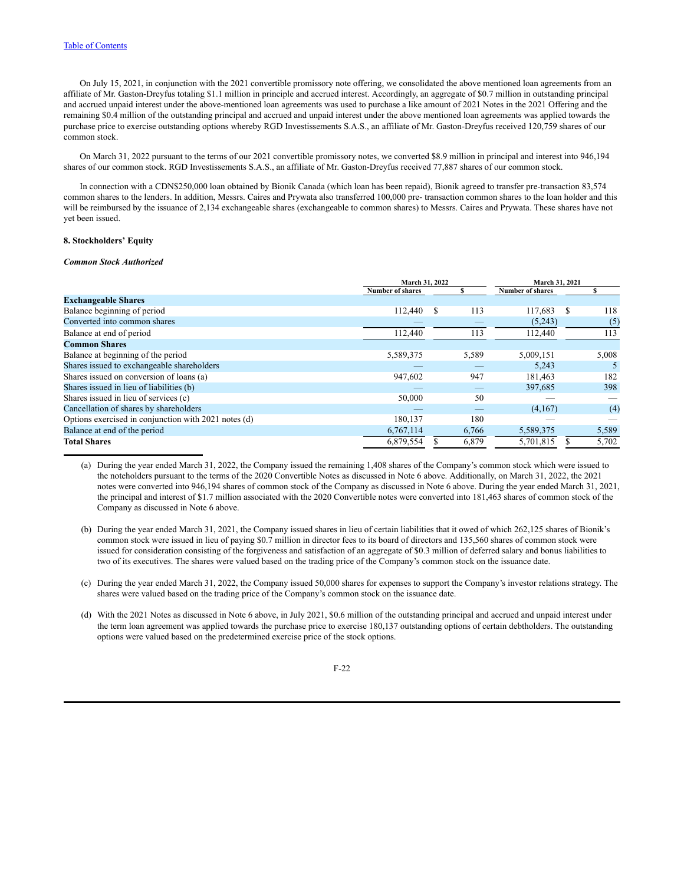On July 15, 2021, in conjunction with the 2021 convertible promissory note offering, we consolidated the above mentioned loan agreements from an affiliate of Mr. Gaston-Dreyfus totaling \$1.1 million in principle and accrued interest. Accordingly, an aggregate of \$0.7 million in outstanding principal and accrued unpaid interest under the above-mentioned loan agreements was used to purchase a like amount of 2021 Notes in the 2021 Offering and the remaining \$0.4 million of the outstanding principal and accrued and unpaid interest under the above mentioned loan agreements was applied towards the purchase price to exercise outstanding options whereby RGD Investissements S.A.S., an affiliate of Mr. Gaston-Dreyfus received 120,759 shares of our common stock.

On March 31, 2022 pursuant to the terms of our 2021 convertible promissory notes, we converted \$8.9 million in principal and interest into 946,194 shares of our common stock. RGD Investissements S.A.S., an affiliate of Mr. Gaston-Dreyfus received 77,887 shares of our common stock.

In connection with a CDN\$250,000 loan obtained by Bionik Canada (which loan has been repaid), Bionik agreed to transfer pre-transaction 83,574 common shares to the lenders. In addition, Messrs. Caires and Prywata also transferred 100,000 pre- transaction common shares to the loan holder and this will be reimbursed by the issuance of 2,134 exchangeable shares (exchangeable to common shares) to Messrs. Caires and Prywata. These shares have not yet been issued.

#### **8. Stockholders' Equity**

# *Common Stock Authorized*

|                                                      | March 31, 2022          |       | March 31, 2021          |          |  |  |
|------------------------------------------------------|-------------------------|-------|-------------------------|----------|--|--|
|                                                      | <b>Number of shares</b> |       | <b>Number of shares</b> |          |  |  |
| <b>Exchangeable Shares</b>                           |                         |       |                         |          |  |  |
| Balance beginning of period                          | 112,440                 | 113   | 117,683                 | 118<br>S |  |  |
| Converted into common shares                         |                         |       | (5,243)                 | (5)      |  |  |
| Balance at end of period                             | 112,440                 | 113   | 112,440                 | 113      |  |  |
| <b>Common Shares</b>                                 |                         |       |                         |          |  |  |
| Balance at beginning of the period                   | 5,589,375               | 5,589 | 5,009,151               | 5,008    |  |  |
| Shares issued to exchangeable shareholders           |                         |       | 5.243                   |          |  |  |
| Shares issued on conversion of loans (a)             | 947,602                 | 947   | 181,463                 | 182      |  |  |
| Shares issued in lieu of liabilities (b)             |                         |       | 397,685                 | 398      |  |  |
| Shares issued in lieu of services (c)                | 50,000                  | 50    |                         |          |  |  |
| Cancellation of shares by shareholders               |                         |       | (4,167)                 | (4)      |  |  |
| Options exercised in conjunction with 2021 notes (d) | 180,137                 | 180   |                         |          |  |  |
| Balance at end of the period                         | 6,767,114               | 6,766 | 5,589,375               | 5,589    |  |  |
| <b>Total Shares</b>                                  | 6,879,554               | 6,879 | 5,701,815               | 5,702    |  |  |

(a) During the year ended March 31, 2022, the Company issued the remaining 1,408 shares of the Company's common stock which were issued to the noteholders pursuant to the terms of the 2020 Convertible Notes as discussed in Note 6 above. Additionally, on March 31, 2022, the 2021 notes were converted into 946,194 shares of common stock of the Company as discussed in Note 6 above. During the year ended March 31, 2021, the principal and interest of \$1.7 million associated with the 2020 Convertible notes were converted into 181,463 shares of common stock of the Company as discussed in Note 6 above.

(b) During the year ended March 31, 2021, the Company issued shares in lieu of certain liabilities that it owed of which 262,125 shares of Bionik's common stock were issued in lieu of paying \$0.7 million in director fees to its board of directors and 135,560 shares of common stock were issued for consideration consisting of the forgiveness and satisfaction of an aggregate of \$0.3 million of deferred salary and bonus liabilities to two of its executives. The shares were valued based on the trading price of the Company's common stock on the issuance date.

(c) During the year ended March 31, 2022, the Company issued 50,000 shares for expenses to support the Company's investor relations strategy. The shares were valued based on the trading price of the Company's common stock on the issuance date.

(d) With the 2021 Notes as discussed in Note 6 above, in July 2021, \$0.6 million of the outstanding principal and accrued and unpaid interest under the term loan agreement was applied towards the purchase price to exercise 180,137 outstanding options of certain debtholders. The outstanding options were valued based on the predetermined exercise price of the stock options.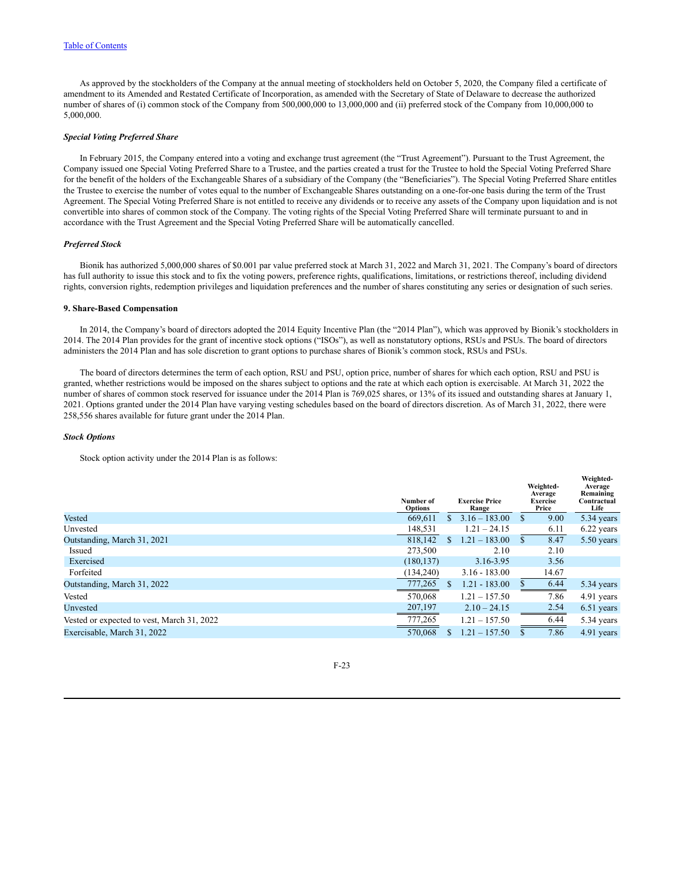As approved by the stockholders of the Company at the annual meeting of stockholders held on October 5, 2020, the Company filed a certificate of amendment to its Amended and Restated Certificate of Incorporation, as amended with the Secretary of State of Delaware to decrease the authorized number of shares of (i) common stock of the Company from 500,000,000 to 13,000,000 and (ii) preferred stock of the Company from 10,000,000 to 5,000,000.

## *Special Voting Preferred Share*

In February 2015, the Company entered into a voting and exchange trust agreement (the "Trust Agreement"). Pursuant to the Trust Agreement, the Company issued one Special Voting Preferred Share to a Trustee, and the parties created a trust for the Trustee to hold the Special Voting Preferred Share for the benefit of the holders of the Exchangeable Shares of a subsidiary of the Company (the "Beneficiaries"). The Special Voting Preferred Share entitles the Trustee to exercise the number of votes equal to the number of Exchangeable Shares outstanding on a one-for-one basis during the term of the Trust Agreement. The Special Voting Preferred Share is not entitled to receive any dividends or to receive any assets of the Company upon liquidation and is not convertible into shares of common stock of the Company. The voting rights of the Special Voting Preferred Share will terminate pursuant to and in accordance with the Trust Agreement and the Special Voting Preferred Share will be automatically cancelled.

# *Preferred Stock*

Bionik has authorized 5,000,000 shares of \$0.001 par value preferred stock at March 31, 2022 and March 31, 2021. The Company's board of directors has full authority to issue this stock and to fix the voting powers, preference rights, qualifications, limitations, or restrictions thereof, including dividend rights, conversion rights, redemption privileges and liquidation preferences and the number of shares constituting any series or designation of such series.

#### **9. Share-Based Compensation**

In 2014, the Company's board of directors adopted the 2014 Equity Incentive Plan (the "2014 Plan"), which was approved by Bionik's stockholders in 2014. The 2014 Plan provides for the grant of incentive stock options ("ISOs"), as well as nonstatutory options, RSUs and PSUs. The board of directors administers the 2014 Plan and has sole discretion to grant options to purchase shares of Bionik's common stock, RSUs and PSUs.

The board of directors determines the term of each option, RSU and PSU, option price, number of shares for which each option, RSU and PSU is granted, whether restrictions would be imposed on the shares subject to options and the rate at which each option is exercisable. At March 31, 2022 the number of shares of common stock reserved for issuance under the 2014 Plan is 769,025 shares, or 13% of its issued and outstanding shares at January 1, 2021. Options granted under the 2014 Plan have varying vesting schedules based on the board of directors discretion. As of March 31, 2022, there were 258,556 shares available for future grant under the 2014 Plan.

### *Stock Options*

Stock option activity under the 2014 Plan is as follows:

|                                            | <b>Exercise Price</b><br>Number of<br><b>Options</b> |     | Range           |    | Weighted-<br>Average<br>Exercise<br>Price | Weighted-<br>Average<br>Remaining<br>Contractual<br>Life |
|--------------------------------------------|------------------------------------------------------|-----|-----------------|----|-------------------------------------------|----------------------------------------------------------|
| Vested                                     | 669,611                                              |     | $3.16 - 183.00$ |    | 9.00                                      | 5.34 years                                               |
| Unvested                                   | 148,531                                              |     | $1.21 - 24.15$  |    | 6.11                                      | 6.22 years                                               |
| Outstanding, March 31, 2021                | 818.142                                              | S.  | $1.21 - 183.00$ | S. | 8.47                                      | 5.50 years                                               |
| Issued                                     | 273,500                                              |     | 2.10            |    | 2.10                                      |                                                          |
| Exercised                                  | (180, 137)                                           |     | 3.16-3.95       |    | 3.56                                      |                                                          |
| Forfeited                                  | (134, 240)                                           |     | $3.16 - 183.00$ |    | 14.67                                     |                                                          |
| Outstanding, March 31, 2022                | 777,265                                              | \$. | $1.21 - 183.00$ |    | 6.44                                      | 5.34 years                                               |
| Vested                                     | 570,068                                              |     | $1.21 - 157.50$ |    | 7.86                                      | 4.91 years                                               |
| Unvested                                   | 207,197                                              |     | $2.10 - 24.15$  |    | 2.54                                      | 6.51 years                                               |
| Vested or expected to vest, March 31, 2022 | 777,265                                              |     | $1.21 - 157.50$ |    | 6.44                                      | 5.34 years                                               |
| Exercisable, March 31, 2022                | 570.068                                              |     | $1.21 - 157.50$ |    | 7.86                                      | 4.91 years                                               |

**Weighted-**

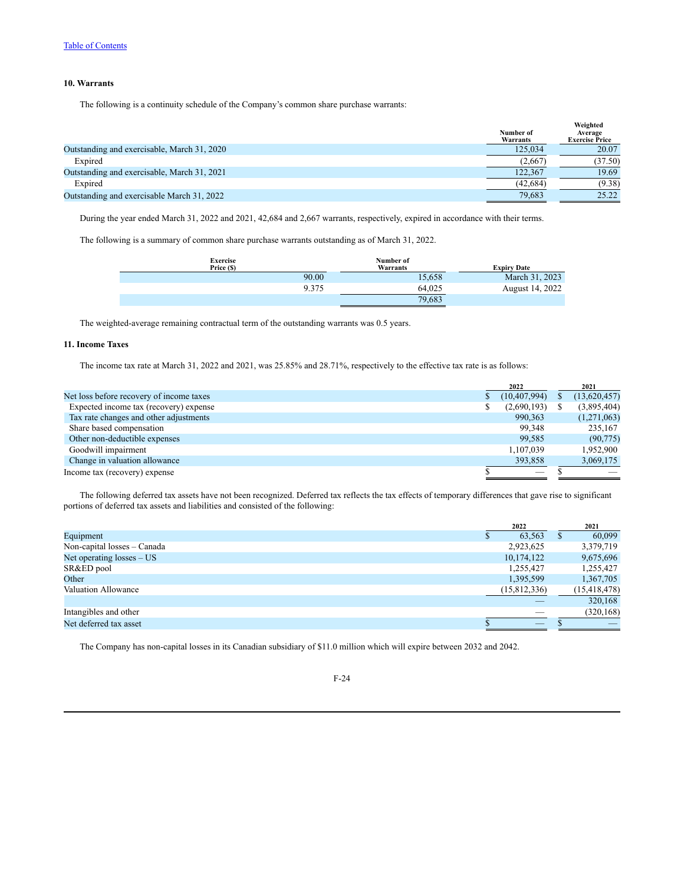# **10. Warrants**

The following is a continuity schedule of the Company's common share purchase warrants:

|                                             |                       | Weighted                         |  |
|---------------------------------------------|-----------------------|----------------------------------|--|
|                                             | Number of<br>Warrants | Average<br><b>Exercise Price</b> |  |
| Outstanding and exercisable, March 31, 2020 | 125,034               | 20.07                            |  |
| Expired                                     | (2,667)               | (37.50)                          |  |
| Outstanding and exercisable, March 31, 2021 | 122.367               | 19.69                            |  |
| Expired                                     | (42, 684)             | (9.38)                           |  |
| Outstanding and exercisable March 31, 2022  | 79.683                | 25.22                            |  |

During the year ended March 31, 2022 and 2021, 42,684 and 2,667 warrants, respectively, expired in accordance with their terms.

The following is a summary of common share purchase warrants outstanding as of March 31, 2022.

| <b>Exercise</b> | Number of |                    |
|-----------------|-----------|--------------------|
| Price (\$)      | Warrants  | <b>Expiry Date</b> |
| 90.00           | 15,658    | March 31, 2023     |
| 9.375           | 64.025    | August 14, 2022    |
|                 | 79,683    |                    |

The weighted-average remaining contractual term of the outstanding warrants was 0.5 years.

# **11. Income Taxes**

The income tax rate at March 31, 2022 and 2021, was 25.85% and 28.71%, respectively to the effective tax rate is as follows:

|                                          | 2022           |   | 2021         |
|------------------------------------------|----------------|---|--------------|
| Net loss before recovery of income taxes | (10, 407, 994) | S | (13,620,457) |
| Expected income tax (recovery) expense   | (2,690,193)    |   | (3,895,404)  |
| Tax rate changes and other adjustments   | 990.363        |   | (1,271,063)  |
| Share based compensation                 | 99.348         |   | 235,167      |
| Other non-deductible expenses            | 99.585         |   | (90, 775)    |
| Goodwill impairment                      | 1,107,039      |   | 1.952.900    |
| Change in valuation allowance            | 393,858        |   | 3,069,175    |
| Income tax (recovery) expense            | __             |   |              |
|                                          |                |   |              |

The following deferred tax assets have not been recognized. Deferred tax reflects the tax effects of temporary differences that gave rise to significant portions of deferred tax assets and liabilities and consisted of the following:

|                             | 2022           |   | 2021           |
|-----------------------------|----------------|---|----------------|
| Equipment                   | 63,563         | S | 60,099         |
| Non-capital losses – Canada | 2,923,625      |   | 3,379,719      |
| Net operating losses $- US$ | 10,174,122     |   | 9,675,696      |
| SR&ED pool                  | 1,255,427      |   | 1,255,427      |
| Other                       | 1,395,599      |   | 1,367,705      |
| Valuation Allowance         | (15, 812, 336) |   | (15, 418, 478) |
|                             |                |   | 320,168        |
| Intangibles and other       |                |   | (320, 168)     |
| Net deferred tax asset      | –              |   |                |

The Company has non-capital losses in its Canadian subsidiary of \$11.0 million which will expire between 2032 and 2042.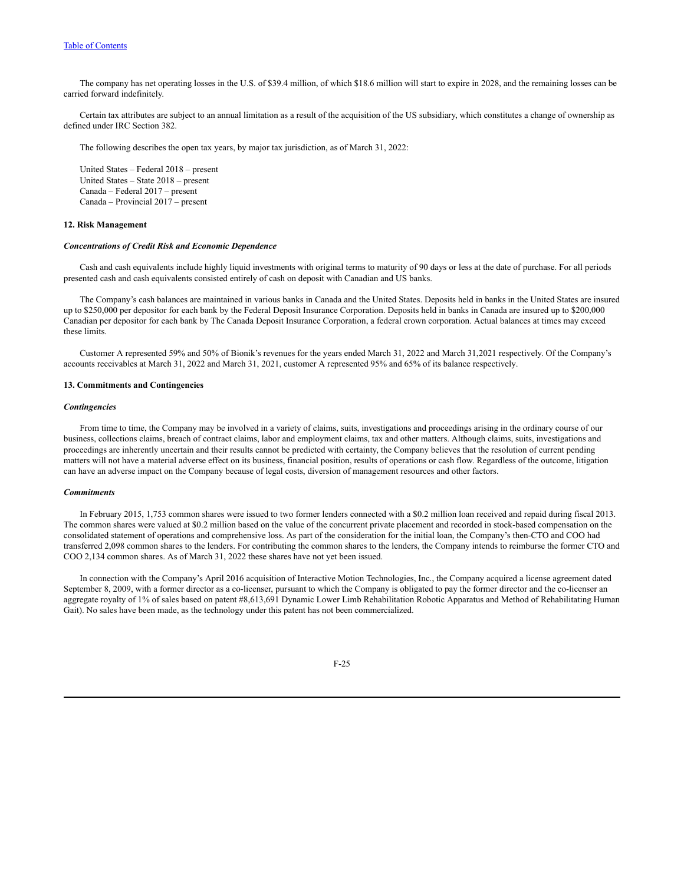The company has net operating losses in the U.S. of \$39.4 million, of which \$18.6 million will start to expire in 2028, and the remaining losses can be carried forward indefinitely.

Certain tax attributes are subject to an annual limitation as a result of the acquisition of the US subsidiary, which constitutes a change of ownership as defined under IRC Section 382.

The following describes the open tax years, by major tax jurisdiction, as of March 31, 2022:

United States – Federal 2018 – present United States – State 2018 – present Canada – Federal 2017 – present Canada – Provincial 2017 – present

### **12. Risk Management**

### *Concentrations of Credit Risk and Economic Dependence*

Cash and cash equivalents include highly liquid investments with original terms to maturity of 90 days or less at the date of purchase. For all periods presented cash and cash equivalents consisted entirely of cash on deposit with Canadian and US banks.

The Company's cash balances are maintained in various banks in Canada and the United States. Deposits held in banks in the United States are insured up to \$250,000 per depositor for each bank by the Federal Deposit Insurance Corporation. Deposits held in banks in Canada are insured up to \$200,000 Canadian per depositor for each bank by The Canada Deposit Insurance Corporation, a federal crown corporation. Actual balances at times may exceed these limits.

Customer A represented 59% and 50% of Bionik's revenues for the years ended March 31, 2022 and March 31,2021 respectively. Of the Company's accounts receivables at March 31, 2022 and March 31, 2021, customer A represented 95% and 65% of its balance respectively.

### **13. Commitments and Contingencies**

#### *Contingencies*

From time to time, the Company may be involved in a variety of claims, suits, investigations and proceedings arising in the ordinary course of our business, collections claims, breach of contract claims, labor and employment claims, tax and other matters. Although claims, suits, investigations and proceedings are inherently uncertain and their results cannot be predicted with certainty, the Company believes that the resolution of current pending matters will not have a material adverse effect on its business, financial position, results of operations or cash flow. Regardless of the outcome, litigation can have an adverse impact on the Company because of legal costs, diversion of management resources and other factors.

#### *Commitments*

In February 2015, 1,753 common shares were issued to two former lenders connected with a \$0.2 million loan received and repaid during fiscal 2013. The common shares were valued at \$0.2 million based on the value of the concurrent private placement and recorded in stock-based compensation on the consolidated statement of operations and comprehensive loss. As part of the consideration for the initial loan, the Company's then-CTO and COO had transferred 2,098 common shares to the lenders. For contributing the common shares to the lenders, the Company intends to reimburse the former CTO and COO 2,134 common shares. As of March 31, 2022 these shares have not yet been issued.

In connection with the Company's April 2016 acquisition of Interactive Motion Technologies, Inc., the Company acquired a license agreement dated September 8, 2009, with a former director as a co-licenser, pursuant to which the Company is obligated to pay the former director and the co-licenser an aggregate royalty of 1% of sales based on patent #8,613,691 Dynamic Lower Limb Rehabilitation Robotic Apparatus and Method of Rehabilitating Human Gait). No sales have been made, as the technology under this patent has not been commercialized.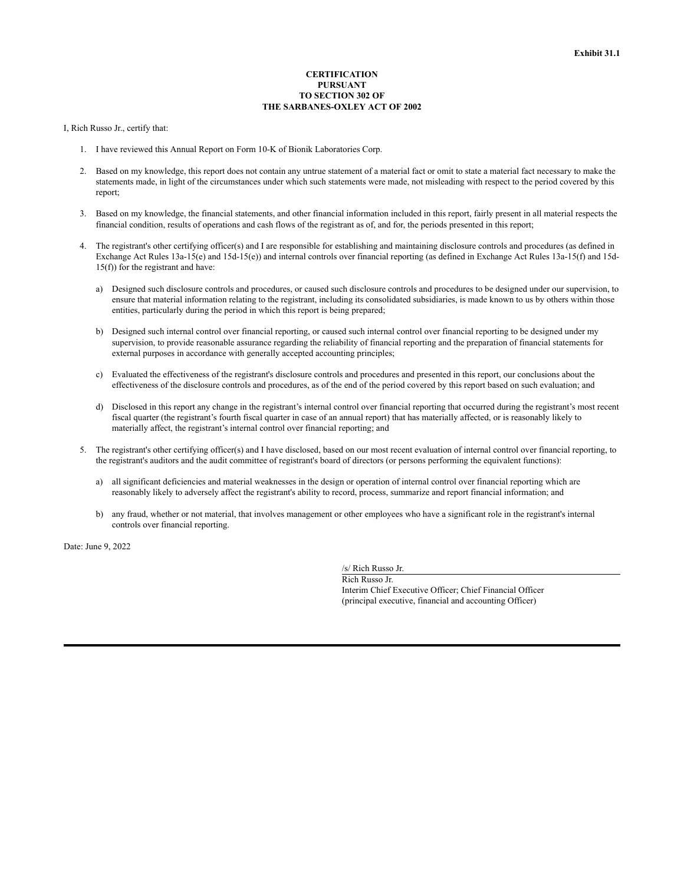### **CERTIFICATION PURSUANT TO SECTION 302 OF THE SARBANES-OXLEY ACT OF 2002**

### I, Rich Russo Jr., certify that:

- 1. I have reviewed this Annual Report on Form 10-K of Bionik Laboratories Corp.
- 2. Based on my knowledge, this report does not contain any untrue statement of a material fact or omit to state a material fact necessary to make the statements made, in light of the circumstances under which such statements were made, not misleading with respect to the period covered by this report;
- 3. Based on my knowledge, the financial statements, and other financial information included in this report, fairly present in all material respects the financial condition, results of operations and cash flows of the registrant as of, and for, the periods presented in this report;
- 4. The registrant's other certifying officer(s) and I are responsible for establishing and maintaining disclosure controls and procedures (as defined in Exchange Act Rules 13a-15(e) and 15d-15(e)) and internal controls over financial reporting (as defined in Exchange Act Rules 13a-15(f) and 15d-15(f)) for the registrant and have:
	- a) Designed such disclosure controls and procedures, or caused such disclosure controls and procedures to be designed under our supervision, to ensure that material information relating to the registrant, including its consolidated subsidiaries, is made known to us by others within those entities, particularly during the period in which this report is being prepared;
	- b) Designed such internal control over financial reporting, or caused such internal control over financial reporting to be designed under my supervision, to provide reasonable assurance regarding the reliability of financial reporting and the preparation of financial statements for external purposes in accordance with generally accepted accounting principles;
	- c) Evaluated the effectiveness of the registrant's disclosure controls and procedures and presented in this report, our conclusions about the effectiveness of the disclosure controls and procedures, as of the end of the period covered by this report based on such evaluation; and
	- d) Disclosed in this report any change in the registrant's internal control over financial reporting that occurred during the registrant's most recent fiscal quarter (the registrant's fourth fiscal quarter in case of an annual report) that has materially affected, or is reasonably likely to materially affect, the registrant's internal control over financial reporting; and
- 5. The registrant's other certifying officer(s) and I have disclosed, based on our most recent evaluation of internal control over financial reporting, to the registrant's auditors and the audit committee of registrant's board of directors (or persons performing the equivalent functions):
	- a) all significant deficiencies and material weaknesses in the design or operation of internal control over financial reporting which are reasonably likely to adversely affect the registrant's ability to record, process, summarize and report financial information; and
	- b) any fraud, whether or not material, that involves management or other employees who have a significant role in the registrant's internal controls over financial reporting.

Date: June 9, 2022

/s/ Rich Russo Jr.

Rich Russo Jr. Interim Chief Executive Officer; Chief Financial Officer (principal executive, financial and accounting Officer)